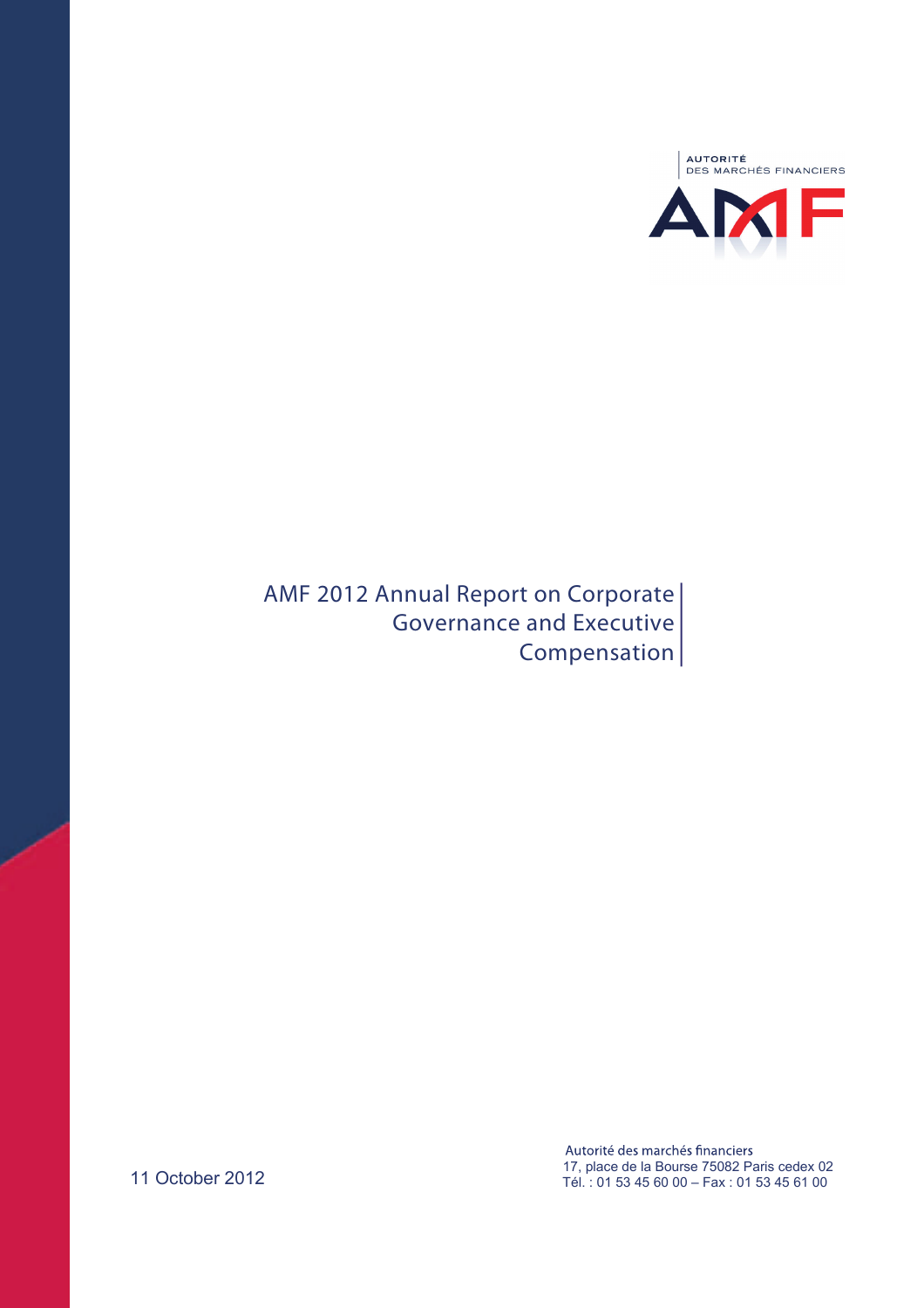

**AMF 2012 Annual Report on Corporate Governance and Executive Compensation** 

> Autorité des marchés financiers 17, place de la Bourse 75082 Paris cedex 02 Tél. : 01 53 45 60 00 – Fax : 01 53 45 61 00

11 October 2012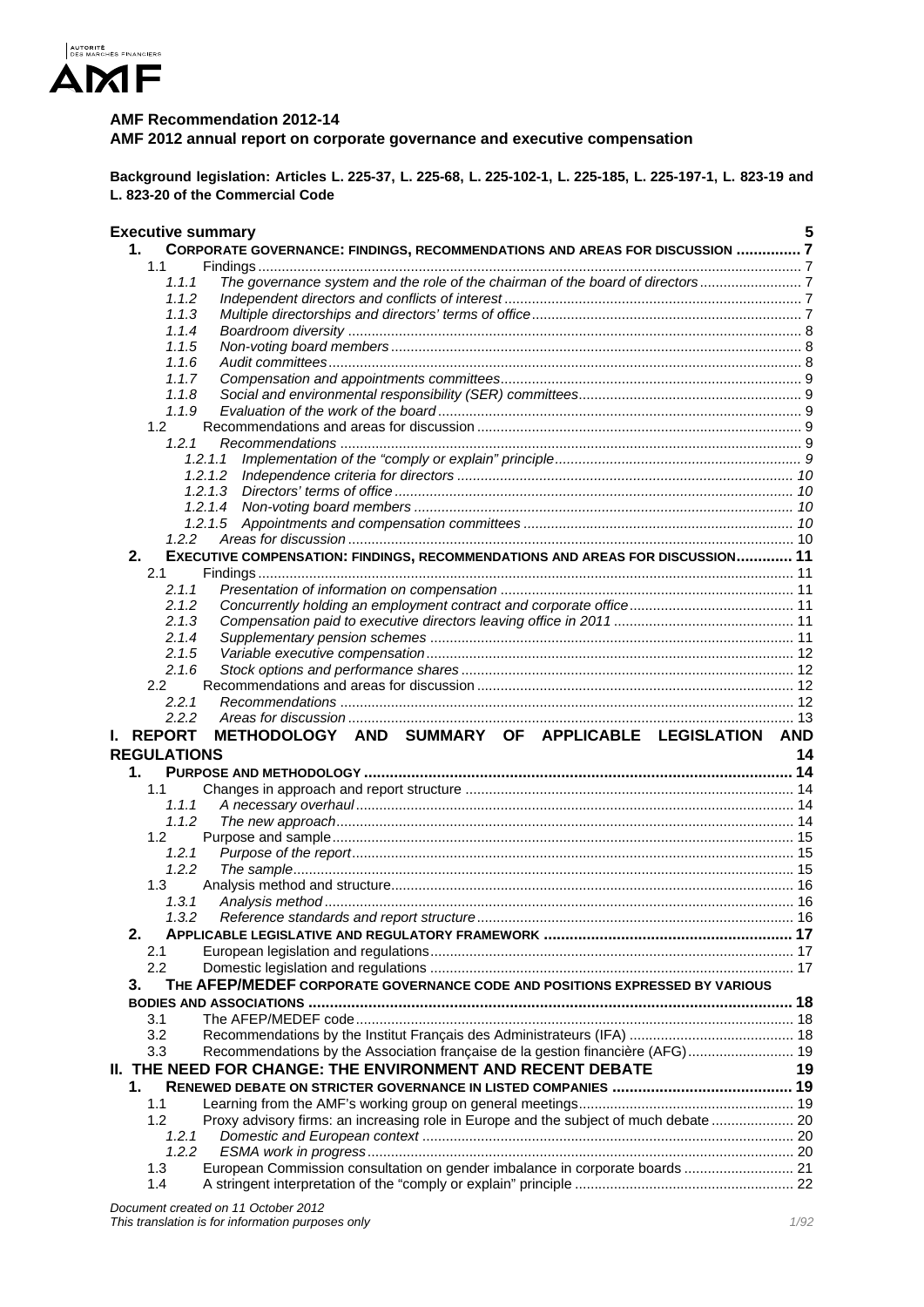

## **AMF Recommendation 2012-14**

**AMF 2012 annual report on corporate governance and executive compensation** 

**Background legislation: Articles L. 225-37, L. 225-68, L. 225-102-1, L. 225-185, L. 225-197-1, L. 823-19 and L. 823-20 of the Commercial Code** 

|    | <b>Executive summary</b> |                                                                                       | 5  |
|----|--------------------------|---------------------------------------------------------------------------------------|----|
|    | 1.                       | CORPORATE GOVERNANCE: FINDINGS, RECOMMENDATIONS AND AREAS FOR DISCUSSION 7            |    |
|    | 1.1                      |                                                                                       |    |
|    | 1.1.1                    | The governance system and the role of the chairman of the board of directors          |    |
|    | 1.1.2                    |                                                                                       |    |
|    | 1.1.3                    |                                                                                       |    |
|    | 1.1.4                    |                                                                                       |    |
|    | 1.1.5                    |                                                                                       |    |
|    | 1.1.6                    |                                                                                       |    |
|    | 1.1.7<br>1.1.8           |                                                                                       |    |
|    |                          |                                                                                       |    |
|    | 1.1.9<br>1.2             |                                                                                       |    |
|    |                          |                                                                                       |    |
|    | 1.2.1                    |                                                                                       |    |
|    |                          | 1.2.1.1<br>1.2.1.2                                                                    |    |
|    |                          | 1.2.1.3                                                                               |    |
|    |                          | 1.2.1.4                                                                               |    |
|    |                          |                                                                                       |    |
|    | 1.2.2                    |                                                                                       |    |
|    | 2.                       | EXECUTIVE COMPENSATION: FINDINGS, RECOMMENDATIONS AND AREAS FOR DISCUSSION 11         |    |
|    |                          |                                                                                       |    |
|    | 2.1                      |                                                                                       |    |
|    | 2.1.1                    |                                                                                       |    |
|    | 2.1.2                    |                                                                                       |    |
|    | 2.1.3                    |                                                                                       |    |
|    | 2.1.4                    |                                                                                       |    |
|    | 2.1.5                    |                                                                                       |    |
|    | 2.1.6                    |                                                                                       |    |
|    | $2.2\,$                  |                                                                                       |    |
|    | 2.2.1<br>2.2.2           |                                                                                       |    |
|    |                          |                                                                                       |    |
|    |                          |                                                                                       |    |
| L. | <b>REPORT</b>            | METHODOLOGY AND SUMMARY OF APPLICABLE LEGISLATION AND                                 |    |
|    | <b>REGULATIONS</b>       |                                                                                       | 14 |
|    | $\mathbf 1$ .            |                                                                                       |    |
|    | 1.1                      |                                                                                       |    |
|    | 1.1.1                    |                                                                                       |    |
|    | 1.1.2                    |                                                                                       |    |
|    | 1.2                      |                                                                                       |    |
|    | 1.2.1                    |                                                                                       |    |
|    | 1.2.2                    |                                                                                       |    |
|    | 1.3                      |                                                                                       |    |
|    | 1, 3, 1                  |                                                                                       |    |
|    | 1.3.2                    |                                                                                       |    |
|    | 2.                       |                                                                                       |    |
|    | 2.1                      |                                                                                       |    |
|    | 2.2                      |                                                                                       |    |
|    | 3.                       | THE AFEP/MEDEF CORPORATE GOVERNANCE CODE AND POSITIONS EXPRESSED BY VARIOUS           |    |
|    |                          |                                                                                       |    |
|    | 3.1                      |                                                                                       |    |
|    | 3.2                      |                                                                                       |    |
|    | 3.3                      | Recommendations by the Association française de la gestion financière (AFG) 19        |    |
|    |                          | <b>II. THE NEED FOR CHANGE: THE ENVIRONMENT AND RECENT DEBATE</b>                     | 19 |
|    | 1.                       |                                                                                       |    |
|    | 1.1                      |                                                                                       |    |
|    | 1.2                      | Proxy advisory firms: an increasing role in Europe and the subject of much debate  20 |    |
|    | 1.2.1                    |                                                                                       |    |
|    | 1.2.2                    |                                                                                       |    |
|    | 1.3<br>1.4               | European Commission consultation on gender imbalance in corporate boards  21          |    |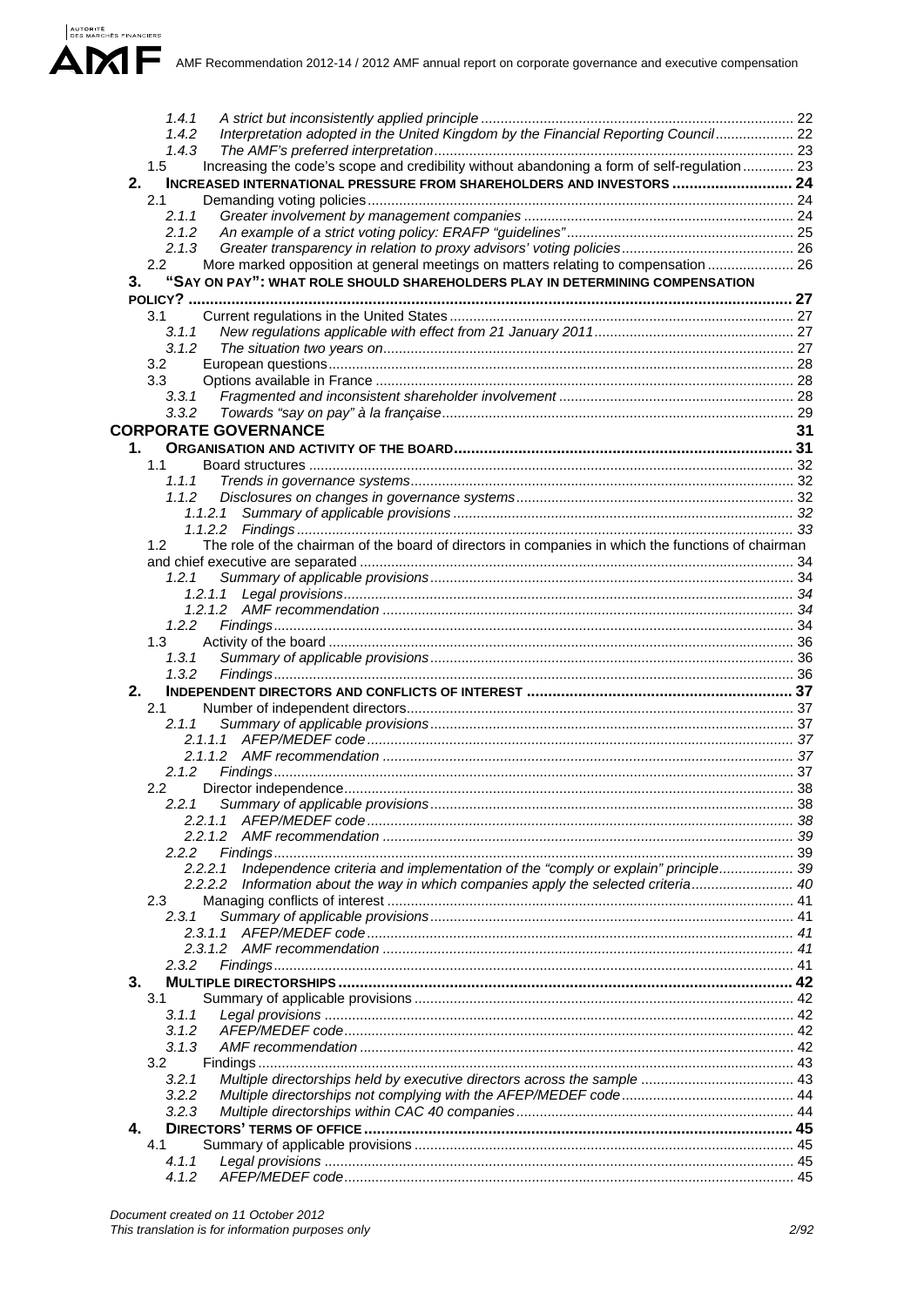AMF Recommendation 2012-14 / 2012 AMF annual report on corporate governance and executive compensation

| 1.4.1                                                                                                                  |    |
|------------------------------------------------------------------------------------------------------------------------|----|
| Interpretation adopted in the United Kingdom by the Financial Reporting Council 22<br>1.4.2                            |    |
| 1.4.3                                                                                                                  |    |
| Increasing the code's scope and credibility without abandoning a form of self-regulation  23<br>1.5                    |    |
|                                                                                                                        |    |
| INCREASED INTERNATIONAL PRESSURE FROM SHAREHOLDERS AND INVESTORS  24<br>2.                                             |    |
| 2.1                                                                                                                    |    |
| 2.1.1                                                                                                                  |    |
| 2.1.2                                                                                                                  |    |
| 2.1.3                                                                                                                  |    |
|                                                                                                                        |    |
| More marked opposition at general meetings on matters relating to compensation  26<br>$2.2\phantom{0}$                 |    |
| "SAY ON PAY": WHAT ROLE SHOULD SHAREHOLDERS PLAY IN DETERMINING COMPENSATION<br>3.                                     |    |
|                                                                                                                        |    |
| 3.1                                                                                                                    |    |
|                                                                                                                        |    |
| 3.1.1                                                                                                                  |    |
| 3.1.2                                                                                                                  |    |
| 3.2                                                                                                                    |    |
| 3.3                                                                                                                    |    |
| 3.3.1                                                                                                                  |    |
| 3.3.2                                                                                                                  |    |
|                                                                                                                        |    |
| <b>CORPORATE GOVERNANCE</b>                                                                                            | 31 |
| 1.                                                                                                                     |    |
| 1.1                                                                                                                    |    |
|                                                                                                                        |    |
| 1.1.1                                                                                                                  |    |
| 1.1.2                                                                                                                  |    |
|                                                                                                                        |    |
|                                                                                                                        |    |
| The role of the chairman of the board of directors in companies in which the functions of chairman<br>1.2 <sub>1</sub> |    |
|                                                                                                                        |    |
|                                                                                                                        |    |
| 1.2.1                                                                                                                  |    |
| 1.2.1.1                                                                                                                |    |
|                                                                                                                        |    |
| 1.2.2                                                                                                                  |    |
| 1.3                                                                                                                    |    |
| 1.3.1                                                                                                                  |    |
|                                                                                                                        |    |
| 1.3.2                                                                                                                  |    |
| 2.                                                                                                                     |    |
| 2.1                                                                                                                    |    |
| 2.1.1                                                                                                                  |    |
|                                                                                                                        |    |
|                                                                                                                        |    |
|                                                                                                                        |    |
| 2.1.2                                                                                                                  |    |
| $2.2^{\circ}$                                                                                                          |    |
| 2.2.1                                                                                                                  |    |
| 2.2.1.1                                                                                                                |    |
|                                                                                                                        |    |
| 2.2.2                                                                                                                  |    |
| Independence criteria and implementation of the "comply or explain" principle 39                                       |    |
| 2.2.2.1                                                                                                                |    |
| 2.2.2.2<br>Information about the way in which companies apply the selected criteria 40                                 |    |
| 2.3                                                                                                                    |    |
| 2.3.1                                                                                                                  |    |
| 2.3.1.1                                                                                                                |    |
|                                                                                                                        |    |
|                                                                                                                        |    |
| 2.3.2                                                                                                                  |    |
| 3.                                                                                                                     |    |
| 3.1                                                                                                                    |    |
| 3.1.1                                                                                                                  |    |
| 3.1.2                                                                                                                  |    |
|                                                                                                                        |    |
| 3.1.3                                                                                                                  |    |
| 3.2                                                                                                                    |    |
| 3.2.1                                                                                                                  |    |
| 3.2.2                                                                                                                  |    |
| 3.2.3                                                                                                                  |    |
| 4.                                                                                                                     |    |
|                                                                                                                        |    |
| 4.1                                                                                                                    |    |
| 4.1.1                                                                                                                  |    |
| 4.1.2                                                                                                                  |    |
|                                                                                                                        |    |

AUTORITÉ<br>DES MARCHÉS FINANCIERS

 $\blacktriangle$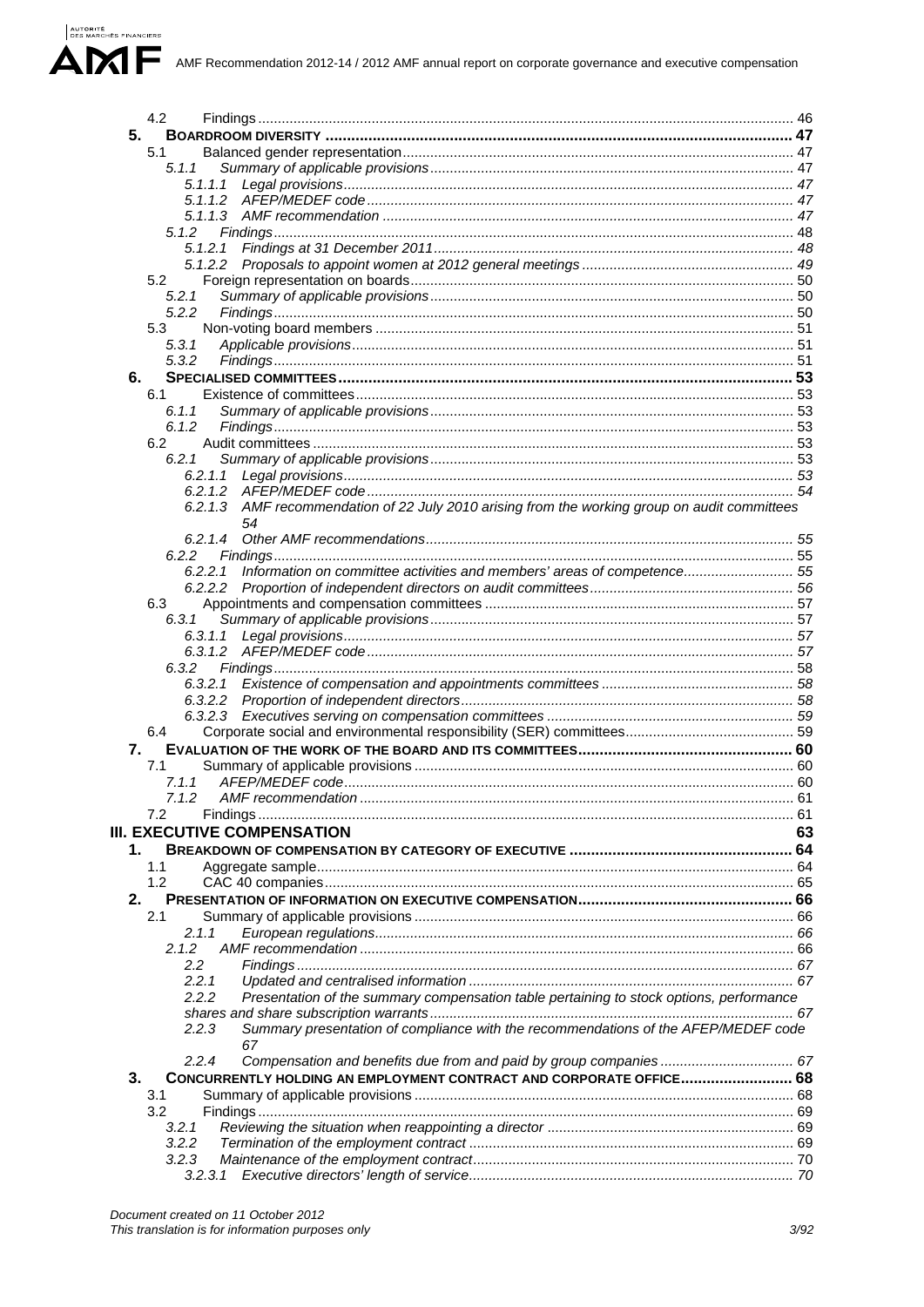|    | 4.2                                                                                              |    |
|----|--------------------------------------------------------------------------------------------------|----|
| 5. |                                                                                                  |    |
|    | 5.1                                                                                              |    |
|    | 5.1.1                                                                                            |    |
|    |                                                                                                  |    |
|    | 5.1.1.1                                                                                          |    |
|    |                                                                                                  |    |
|    |                                                                                                  |    |
|    | 5.1.2                                                                                            |    |
|    | 5.1.2.1                                                                                          |    |
|    | 5.1.2.2                                                                                          |    |
|    | 5.2                                                                                              |    |
|    |                                                                                                  |    |
|    | 5.2.1                                                                                            |    |
|    | 5.2.2                                                                                            |    |
|    | 5.3                                                                                              |    |
|    | 5.3.1                                                                                            |    |
|    | 5.3.2                                                                                            |    |
| 6. |                                                                                                  |    |
|    | 6.1                                                                                              |    |
|    |                                                                                                  |    |
|    | 6.1.1                                                                                            |    |
|    | 6.1.2                                                                                            |    |
|    | 6.2                                                                                              |    |
|    | 6.2.1                                                                                            |    |
|    |                                                                                                  |    |
|    |                                                                                                  |    |
|    | 6.2.1.3 AMF recommendation of 22 July 2010 arising from the working group on audit committees    |    |
|    |                                                                                                  |    |
|    | 54                                                                                               |    |
|    |                                                                                                  |    |
|    | 6.2.2                                                                                            |    |
|    | Information on committee activities and members' areas of competence 55<br>6.2.2.1               |    |
|    |                                                                                                  |    |
|    | 6.3                                                                                              |    |
|    | 6.3.1                                                                                            |    |
|    |                                                                                                  |    |
|    | 6.3.1.1                                                                                          |    |
|    |                                                                                                  |    |
|    | 6.3.2                                                                                            |    |
|    | 6.3.2.1                                                                                          |    |
|    |                                                                                                  |    |
|    |                                                                                                  |    |
|    | 6.4                                                                                              |    |
| 7. |                                                                                                  |    |
|    |                                                                                                  |    |
|    | 7.1                                                                                              |    |
|    | 7.1.1                                                                                            |    |
|    | 7.1.2                                                                                            |    |
|    | 7.2                                                                                              |    |
|    | <b>III. EXECUTIVE COMPENSATION</b>                                                               | 63 |
|    |                                                                                                  |    |
| 1. |                                                                                                  |    |
|    | 1.1                                                                                              |    |
|    | 1.2                                                                                              |    |
| 2. |                                                                                                  |    |
|    | 2.1                                                                                              |    |
|    | 2.1.1                                                                                            |    |
|    | 2.1.2                                                                                            |    |
|    |                                                                                                  |    |
|    | 2.2                                                                                              |    |
|    | 2.2.1                                                                                            |    |
|    | Presentation of the summary compensation table pertaining to stock options, performance<br>2.2.2 |    |
|    |                                                                                                  |    |
|    | Summary presentation of compliance with the recommendations of the AFEP/MEDEF code<br>2.2.3      |    |
|    | 67                                                                                               |    |
|    | 2.2.4<br>Compensation and benefits due from and paid by group companies 67                       |    |
| 3. | CONCURRENTLY HOLDING AN EMPLOYMENT CONTRACT AND CORPORATE OFFICE 68                              |    |
|    |                                                                                                  |    |
|    | 3.1                                                                                              |    |
|    | 3.2                                                                                              |    |
|    | 3.2.1                                                                                            |    |
|    | 3.2.2                                                                                            |    |
|    | 3.2.3                                                                                            |    |
|    |                                                                                                  |    |
|    |                                                                                                  |    |

AUTORITÉ<br>DES MARCHÉS FINANCIERS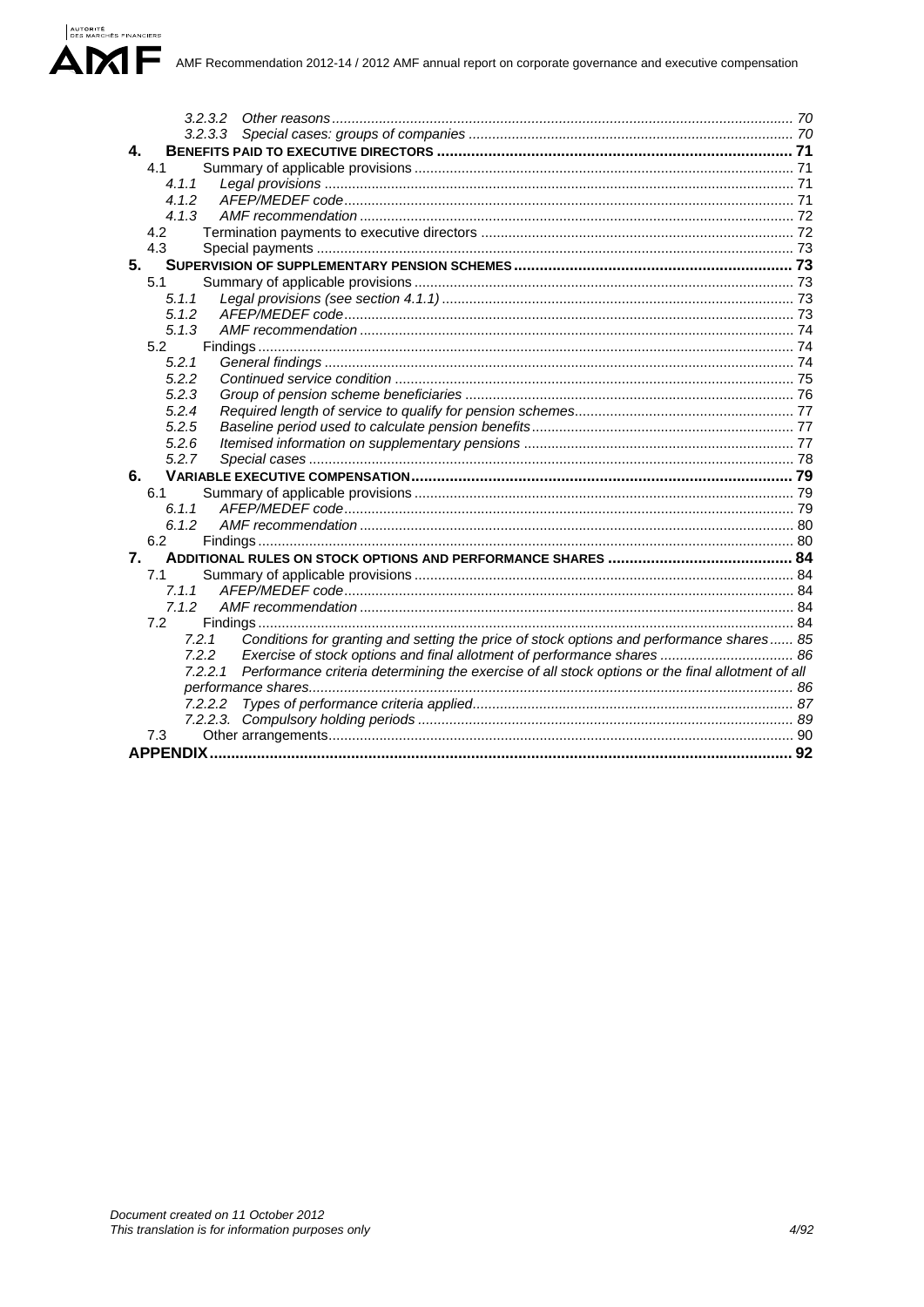| 3.2.3.2                                                                                                  |  |
|----------------------------------------------------------------------------------------------------------|--|
|                                                                                                          |  |
| 4.                                                                                                       |  |
| 4.1                                                                                                      |  |
| 4.1.1                                                                                                    |  |
| 4.1.2                                                                                                    |  |
| 4.1.3                                                                                                    |  |
| 4.2                                                                                                      |  |
| 4.3                                                                                                      |  |
| 5.                                                                                                       |  |
| 5.1                                                                                                      |  |
| 5.1.1                                                                                                    |  |
| 5.1.2                                                                                                    |  |
| 5.1.3                                                                                                    |  |
| 5.2                                                                                                      |  |
| 5.2.1                                                                                                    |  |
| 5.2.2                                                                                                    |  |
| 5.2.3                                                                                                    |  |
| 5.2.4                                                                                                    |  |
| 5.2.5                                                                                                    |  |
| 5.2.6                                                                                                    |  |
| 5.2.7                                                                                                    |  |
| 6.                                                                                                       |  |
| 6.1                                                                                                      |  |
| 6.1.1                                                                                                    |  |
| 6.1.2                                                                                                    |  |
| 6.2                                                                                                      |  |
| 7.                                                                                                       |  |
| 7.1                                                                                                      |  |
| 7.1.1                                                                                                    |  |
| 7.1.2                                                                                                    |  |
| 7.2                                                                                                      |  |
| Conditions for granting and setting the price of stock options and performance shares 85<br>7.2.1        |  |
| 7.2.2<br>Exercise of stock options and final allotment of performance shares  86                         |  |
| 7.2.2.1 Performance criteria determining the exercise of all stock options or the final allotment of all |  |
|                                                                                                          |  |
| 7.2.2.2                                                                                                  |  |
|                                                                                                          |  |
| 7.3                                                                                                      |  |
|                                                                                                          |  |

AUTORITÉ<br>DES MARCHÉS FINANCIERS

 $\blacktriangle$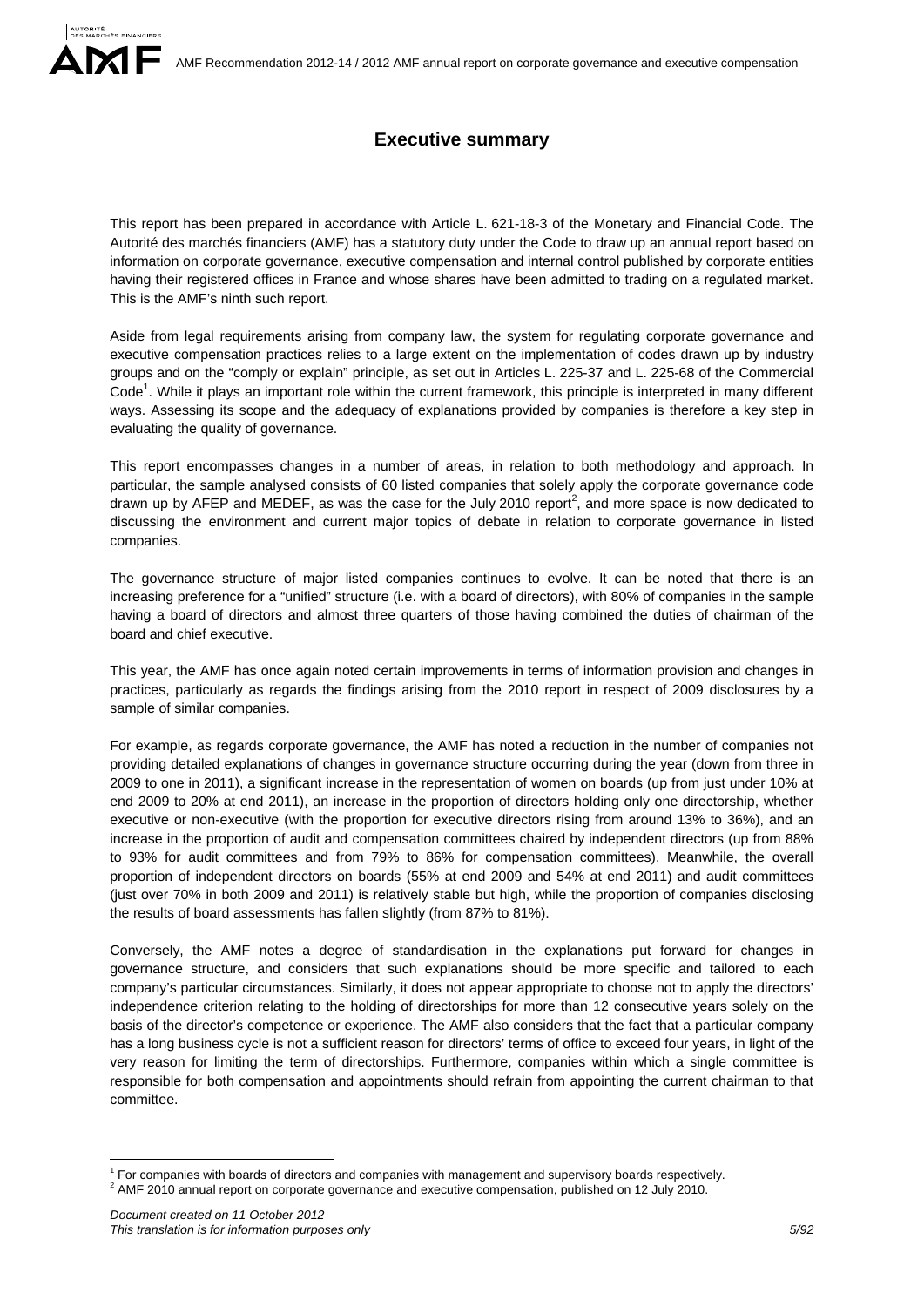# **Executive summary**

This report has been prepared in accordance with Article L. 621-18-3 of the Monetary and Financial Code. The Autorité des marchés financiers (AMF) has a statutory duty under the Code to draw up an annual report based on information on corporate governance, executive compensation and internal control published by corporate entities having their registered offices in France and whose shares have been admitted to trading on a regulated market. This is the AMF's ninth such report.

Aside from legal requirements arising from company law, the system for regulating corporate governance and executive compensation practices relies to a large extent on the implementation of codes drawn up by industry groups and on the "comply or explain" principle, as set out in Articles L. 225-37 and L. 225-68 of the Commercial Code<sup>1</sup>. While it plays an important role within the current framework, this principle is interpreted in many different ways. Assessing its scope and the adequacy of explanations provided by companies is therefore a key step in evaluating the quality of governance.

This report encompasses changes in a number of areas, in relation to both methodology and approach. In particular, the sample analysed consists of 60 listed companies that solely apply the corporate governance code drawn up by AFEP and MEDEF, as was the case for the July 2010 report<sup>2</sup>, and more space is now dedicated to discussing the environment and current major topics of debate in relation to corporate governance in listed companies.

The governance structure of major listed companies continues to evolve. It can be noted that there is an increasing preference for a "unified" structure (i.e. with a board of directors), with 80% of companies in the sample having a board of directors and almost three quarters of those having combined the duties of chairman of the board and chief executive.

This year, the AMF has once again noted certain improvements in terms of information provision and changes in practices, particularly as regards the findings arising from the 2010 report in respect of 2009 disclosures by a sample of similar companies.

For example, as regards corporate governance, the AMF has noted a reduction in the number of companies not providing detailed explanations of changes in governance structure occurring during the year (down from three in 2009 to one in 2011), a significant increase in the representation of women on boards (up from just under 10% at end 2009 to 20% at end 2011), an increase in the proportion of directors holding only one directorship, whether executive or non-executive (with the proportion for executive directors rising from around 13% to 36%), and an increase in the proportion of audit and compensation committees chaired by independent directors (up from 88% to 93% for audit committees and from 79% to 86% for compensation committees). Meanwhile, the overall proportion of independent directors on boards (55% at end 2009 and 54% at end 2011) and audit committees (just over 70% in both 2009 and 2011) is relatively stable but high, while the proportion of companies disclosing the results of board assessments has fallen slightly (from 87% to 81%).

Conversely, the AMF notes a degree of standardisation in the explanations put forward for changes in governance structure, and considers that such explanations should be more specific and tailored to each company's particular circumstances. Similarly, it does not appear appropriate to choose not to apply the directors' independence criterion relating to the holding of directorships for more than 12 consecutive years solely on the basis of the director's competence or experience. The AMF also considers that the fact that a particular company has a long business cycle is not a sufficient reason for directors' terms of office to exceed four years, in light of the very reason for limiting the term of directorships. Furthermore, companies within which a single committee is responsible for both compensation and appointments should refrain from appointing the current chairman to that committee.

1

<sup>&</sup>lt;sup>1</sup> For companies with boards of directors and companies with management and supervisory boards respectively.<br><sup>2</sup> AME 2010 spauel report on corporate governance and superifive companies published as 13 July 2010.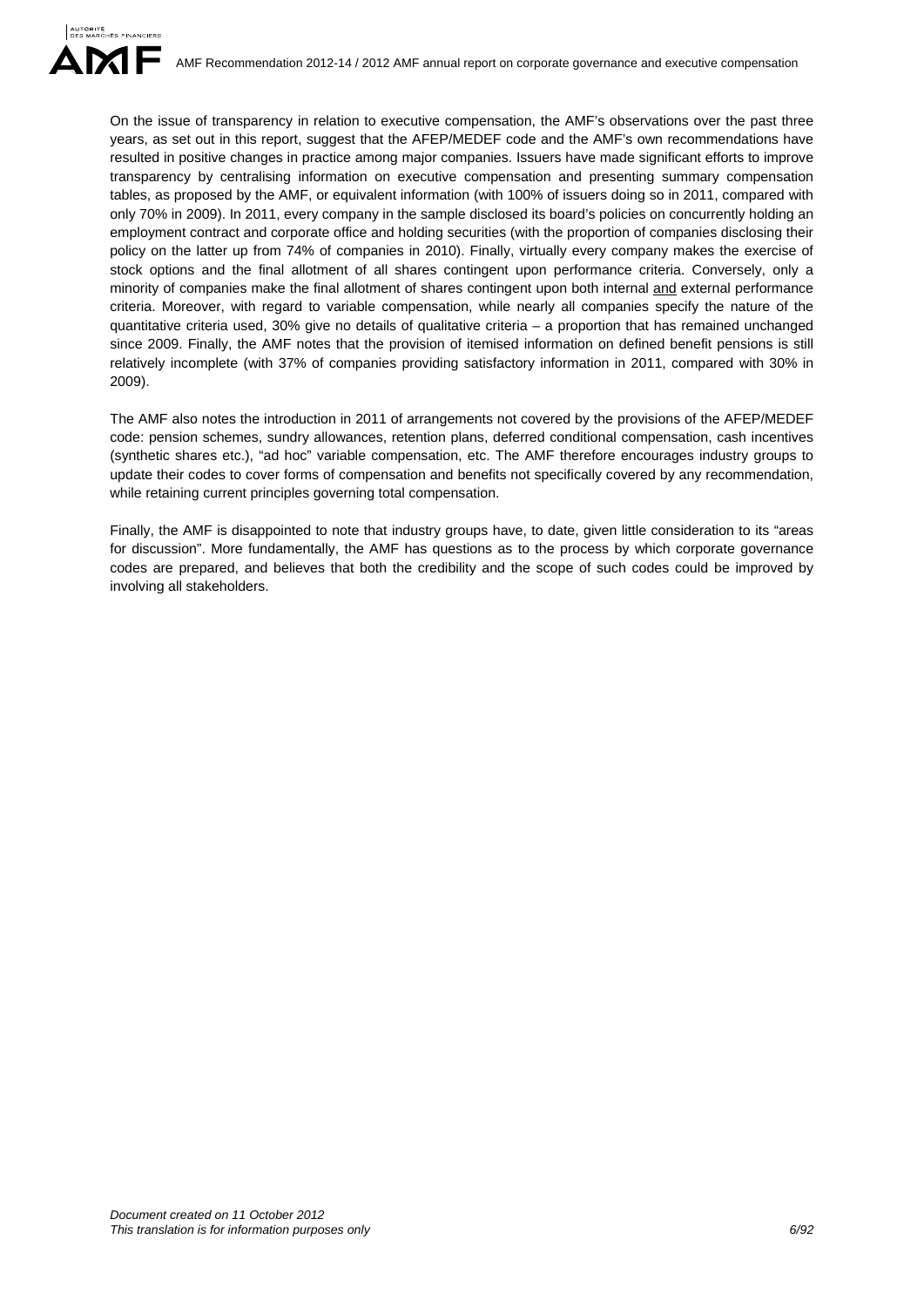On the issue of transparency in relation to executive compensation, the AMF's observations over the past three years, as set out in this report, suggest that the AFEP/MEDEF code and the AMF's own recommendations have resulted in positive changes in practice among major companies. Issuers have made significant efforts to improve transparency by centralising information on executive compensation and presenting summary compensation tables, as proposed by the AMF, or equivalent information (with 100% of issuers doing so in 2011, compared with only 70% in 2009). In 2011, every company in the sample disclosed its board's policies on concurrently holding an employment contract and corporate office and holding securities (with the proportion of companies disclosing their policy on the latter up from 74% of companies in 2010). Finally, virtually every company makes the exercise of stock options and the final allotment of all shares contingent upon performance criteria. Conversely, only a minority of companies make the final allotment of shares contingent upon both internal and external performance criteria. Moreover, with regard to variable compensation, while nearly all companies specify the nature of the quantitative criteria used, 30% give no details of qualitative criteria – a proportion that has remained unchanged since 2009. Finally, the AMF notes that the provision of itemised information on defined benefit pensions is still relatively incomplete (with 37% of companies providing satisfactory information in 2011, compared with 30% in 2009).

The AMF also notes the introduction in 2011 of arrangements not covered by the provisions of the AFEP/MEDEF code: pension schemes, sundry allowances, retention plans, deferred conditional compensation, cash incentives (synthetic shares etc.), "ad hoc" variable compensation, etc. The AMF therefore encourages industry groups to update their codes to cover forms of compensation and benefits not specifically covered by any recommendation, while retaining current principles governing total compensation.

Finally, the AMF is disappointed to note that industry groups have, to date, given little consideration to its "areas for discussion". More fundamentally, the AMF has questions as to the process by which corporate governance codes are prepared, and believes that both the credibility and the scope of such codes could be improved by involving all stakeholders.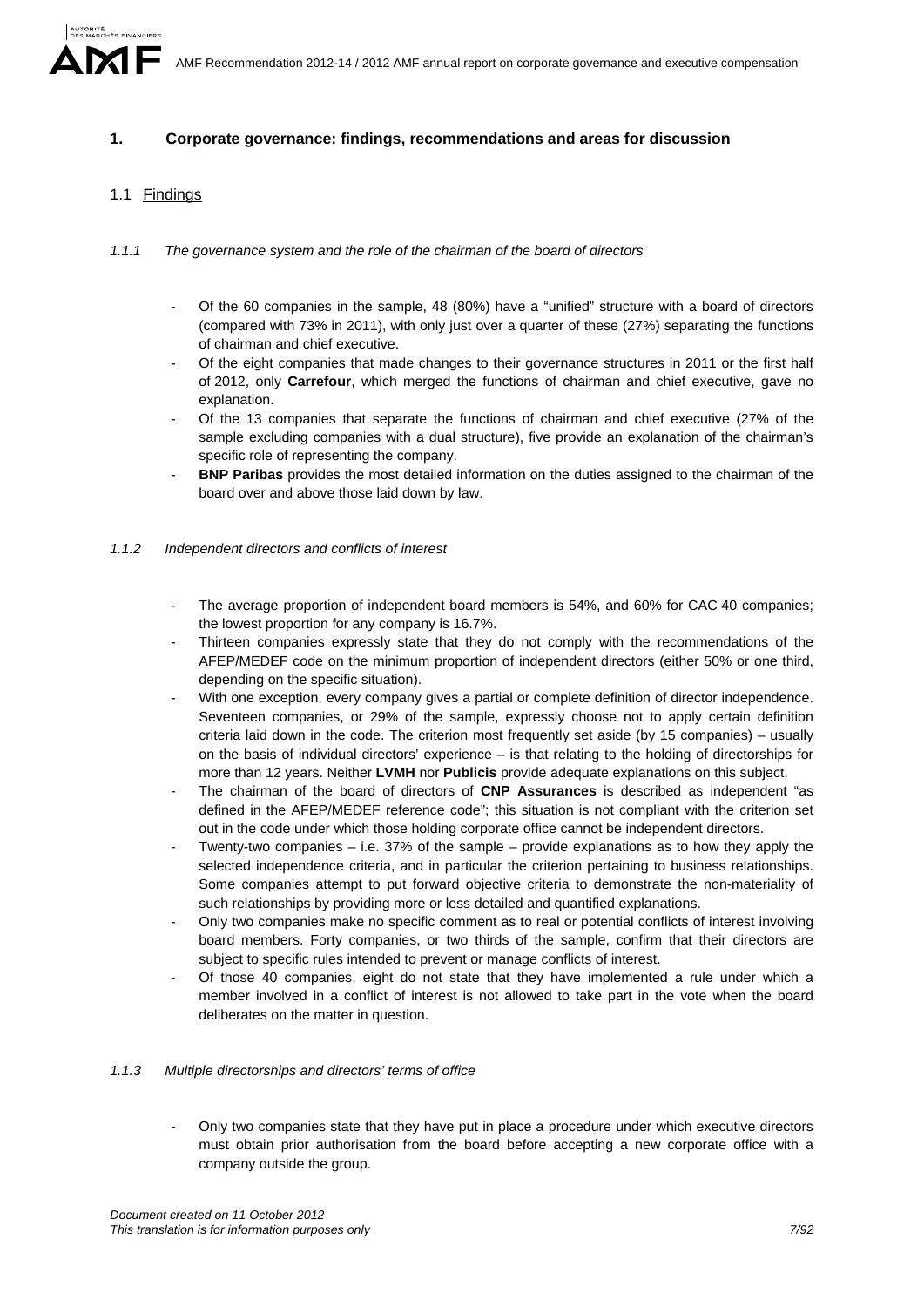## **1. Corporate governance: findings, recommendations and areas for discussion**

## 1.1 Findings

- *1.1.1 The governance system and the role of the chairman of the board of directors* 
	- Of the 60 companies in the sample, 48 (80%) have a "unified" structure with a board of directors (compared with 73% in 2011), with only just over a quarter of these (27%) separating the functions of chairman and chief executive.
	- Of the eight companies that made changes to their governance structures in 2011 or the first half of 2012, only **Carrefour**, which merged the functions of chairman and chief executive, gave no explanation.
	- Of the 13 companies that separate the functions of chairman and chief executive (27% of the sample excluding companies with a dual structure), five provide an explanation of the chairman's specific role of representing the company.
	- **BNP Paribas** provides the most detailed information on the duties assigned to the chairman of the board over and above those laid down by law.

### *1.1.2 Independent directors and conflicts of interest*

- The average proportion of independent board members is 54%, and 60% for CAC 40 companies; the lowest proportion for any company is 16.7%.
- Thirteen companies expressly state that they do not comply with the recommendations of the AFEP/MEDEF code on the minimum proportion of independent directors (either 50% or one third, depending on the specific situation).
- With one exception, every company gives a partial or complete definition of director independence. Seventeen companies, or 29% of the sample, expressly choose not to apply certain definition criteria laid down in the code. The criterion most frequently set aside (by 15 companies) – usually on the basis of individual directors' experience – is that relating to the holding of directorships for more than 12 years. Neither **LVMH** nor **Publicis** provide adequate explanations on this subject.
- The chairman of the board of directors of **CNP Assurances** is described as independent "as defined in the AFEP/MEDEF reference code"; this situation is not compliant with the criterion set out in the code under which those holding corporate office cannot be independent directors.
- Twenty-two companies i.e. 37% of the sample provide explanations as to how they apply the selected independence criteria, and in particular the criterion pertaining to business relationships. Some companies attempt to put forward objective criteria to demonstrate the non-materiality of such relationships by providing more or less detailed and quantified explanations.
- Only two companies make no specific comment as to real or potential conflicts of interest involving board members. Forty companies, or two thirds of the sample, confirm that their directors are subject to specific rules intended to prevent or manage conflicts of interest.
- Of those 40 companies, eight do not state that they have implemented a rule under which a member involved in a conflict of interest is not allowed to take part in the vote when the board deliberates on the matter in question.

### *1.1.3 Multiple directorships and directors' terms of office*

- Only two companies state that they have put in place a procedure under which executive directors must obtain prior authorisation from the board before accepting a new corporate office with a company outside the group.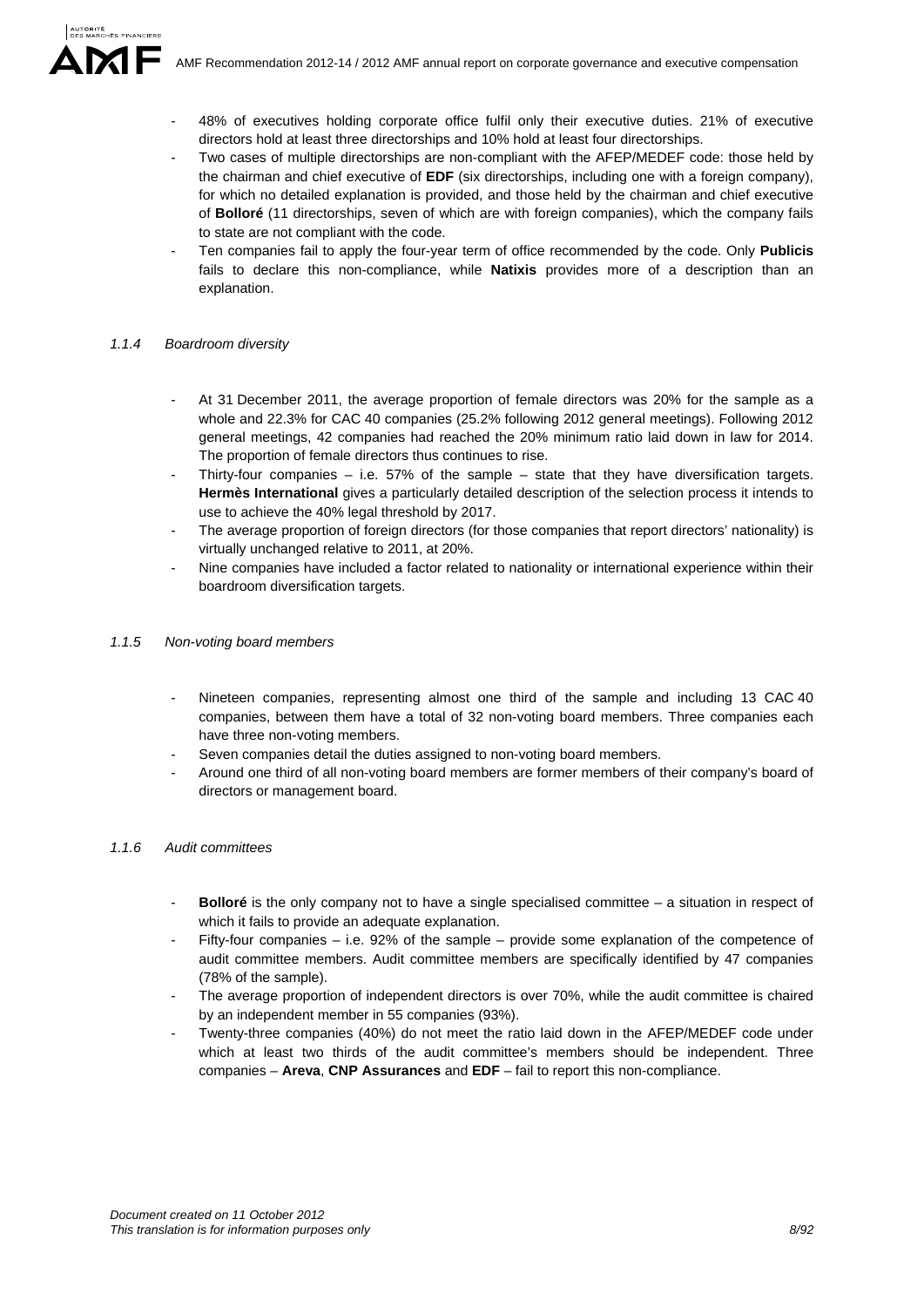- 48% of executives holding corporate office fulfil only their executive duties. 21% of executive directors hold at least three directorships and 10% hold at least four directorships.
- Two cases of multiple directorships are non-compliant with the AFEP/MEDEF code: those held by the chairman and chief executive of **EDF** (six directorships, including one with a foreign company), for which no detailed explanation is provided, and those held by the chairman and chief executive of **Bolloré** (11 directorships, seven of which are with foreign companies), which the company fails to state are not compliant with the code.
- Ten companies fail to apply the four-year term of office recommended by the code. Only **Publicis** fails to declare this non-compliance, while **Natixis** provides more of a description than an explanation.

#### *1.1.4 Boardroom diversity*

- At 31 December 2011, the average proportion of female directors was 20% for the sample as a whole and 22.3% for CAC 40 companies (25.2% following 2012 general meetings). Following 2012 general meetings, 42 companies had reached the 20% minimum ratio laid down in law for 2014. The proportion of female directors thus continues to rise.
- Thirty-four companies  $-$  i.e. 57% of the sample  $-$  state that they have diversification targets. **Hermès International** gives a particularly detailed description of the selection process it intends to use to achieve the 40% legal threshold by 2017.
- The average proportion of foreign directors (for those companies that report directors' nationality) is virtually unchanged relative to 2011, at 20%.
- Nine companies have included a factor related to nationality or international experience within their boardroom diversification targets.

### *1.1.5 Non-voting board members*

- Nineteen companies, representing almost one third of the sample and including 13 CAC 40 companies, between them have a total of 32 non-voting board members. Three companies each have three non-voting members.
- Seven companies detail the duties assigned to non-voting board members.
- Around one third of all non-voting board members are former members of their company's board of directors or management board.

#### *1.1.6 Audit committees*

- **Bolloré** is the only company not to have a single specialised committee a situation in respect of which it fails to provide an adequate explanation.
- Fifty-four companies  $-$  i.e. 92% of the sample  $-$  provide some explanation of the competence of audit committee members. Audit committee members are specifically identified by 47 companies (78% of the sample).
- The average proportion of independent directors is over 70%, while the audit committee is chaired by an independent member in 55 companies (93%).
- Twenty-three companies (40%) do not meet the ratio laid down in the AFEP/MEDEF code under which at least two thirds of the audit committee's members should be independent. Three companies – **Areva**, **CNP Assurances** and **EDF** – fail to report this non-compliance.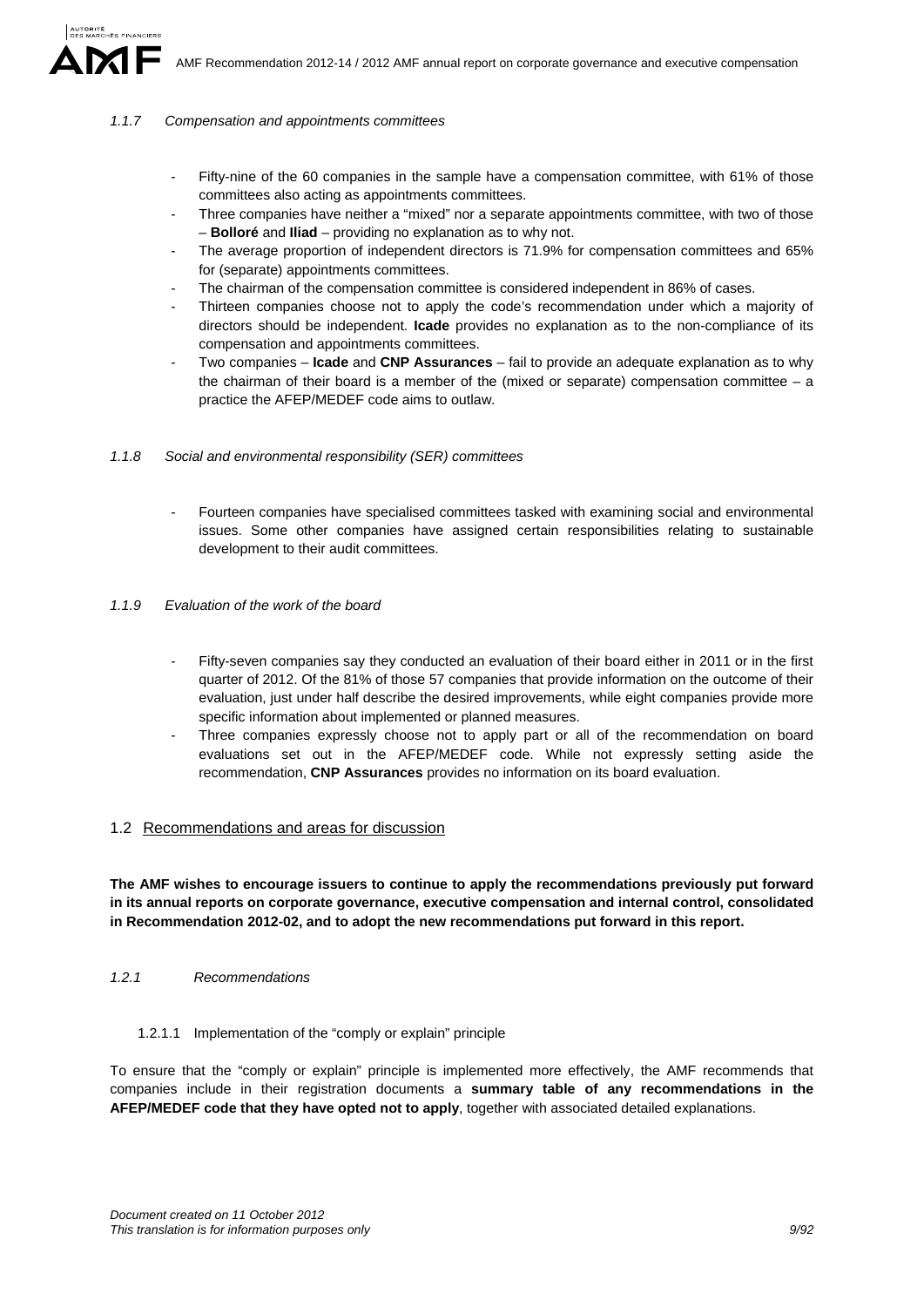#### *1.1.7 Compensation and appointments committees*

- Fifty-nine of the 60 companies in the sample have a compensation committee, with 61% of those committees also acting as appointments committees.
- Three companies have neither a "mixed" nor a separate appointments committee, with two of those – **Bolloré** and **Iliad** – providing no explanation as to why not.
- The average proportion of independent directors is 71.9% for compensation committees and 65% for (separate) appointments committees.
- The chairman of the compensation committee is considered independent in 86% of cases.
- Thirteen companies choose not to apply the code's recommendation under which a majority of directors should be independent. **Icade** provides no explanation as to the non-compliance of its compensation and appointments committees.
- Two companies **Icade** and **CNP Assurances** fail to provide an adequate explanation as to why the chairman of their board is a member of the (mixed or separate) compensation committee – a practice the AFEP/MEDEF code aims to outlaw.

#### *1.1.8 Social and environmental responsibility (SER) committees*

- Fourteen companies have specialised committees tasked with examining social and environmental issues. Some other companies have assigned certain responsibilities relating to sustainable development to their audit committees.

#### *1.1.9 Evaluation of the work of the board*

- Fifty-seven companies say they conducted an evaluation of their board either in 2011 or in the first quarter of 2012. Of the 81% of those 57 companies that provide information on the outcome of their evaluation, just under half describe the desired improvements, while eight companies provide more specific information about implemented or planned measures.
- Three companies expressly choose not to apply part or all of the recommendation on board evaluations set out in the AFEP/MEDEF code. While not expressly setting aside the recommendation, **CNP Assurances** provides no information on its board evaluation.

### 1.2 Recommendations and areas for discussion

**The AMF wishes to encourage issuers to continue to apply the recommendations previously put forward in its annual reports on corporate governance, executive compensation and internal control, consolidated in Recommendation 2012-02, and to adopt the new recommendations put forward in this report.** 

*1.2.1 Recommendations* 

#### 1.2.1.1 Implementation of the "comply or explain" principle

To ensure that the "comply or explain" principle is implemented more effectively, the AMF recommends that companies include in their registration documents a **summary table of any recommendations in the AFEP/MEDEF code that they have opted not to apply**, together with associated detailed explanations.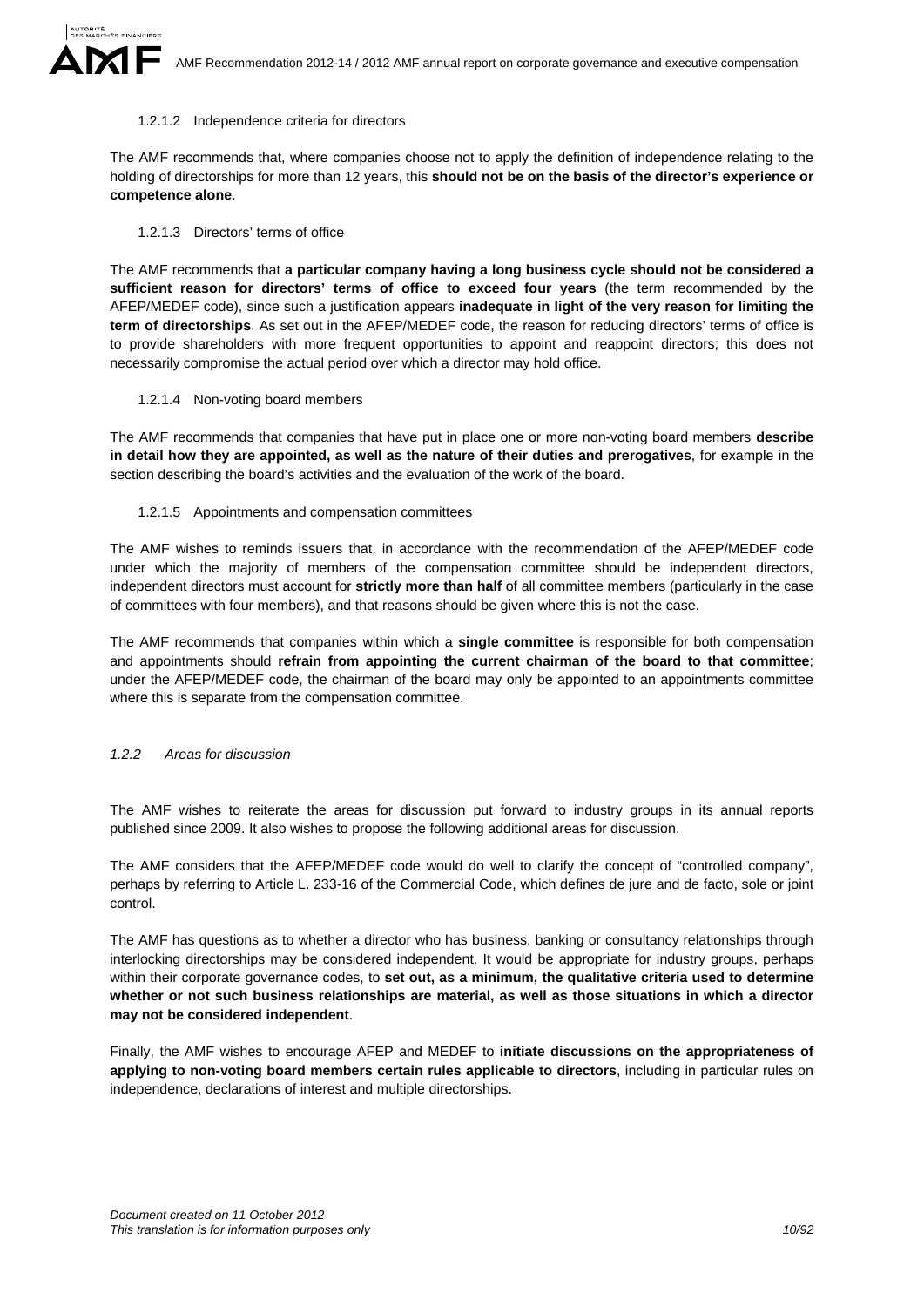#### 1.2.1.2 Independence criteria for directors

The AMF recommends that, where companies choose not to apply the definition of independence relating to the holding of directorships for more than 12 years, this **should not be on the basis of the director's experience or competence alone**.

#### 1.2.1.3 Directors' terms of office

The AMF recommends that **a particular company having a long business cycle should not be considered a sufficient reason for directors' terms of office to exceed four years** (the term recommended by the AFEP/MEDEF code), since such a justification appears **inadequate in light of the very reason for limiting the term of directorships**. As set out in the AFEP/MEDEF code, the reason for reducing directors' terms of office is to provide shareholders with more frequent opportunities to appoint and reappoint directors; this does not necessarily compromise the actual period over which a director may hold office.

#### 1.2.1.4 Non-voting board members

The AMF recommends that companies that have put in place one or more non-voting board members **describe in detail how they are appointed, as well as the nature of their duties and prerogatives**, for example in the section describing the board's activities and the evaluation of the work of the board.

#### 1.2.1.5 Appointments and compensation committees

The AMF wishes to reminds issuers that, in accordance with the recommendation of the AFEP/MEDEF code under which the majority of members of the compensation committee should be independent directors, independent directors must account for **strictly more than half** of all committee members (particularly in the case of committees with four members), and that reasons should be given where this is not the case.

The AMF recommends that companies within which a **single committee** is responsible for both compensation and appointments should **refrain from appointing the current chairman of the board to that committee**; under the AFEP/MEDEF code, the chairman of the board may only be appointed to an appointments committee where this is separate from the compensation committee.

#### *1.2.2 Areas for discussion*

The AMF wishes to reiterate the areas for discussion put forward to industry groups in its annual reports published since 2009. It also wishes to propose the following additional areas for discussion.

The AMF considers that the AFEP/MEDEF code would do well to clarify the concept of "controlled company", perhaps by referring to Article L. 233-16 of the Commercial Code, which defines de jure and de facto, sole or joint control.

The AMF has questions as to whether a director who has business, banking or consultancy relationships through interlocking directorships may be considered independent. It would be appropriate for industry groups, perhaps within their corporate governance codes, to **set out, as a minimum, the qualitative criteria used to determine whether or not such business relationships are material, as well as those situations in which a director may not be considered independent**.

Finally, the AMF wishes to encourage AFEP and MEDEF to **initiate discussions on the appropriateness of applying to non-voting board members certain rules applicable to directors**, including in particular rules on independence, declarations of interest and multiple directorships.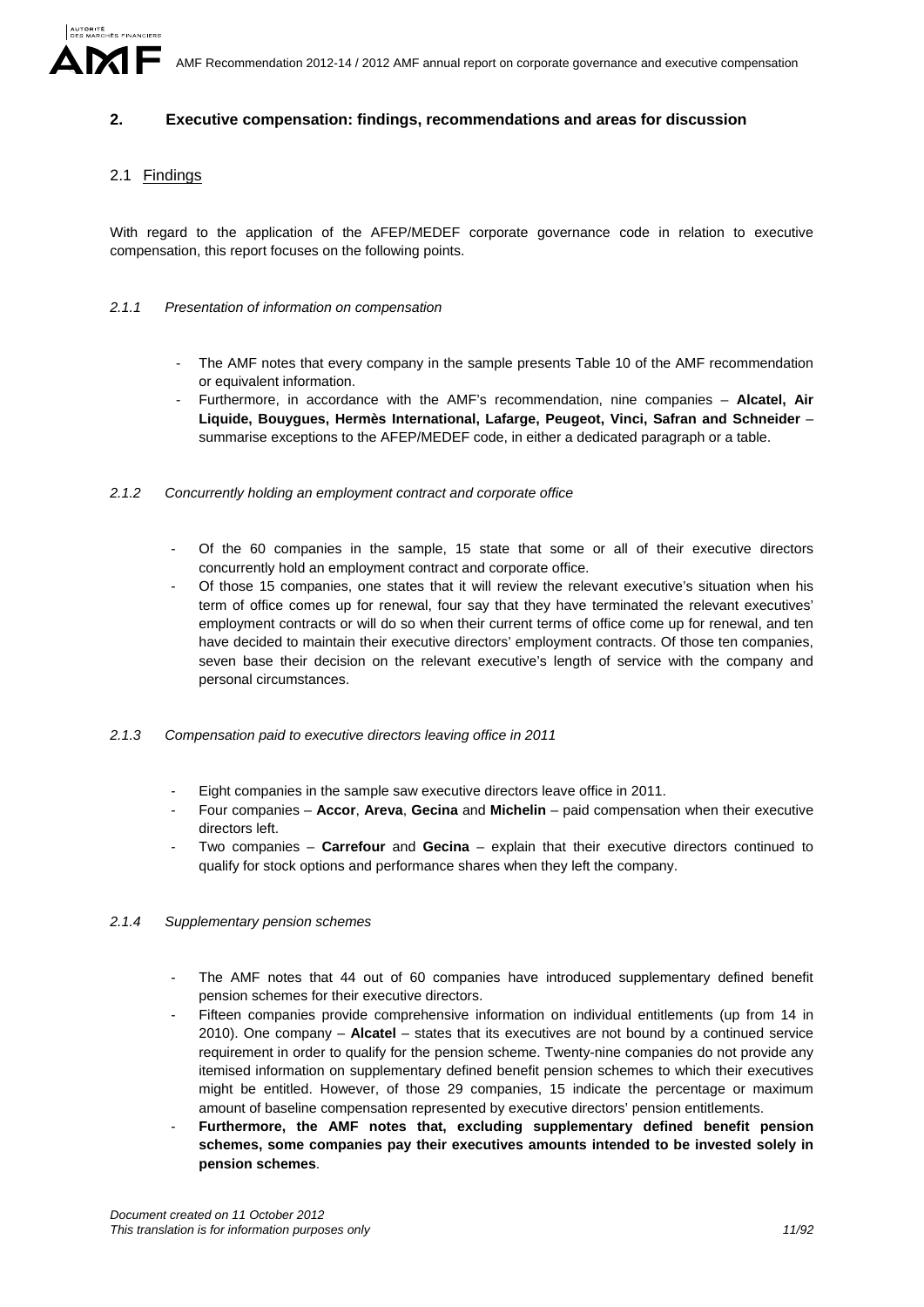### **2. Executive compensation: findings, recommendations and areas for discussion**

## 2.1 Findings

With regard to the application of the AFEP/MEDEF corporate governance code in relation to executive compensation, this report focuses on the following points.

#### *2.1.1 Presentation of information on compensation*

- The AMF notes that every company in the sample presents Table 10 of the AMF recommendation or equivalent information.
- Furthermore, in accordance with the AMF's recommendation, nine companies **Alcatel, Air Liquide, Bouygues, Hermès International, Lafarge, Peugeot, Vinci, Safran and Schneider** – summarise exceptions to the AFEP/MEDEF code, in either a dedicated paragraph or a table.
- *2.1.2 Concurrently holding an employment contract and corporate office* 
	- Of the 60 companies in the sample, 15 state that some or all of their executive directors concurrently hold an employment contract and corporate office.
	- Of those 15 companies, one states that it will review the relevant executive's situation when his term of office comes up for renewal, four say that they have terminated the relevant executives' employment contracts or will do so when their current terms of office come up for renewal, and ten have decided to maintain their executive directors' employment contracts. Of those ten companies, seven base their decision on the relevant executive's length of service with the company and personal circumstances.
- *2.1.3 Compensation paid to executive directors leaving office in 2011* 
	- Eight companies in the sample saw executive directors leave office in 2011.
	- Four companies **Accor**, **Areva**, **Gecina** and **Michelin** paid compensation when their executive directors left.
	- Two companies **Carrefour** and **Gecina** explain that their executive directors continued to qualify for stock options and performance shares when they left the company.

### *2.1.4 Supplementary pension schemes*

- The AMF notes that 44 out of 60 companies have introduced supplementary defined benefit pension schemes for their executive directors.
- Fifteen companies provide comprehensive information on individual entitlements (up from 14 in 2010). One company – **Alcatel** – states that its executives are not bound by a continued service requirement in order to qualify for the pension scheme. Twenty-nine companies do not provide any itemised information on supplementary defined benefit pension schemes to which their executives might be entitled. However, of those 29 companies, 15 indicate the percentage or maximum amount of baseline compensation represented by executive directors' pension entitlements.
- **Furthermore, the AMF notes that, excluding supplementary defined benefit pension schemes, some companies pay their executives amounts intended to be invested solely in pension schemes**.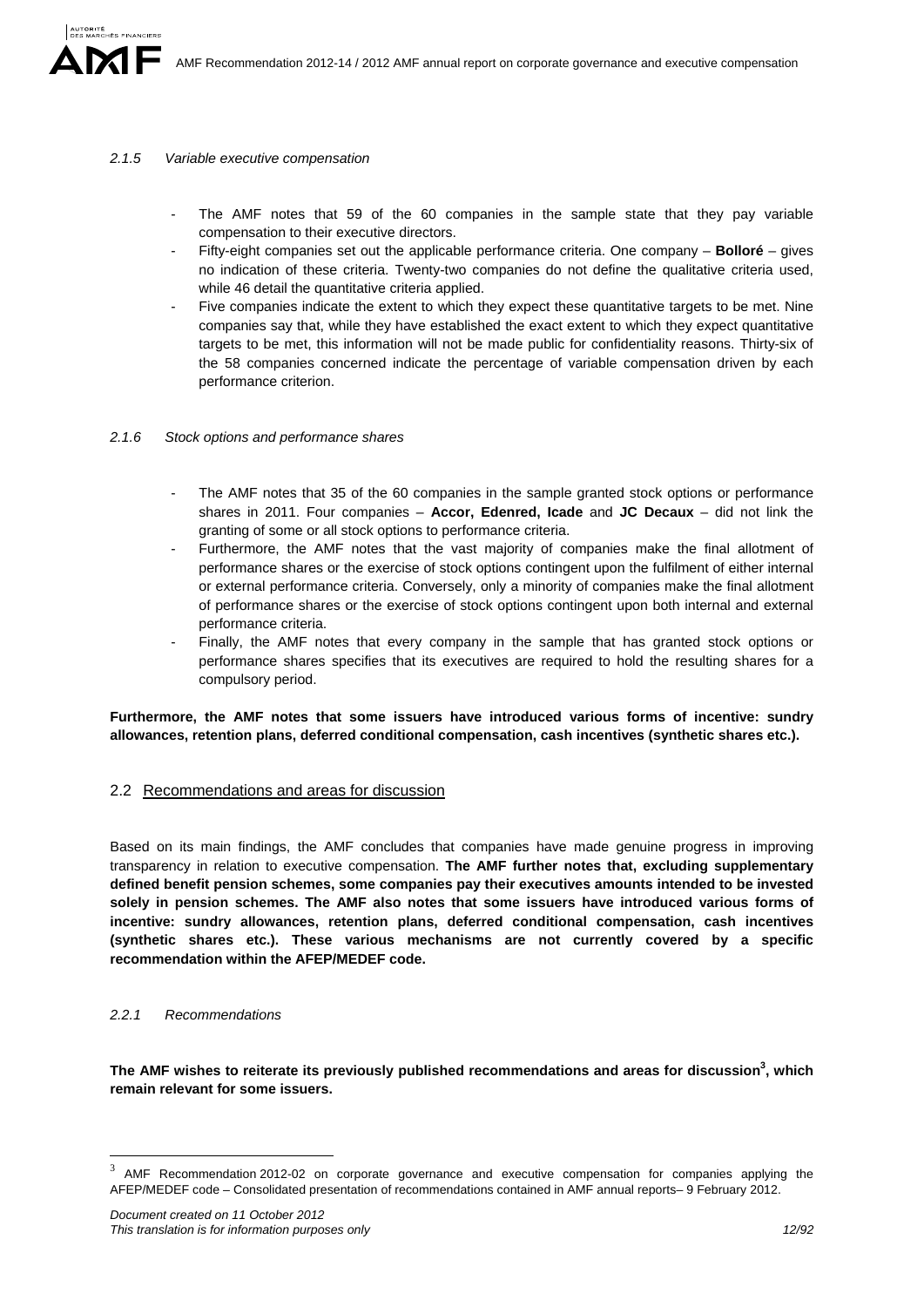### *2.1.5 Variable executive compensation*

- The AMF notes that 59 of the 60 companies in the sample state that they pay variable compensation to their executive directors.
- Fifty-eight companies set out the applicable performance criteria. One company **Bolloré** gives no indication of these criteria. Twenty-two companies do not define the qualitative criteria used, while 46 detail the quantitative criteria applied.
- Five companies indicate the extent to which they expect these quantitative targets to be met. Nine companies say that, while they have established the exact extent to which they expect quantitative targets to be met, this information will not be made public for confidentiality reasons. Thirty-six of the 58 companies concerned indicate the percentage of variable compensation driven by each performance criterion.

#### *2.1.6 Stock options and performance shares*

- The AMF notes that 35 of the 60 companies in the sample granted stock options or performance shares in 2011. Four companies – **Accor, Edenred, Icade** and **JC Decaux** – did not link the granting of some or all stock options to performance criteria.
- Furthermore, the AMF notes that the vast majority of companies make the final allotment of performance shares or the exercise of stock options contingent upon the fulfilment of either internal or external performance criteria. Conversely, only a minority of companies make the final allotment of performance shares or the exercise of stock options contingent upon both internal and external performance criteria.
- Finally, the AMF notes that every company in the sample that has granted stock options or performance shares specifies that its executives are required to hold the resulting shares for a compulsory period.

**Furthermore, the AMF notes that some issuers have introduced various forms of incentive: sundry allowances, retention plans, deferred conditional compensation, cash incentives (synthetic shares etc.).**

### 2.2 Recommendations and areas for discussion

Based on its main findings, the AMF concludes that companies have made genuine progress in improving transparency in relation to executive compensation. **The AMF further notes that, excluding supplementary defined benefit pension schemes, some companies pay their executives amounts intended to be invested solely in pension schemes. The AMF also notes that some issuers have introduced various forms of incentive: sundry allowances, retention plans, deferred conditional compensation, cash incentives (synthetic shares etc.). These various mechanisms are not currently covered by a specific recommendation within the AFEP/MEDEF code.** 

#### *2.2.1 Recommendations*

1

The AMF wishes to reiterate its previously published recommendations and areas for discussion<sup>3</sup>, which **remain relevant for some issuers.**

<sup>&</sup>lt;sup>3</sup> AMF Recommendation 2012-02 on corporate governance and executive compensation for companies applying the AFEP/MEDEF code – Consolidated presentation of recommendations contained in AMF annual reports– 9 February 2012.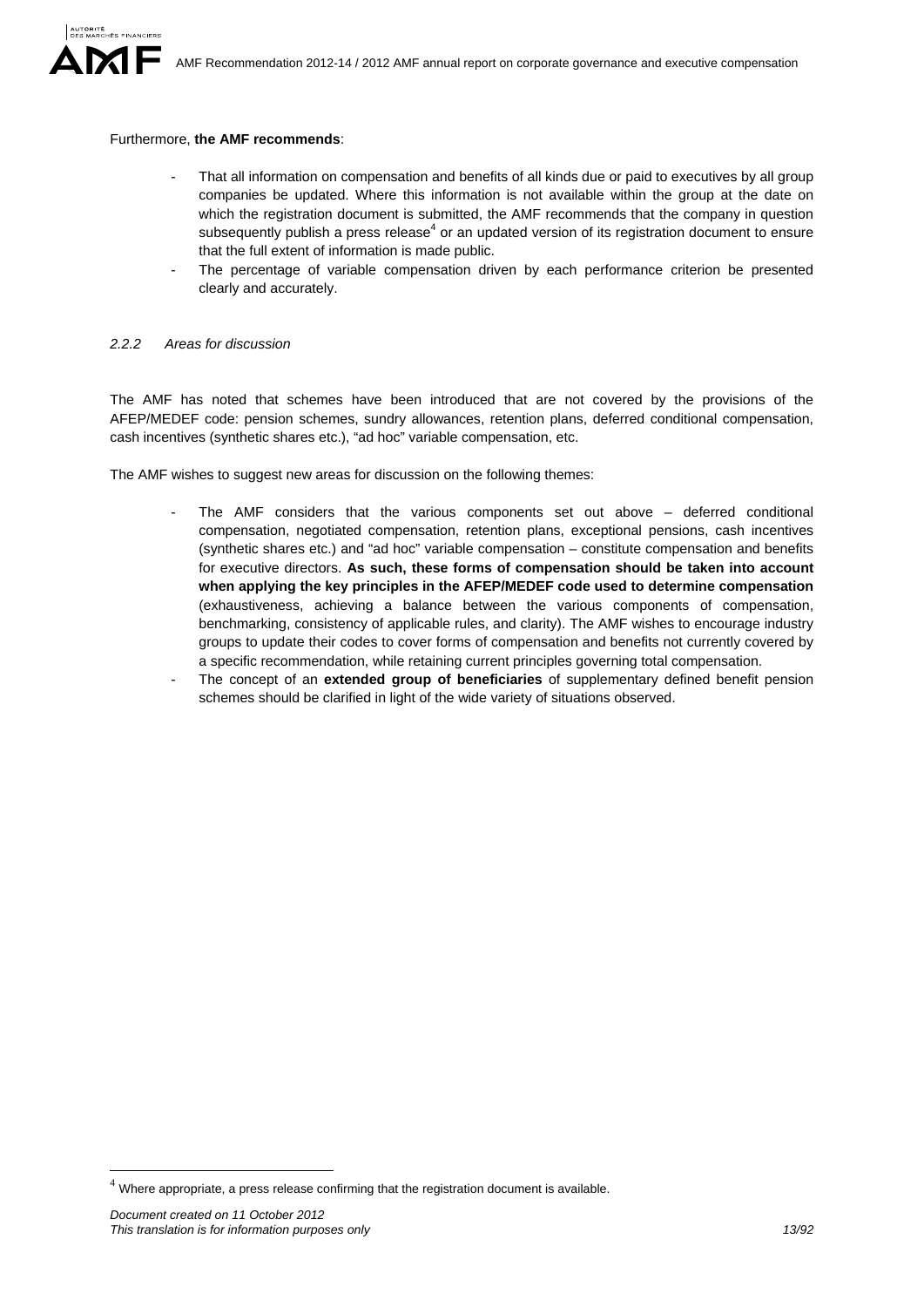

#### Furthermore, **the AMF recommends**:

- That all information on compensation and benefits of all kinds due or paid to executives by all group companies be updated. Where this information is not available within the group at the date on which the registration document is submitted, the AMF recommends that the company in question subsequently publish a press release<sup>4</sup> or an updated version of its registration document to ensure that the full extent of information is made public.
- The percentage of variable compensation driven by each performance criterion be presented clearly and accurately.

#### *2.2.2 Areas for discussion*

The AMF has noted that schemes have been introduced that are not covered by the provisions of the AFEP/MEDEF code: pension schemes, sundry allowances, retention plans, deferred conditional compensation, cash incentives (synthetic shares etc.), "ad hoc" variable compensation, etc.

The AMF wishes to suggest new areas for discussion on the following themes:

- The  $AMF$  considers that the various components set out above  $-$  deferred conditional compensation, negotiated compensation, retention plans, exceptional pensions, cash incentives (synthetic shares etc.) and "ad hoc" variable compensation – constitute compensation and benefits for executive directors. **As such, these forms of compensation should be taken into account when applying the key principles in the AFEP/MEDEF code used to determine compensation**  (exhaustiveness, achieving a balance between the various components of compensation, benchmarking, consistency of applicable rules, and clarity). The AMF wishes to encourage industry groups to update their codes to cover forms of compensation and benefits not currently covered by a specific recommendation, while retaining current principles governing total compensation.
- The concept of an **extended group of beneficiaries** of supplementary defined benefit pension schemes should be clarified in light of the wide variety of situations observed.

1

 $4$  Where appropriate, a press release confirming that the registration document is available.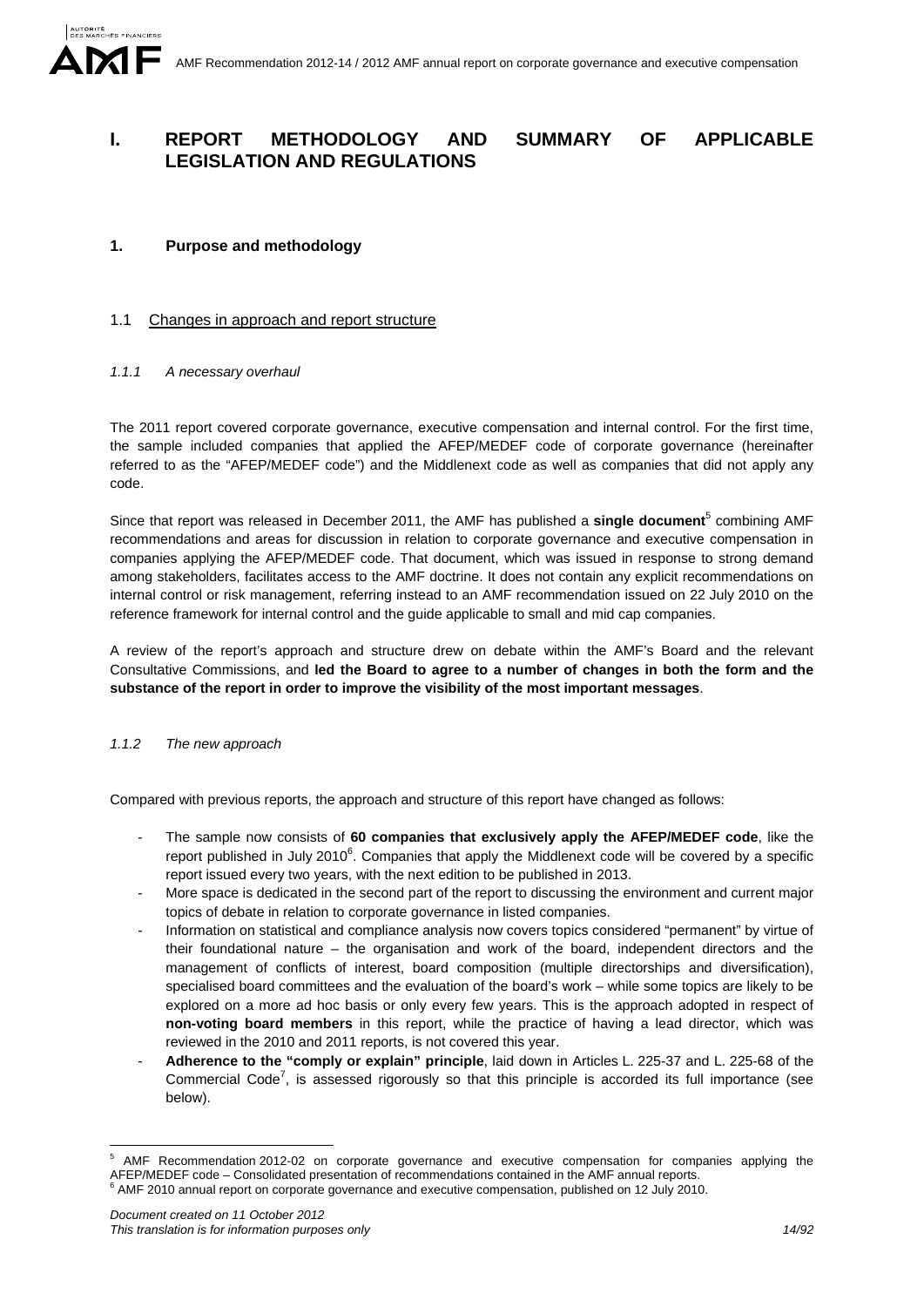# **I. REPORT METHODOLOGY AND SUMMARY OF APPLICABLE LEGISLATION AND REGULATIONS**

## **1. Purpose and methodology**

## 1.1 Changes in approach and report structure

### *1.1.1 A necessary overhaul*

The 2011 report covered corporate governance, executive compensation and internal control. For the first time, the sample included companies that applied the AFEP/MEDEF code of corporate governance (hereinafter referred to as the "AFEP/MEDEF code") and the Middlenext code as well as companies that did not apply any code.

Since that report was released in December 2011, the AMF has published a single document<sup>5</sup> combining AMF recommendations and areas for discussion in relation to corporate governance and executive compensation in companies applying the AFEP/MEDEF code. That document, which was issued in response to strong demand among stakeholders, facilitates access to the AMF doctrine. It does not contain any explicit recommendations on internal control or risk management, referring instead to an AMF recommendation issued on 22 July 2010 on the reference framework for internal control and the guide applicable to small and mid cap companies.

A review of the report's approach and structure drew on debate within the AMF's Board and the relevant Consultative Commissions, and **led the Board to agree to a number of changes in both the form and the substance of the report in order to improve the visibility of the most important messages**.

### *1.1.2 The new approach*

Compared with previous reports, the approach and structure of this report have changed as follows:

- The sample now consists of **60 companies that exclusively apply the AFEP/MEDEF code**, like the report published in July 2010 $^6$ . Companies that apply the Middlenext code will be covered by a specific report issued every two years, with the next edition to be published in 2013.
- More space is dedicated in the second part of the report to discussing the environment and current major topics of debate in relation to corporate governance in listed companies.
- Information on statistical and compliance analysis now covers topics considered "permanent" by virtue of their foundational nature – the organisation and work of the board, independent directors and the management of conflicts of interest, board composition (multiple directorships and diversification), specialised board committees and the evaluation of the board's work – while some topics are likely to be explored on a more ad hoc basis or only every few years. This is the approach adopted in respect of **non-voting board members** in this report, while the practice of having a lead director, which was reviewed in the 2010 and 2011 reports, is not covered this year.
- **Adherence to the "comply or explain" principle**, laid down in Articles L. 225-37 and L. 225-68 of the Commercial Code<sup>7</sup>, is assessed rigorously so that this principle is accorded its full importance (see below).

<sup>1</sup> AMF Recommendation 2012-02 on corporate governance and executive compensation for companies applying the AFEP/MEDEF code – Consolidated presentation of recommendations contained in the AMF annual reports.<br><sup>6</sup> AMF 2010 annual report on corporate governance and executive compensation, published on 12 July 2010.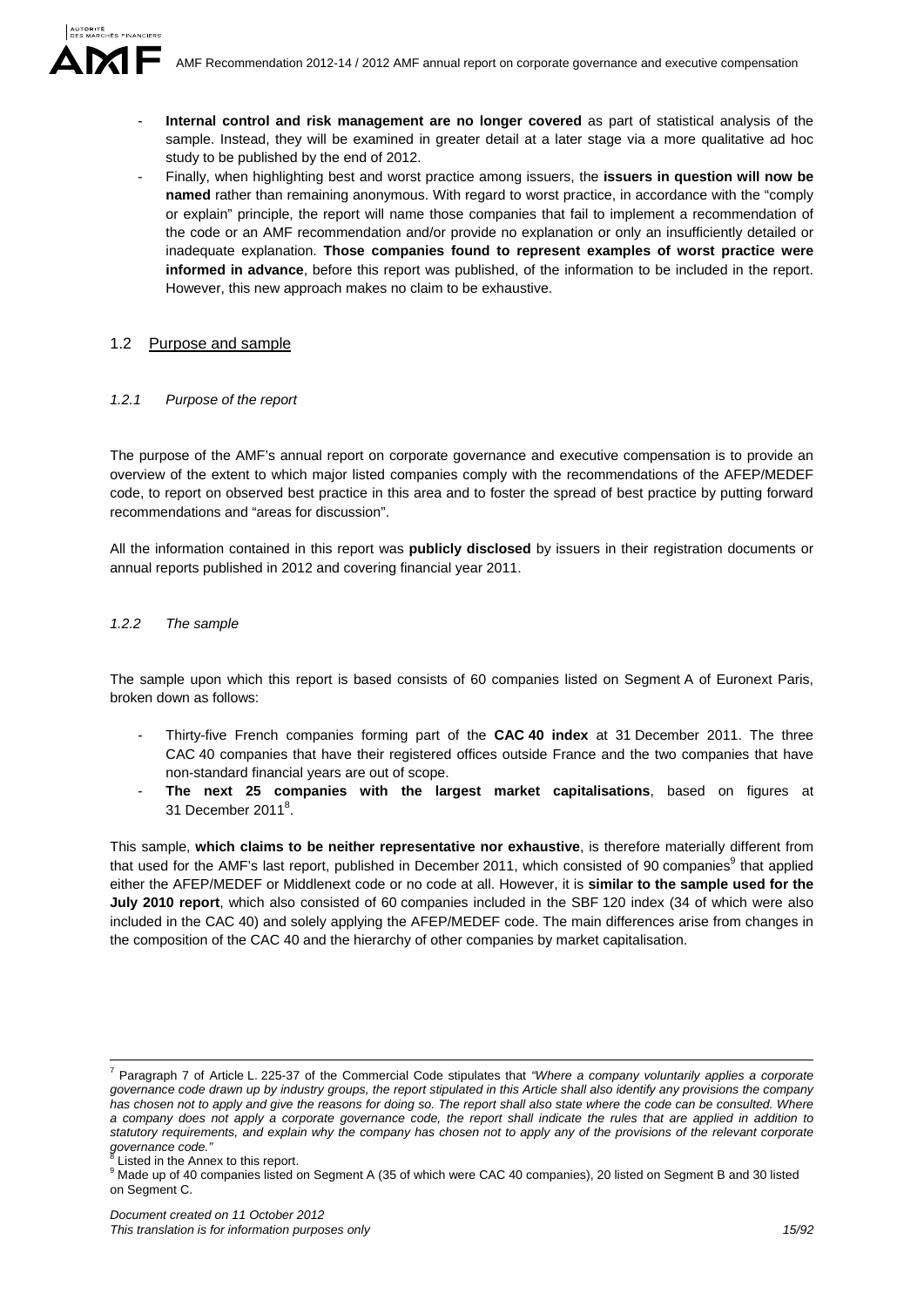

- **Internal control and risk management are no longer covered** as part of statistical analysis of the sample. Instead, they will be examined in greater detail at a later stage via a more qualitative ad hoc study to be published by the end of 2012.
- Finally, when highlighting best and worst practice among issuers, the **issuers in question will now be named** rather than remaining anonymous. With regard to worst practice, in accordance with the "comply or explain" principle, the report will name those companies that fail to implement a recommendation of the code or an AMF recommendation and/or provide no explanation or only an insufficiently detailed or inadequate explanation. **Those companies found to represent examples of worst practice were informed in advance**, before this report was published, of the information to be included in the report. However, this new approach makes no claim to be exhaustive.

### 1.2 Purpose and sample

### *1.2.1 Purpose of the report*

The purpose of the AMF's annual report on corporate governance and executive compensation is to provide an overview of the extent to which major listed companies comply with the recommendations of the AFEP/MEDEF code, to report on observed best practice in this area and to foster the spread of best practice by putting forward recommendations and "areas for discussion".

All the information contained in this report was **publicly disclosed** by issuers in their registration documents or annual reports published in 2012 and covering financial year 2011.

### *1.2.2 The sample*

The sample upon which this report is based consists of 60 companies listed on Segment A of Euronext Paris, broken down as follows:

- Thirty-five French companies forming part of the **CAC 40 index** at 31 December 2011. The three CAC 40 companies that have their registered offices outside France and the two companies that have non-standard financial years are out of scope.
- **The next 25 companies with the largest market capitalisations**, based on figures at 31 December 2011<sup>8</sup>.

This sample, **which claims to be neither representative nor exhaustive**, is therefore materially different from that used for the AMF's last report, published in December 2011, which consisted of 90 companies<sup>9</sup> that applied either the AFEP/MEDEF or Middlenext code or no code at all. However, it is **similar to the sample used for the July 2010 report**, which also consisted of 60 companies included in the SBF 120 index (34 of which were also included in the CAC 40) and solely applying the AFEP/MEDEF code. The main differences arise from changes in the composition of the CAC 40 and the hierarchy of other companies by market capitalisation.

 $\frac{1}{7}$  Paragraph 7 of Article L. 225-37 of the Commercial Code stipulates that *"Where a company voluntarily applies a corporate governance code drawn up by industry groups, the report stipulated in this Article shall also identify any provisions the company has chosen not to apply and give the reasons for doing so. The report shall also state where the code can be consulted. Where a company does not apply a corporate governance code, the report shall indicate the rules that are applied in addition to statutory requirements, and explain why the company has chosen not to apply any of the provisions of the relevant corporate governance code."* 8

Listed in the Annex to this report.

<sup>&</sup>lt;sup>9</sup> Made up of 40 companies listed on Segment A (35 of which were CAC 40 companies), 20 listed on Segment B and 30 listed on Segment C.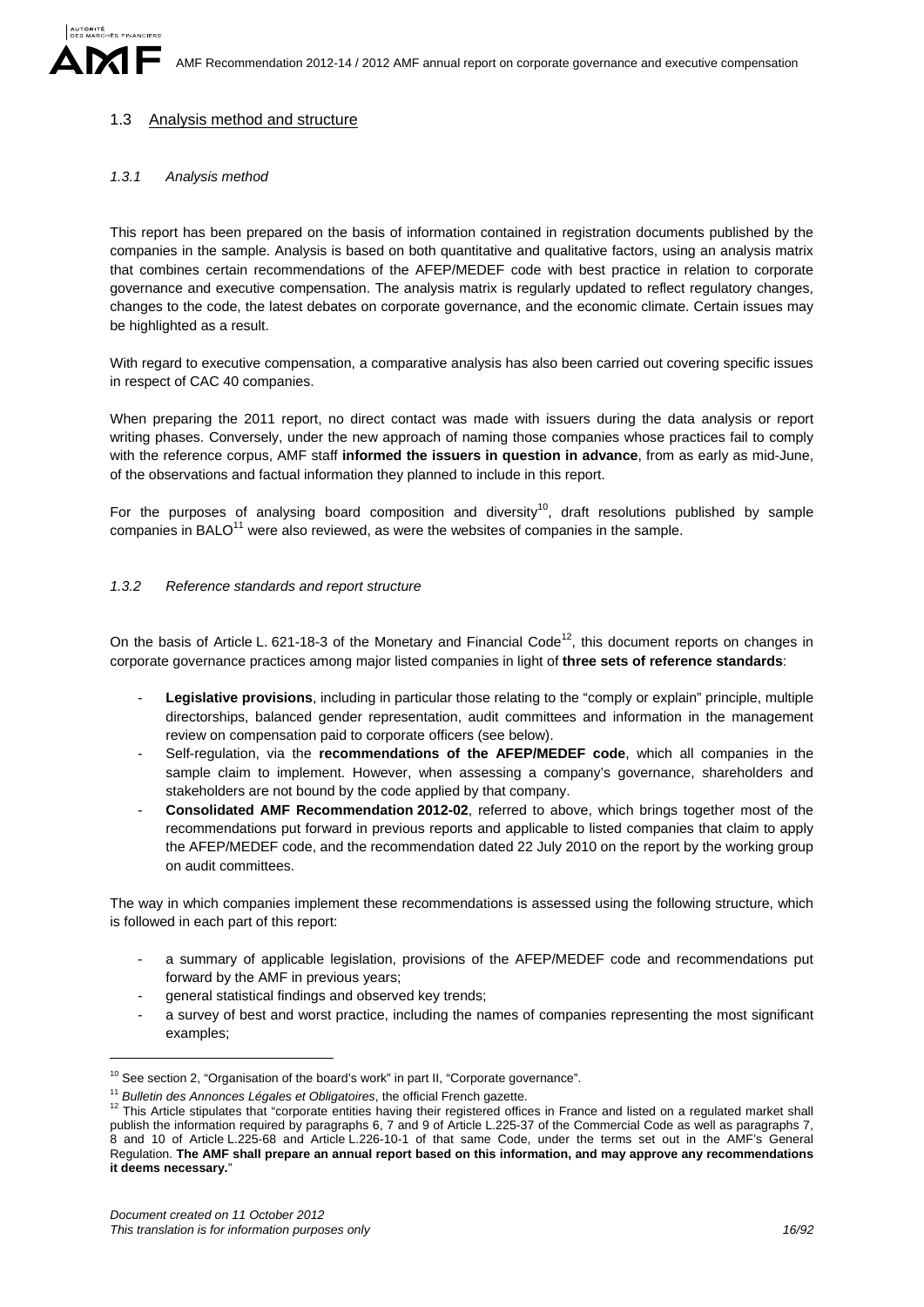### 1.3 Analysis method and structure

#### *1.3.1 Analysis method*

This report has been prepared on the basis of information contained in registration documents published by the companies in the sample. Analysis is based on both quantitative and qualitative factors, using an analysis matrix that combines certain recommendations of the AFEP/MEDEF code with best practice in relation to corporate governance and executive compensation. The analysis matrix is regularly updated to reflect regulatory changes, changes to the code, the latest debates on corporate governance, and the economic climate. Certain issues may be highlighted as a result.

With regard to executive compensation, a comparative analysis has also been carried out covering specific issues in respect of CAC 40 companies.

When preparing the 2011 report, no direct contact was made with issuers during the data analysis or report writing phases. Conversely, under the new approach of naming those companies whose practices fail to comply with the reference corpus, AMF staff **informed the issuers in question in advance**, from as early as mid-June, of the observations and factual information they planned to include in this report.

For the purposes of analysing board composition and diversity<sup>10</sup>, draft resolutions published by sample companies in BALO $<sup>11</sup>$  were also reviewed, as were the websites of companies in the sample.</sup>

#### *1.3.2 Reference standards and report structure*

On the basis of Article L. 621-18-3 of the Monetary and Financial Code<sup>12</sup>, this document reports on changes in corporate governance practices among major listed companies in light of **three sets of reference standards**:

- Legislative provisions, including in particular those relating to the "comply or explain" principle, multiple directorships, balanced gender representation, audit committees and information in the management review on compensation paid to corporate officers (see below).
- Self-regulation, via the **recommendations of the AFEP/MEDEF code**, which all companies in the sample claim to implement. However, when assessing a company's governance, shareholders and stakeholders are not bound by the code applied by that company.
- **Consolidated AMF Recommendation 2012-02**, referred to above, which brings together most of the recommendations put forward in previous reports and applicable to listed companies that claim to apply the AFEP/MEDEF code, and the recommendation dated 22 July 2010 on the report by the working group on audit committees.

The way in which companies implement these recommendations is assessed using the following structure, which is followed in each part of this report:

- a summary of applicable legislation, provisions of the AFEP/MEDEF code and recommendations put forward by the AMF in previous years;
- general statistical findings and observed key trends;
- a survey of best and worst practice, including the names of companies representing the most significant examples;

1

<sup>&</sup>lt;sup>10</sup> See section 2, "Organisation of the board's work" in part II, "Corporate governance".

<sup>&</sup>lt;sup>11</sup> *Bulletin des Annonces Légales et Obligatoires*, the official French gazette.<br><sup>12</sup> This Article stipulates that "corporate entities having their registered offices in France and listed on a regulated market shall publish the information required by paragraphs 6, 7 and 9 of Article L.225-37 of the Commercial Code as well as paragraphs 7, 8 and 10 of Article L.225-68 and Article L.226-10-1 of that same Code, under the terms set out in the AMF's General Regulation. **The AMF shall prepare an annual report based on this information, and may approve any recommendations it deems necessary.**"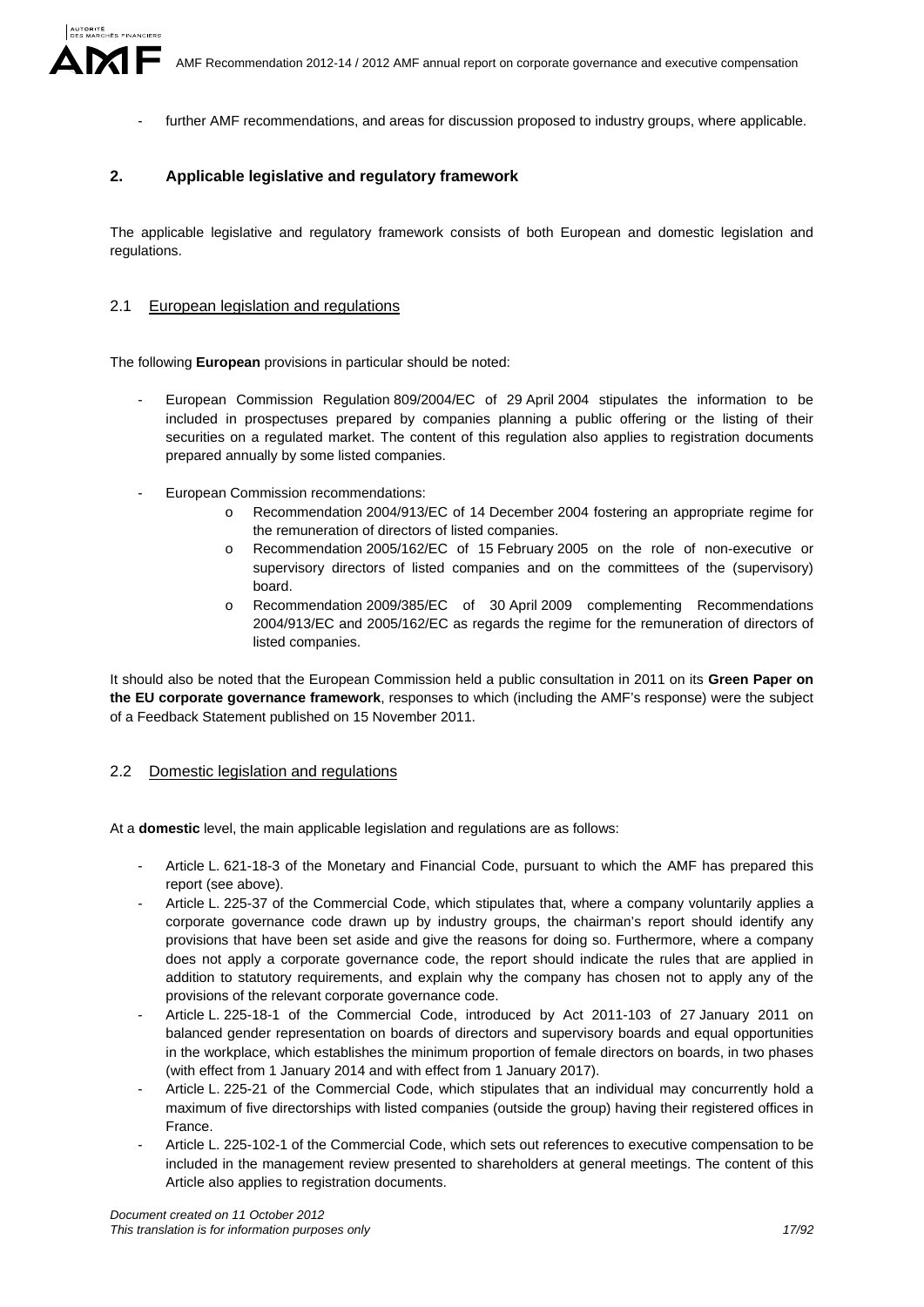AMF Recommendation 2012-14 / 2012 AMF annual report on corporate governance and executive compensation

further AMF recommendations, and areas for discussion proposed to industry groups, where applicable.

### **2. Applicable legislative and regulatory framework**

The applicable legislative and regulatory framework consists of both European and domestic legislation and regulations.

### 2.1 European legislation and regulations

The following **European** provisions in particular should be noted:

- European Commission Regulation 809/2004/EC of 29 April 2004 stipulates the information to be included in prospectuses prepared by companies planning a public offering or the listing of their securities on a regulated market. The content of this regulation also applies to registration documents prepared annually by some listed companies.
- European Commission recommendations:
	- o Recommendation 2004/913/EC of 14 December 2004 fostering an appropriate regime for the remuneration of directors of listed companies.
	- o Recommendation 2005/162/EC of 15 February 2005 on the role of non-executive or supervisory directors of listed companies and on the committees of the (supervisory) board.
	- o Recommendation 2009/385/EC of 30 April 2009 complementing Recommendations 2004/913/EC and 2005/162/EC as regards the regime for the remuneration of directors of listed companies.

It should also be noted that the European Commission held a public consultation in 2011 on its **Green Paper on the EU corporate governance framework**, responses to which (including the AMF's response) were the subject of a Feedback Statement published on 15 November 2011.

### 2.2 Domestic legislation and regulations

At a **domestic** level, the main applicable legislation and regulations are as follows:

- Article L. 621-18-3 of the Monetary and Financial Code, pursuant to which the AMF has prepared this report (see above).
- Article L. 225-37 of the Commercial Code, which stipulates that, where a company voluntarily applies a corporate governance code drawn up by industry groups, the chairman's report should identify any provisions that have been set aside and give the reasons for doing so. Furthermore, where a company does not apply a corporate governance code, the report should indicate the rules that are applied in addition to statutory requirements, and explain why the company has chosen not to apply any of the provisions of the relevant corporate governance code.
- Article L. 225-18-1 of the Commercial Code, introduced by Act 2011-103 of 27 January 2011 on balanced gender representation on boards of directors and supervisory boards and equal opportunities in the workplace, which establishes the minimum proportion of female directors on boards, in two phases (with effect from 1 January 2014 and with effect from 1 January 2017).
- Article L. 225-21 of the Commercial Code, which stipulates that an individual may concurrently hold a maximum of five directorships with listed companies (outside the group) having their registered offices in France.
- Article L. 225-102-1 of the Commercial Code, which sets out references to executive compensation to be included in the management review presented to shareholders at general meetings. The content of this Article also applies to registration documents.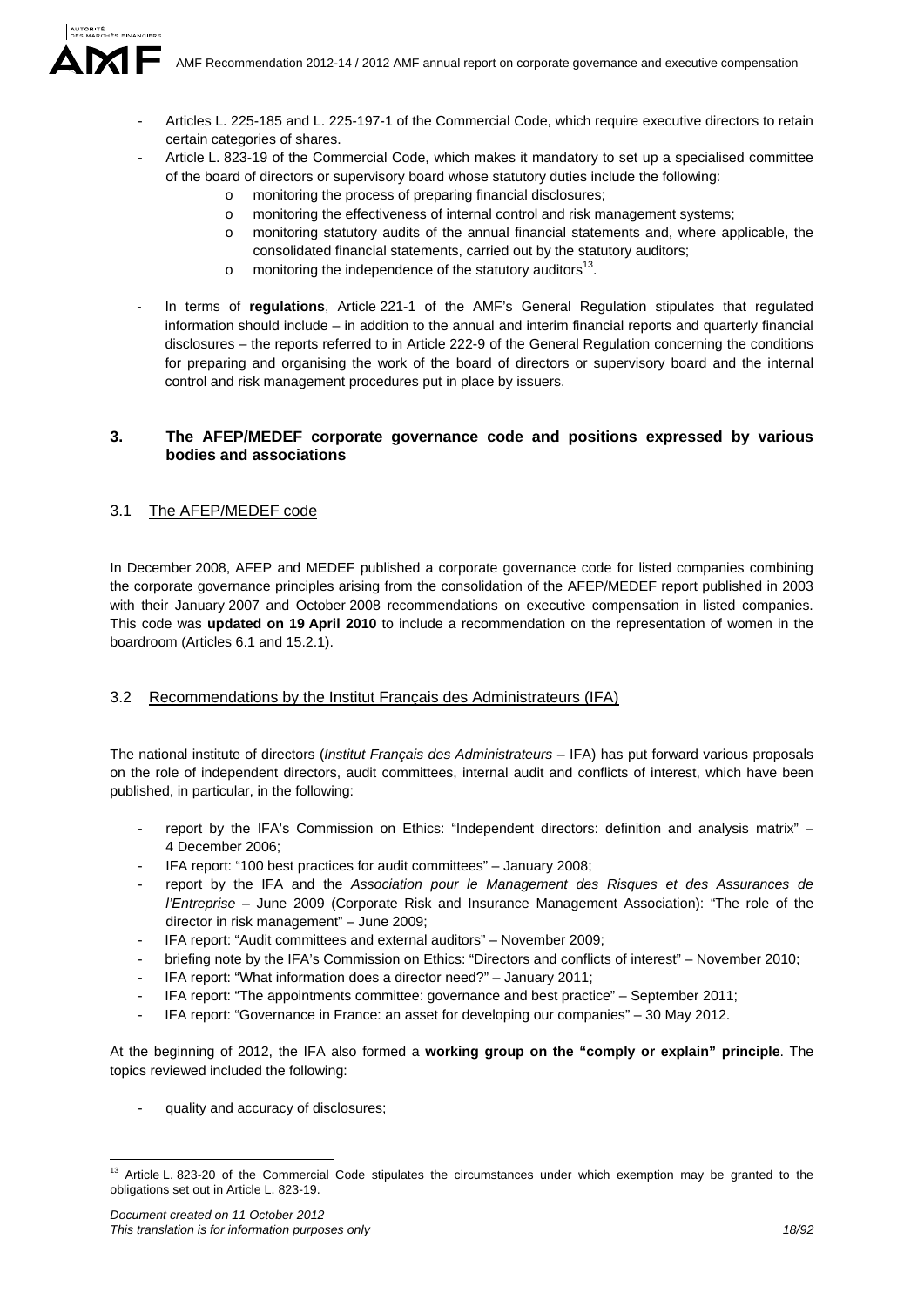AMF Recommendation 2012-14 / 2012 AMF annual report on corporate governance and executive compensation

- Articles L. 225-185 and L. 225-197-1 of the Commercial Code, which require executive directors to retain certain categories of shares.
- Article L. 823-19 of the Commercial Code, which makes it mandatory to set up a specialised committee of the board of directors or supervisory board whose statutory duties include the following:
	- monitoring the process of preparing financial disclosures;
	- o monitoring the effectiveness of internal control and risk management systems;
	- o monitoring statutory audits of the annual financial statements and, where applicable, the consolidated financial statements, carried out by the statutory auditors;
	- $\circ$  monitoring the independence of the statutory auditors<sup>13</sup>.
- In terms of **regulations**, Article 221-1 of the AMF's General Regulation stipulates that regulated information should include – in addition to the annual and interim financial reports and quarterly financial disclosures – the reports referred to in Article 222-9 of the General Regulation concerning the conditions for preparing and organising the work of the board of directors or supervisory board and the internal control and risk management procedures put in place by issuers.

## **3. The AFEP/MEDEF corporate governance code and positions expressed by various bodies and associations**

## 3.1 The AFEP/MEDEF code

In December 2008, AFEP and MEDEF published a corporate governance code for listed companies combining the corporate governance principles arising from the consolidation of the AFEP/MEDEF report published in 2003 with their January 2007 and October 2008 recommendations on executive compensation in listed companies. This code was **updated on 19 April 2010** to include a recommendation on the representation of women in the boardroom (Articles 6.1 and 15.2.1).

## 3.2 Recommendations by the Institut Français des Administrateurs (IFA)

The national institute of directors (*Institut Français des Administrateurs* – IFA) has put forward various proposals on the role of independent directors, audit committees, internal audit and conflicts of interest, which have been published, in particular, in the following:

- report by the IFA's Commission on Ethics: "Independent directors: definition and analysis matrix" -4 December 2006;
- IFA report: "100 best practices for audit committees" January 2008;
- report by the IFA and the *Association pour le Management des Risques et des Assurances de l'Entreprise* – June 2009 (Corporate Risk and Insurance Management Association): "The role of the director in risk management" – June 2009;
- IFA report: "Audit committees and external auditors" November 2009;
- briefing note by the IFA's Commission on Ethics: "Directors and conflicts of interest" November 2010;
- IFA report: "What information does a director need?" January 2011;
- IFA report: "The appointments committee: governance and best practice" September 2011;
- IFA report: "Governance in France: an asset for developing our companies" 30 May 2012.

At the beginning of 2012, the IFA also formed a **working group on the "comply or explain" principle**. The topics reviewed included the following:

quality and accuracy of disclosures;

<sup>1</sup> <sup>13</sup> Article L. 823-20 of the Commercial Code stipulates the circumstances under which exemption may be granted to the obligations set out in Article L. 823-19.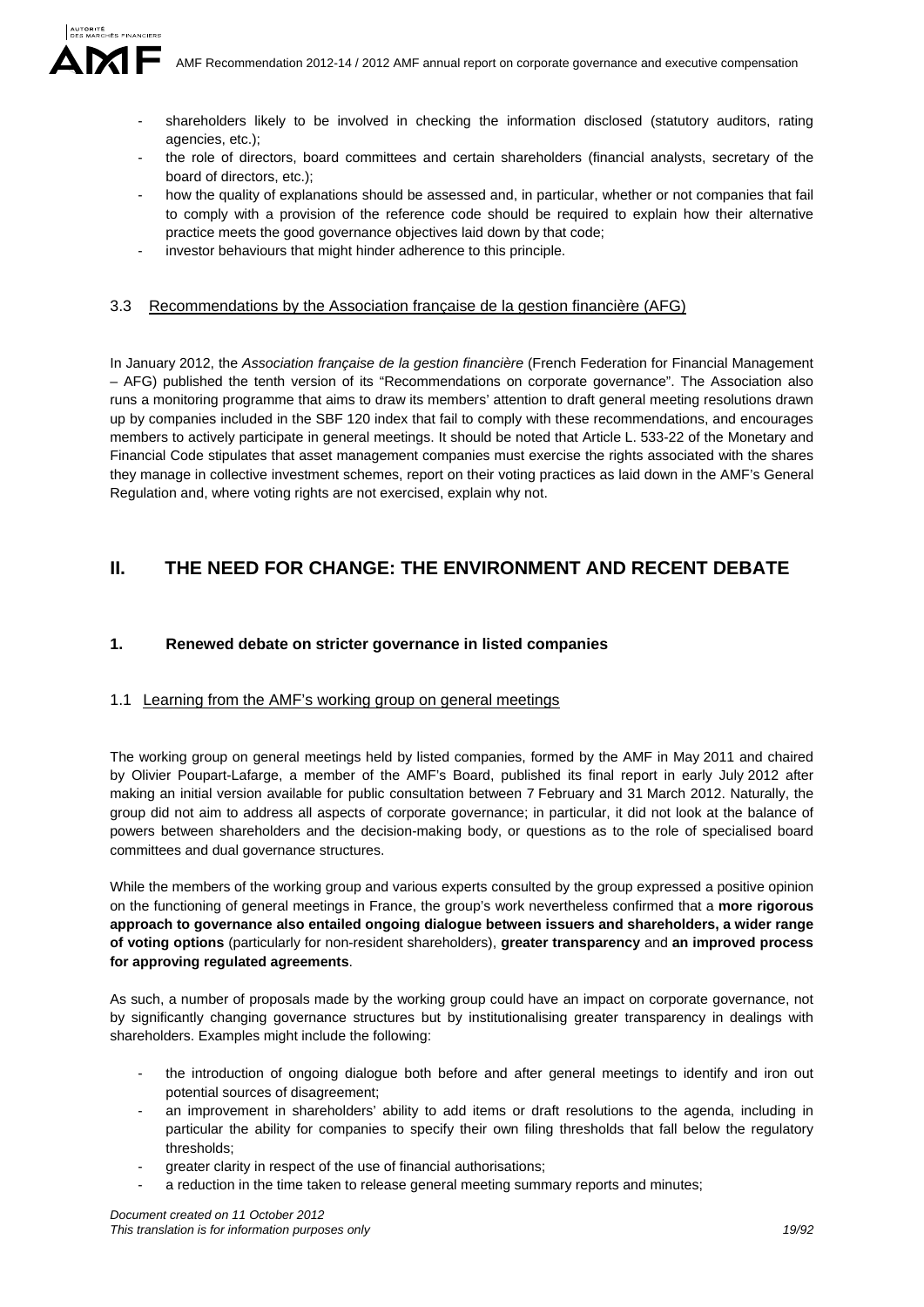- - shareholders likely to be involved in checking the information disclosed (statutory auditors, rating agencies, etc.);
	- the role of directors, board committees and certain shareholders (financial analysts, secretary of the board of directors, etc.);
	- how the quality of explanations should be assessed and, in particular, whether or not companies that fail to comply with a provision of the reference code should be required to explain how their alternative practice meets the good governance objectives laid down by that code;
	- investor behaviours that might hinder adherence to this principle.

## 3.3 Recommendations by the Association française de la gestion financière (AFG)

In January 2012, the *Association française de la gestion financière* (French Federation for Financial Management – AFG) published the tenth version of its "Recommendations on corporate governance". The Association also runs a monitoring programme that aims to draw its members' attention to draft general meeting resolutions drawn up by companies included in the SBF 120 index that fail to comply with these recommendations, and encourages members to actively participate in general meetings. It should be noted that Article L. 533-22 of the Monetary and Financial Code stipulates that asset management companies must exercise the rights associated with the shares they manage in collective investment schemes, report on their voting practices as laid down in the AMF's General Regulation and, where voting rights are not exercised, explain why not.

# **II. THE NEED FOR CHANGE: THE ENVIRONMENT AND RECENT DEBATE**

## **1. Renewed debate on stricter governance in listed companies**

## 1.1 Learning from the AMF's working group on general meetings

The working group on general meetings held by listed companies, formed by the AMF in May 2011 and chaired by Olivier Poupart-Lafarge, a member of the AMF's Board, published its final report in early July 2012 after making an initial version available for public consultation between 7 February and 31 March 2012. Naturally, the group did not aim to address all aspects of corporate governance; in particular, it did not look at the balance of powers between shareholders and the decision-making body, or questions as to the role of specialised board committees and dual governance structures.

While the members of the working group and various experts consulted by the group expressed a positive opinion on the functioning of general meetings in France, the group's work nevertheless confirmed that a **more rigorous approach to governance also entailed ongoing dialogue between issuers and shareholders, a wider range of voting options** (particularly for non-resident shareholders), **greater transparency** and **an improved process for approving regulated agreements**.

As such, a number of proposals made by the working group could have an impact on corporate governance, not by significantly changing governance structures but by institutionalising greater transparency in dealings with shareholders. Examples might include the following:

- the introduction of ongoing dialogue both before and after general meetings to identify and iron out potential sources of disagreement;
- an improvement in shareholders' ability to add items or draft resolutions to the agenda, including in particular the ability for companies to specify their own filing thresholds that fall below the regulatory thresholds;
- greater clarity in respect of the use of financial authorisations;
- a reduction in the time taken to release general meeting summary reports and minutes;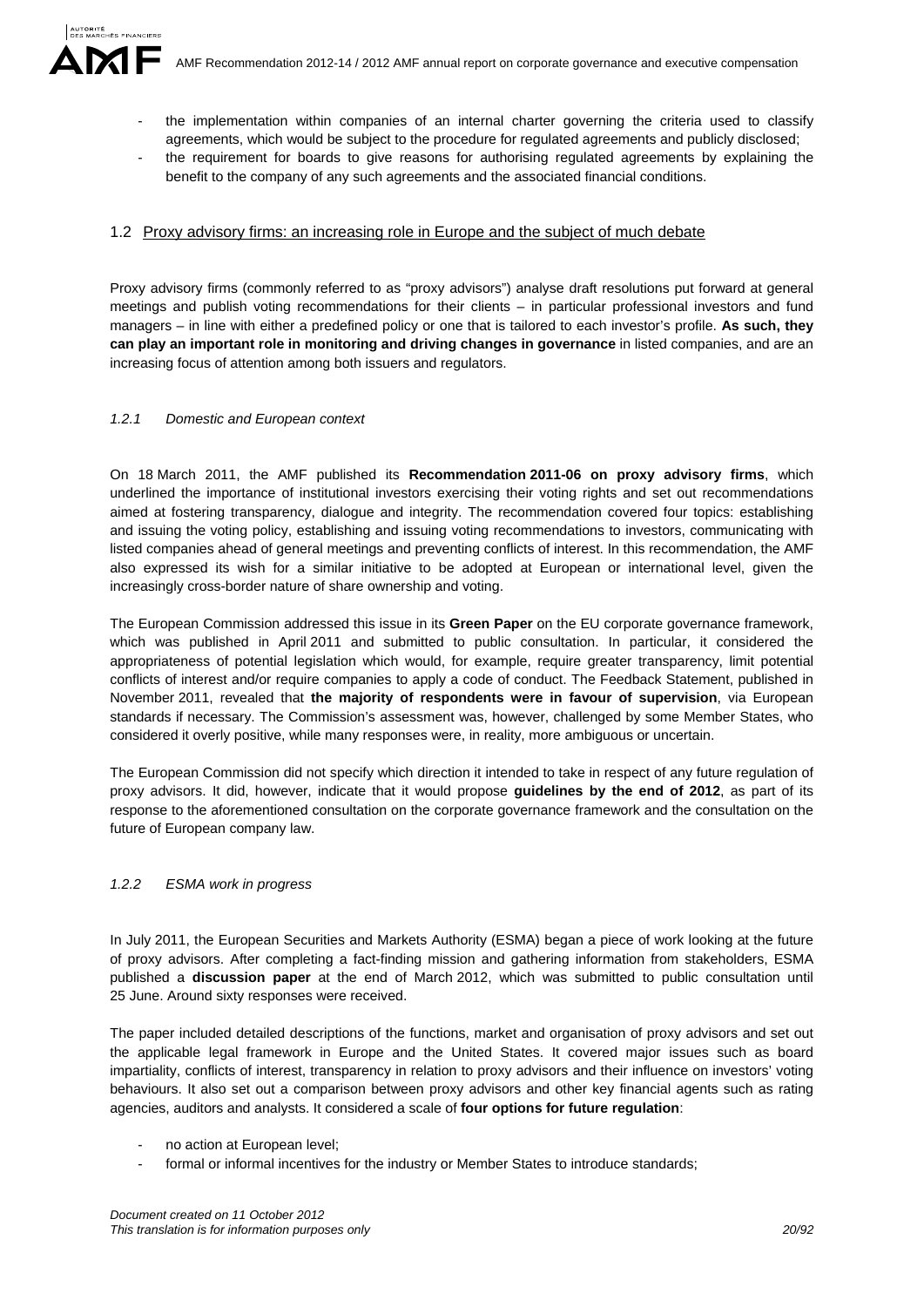- the implementation within companies of an internal charter governing the criteria used to classify agreements, which would be subject to the procedure for regulated agreements and publicly disclosed;
- the requirement for boards to give reasons for authorising regulated agreements by explaining the benefit to the company of any such agreements and the associated financial conditions.

### 1.2 Proxy advisory firms: an increasing role in Europe and the subject of much debate

Proxy advisory firms (commonly referred to as "proxy advisors") analyse draft resolutions put forward at general meetings and publish voting recommendations for their clients – in particular professional investors and fund managers – in line with either a predefined policy or one that is tailored to each investor's profile. **As such, they can play an important role in monitoring and driving changes in governance** in listed companies, and are an increasing focus of attention among both issuers and regulators.

#### *1.2.1 Domestic and European context*

On 18 March 2011, the AMF published its **Recommendation 2011-06 on proxy advisory firms**, which underlined the importance of institutional investors exercising their voting rights and set out recommendations aimed at fostering transparency, dialogue and integrity. The recommendation covered four topics: establishing and issuing the voting policy, establishing and issuing voting recommendations to investors, communicating with listed companies ahead of general meetings and preventing conflicts of interest. In this recommendation, the AMF also expressed its wish for a similar initiative to be adopted at European or international level, given the increasingly cross-border nature of share ownership and voting.

The European Commission addressed this issue in its **Green Paper** on the EU corporate governance framework, which was published in April 2011 and submitted to public consultation. In particular, it considered the appropriateness of potential legislation which would, for example, require greater transparency, limit potential conflicts of interest and/or require companies to apply a code of conduct. The Feedback Statement, published in November 2011, revealed that **the majority of respondents were in favour of supervision**, via European standards if necessary. The Commission's assessment was, however, challenged by some Member States, who considered it overly positive, while many responses were, in reality, more ambiguous or uncertain.

The European Commission did not specify which direction it intended to take in respect of any future regulation of proxy advisors. It did, however, indicate that it would propose **guidelines by the end of 2012**, as part of its response to the aforementioned consultation on the corporate governance framework and the consultation on the future of European company law.

### *1.2.2 ESMA work in progress*

In July 2011, the European Securities and Markets Authority (ESMA) began a piece of work looking at the future of proxy advisors. After completing a fact-finding mission and gathering information from stakeholders, ESMA published a **discussion paper** at the end of March 2012, which was submitted to public consultation until 25 June. Around sixty responses were received.

The paper included detailed descriptions of the functions, market and organisation of proxy advisors and set out the applicable legal framework in Europe and the United States. It covered major issues such as board impartiality, conflicts of interest, transparency in relation to proxy advisors and their influence on investors' voting behaviours. It also set out a comparison between proxy advisors and other key financial agents such as rating agencies, auditors and analysts. It considered a scale of **four options for future regulation**:

- no action at European level;
- formal or informal incentives for the industry or Member States to introduce standards;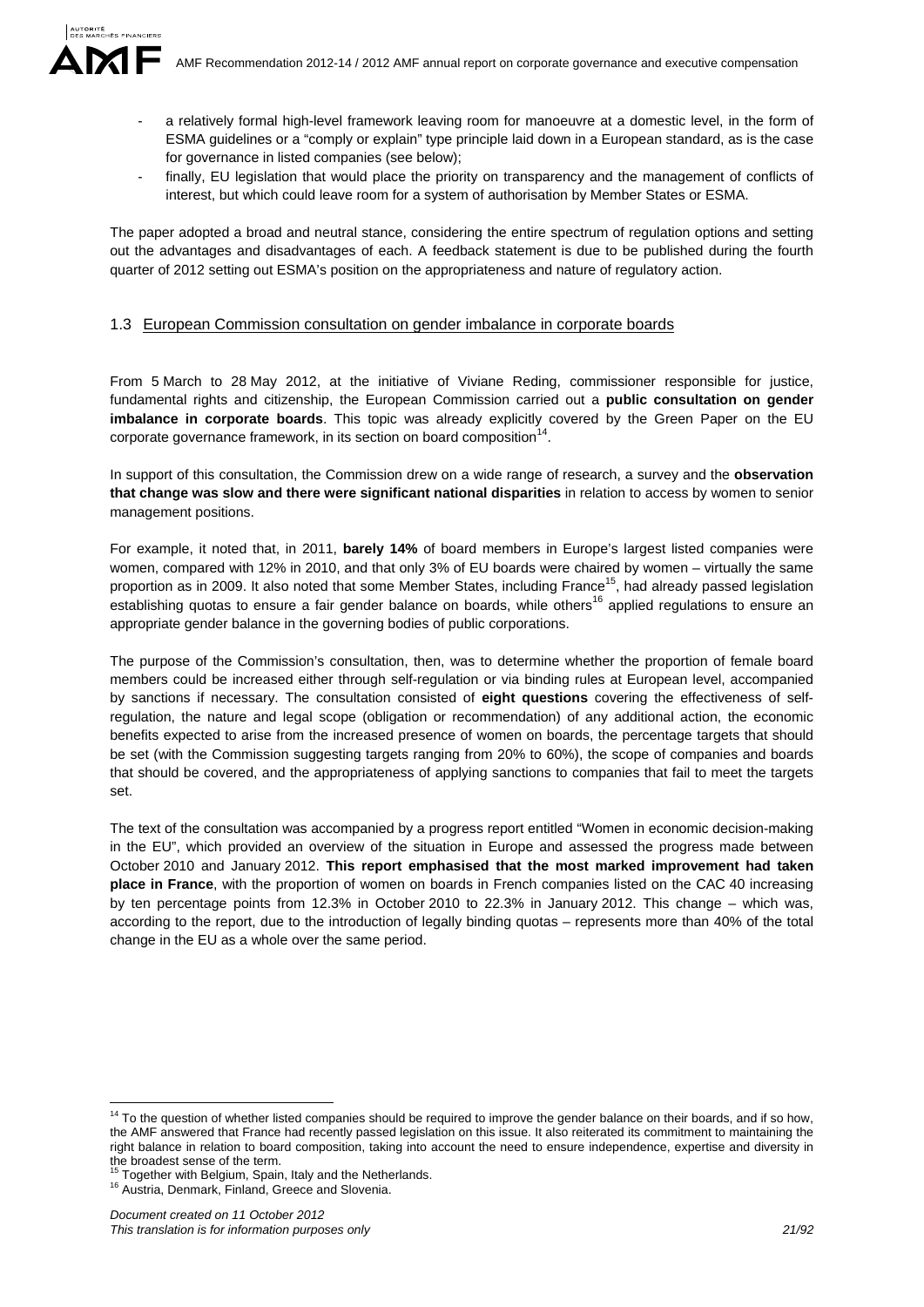- a relatively formal high-level framework leaving room for manoeuvre at a domestic level, in the form of ESMA guidelines or a "comply or explain" type principle laid down in a European standard, as is the case for governance in listed companies (see below);
- finally, EU legislation that would place the priority on transparency and the management of conflicts of interest, but which could leave room for a system of authorisation by Member States or ESMA.

The paper adopted a broad and neutral stance, considering the entire spectrum of regulation options and setting out the advantages and disadvantages of each. A feedback statement is due to be published during the fourth quarter of 2012 setting out ESMA's position on the appropriateness and nature of regulatory action.

#### 1.3 European Commission consultation on gender imbalance in corporate boards

From 5 March to 28 May 2012, at the initiative of Viviane Reding, commissioner responsible for justice, fundamental rights and citizenship, the European Commission carried out a **public consultation on gender imbalance in corporate boards**. This topic was already explicitly covered by the Green Paper on the EU corporate governance framework, in its section on board composition $<sup>1</sup>$ </sup>

In support of this consultation, the Commission drew on a wide range of research, a survey and the **observation that change was slow and there were significant national disparities** in relation to access by women to senior management positions.

For example, it noted that, in 2011, **barely 14%** of board members in Europe's largest listed companies were women, compared with 12% in 2010, and that only 3% of EU boards were chaired by women – virtually the same proportion as in 2009. It also noted that some Member States, including France<sup>15</sup>, had already passed legislation establishing quotas to ensure a fair gender balance on boards, while others<sup>16</sup> applied regulations to ensure an appropriate gender balance in the governing bodies of public corporations.

The purpose of the Commission's consultation, then, was to determine whether the proportion of female board members could be increased either through self-regulation or via binding rules at European level, accompanied by sanctions if necessary. The consultation consisted of **eight questions** covering the effectiveness of selfregulation, the nature and legal scope (obligation or recommendation) of any additional action, the economic benefits expected to arise from the increased presence of women on boards, the percentage targets that should be set (with the Commission suggesting targets ranging from 20% to 60%), the scope of companies and boards that should be covered, and the appropriateness of applying sanctions to companies that fail to meet the targets set.

The text of the consultation was accompanied by a progress report entitled "Women in economic decision-making in the EU", which provided an overview of the situation in Europe and assessed the progress made between October 2010 and January 2012. **This report emphasised that the most marked improvement had taken place in France**, with the proportion of women on boards in French companies listed on the CAC 40 increasing by ten percentage points from 12.3% in October 2010 to 22.3% in January 2012. This change – which was, according to the report, due to the introduction of legally binding quotas – represents more than 40% of the total change in the EU as a whole over the same period.

<u>.</u>

<sup>&</sup>lt;sup>14</sup> To the question of whether listed companies should be required to improve the gender balance on their boards, and if so how, the AMF answered that France had recently passed legislation on this issue. It also reiterated its commitment to maintaining the right balance in relation to board composition, taking into account the need to ensure independence, expertise and diversity in the broadest sense of the term.

<sup>&</sup>lt;sup>15</sup> Together with Belgium, Spain, Italy and the Netherlands.<br><sup>16</sup> Austria, Denmark, Finland, Greece and Slovenia.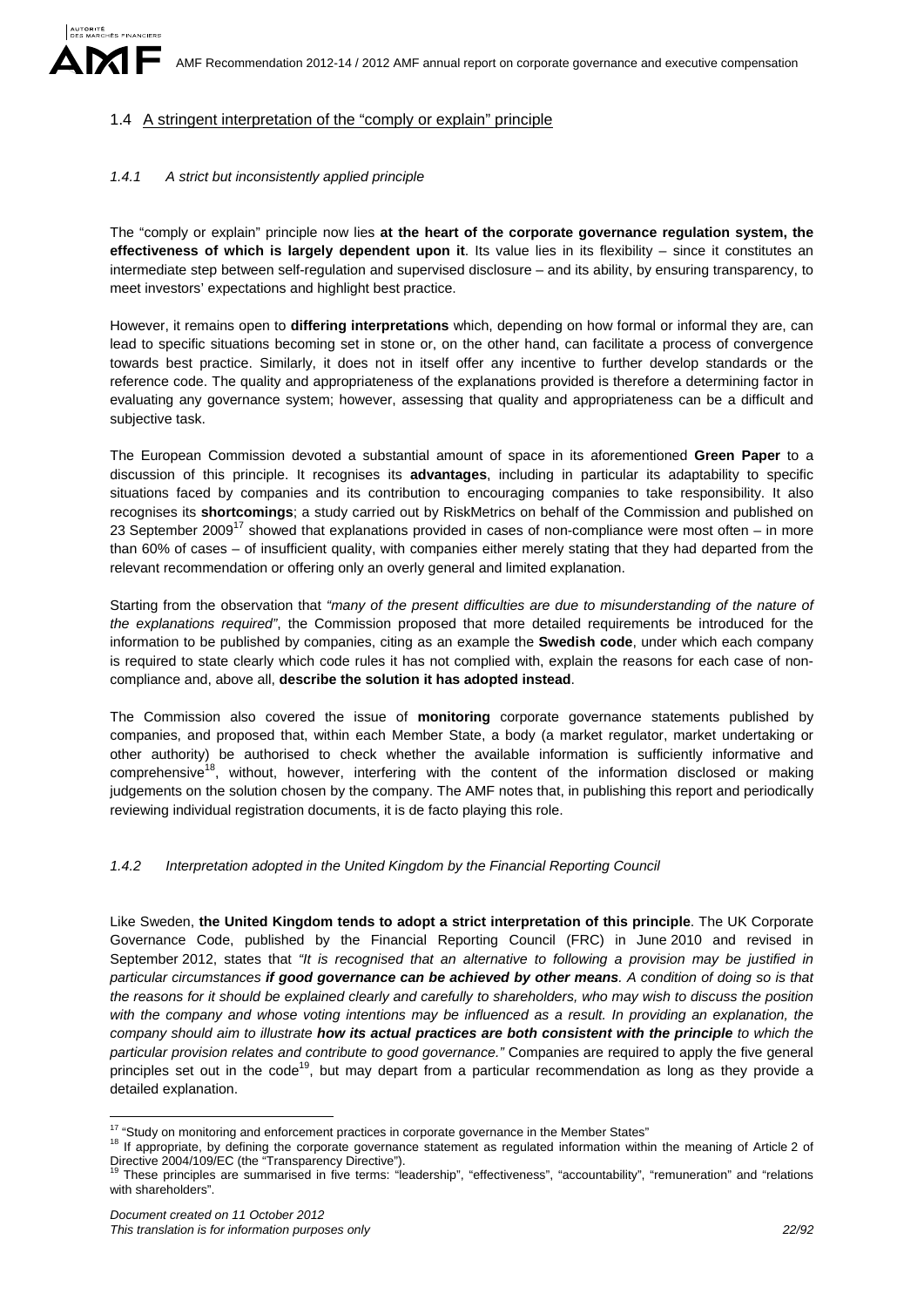## 1.4 A stringent interpretation of the "comply or explain" principle

### *1.4.1 A strict but inconsistently applied principle*

The "comply or explain" principle now lies **at the heart of the corporate governance regulation system, the effectiveness of which is largely dependent upon it**. Its value lies in its flexibility – since it constitutes an intermediate step between self-regulation and supervised disclosure – and its ability, by ensuring transparency, to meet investors' expectations and highlight best practice.

However, it remains open to **differing interpretations** which, depending on how formal or informal they are, can lead to specific situations becoming set in stone or, on the other hand, can facilitate a process of convergence towards best practice. Similarly, it does not in itself offer any incentive to further develop standards or the reference code. The quality and appropriateness of the explanations provided is therefore a determining factor in evaluating any governance system; however, assessing that quality and appropriateness can be a difficult and subjective task.

The European Commission devoted a substantial amount of space in its aforementioned **Green Paper** to a discussion of this principle. It recognises its **advantages**, including in particular its adaptability to specific situations faced by companies and its contribution to encouraging companies to take responsibility. It also recognises its **shortcomings**; a study carried out by RiskMetrics on behalf of the Commission and published on 23 September 2009<sup>17</sup> showed that explanations provided in cases of non-compliance were most often – in more than 60% of cases – of insufficient quality, with companies either merely stating that they had departed from the relevant recommendation or offering only an overly general and limited explanation.

Starting from the observation that *"many of the present difficulties are due to misunderstanding of the nature of the explanations required"*, the Commission proposed that more detailed requirements be introduced for the information to be published by companies, citing as an example the **Swedish code**, under which each company is required to state clearly which code rules it has not complied with, explain the reasons for each case of noncompliance and, above all, **describe the solution it has adopted instead**.

The Commission also covered the issue of **monitoring** corporate governance statements published by companies, and proposed that, within each Member State, a body (a market regulator, market undertaking or other authority) be authorised to check whether the available information is sufficiently informative and comprehensive<sup>18</sup>, without, however, interfering with the content of the information disclosed or making judgements on the solution chosen by the company. The AMF notes that, in publishing this report and periodically reviewing individual registration documents, it is de facto playing this role.

### *1.4.2 Interpretation adopted in the United Kingdom by the Financial Reporting Council*

Like Sweden, **the United Kingdom tends to adopt a strict interpretation of this principle**. The UK Corporate Governance Code, published by the Financial Reporting Council (FRC) in June 2010 and revised in September 2012, states that *"It is recognised that an alternative to following a provision may be justified in particular circumstances if good governance can be achieved by other means. A condition of doing so is that the reasons for it should be explained clearly and carefully to shareholders, who may wish to discuss the position with the company and whose voting intentions may be influenced as a result. In providing an explanation, the company should aim to illustrate how its actual practices are both consistent with the principle to which the particular provision relates and contribute to good governance."* Companies are required to apply the five general principles set out in the  $code^{19}$ , but may depart from a particular recommendation as long as they provide a detailed explanation.

<sup>&</sup>lt;sup>17</sup> "Study on monitoring and enforcement practices in corporate governance in the Member States"

<sup>&</sup>lt;sup>18</sup> If appropriate, by defining the corporate governance statement as regulated information within the meaning of Article 2 of Directive 2004/109/EC (the "Transparency Directive").<br><sup>19</sup> These principles C (the "Transparency Directive").

<sup>19</sup> These principles are summarised in five terms: "leadership", "effectiveness", "accountability", "remuneration" and "relations with shareholders".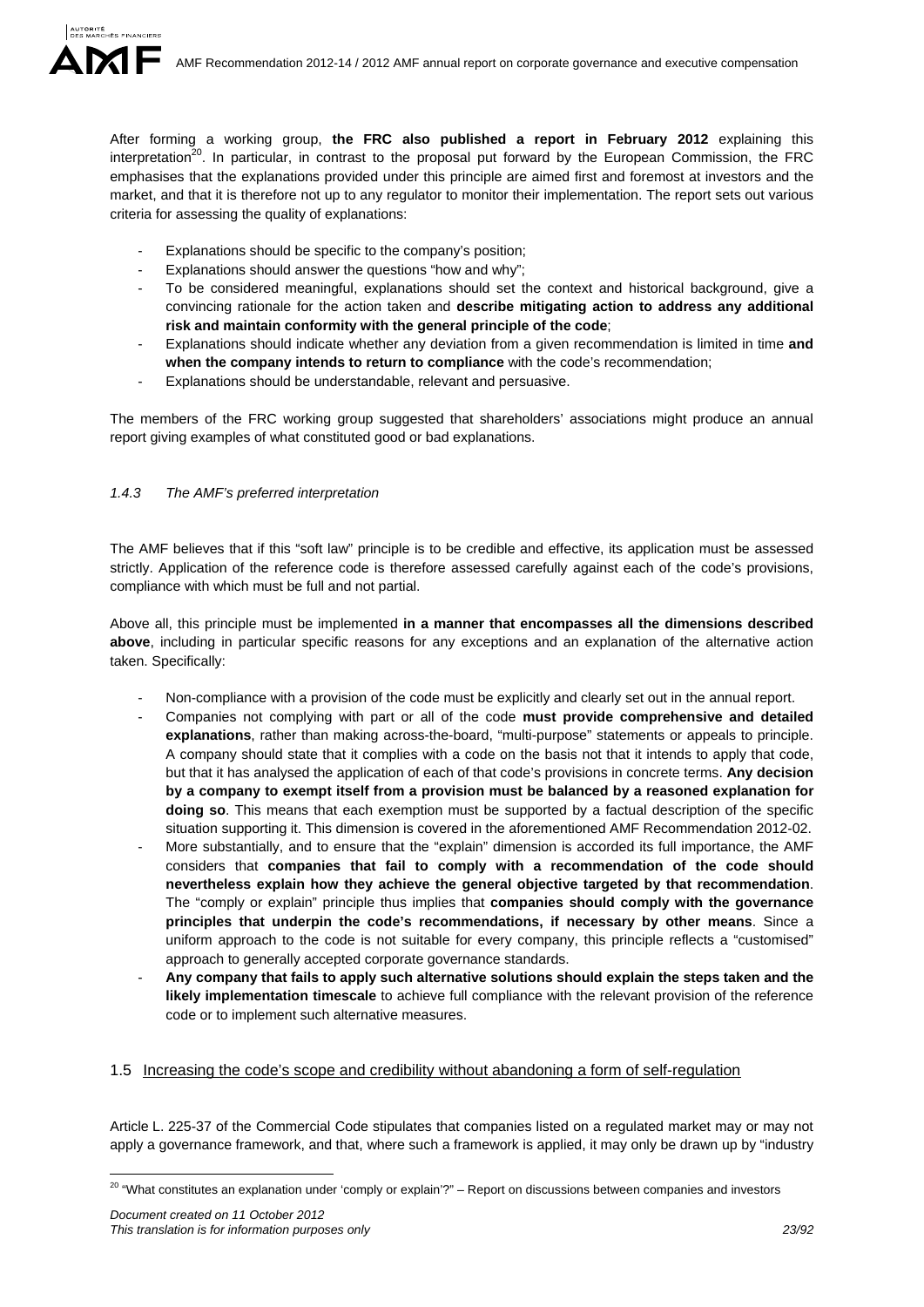After forming a working group, **the FRC also published a report in February 2012** explaining this interpretation<sup>20</sup>. In particular, in contrast to the proposal put forward by the European Commission, the FRC emphasises that the explanations provided under this principle are aimed first and foremost at investors and the market, and that it is therefore not up to any regulator to monitor their implementation. The report sets out various criteria for assessing the quality of explanations:

- Explanations should be specific to the company's position;
- Explanations should answer the questions "how and why";
- To be considered meaningful, explanations should set the context and historical background, give a convincing rationale for the action taken and **describe mitigating action to address any additional risk and maintain conformity with the general principle of the code**;
- Explanations should indicate whether any deviation from a given recommendation is limited in time **and when the company intends to return to compliance** with the code's recommendation;
- Explanations should be understandable, relevant and persuasive.

The members of the FRC working group suggested that shareholders' associations might produce an annual report giving examples of what constituted good or bad explanations.

### *1.4.3 The AMF's preferred interpretation*

The AMF believes that if this "soft law" principle is to be credible and effective, its application must be assessed strictly. Application of the reference code is therefore assessed carefully against each of the code's provisions, compliance with which must be full and not partial.

Above all, this principle must be implemented **in a manner that encompasses all the dimensions described above**, including in particular specific reasons for any exceptions and an explanation of the alternative action taken. Specifically:

- Non-compliance with a provision of the code must be explicitly and clearly set out in the annual report.
- Companies not complying with part or all of the code **must provide comprehensive and detailed explanations**, rather than making across-the-board, "multi-purpose" statements or appeals to principle. A company should state that it complies with a code on the basis not that it intends to apply that code, but that it has analysed the application of each of that code's provisions in concrete terms. **Any decision by a company to exempt itself from a provision must be balanced by a reasoned explanation for doing so**. This means that each exemption must be supported by a factual description of the specific situation supporting it. This dimension is covered in the aforementioned AMF Recommendation 2012-02.
- More substantially, and to ensure that the "explain" dimension is accorded its full importance, the AMF considers that **companies that fail to comply with a recommendation of the code should nevertheless explain how they achieve the general objective targeted by that recommendation**. The "comply or explain" principle thus implies that **companies should comply with the governance principles that underpin the code's recommendations, if necessary by other means**. Since a uniform approach to the code is not suitable for every company, this principle reflects a "customised" approach to generally accepted corporate governance standards.
- **Any company that fails to apply such alternative solutions should explain the steps taken and the likely implementation timescale** to achieve full compliance with the relevant provision of the reference code or to implement such alternative measures.

### 1.5 Increasing the code's scope and credibility without abandoning a form of self-regulation

Article L. 225-37 of the Commercial Code stipulates that companies listed on a regulated market may or may not apply a governance framework, and that, where such a framework is applied, it may only be drawn up by "industry

<u>.</u>

<sup>&</sup>lt;sup>20</sup> "What constitutes an explanation under 'comply or explain'?" – Report on discussions between companies and investors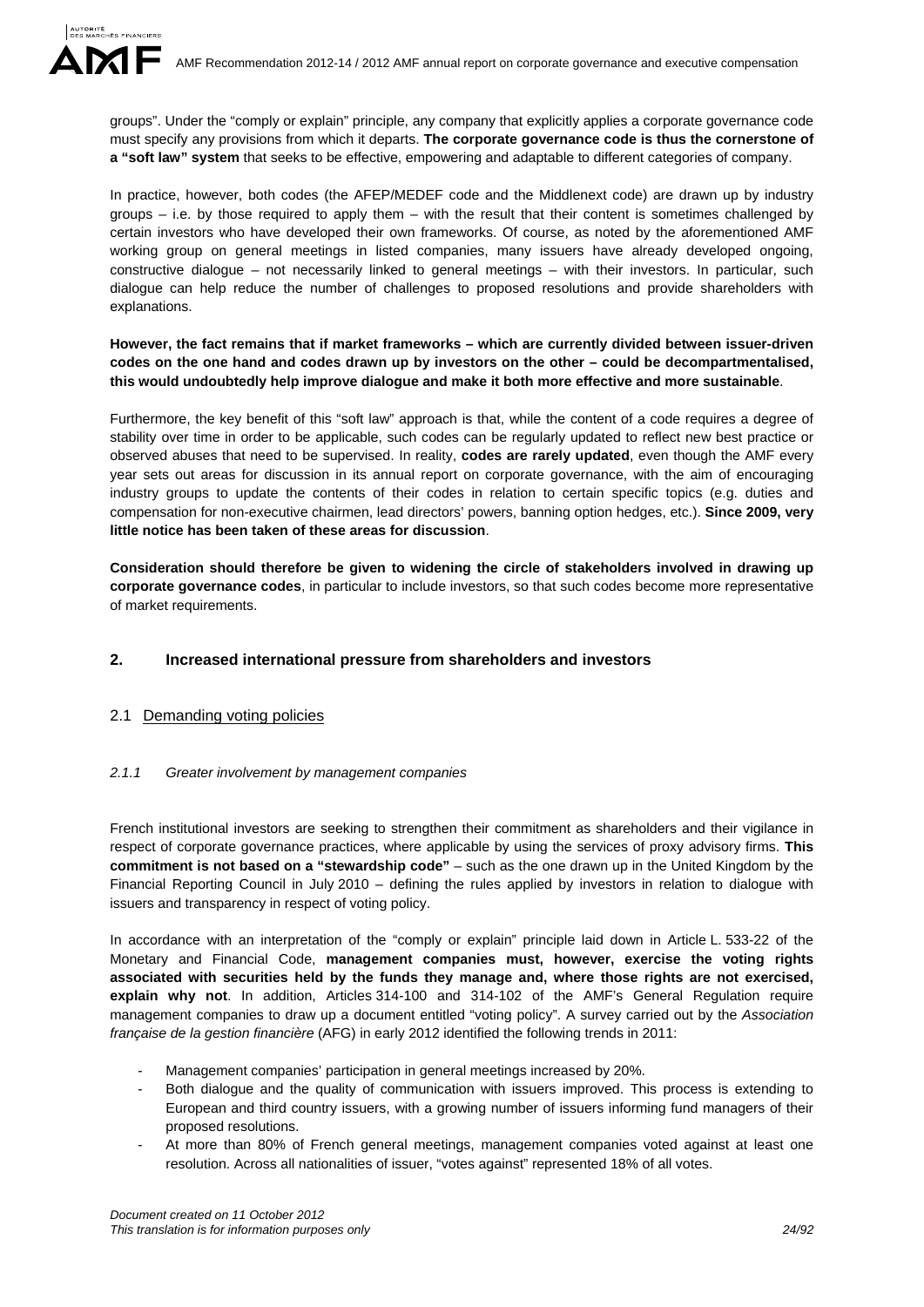groups". Under the "comply or explain" principle, any company that explicitly applies a corporate governance code must specify any provisions from which it departs. **The corporate governance code is thus the cornerstone of a "soft law" system** that seeks to be effective, empowering and adaptable to different categories of company.

In practice, however, both codes (the AFEP/MEDEF code and the Middlenext code) are drawn up by industry groups  $-$  i.e. by those required to apply them  $-$  with the result that their content is sometimes challenged by certain investors who have developed their own frameworks. Of course, as noted by the aforementioned AMF working group on general meetings in listed companies, many issuers have already developed ongoing, constructive dialogue – not necessarily linked to general meetings – with their investors. In particular, such dialogue can help reduce the number of challenges to proposed resolutions and provide shareholders with explanations.

**However, the fact remains that if market frameworks – which are currently divided between issuer-driven codes on the one hand and codes drawn up by investors on the other – could be decompartmentalised, this would undoubtedly help improve dialogue and make it both more effective and more sustainable**.

Furthermore, the key benefit of this "soft law" approach is that, while the content of a code requires a degree of stability over time in order to be applicable, such codes can be regularly updated to reflect new best practice or observed abuses that need to be supervised. In reality, **codes are rarely updated**, even though the AMF every year sets out areas for discussion in its annual report on corporate governance, with the aim of encouraging industry groups to update the contents of their codes in relation to certain specific topics (e.g. duties and compensation for non-executive chairmen, lead directors' powers, banning option hedges, etc.). **Since 2009, very little notice has been taken of these areas for discussion**.

**Consideration should therefore be given to widening the circle of stakeholders involved in drawing up corporate governance codes**, in particular to include investors, so that such codes become more representative of market requirements.

## **2. Increased international pressure from shareholders and investors**

## 2.1 Demanding voting policies

### *2.1.1 Greater involvement by management companies*

French institutional investors are seeking to strengthen their commitment as shareholders and their vigilance in respect of corporate governance practices, where applicable by using the services of proxy advisory firms. **This commitment is not based on a "stewardship code"** – such as the one drawn up in the United Kingdom by the Financial Reporting Council in July 2010 – defining the rules applied by investors in relation to dialogue with issuers and transparency in respect of voting policy.

In accordance with an interpretation of the "comply or explain" principle laid down in Article L. 533-22 of the Monetary and Financial Code, **management companies must, however, exercise the voting rights associated with securities held by the funds they manage and, where those rights are not exercised, explain why not**. In addition, Articles 314-100 and 314-102 of the AMF's General Regulation require management companies to draw up a document entitled "voting policy". A survey carried out by the *Association française de la gestion financière* (AFG) in early 2012 identified the following trends in 2011:

- Management companies' participation in general meetings increased by 20%.
- Both dialogue and the quality of communication with issuers improved. This process is extending to European and third country issuers, with a growing number of issuers informing fund managers of their proposed resolutions.
- At more than 80% of French general meetings, management companies voted against at least one resolution. Across all nationalities of issuer, "votes against" represented 18% of all votes.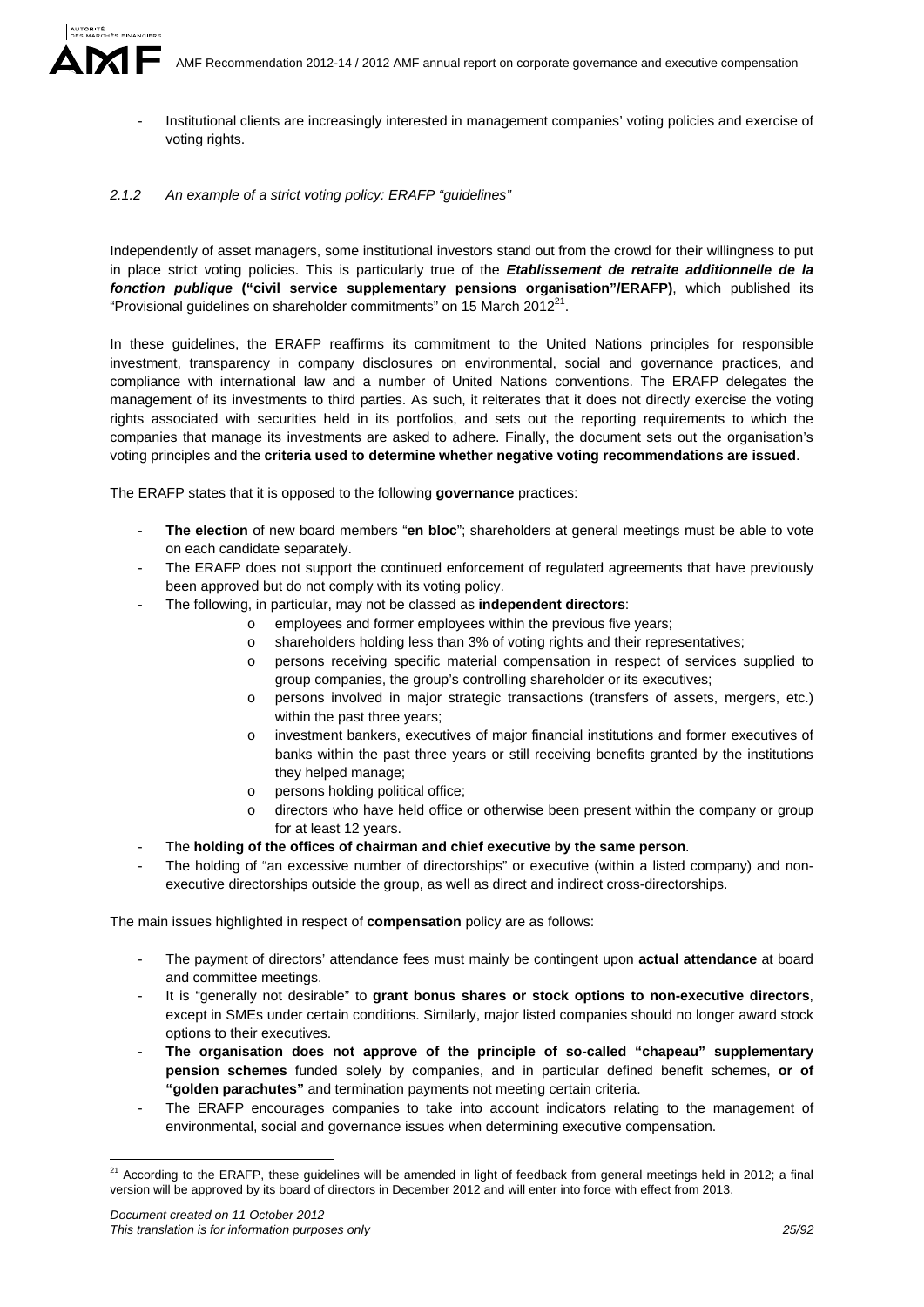Institutional clients are increasingly interested in management companies' voting policies and exercise of voting rights.

#### *2.1.2 An example of a strict voting policy: ERAFP "guidelines"*

Independently of asset managers, some institutional investors stand out from the crowd for their willingness to put in place strict voting policies. This is particularly true of the *Etablissement de retraite additionnelle de la fonction publique* **("civil service supplementary pensions organisation"/ERAFP)**, which published its "Provisional guidelines on shareholder commitments" on 15 March 2012 $^{21}$ .

In these guidelines, the ERAFP reaffirms its commitment to the United Nations principles for responsible investment, transparency in company disclosures on environmental, social and governance practices, and compliance with international law and a number of United Nations conventions. The ERAFP delegates the management of its investments to third parties. As such, it reiterates that it does not directly exercise the voting rights associated with securities held in its portfolios, and sets out the reporting requirements to which the companies that manage its investments are asked to adhere. Finally, the document sets out the organisation's voting principles and the **criteria used to determine whether negative voting recommendations are issued**.

The ERAFP states that it is opposed to the following **governance** practices:

- **The election** of new board members "**en bloc**"; shareholders at general meetings must be able to vote on each candidate separately.
- The ERAFP does not support the continued enforcement of regulated agreements that have previously been approved but do not comply with its voting policy.
- The following, in particular, may not be classed as **independent directors**:
	- o employees and former employees within the previous five years;
	- o shareholders holding less than 3% of voting rights and their representatives;
	- o persons receiving specific material compensation in respect of services supplied to group companies, the group's controlling shareholder or its executives;
	- o persons involved in major strategic transactions (transfers of assets, mergers, etc.) within the past three years;
	- o investment bankers, executives of major financial institutions and former executives of banks within the past three years or still receiving benefits granted by the institutions they helped manage;
	- o persons holding political office;
	- directors who have held office or otherwise been present within the company or group for at least 12 years.
- The **holding of the offices of chairman and chief executive by the same person**.
- The holding of "an excessive number of directorships" or executive (within a listed company) and nonexecutive directorships outside the group, as well as direct and indirect cross-directorships.

The main issues highlighted in respect of **compensation** policy are as follows:

- The payment of directors' attendance fees must mainly be contingent upon **actual attendance** at board and committee meetings.
- It is "generally not desirable" to **grant bonus shares or stock options to non-executive directors**, except in SMEs under certain conditions. Similarly, major listed companies should no longer award stock options to their executives.
- **The organisation does not approve of the principle of so-called "chapeau" supplementary pension schemes** funded solely by companies, and in particular defined benefit schemes, **or of "golden parachutes"** and termination payments not meeting certain criteria.
- The ERAFP encourages companies to take into account indicators relating to the management of environmental, social and governance issues when determining executive compensation.

1

 $^{21}$  According to the ERAFP, these guidelines will be amended in light of feedback from general meetings held in 2012; a final version will be approved by its board of directors in December 2012 and will enter into force with effect from 2013.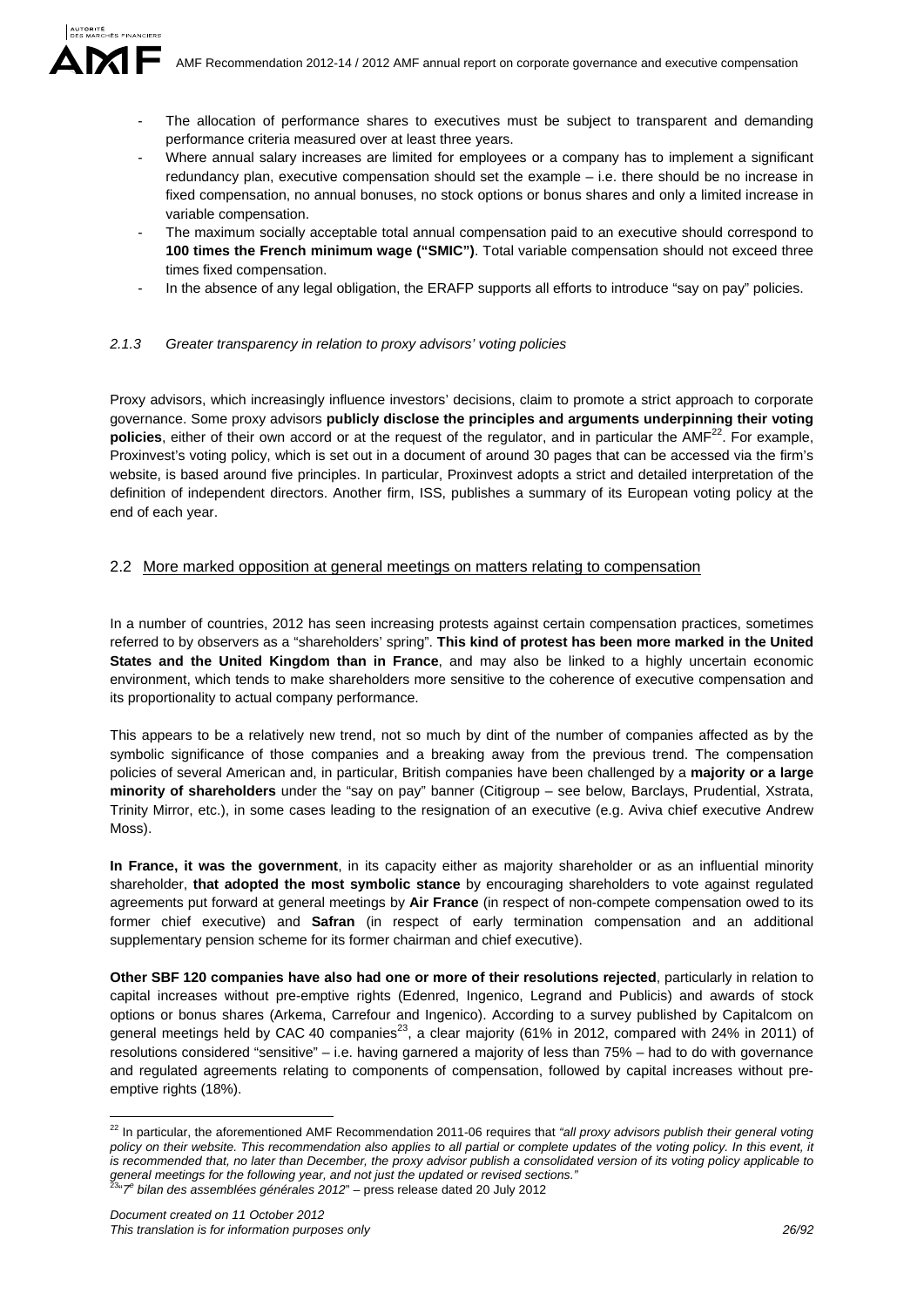- The allocation of performance shares to executives must be subject to transparent and demanding performance criteria measured over at least three years.
- Where annual salary increases are limited for employees or a company has to implement a significant redundancy plan, executive compensation should set the example – i.e. there should be no increase in fixed compensation, no annual bonuses, no stock options or bonus shares and only a limited increase in variable compensation.
- The maximum socially acceptable total annual compensation paid to an executive should correspond to **100 times the French minimum wage ("SMIC")**. Total variable compensation should not exceed three times fixed compensation.
- In the absence of any legal obligation, the ERAFP supports all efforts to introduce "say on pay" policies.

### *2.1.3 Greater transparency in relation to proxy advisors' voting policies*

Proxy advisors, which increasingly influence investors' decisions, claim to promote a strict approach to corporate governance. Some proxy advisors **publicly disclose the principles and arguments underpinning their voting policies**, either of their own accord or at the request of the regulator, and in particular the AMF<sup>22</sup>. For example, Proxinvest's voting policy, which is set out in a document of around 30 pages that can be accessed via the firm's website, is based around five principles. In particular, Proxinvest adopts a strict and detailed interpretation of the definition of independent directors. Another firm, ISS, publishes a summary of its European voting policy at the end of each year.

## 2.2 More marked opposition at general meetings on matters relating to compensation

In a number of countries, 2012 has seen increasing protests against certain compensation practices, sometimes referred to by observers as a "shareholders' spring". **This kind of protest has been more marked in the United States and the United Kingdom than in France**, and may also be linked to a highly uncertain economic environment, which tends to make shareholders more sensitive to the coherence of executive compensation and its proportionality to actual company performance.

This appears to be a relatively new trend, not so much by dint of the number of companies affected as by the symbolic significance of those companies and a breaking away from the previous trend. The compensation policies of several American and, in particular, British companies have been challenged by a **majority or a large minority of shareholders** under the "say on pay" banner (Citigroup – see below, Barclays, Prudential, Xstrata, Trinity Mirror, etc.), in some cases leading to the resignation of an executive (e.g. Aviva chief executive Andrew Moss).

**In France, it was the government**, in its capacity either as majority shareholder or as an influential minority shareholder, **that adopted the most symbolic stance** by encouraging shareholders to vote against regulated agreements put forward at general meetings by **Air France** (in respect of non-compete compensation owed to its former chief executive) and **Safran** (in respect of early termination compensation and an additional supplementary pension scheme for its former chairman and chief executive).

**Other SBF 120 companies have also had one or more of their resolutions rejected**, particularly in relation to capital increases without pre-emptive rights (Edenred, Ingenico, Legrand and Publicis) and awards of stock options or bonus shares (Arkema, Carrefour and Ingenico). According to a survey published by Capitalcom on general meetings held by CAC 40 companies<sup>23</sup>, a clear majority (61% in 2012, compared with 24% in 2011) of resolutions considered "sensitive" – i.e. having garnered a majority of less than 75% – had to do with governance and regulated agreements relating to components of compensation, followed by capital increases without preemptive rights (18%).

1

<sup>22</sup> In particular, the aforementioned AMF Recommendation 2011-06 requires that *"all proxy advisors publish their general voting*  policy on their website. This recommendation also applies to all partial or complete updates of the voting policy. In this event, it *is recommended that, no later than December, the proxy advisor publish a consolidated version of its voting policy applicable to general meetings for the following year, and not just the updated or revised sections."* 23"*7<sup>e</sup> bilan des assemblées générales 2012*" – press release dated 20 July 2012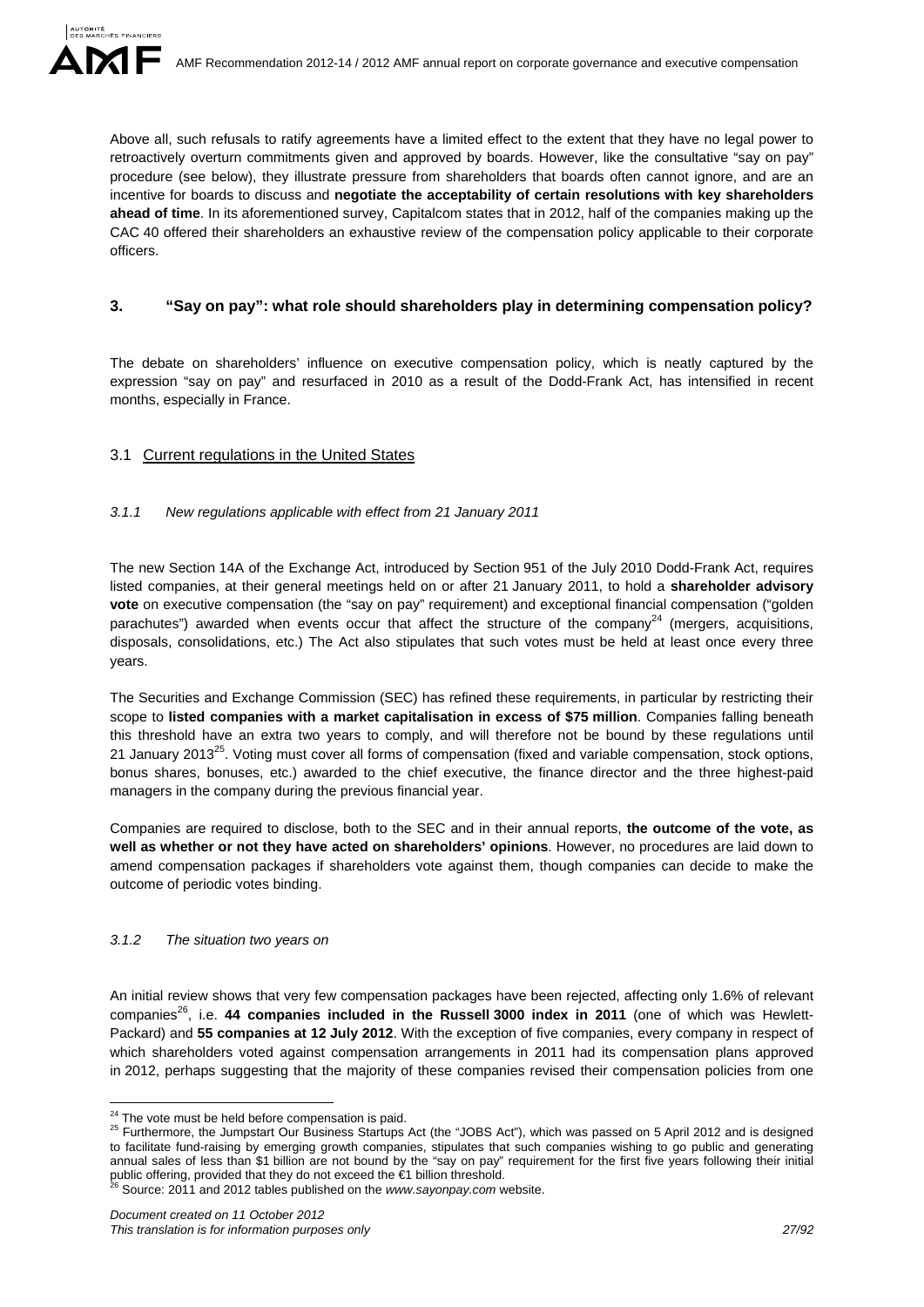Above all, such refusals to ratify agreements have a limited effect to the extent that they have no legal power to retroactively overturn commitments given and approved by boards. However, like the consultative "say on pay" procedure (see below), they illustrate pressure from shareholders that boards often cannot ignore, and are an incentive for boards to discuss and **negotiate the acceptability of certain resolutions with key shareholders ahead of time**. In its aforementioned survey, Capitalcom states that in 2012, half of the companies making up the CAC 40 offered their shareholders an exhaustive review of the compensation policy applicable to their corporate officers.

## **3. "Say on pay": what role should shareholders play in determining compensation policy?**

The debate on shareholders' influence on executive compensation policy, which is neatly captured by the expression "say on pay" and resurfaced in 2010 as a result of the Dodd-Frank Act, has intensified in recent months, especially in France.

## 3.1 Current regulations in the United States

## *3.1.1 New regulations applicable with effect from 21 January 2011*

The new Section 14A of the Exchange Act, introduced by Section 951 of the July 2010 Dodd-Frank Act, requires listed companies, at their general meetings held on or after 21 January 2011, to hold a **shareholder advisory vote** on executive compensation (the "say on pay" requirement) and exceptional financial compensation ("golden" parachutes") awarded when events occur that affect the structure of the company<sup>24</sup> (mergers, acquisitions, disposals, consolidations, etc.) The Act also stipulates that such votes must be held at least once every three years.

The Securities and Exchange Commission (SEC) has refined these requirements, in particular by restricting their scope to **listed companies with a market capitalisation in excess of \$75 million**. Companies falling beneath this threshold have an extra two years to comply, and will therefore not be bound by these regulations until 21 January 2013<sup>25</sup>. Voting must cover all forms of compensation (fixed and variable compensation, stock options, bonus shares, bonuses, etc.) awarded to the chief executive, the finance director and the three highest-paid managers in the company during the previous financial year.

Companies are required to disclose, both to the SEC and in their annual reports, **the outcome of the vote, as well as whether or not they have acted on shareholders' opinions**. However, no procedures are laid down to amend compensation packages if shareholders vote against them, though companies can decide to make the outcome of periodic votes binding.

### *3.1.2 The situation two years on*

An initial review shows that very few compensation packages have been rejected, affecting only 1.6% of relevant companies<sup>26</sup>, i.e. 44 companies included in the Russell 3000 index in 2011 (one of which was Hewlett-Packard) and **55 companies at 12 July 2012**. With the exception of five companies, every company in respect of which shareholders voted against compensation arrangements in 2011 had its compensation plans approved in 2012, perhaps suggesting that the majority of these companies revised their compensation policies from one

<sup>&</sup>lt;sup>24</sup> The vote must be held before compensation is paid.

<sup>&</sup>lt;sup>25</sup> Furthermore, the Jumpstart Our Business Startups Act (the "JOBS Act"), which was passed on 5 April 2012 and is designed to facilitate fund-raising by emerging growth companies, stipulates that such companies wishing to go public and generating annual sales of less than \$1 billion are not bound by the "say on pay" requirement for the first five years following their initial public offering, provided that they do not exceed the €1 billion threshold.<br><sup>26</sup> Source: 2011 and 2012 tables published on the *www.sayonpay.com* website.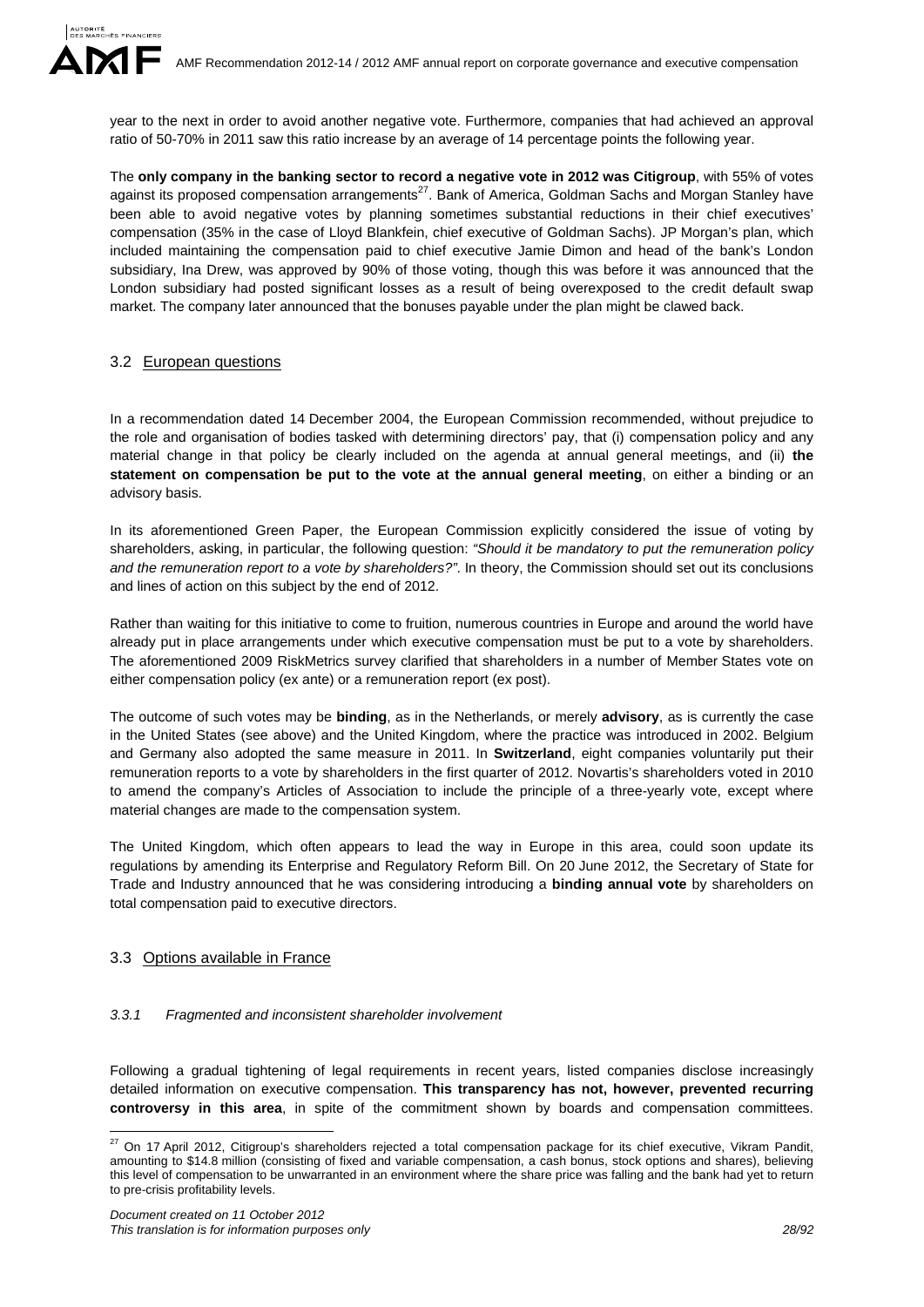year to the next in order to avoid another negative vote. Furthermore, companies that had achieved an approval ratio of 50-70% in 2011 saw this ratio increase by an average of 14 percentage points the following year.

The **only company in the banking sector to record a negative vote in 2012 was Citigroup**, with 55% of votes against its proposed compensation arrangements<sup>27</sup>. Bank of America, Goldman Sachs and Morgan Stanley have been able to avoid negative votes by planning sometimes substantial reductions in their chief executives' compensation (35% in the case of Lloyd Blankfein, chief executive of Goldman Sachs). JP Morgan's plan, which included maintaining the compensation paid to chief executive Jamie Dimon and head of the bank's London subsidiary, Ina Drew, was approved by 90% of those voting, though this was before it was announced that the London subsidiary had posted significant losses as a result of being overexposed to the credit default swap market. The company later announced that the bonuses payable under the plan might be clawed back.

### 3.2 European questions

In a recommendation dated 14 December 2004, the European Commission recommended, without prejudice to the role and organisation of bodies tasked with determining directors' pay, that (i) compensation policy and any material change in that policy be clearly included on the agenda at annual general meetings, and (ii) **the statement on compensation be put to the vote at the annual general meeting**, on either a binding or an advisory basis.

In its aforementioned Green Paper, the European Commission explicitly considered the issue of voting by shareholders, asking, in particular, the following question: *"Should it be mandatory to put the remuneration policy and the remuneration report to a vote by shareholders?"*. In theory, the Commission should set out its conclusions and lines of action on this subject by the end of 2012.

Rather than waiting for this initiative to come to fruition, numerous countries in Europe and around the world have already put in place arrangements under which executive compensation must be put to a vote by shareholders. The aforementioned 2009 RiskMetrics survey clarified that shareholders in a number of Member States vote on either compensation policy (ex ante) or a remuneration report (ex post).

The outcome of such votes may be **binding**, as in the Netherlands, or merely **advisory**, as is currently the case in the United States (see above) and the United Kingdom, where the practice was introduced in 2002. Belgium and Germany also adopted the same measure in 2011. In **Switzerland**, eight companies voluntarily put their remuneration reports to a vote by shareholders in the first quarter of 2012. Novartis's shareholders voted in 2010 to amend the company's Articles of Association to include the principle of a three-yearly vote, except where material changes are made to the compensation system.

The United Kingdom, which often appears to lead the way in Europe in this area, could soon update its regulations by amending its Enterprise and Regulatory Reform Bill. On 20 June 2012, the Secretary of State for Trade and Industry announced that he was considering introducing a **binding annual vote** by shareholders on total compensation paid to executive directors.

### 3.3 Options available in France

1

### *3.3.1 Fragmented and inconsistent shareholder involvement*

Following a gradual tightening of legal requirements in recent years, listed companies disclose increasingly detailed information on executive compensation. **This transparency has not, however, prevented recurring controversy in this area**, in spite of the commitment shown by boards and compensation committees.

 $^{27}$  On 17 April 2012, Citigroup's shareholders rejected a total compensation package for its chief executive, Vikram Pandit, amounting to \$14.8 million (consisting of fixed and variable compensation, a cash bonus, stock options and shares), believing this level of compensation to be unwarranted in an environment where the share price was falling and the bank had yet to return to pre-crisis profitability levels.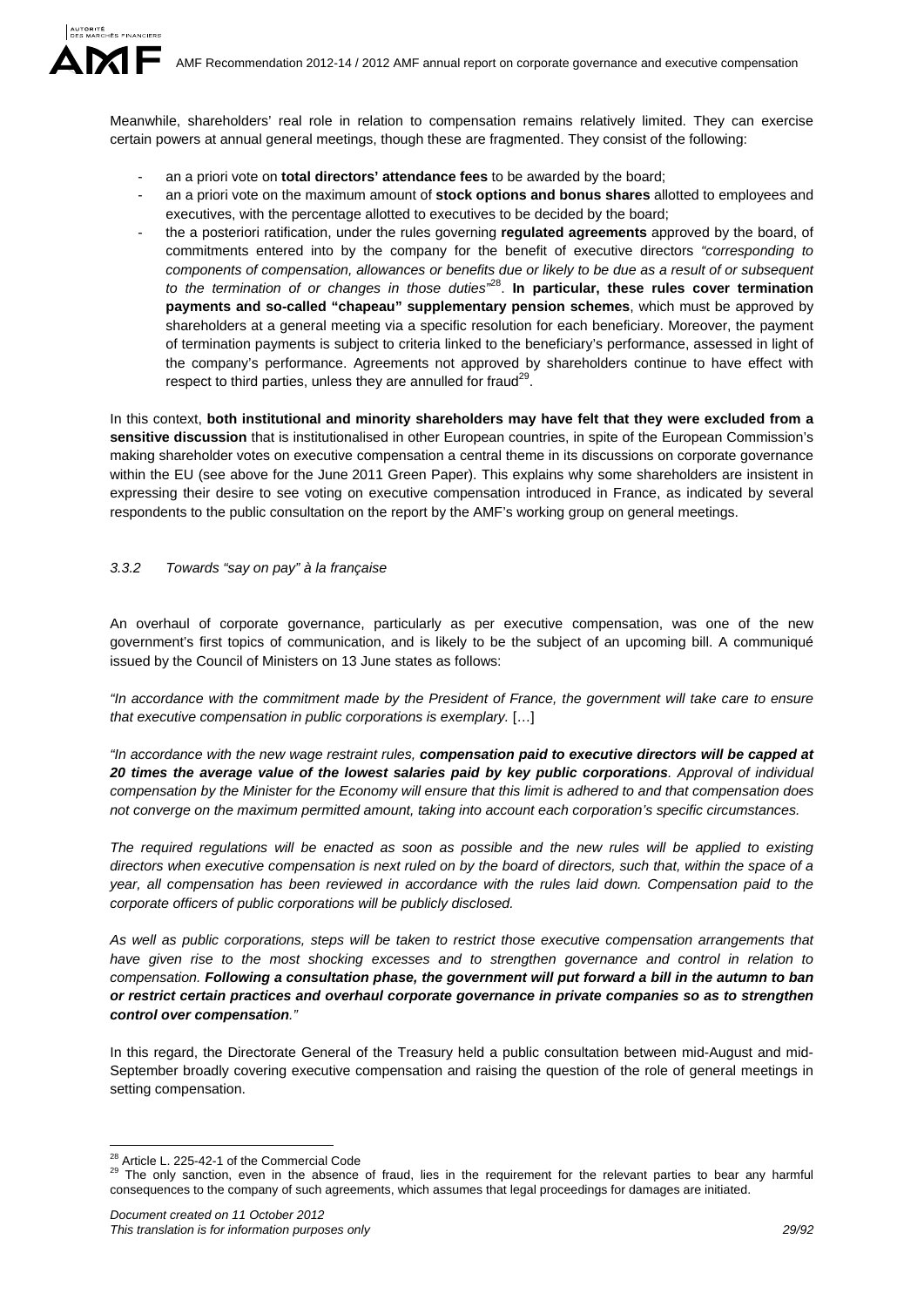Meanwhile, shareholders' real role in relation to compensation remains relatively limited. They can exercise certain powers at annual general meetings, though these are fragmented. They consist of the following:

- an a priori vote on **total directors' attendance fees** to be awarded by the board;
- an a priori vote on the maximum amount of **stock options and bonus shares** allotted to employees and executives, with the percentage allotted to executives to be decided by the board;
- the a posteriori ratification, under the rules governing **regulated agreements** approved by the board, of commitments entered into by the company for the benefit of executive directors *"corresponding to components of compensation, allowances or benefits due or likely to be due as a result of or subsequent to the termination of or changes in those duties"*28. **In particular, these rules cover termination payments and so-called "chapeau" supplementary pension schemes**, which must be approved by shareholders at a general meeting via a specific resolution for each beneficiary. Moreover, the payment of termination payments is subject to criteria linked to the beneficiary's performance, assessed in light of the company's performance. Agreements not approved by shareholders continue to have effect with respect to third parties, unless they are annulled for fraud<sup>29</sup>.

In this context, **both institutional and minority shareholders may have felt that they were excluded from a sensitive discussion** that is institutionalised in other European countries, in spite of the European Commission's making shareholder votes on executive compensation a central theme in its discussions on corporate governance within the EU (see above for the June 2011 Green Paper). This explains why some shareholders are insistent in expressing their desire to see voting on executive compensation introduced in France, as indicated by several respondents to the public consultation on the report by the AMF's working group on general meetings.

### *3.3.2 Towards "say on pay" à la française*

An overhaul of corporate governance, particularly as per executive compensation, was one of the new government's first topics of communication, and is likely to be the subject of an upcoming bill. A communiqué issued by the Council of Ministers on 13 June states as follows:

*"In accordance with the commitment made by the President of France, the government will take care to ensure that executive compensation in public corporations is exemplary.* […]

*"In accordance with the new wage restraint rules, compensation paid to executive directors will be capped at 20 times the average value of the lowest salaries paid by key public corporations. Approval of individual compensation by the Minister for the Economy will ensure that this limit is adhered to and that compensation does not converge on the maximum permitted amount, taking into account each corporation's specific circumstances.* 

*The required regulations will be enacted as soon as possible and the new rules will be applied to existing directors when executive compensation is next ruled on by the board of directors, such that, within the space of a year, all compensation has been reviewed in accordance with the rules laid down. Compensation paid to the corporate officers of public corporations will be publicly disclosed.* 

*As well as public corporations, steps will be taken to restrict those executive compensation arrangements that have given rise to the most shocking excesses and to strengthen governance and control in relation to compensation. Following a consultation phase, the government will put forward a bill in the autumn to ban or restrict certain practices and overhaul corporate governance in private companies so as to strengthen control over compensation."*

In this regard, the Directorate General of the Treasury held a public consultation between mid-August and mid-September broadly covering executive compensation and raising the question of the role of general meetings in setting compensation.

<sup>&</sup>lt;sup>28</sup> Article L. 225-42-1 of the Commercial Code

<sup>&</sup>lt;sup>29</sup> The only sanction, even in the absence of fraud, lies in the requirement for the relevant parties to bear any harmful consequences to the company of such agreements, which assumes that legal proceedings for damages are initiated.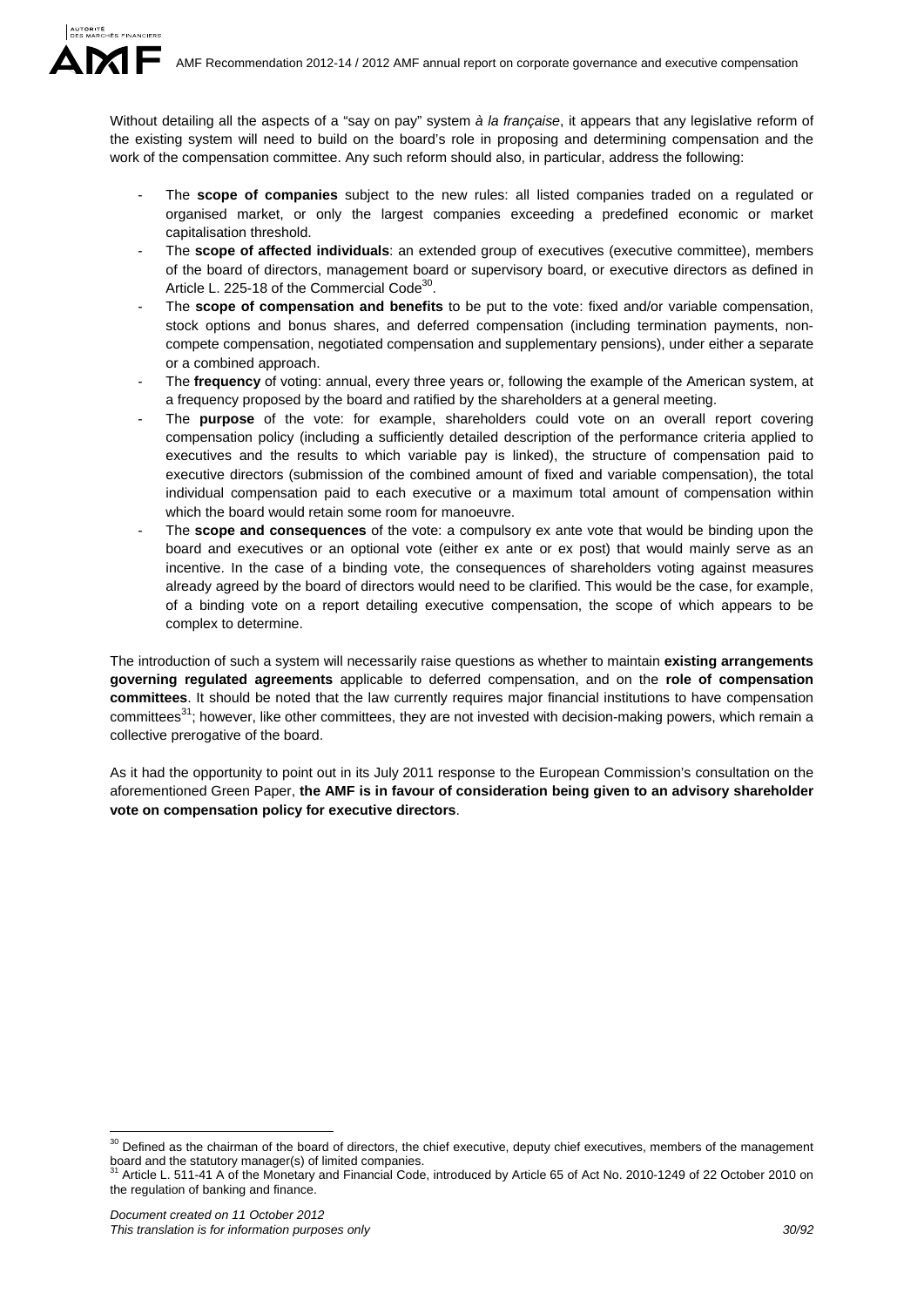Without detailing all the aspects of a "say on pay" system *à la française*, it appears that any legislative reform of the existing system will need to build on the board's role in proposing and determining compensation and the work of the compensation committee. Any such reform should also, in particular, address the following:

- The **scope of companies** subject to the new rules: all listed companies traded on a regulated or organised market, or only the largest companies exceeding a predefined economic or market capitalisation threshold.
- The **scope of affected individuals**: an extended group of executives (executive committee), members of the board of directors, management board or supervisory board, or executive directors as defined in Article L. 225-18 of the Commercial Code<sup>30</sup>.
- The **scope of compensation and benefits** to be put to the vote: fixed and/or variable compensation, stock options and bonus shares, and deferred compensation (including termination payments, noncompete compensation, negotiated compensation and supplementary pensions), under either a separate or a combined approach.
- The **frequency** of voting: annual, every three years or, following the example of the American system, at a frequency proposed by the board and ratified by the shareholders at a general meeting.
- The **purpose** of the vote: for example, shareholders could vote on an overall report covering compensation policy (including a sufficiently detailed description of the performance criteria applied to executives and the results to which variable pay is linked), the structure of compensation paid to executive directors (submission of the combined amount of fixed and variable compensation), the total individual compensation paid to each executive or a maximum total amount of compensation within which the board would retain some room for manoeuvre.
- The **scope and consequences** of the vote: a compulsory ex ante vote that would be binding upon the board and executives or an optional vote (either ex ante or ex post) that would mainly serve as an incentive. In the case of a binding vote, the consequences of shareholders voting against measures already agreed by the board of directors would need to be clarified. This would be the case, for example, of a binding vote on a report detailing executive compensation, the scope of which appears to be complex to determine.

The introduction of such a system will necessarily raise questions as whether to maintain **existing arrangements governing regulated agreements** applicable to deferred compensation, and on the **role of compensation committees**. It should be noted that the law currently requires major financial institutions to have compensation committees<sup>31</sup>; however, like other committees, they are not invested with decision-making powers, which remain a collective prerogative of the board.

As it had the opportunity to point out in its July 2011 response to the European Commission's consultation on the aforementioned Green Paper, **the AMF is in favour of consideration being given to an advisory shareholder vote on compensation policy for executive directors**.

1

 $30$  Defined as the chairman of the board of directors, the chief executive, deputy chief executives, members of the management board and the statutory manager(s) of limited companies.

Article L. 511-41 A of the Monetary and Financial Code, introduced by Article 65 of Act No. 2010-1249 of 22 October 2010 on the regulation of banking and finance.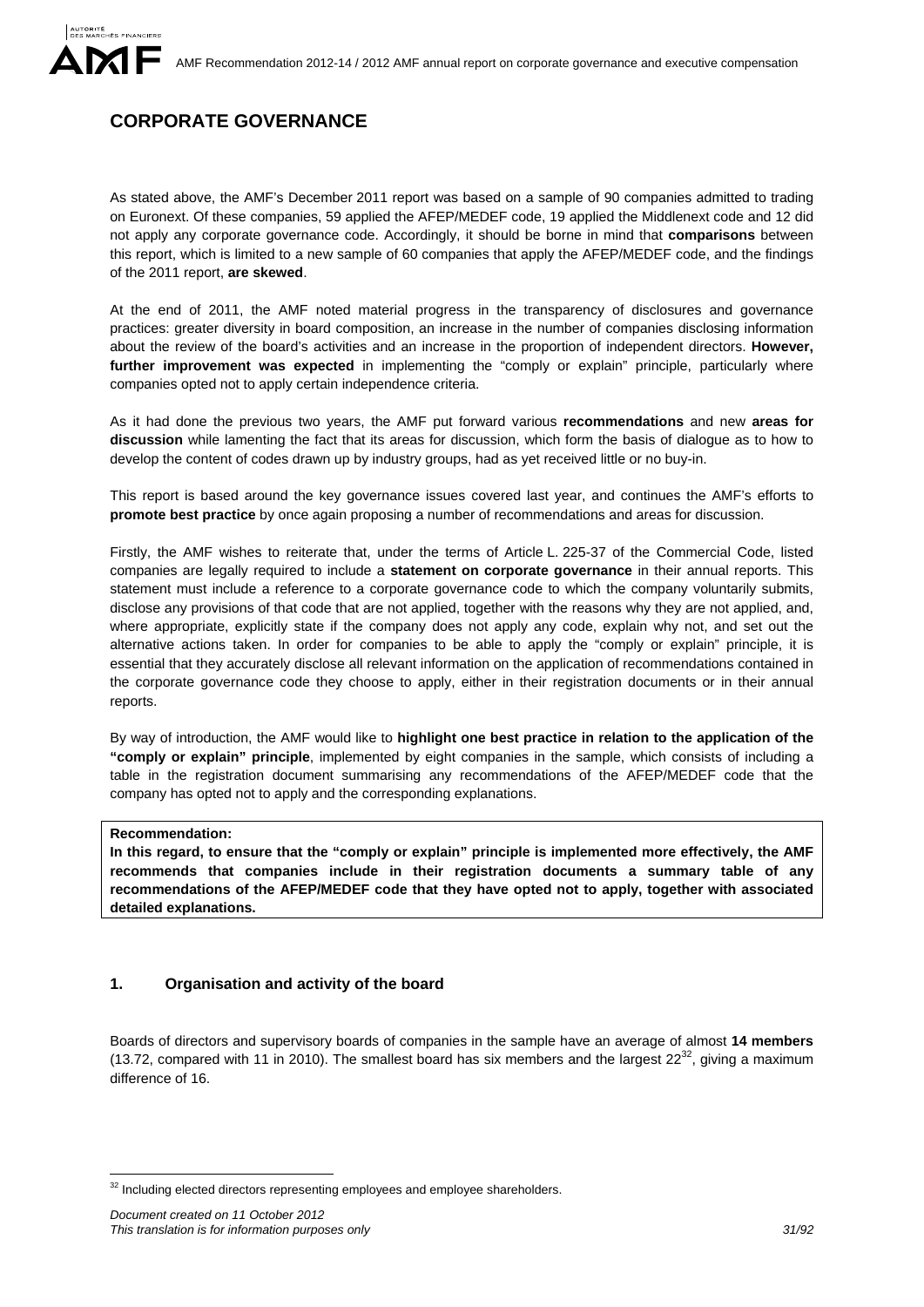# **CORPORATE GOVERNANCE**

As stated above, the AMF's December 2011 report was based on a sample of 90 companies admitted to trading on Euronext. Of these companies, 59 applied the AFEP/MEDEF code, 19 applied the Middlenext code and 12 did not apply any corporate governance code. Accordingly, it should be borne in mind that **comparisons** between this report, which is limited to a new sample of 60 companies that apply the AFEP/MEDEF code, and the findings of the 2011 report, **are skewed**.

At the end of 2011, the AMF noted material progress in the transparency of disclosures and governance practices: greater diversity in board composition, an increase in the number of companies disclosing information about the review of the board's activities and an increase in the proportion of independent directors. **However, further improvement was expected** in implementing the "comply or explain" principle, particularly where companies opted not to apply certain independence criteria.

As it had done the previous two years, the AMF put forward various **recommendations** and new **areas for discussion** while lamenting the fact that its areas for discussion, which form the basis of dialogue as to how to develop the content of codes drawn up by industry groups, had as yet received little or no buy-in.

This report is based around the key governance issues covered last year, and continues the AMF's efforts to **promote best practice** by once again proposing a number of recommendations and areas for discussion.

Firstly, the AMF wishes to reiterate that, under the terms of Article L. 225-37 of the Commercial Code, listed companies are legally required to include a **statement on corporate governance** in their annual reports. This statement must include a reference to a corporate governance code to which the company voluntarily submits, disclose any provisions of that code that are not applied, together with the reasons why they are not applied, and, where appropriate, explicitly state if the company does not apply any code, explain why not, and set out the alternative actions taken. In order for companies to be able to apply the "comply or explain" principle, it is essential that they accurately disclose all relevant information on the application of recommendations contained in the corporate governance code they choose to apply, either in their registration documents or in their annual reports.

By way of introduction, the AMF would like to **highlight one best practice in relation to the application of the "comply or explain" principle**, implemented by eight companies in the sample, which consists of including a table in the registration document summarising any recommendations of the AFEP/MEDEF code that the company has opted not to apply and the corresponding explanations.

### **Recommendation:**

<u>.</u>

**In this regard, to ensure that the "comply or explain" principle is implemented more effectively, the AMF recommends that companies include in their registration documents a summary table of any recommendations of the AFEP/MEDEF code that they have opted not to apply, together with associated detailed explanations.** 

## **1. Organisation and activity of the board**

Boards of directors and supervisory boards of companies in the sample have an average of almost **14 members** (13.72, compared with 11 in 2010). The smallest board has six members and the largest  $22^{32}$ , giving a maximum difference of 16.

 $32$  Including elected directors representing employees and employee shareholders.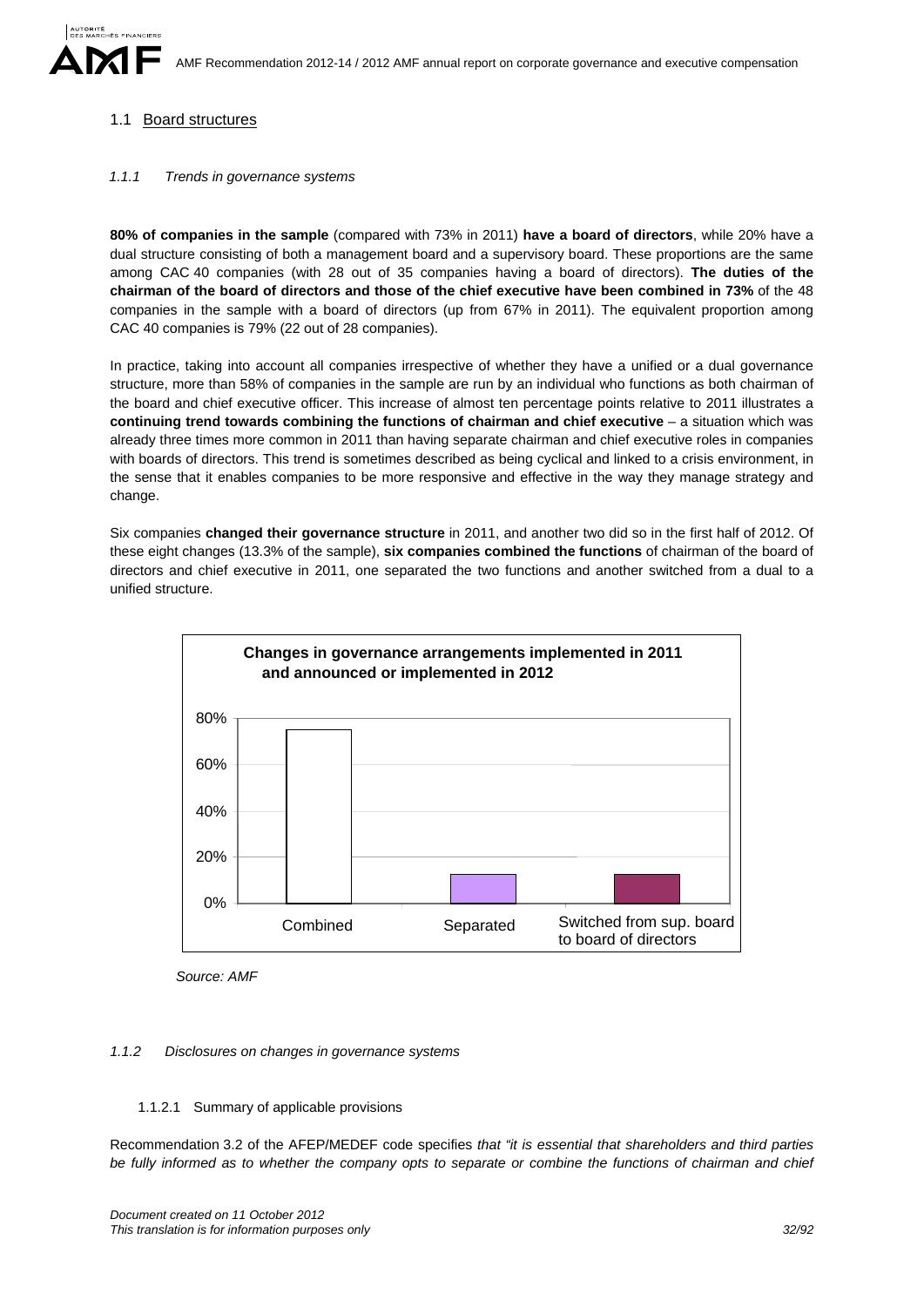## 1.1 Board structures

### *1.1.1 Trends in governance systems*

**80% of companies in the sample** (compared with 73% in 2011) **have a board of directors**, while 20% have a dual structure consisting of both a management board and a supervisory board. These proportions are the same among CAC 40 companies (with 28 out of 35 companies having a board of directors). **The duties of the chairman of the board of directors and those of the chief executive have been combined in 73%** of the 48 companies in the sample with a board of directors (up from 67% in 2011). The equivalent proportion among CAC 40 companies is 79% (22 out of 28 companies).

In practice, taking into account all companies irrespective of whether they have a unified or a dual governance structure, more than 58% of companies in the sample are run by an individual who functions as both chairman of the board and chief executive officer. This increase of almost ten percentage points relative to 2011 illustrates a **continuing trend towards combining the functions of chairman and chief executive – a situation which was** already three times more common in 2011 than having separate chairman and chief executive roles in companies with boards of directors. This trend is sometimes described as being cyclical and linked to a crisis environment, in the sense that it enables companies to be more responsive and effective in the way they manage strategy and change.

Six companies **changed their governance structure** in 2011, and another two did so in the first half of 2012. Of these eight changes (13.3% of the sample), **six companies combined the functions** of chairman of the board of directors and chief executive in 2011, one separated the two functions and another switched from a dual to a unified structure.



*Source: AMF*

### *1.1.2 Disclosures on changes in governance systems*

### 1.1.2.1 Summary of applicable provisions

Recommendation 3.2 of the AFEP/MEDEF code specifies *that "it is essential that shareholders and third parties be fully informed as to whether the company opts to separate or combine the functions of chairman and chief*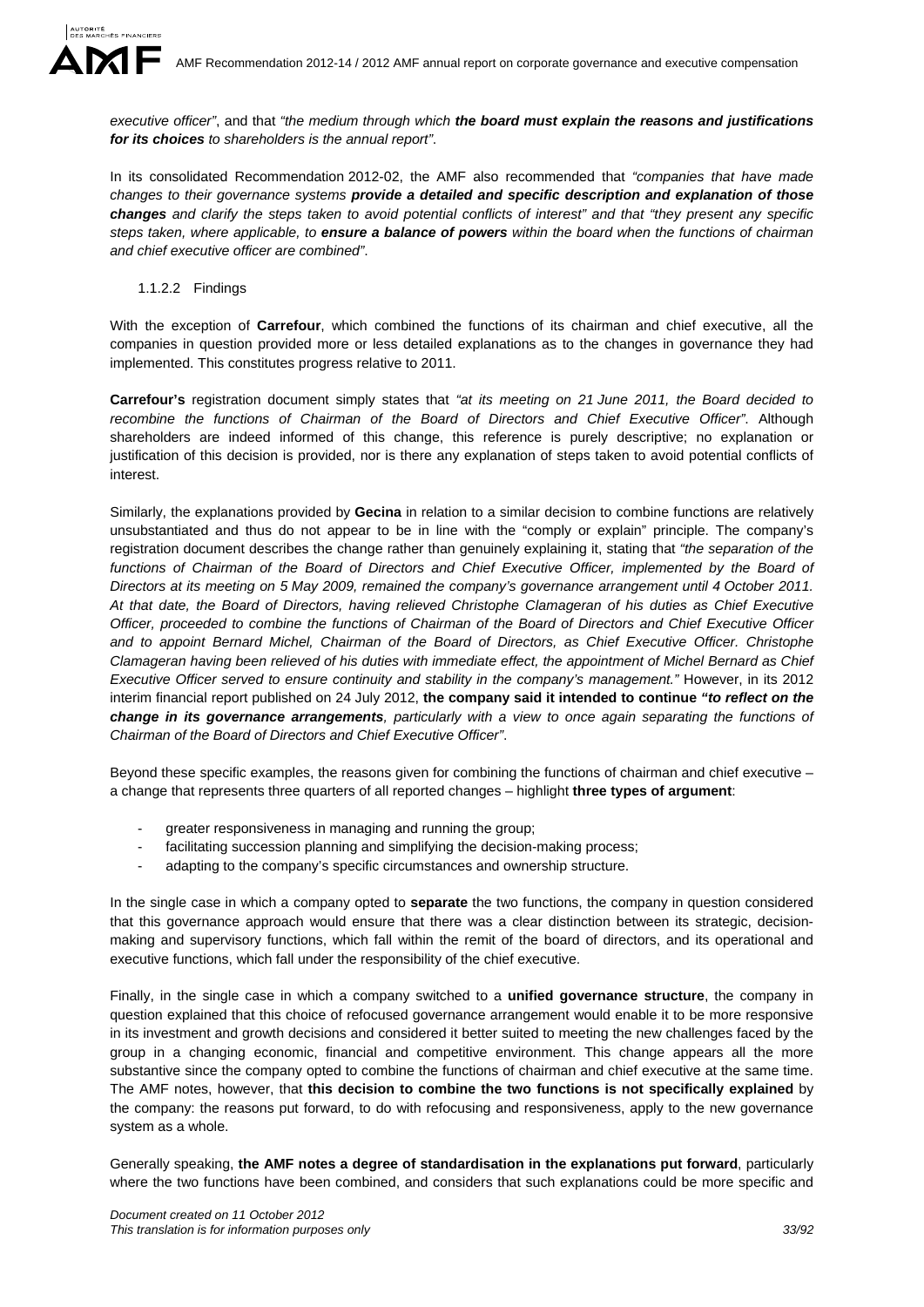

In its consolidated Recommendation 2012-02, the AMF also recommended that *"companies that have made changes to their governance systems provide a detailed and specific description and explanation of those changes and clarify the steps taken to avoid potential conflicts of interest" and that "they present any specific steps taken, where applicable, to ensure a balance of powers within the board when the functions of chairman and chief executive officer are combined"*.

1.1.2.2 Findings

With the exception of **Carrefour**, which combined the functions of its chairman and chief executive, all the companies in question provided more or less detailed explanations as to the changes in governance they had implemented. This constitutes progress relative to 2011.

**Carrefour's** registration document simply states that *"at its meeting on 21 June 2011, the Board decided to recombine the functions of Chairman of the Board of Directors and Chief Executive Officer"*. Although shareholders are indeed informed of this change, this reference is purely descriptive; no explanation or justification of this decision is provided, nor is there any explanation of steps taken to avoid potential conflicts of interest.

Similarly, the explanations provided by **Gecina** in relation to a similar decision to combine functions are relatively unsubstantiated and thus do not appear to be in line with the "comply or explain" principle. The company's registration document describes the change rather than genuinely explaining it, stating that *"the separation of the*  functions of Chairman of the Board of Directors and Chief Executive Officer, implemented by the Board of *Directors at its meeting on 5 May 2009, remained the company's governance arrangement until 4 October 2011. At that date, the Board of Directors, having relieved Christophe Clamageran of his duties as Chief Executive Officer, proceeded to combine the functions of Chairman of the Board of Directors and Chief Executive Officer and to appoint Bernard Michel, Chairman of the Board of Directors, as Chief Executive Officer. Christophe Clamageran having been relieved of his duties with immediate effect, the appointment of Michel Bernard as Chief Executive Officer served to ensure continuity and stability in the company's management."* However, in its 2012 interim financial report published on 24 July 2012, **the company said it intended to continue** *"to reflect on the change in its governance arrangements, particularly with a view to once again separating the functions of Chairman of the Board of Directors and Chief Executive Officer"*.

Beyond these specific examples, the reasons given for combining the functions of chairman and chief executive – a change that represents three quarters of all reported changes – highlight **three types of argument**:

- greater responsiveness in managing and running the group;
- facilitating succession planning and simplifying the decision-making process;
- adapting to the company's specific circumstances and ownership structure.

In the single case in which a company opted to **separate** the two functions, the company in question considered that this governance approach would ensure that there was a clear distinction between its strategic, decisionmaking and supervisory functions, which fall within the remit of the board of directors, and its operational and executive functions, which fall under the responsibility of the chief executive.

Finally, in the single case in which a company switched to a **unified governance structure**, the company in question explained that this choice of refocused governance arrangement would enable it to be more responsive in its investment and growth decisions and considered it better suited to meeting the new challenges faced by the group in a changing economic, financial and competitive environment. This change appears all the more substantive since the company opted to combine the functions of chairman and chief executive at the same time. The AMF notes, however, that **this decision to combine the two functions is not specifically explained** by the company: the reasons put forward, to do with refocusing and responsiveness, apply to the new governance system as a whole.

Generally speaking, **the AMF notes a degree of standardisation in the explanations put forward**, particularly where the two functions have been combined, and considers that such explanations could be more specific and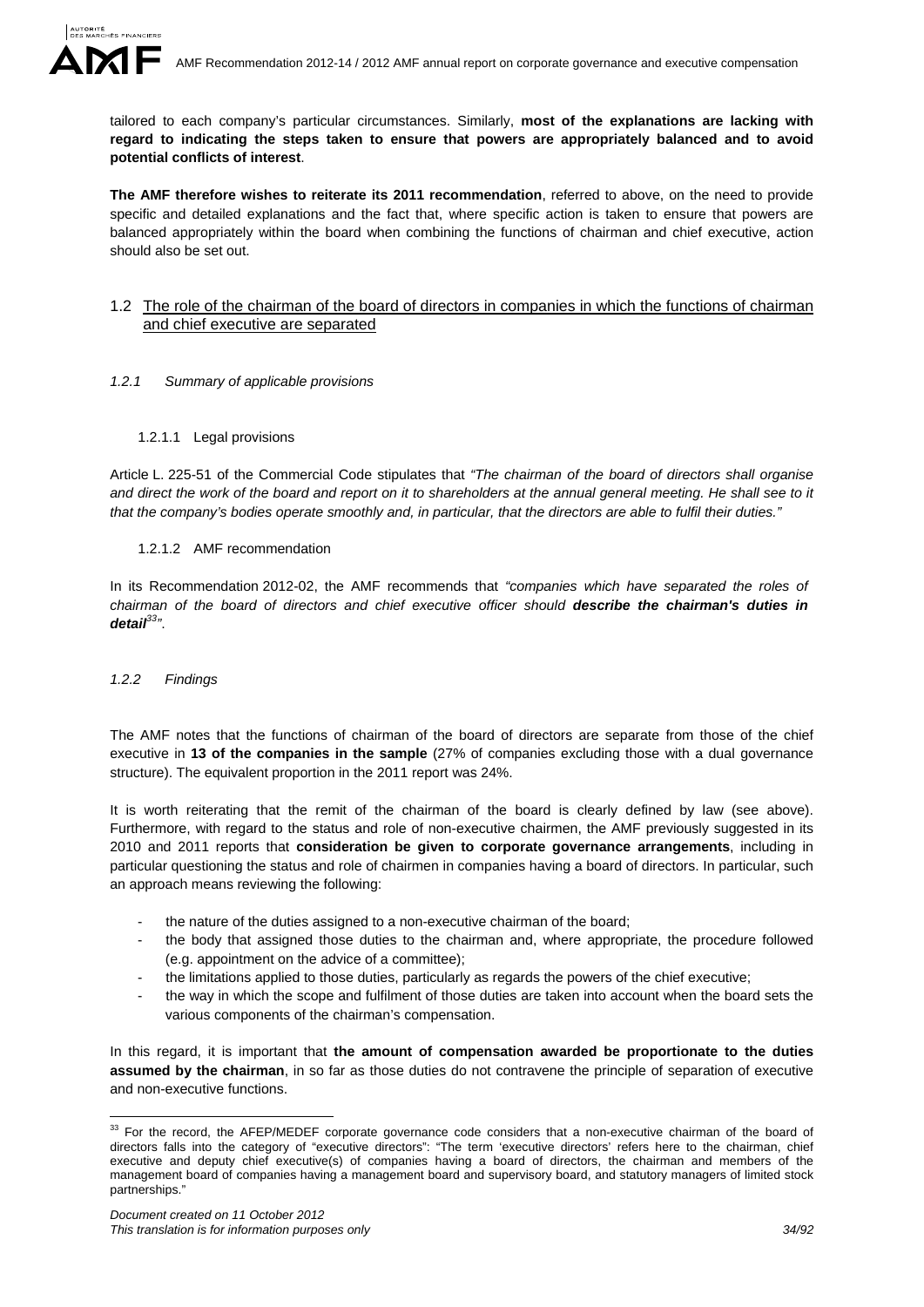

tailored to each company's particular circumstances. Similarly, **most of the explanations are lacking with regard to indicating the steps taken to ensure that powers are appropriately balanced and to avoid potential conflicts of interest**.

**The AMF therefore wishes to reiterate its 2011 recommendation**, referred to above, on the need to provide specific and detailed explanations and the fact that, where specific action is taken to ensure that powers are balanced appropriately within the board when combining the functions of chairman and chief executive, action should also be set out.

### 1.2 The role of the chairman of the board of directors in companies in which the functions of chairman and chief executive are separated

- *1.2.1 Summary of applicable provisions* 
	- 1.2.1.1 Legal provisions

Article L. 225-51 of the Commercial Code stipulates that *"The chairman of the board of directors shall organise and direct the work of the board and report on it to shareholders at the annual general meeting. He shall see to it that the company's bodies operate smoothly and, in particular, that the directors are able to fulfil their duties."* 

### 1.2.1.2 AMF recommendation

In its Recommendation 2012-02, the AMF recommends that *"companies which have separated the roles of chairman of the board of directors and chief executive officer should describe the chairman's duties in detail33"*.

### *1.2.2 Findings*

1

The AMF notes that the functions of chairman of the board of directors are separate from those of the chief executive in **13 of the companies in the sample** (27% of companies excluding those with a dual governance structure). The equivalent proportion in the 2011 report was 24%.

It is worth reiterating that the remit of the chairman of the board is clearly defined by law (see above). Furthermore, with regard to the status and role of non-executive chairmen, the AMF previously suggested in its 2010 and 2011 reports that **consideration be given to corporate governance arrangements**, including in particular questioning the status and role of chairmen in companies having a board of directors. In particular, such an approach means reviewing the following:

- the nature of the duties assigned to a non-executive chairman of the board;
- the body that assigned those duties to the chairman and, where appropriate, the procedure followed (e.g. appointment on the advice of a committee);
- the limitations applied to those duties, particularly as regards the powers of the chief executive;
- the way in which the scope and fulfilment of those duties are taken into account when the board sets the various components of the chairman's compensation.

In this regard, it is important that **the amount of compensation awarded be proportionate to the duties assumed by the chairman**, in so far as those duties do not contravene the principle of separation of executive and non-executive functions.

 $33$  For the record, the AFEP/MEDEF corporate governance code considers that a non-executive chairman of the board of directors falls into the category of "executive directors": "The term 'executive directors' refers here to the chairman, chief executive and deputy chief executive(s) of companies having a board of directors, the chairman and members of the management board of companies having a management board and supervisory board, and statutory managers of limited stock partnerships."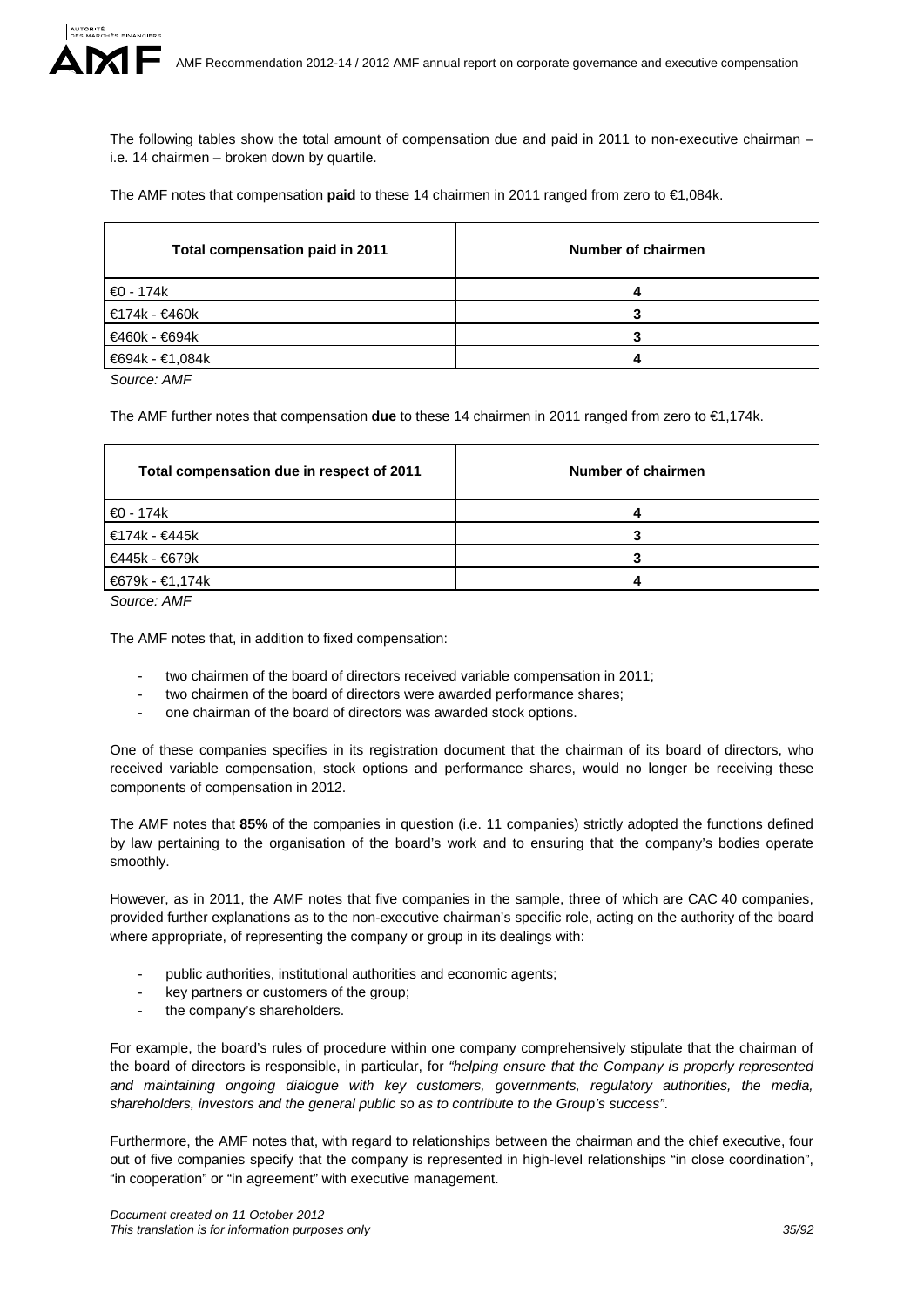

The following tables show the total amount of compensation due and paid in 2011 to non-executive chairman – i.e. 14 chairmen – broken down by quartile.

The AMF notes that compensation **paid** to these 14 chairmen in 2011 ranged from zero to €1,084k.

| Total compensation paid in 2011 | Number of chairmen |
|---------------------------------|--------------------|
| €0 - 174k                       |                    |
| €174k - €460k                   |                    |
| €460k - €694k                   |                    |
| €694k - €1,084k                 |                    |

*Source: AMF*

The AMF further notes that compensation **due** to these 14 chairmen in 2011 ranged from zero to €1,174k.

| Total compensation due in respect of 2011 | Number of chairmen |
|-------------------------------------------|--------------------|
| $\bigoplus$ - 174k                        |                    |
| €174k - €445k                             |                    |
| €445k - €679k                             |                    |
| <b>€679k - €1,174k</b>                    |                    |

*Source: AMF*

The AMF notes that, in addition to fixed compensation:

- two chairmen of the board of directors received variable compensation in 2011;
- two chairmen of the board of directors were awarded performance shares;
- one chairman of the board of directors was awarded stock options.

One of these companies specifies in its registration document that the chairman of its board of directors, who received variable compensation, stock options and performance shares, would no longer be receiving these components of compensation in 2012.

The AMF notes that **85%** of the companies in question (i.e. 11 companies) strictly adopted the functions defined by law pertaining to the organisation of the board's work and to ensuring that the company's bodies operate smoothly.

However, as in 2011, the AMF notes that five companies in the sample, three of which are CAC 40 companies, provided further explanations as to the non-executive chairman's specific role, acting on the authority of the board where appropriate, of representing the company or group in its dealings with:

- public authorities, institutional authorities and economic agents;
- key partners or customers of the group;
- the company's shareholders.

For example, the board's rules of procedure within one company comprehensively stipulate that the chairman of the board of directors is responsible, in particular, for *"helping ensure that the Company is properly represented and maintaining ongoing dialogue with key customers, governments, regulatory authorities, the media, shareholders, investors and the general public so as to contribute to the Group's success"*.

Furthermore, the AMF notes that, with regard to relationships between the chairman and the chief executive, four out of five companies specify that the company is represented in high-level relationships "in close coordination", "in cooperation" or "in agreement" with executive management.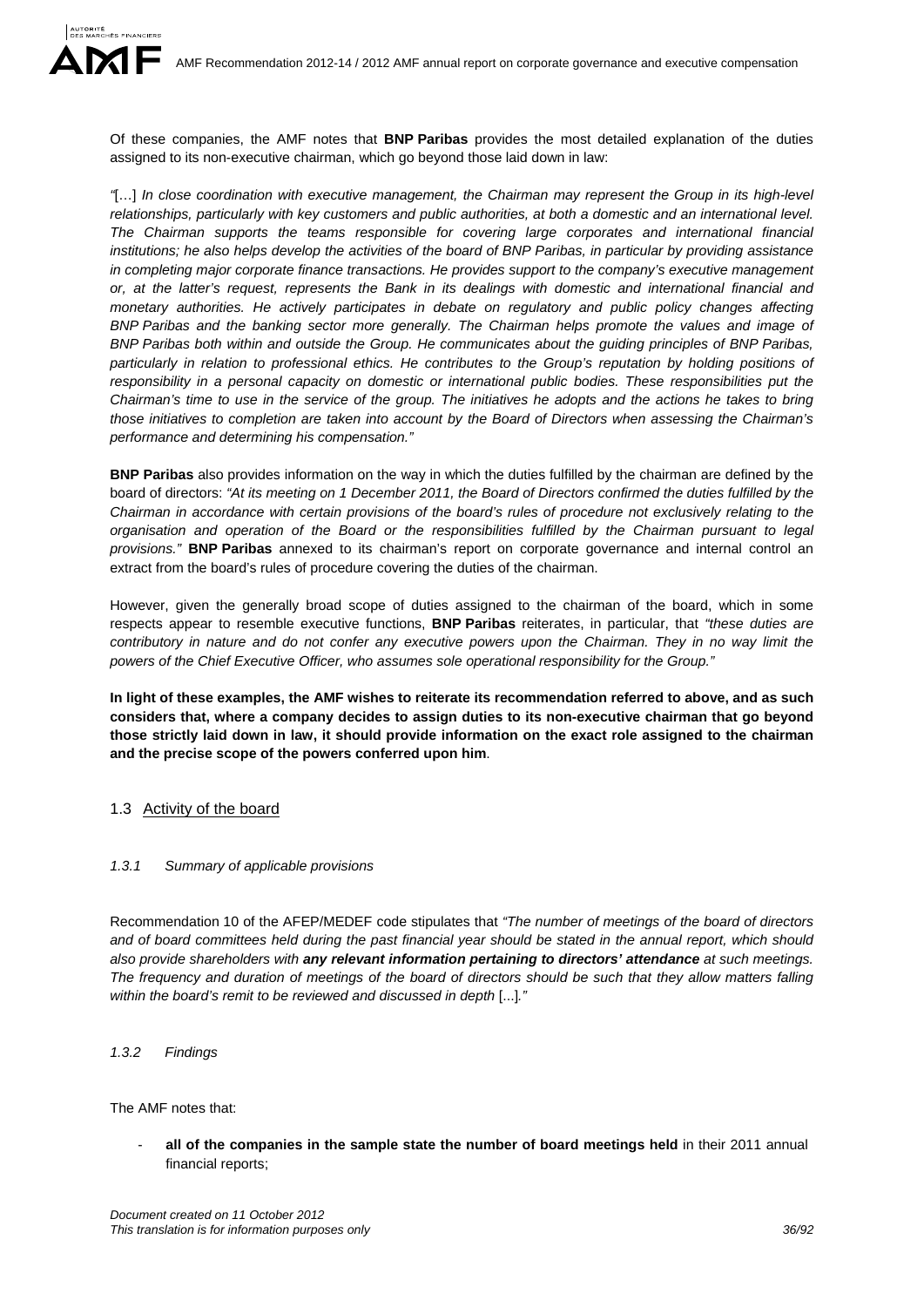Of these companies, the AMF notes that **BNP Paribas** provides the most detailed explanation of the duties assigned to its non-executive chairman, which go beyond those laid down in law:

*"*[…] *In close coordination with executive management, the Chairman may represent the Group in its high-level relationships, particularly with key customers and public authorities, at both a domestic and an international level. The Chairman supports the teams responsible for covering large corporates and international financial institutions; he also helps develop the activities of the board of BNP Paribas, in particular by providing assistance in completing major corporate finance transactions. He provides support to the company's executive management or, at the latter's request, represents the Bank in its dealings with domestic and international financial and monetary authorities. He actively participates in debate on regulatory and public policy changes affecting BNP Paribas and the banking sector more generally. The Chairman helps promote the values and image of BNP Paribas both within and outside the Group. He communicates about the guiding principles of BNP Paribas, particularly in relation to professional ethics. He contributes to the Group's reputation by holding positions of responsibility in a personal capacity on domestic or international public bodies. These responsibilities put the Chairman's time to use in the service of the group. The initiatives he adopts and the actions he takes to bring those initiatives to completion are taken into account by the Board of Directors when assessing the Chairman's performance and determining his compensation."* 

**BNP Paribas** also provides information on the way in which the duties fulfilled by the chairman are defined by the board of directors: *"At its meeting on 1 December 2011, the Board of Directors confirmed the duties fulfilled by the Chairman in accordance with certain provisions of the board's rules of procedure not exclusively relating to the organisation and operation of the Board or the responsibilities fulfilled by the Chairman pursuant to legal provisions."* **BNP Paribas** annexed to its chairman's report on corporate governance and internal control an extract from the board's rules of procedure covering the duties of the chairman.

However, given the generally broad scope of duties assigned to the chairman of the board, which in some respects appear to resemble executive functions, **BNP Paribas** reiterates, in particular, that *"these duties are contributory in nature and do not confer any executive powers upon the Chairman. They in no way limit the powers of the Chief Executive Officer, who assumes sole operational responsibility for the Group."* 

**In light of these examples, the AMF wishes to reiterate its recommendation referred to above, and as such considers that, where a company decides to assign duties to its non-executive chairman that go beyond those strictly laid down in law, it should provide information on the exact role assigned to the chairman and the precise scope of the powers conferred upon him**.

# 1.3 Activity of the board

# *1.3.1 Summary of applicable provisions*

Recommendation 10 of the AFEP/MEDEF code stipulates that *"The number of meetings of the board of directors and of board committees held during the past financial year should be stated in the annual report, which should also provide shareholders with any relevant information pertaining to directors' attendance at such meetings. The frequency and duration of meetings of the board of directors should be such that they allow matters falling within the board's remit to be reviewed and discussed in depth* [...]*."* 

# *1.3.2 Findings*

The AMF notes that:

all of the companies in the sample state the number of board meetings held in their 2011 annual financial reports;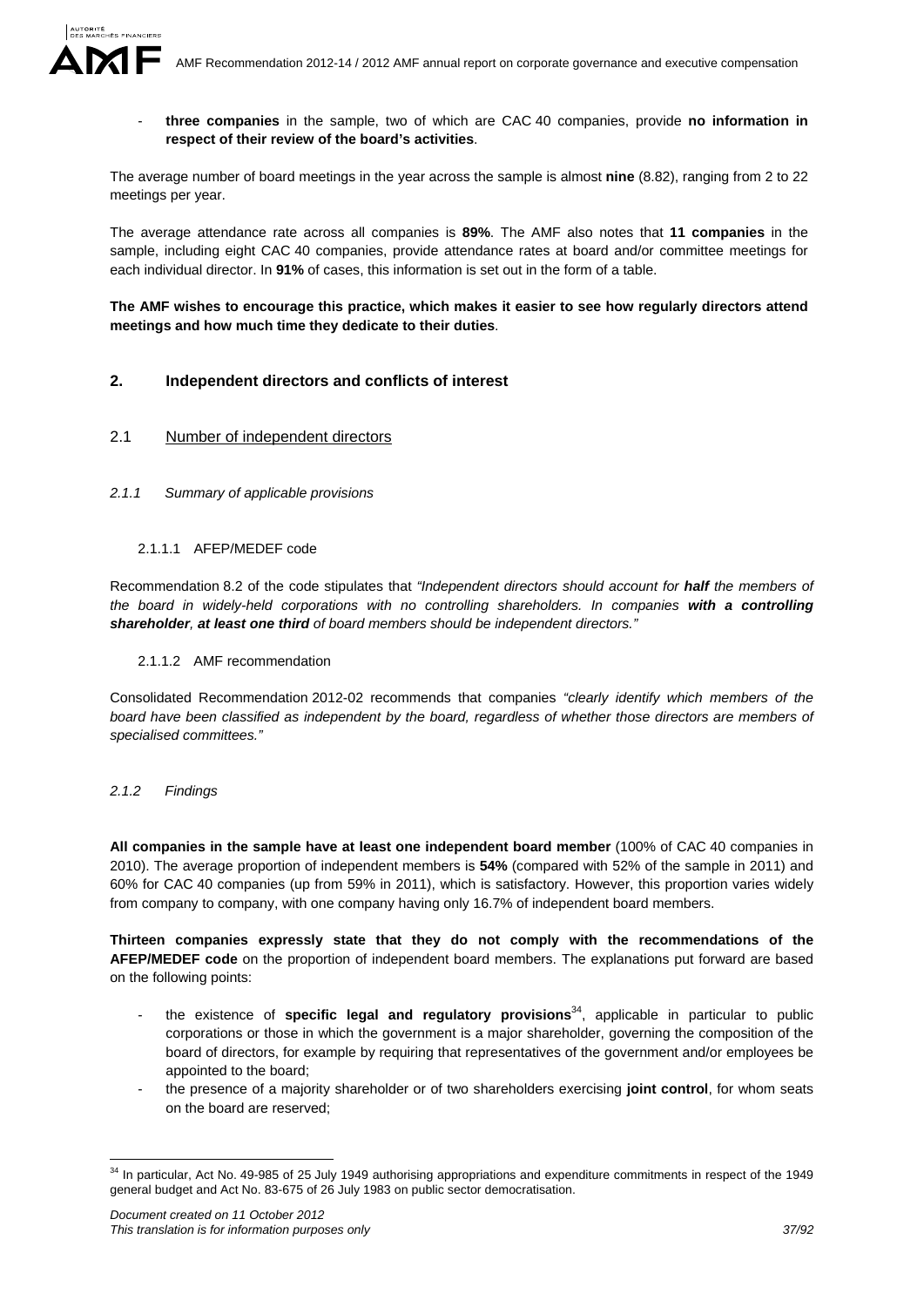- **three companies** in the sample, two of which are CAC 40 companies, provide **no information in respect of their review of the board's activities**.

The average number of board meetings in the year across the sample is almost **nine** (8.82), ranging from 2 to 22 meetings per year.

The average attendance rate across all companies is **89%**. The AMF also notes that **11 companies** in the sample, including eight CAC 40 companies, provide attendance rates at board and/or committee meetings for each individual director. In **91%** of cases, this information is set out in the form of a table.

**The AMF wishes to encourage this practice, which makes it easier to see how regularly directors attend meetings and how much time they dedicate to their duties**.

# **2. Independent directors and conflicts of interest**

### 2.1 Number of independent directors

*2.1.1 Summary of applicable provisions* 

### 2.1.1.1 AFEP/MEDEF code

Recommendation 8.2 of the code stipulates that *"Independent directors should account for half the members of the board in widely-held corporations with no controlling shareholders. In companies with a controlling shareholder, at least one third of board members should be independent directors."* 

#### 2.1.1.2 AMF recommendation

Consolidated Recommendation 2012-02 recommends that companies *"clearly identify which members of the board have been classified as independent by the board, regardless of whether those directors are members of specialised committees."*

#### *2.1.2 Findings*

1

**All companies in the sample have at least one independent board member** (100% of CAC 40 companies in 2010). The average proportion of independent members is **54%** (compared with 52% of the sample in 2011) and 60% for CAC 40 companies (up from 59% in 2011), which is satisfactory. However, this proportion varies widely from company to company, with one company having only 16.7% of independent board members.

**Thirteen companies expressly state that they do not comply with the recommendations of the AFEP/MEDEF code** on the proportion of independent board members. The explanations put forward are based on the following points:

- the existence of **specific legal and regulatory provisions**34, applicable in particular to public corporations or those in which the government is a major shareholder, governing the composition of the board of directors, for example by requiring that representatives of the government and/or employees be appointed to the board;
- the presence of a majority shareholder or of two shareholders exercising **joint control**, for whom seats on the board are reserved;

<sup>&</sup>lt;sup>34</sup> In particular, Act No. 49-985 of 25 July 1949 authorising appropriations and expenditure commitments in respect of the 1949 general budget and Act No. 83-675 of 26 July 1983 on public sector democratisation.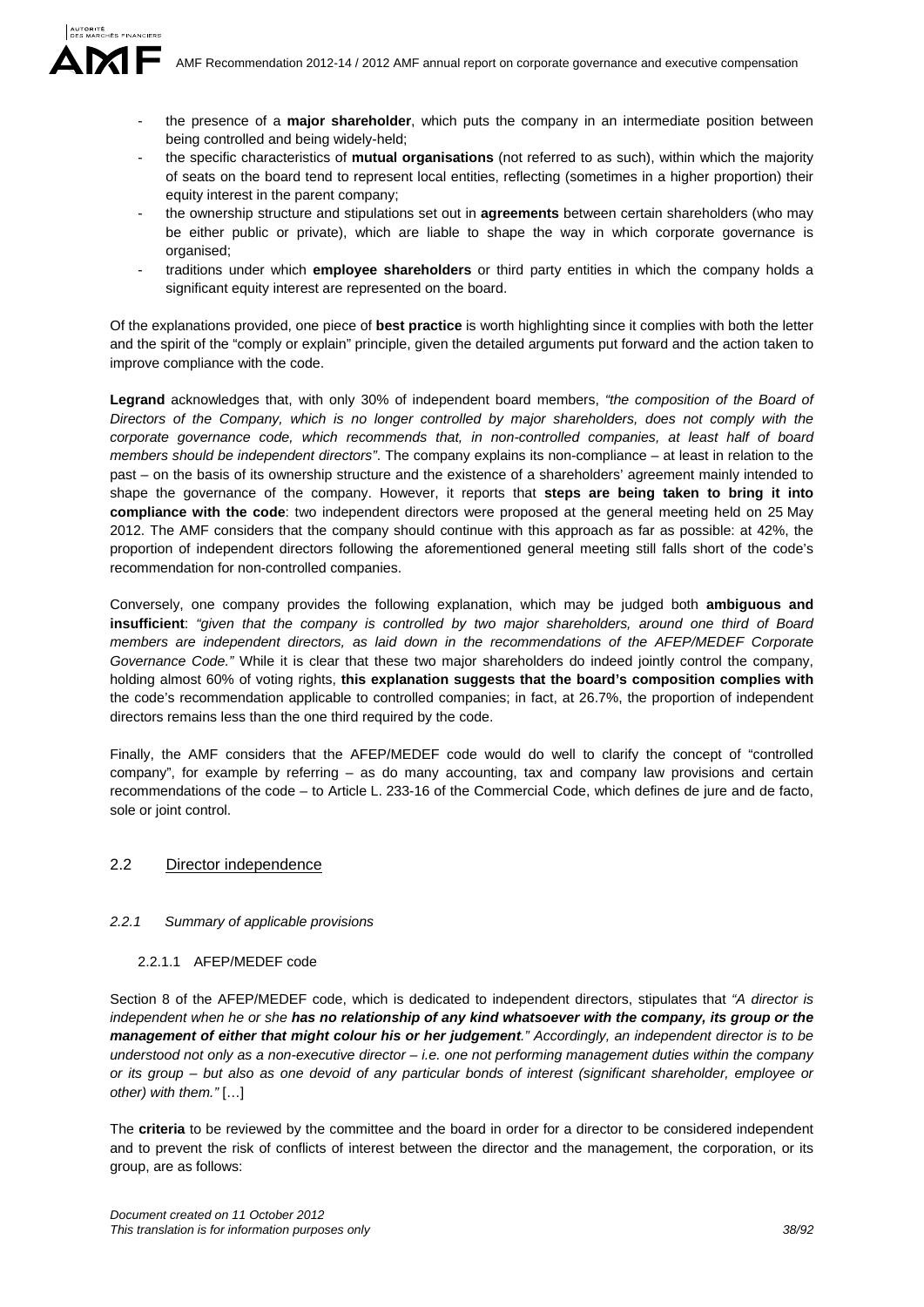- the presence of a **major shareholder**, which puts the company in an intermediate position between being controlled and being widely-held;
- the specific characteristics of **mutual organisations** (not referred to as such), within which the majority of seats on the board tend to represent local entities, reflecting (sometimes in a higher proportion) their equity interest in the parent company;
- the ownership structure and stipulations set out in **agreements** between certain shareholders (who may be either public or private), which are liable to shape the way in which corporate governance is organised;
- traditions under which **employee shareholders** or third party entities in which the company holds a significant equity interest are represented on the board.

Of the explanations provided, one piece of **best practice** is worth highlighting since it complies with both the letter and the spirit of the "comply or explain" principle, given the detailed arguments put forward and the action taken to improve compliance with the code.

**Legrand** acknowledges that, with only 30% of independent board members, *"the composition of the Board of Directors of the Company, which is no longer controlled by major shareholders, does not comply with the corporate governance code, which recommends that, in non-controlled companies, at least half of board members should be independent directors"*. The company explains its non-compliance – at least in relation to the past – on the basis of its ownership structure and the existence of a shareholders' agreement mainly intended to shape the governance of the company. However, it reports that **steps are being taken to bring it into compliance with the code**: two independent directors were proposed at the general meeting held on 25 May 2012. The AMF considers that the company should continue with this approach as far as possible: at 42%, the proportion of independent directors following the aforementioned general meeting still falls short of the code's recommendation for non-controlled companies.

Conversely, one company provides the following explanation, which may be judged both **ambiguous and insufficient**: *"given that the company is controlled by two major shareholders, around one third of Board members are independent directors, as laid down in the recommendations of the AFEP/MEDEF Corporate Governance Code."* While it is clear that these two major shareholders do indeed jointly control the company, holding almost 60% of voting rights, **this explanation suggests that the board's composition complies with** the code's recommendation applicable to controlled companies; in fact, at 26.7%, the proportion of independent directors remains less than the one third required by the code.

Finally, the AMF considers that the AFEP/MEDEF code would do well to clarify the concept of "controlled company", for example by referring – as do many accounting, tax and company law provisions and certain recommendations of the code – to Article L. 233-16 of the Commercial Code, which defines de jure and de facto, sole or joint control.

# 2.2 Director independence

# *2.2.1 Summary of applicable provisions*

#### 2.2.1.1 AFEP/MEDEF code

Section 8 of the AFEP/MEDEF code, which is dedicated to independent directors, stipulates that *"A director is independent when he or she has no relationship of any kind whatsoever with the company, its group or the management of either that might colour his or her judgement." Accordingly, an independent director is to be understood not only as a non-executive director – i.e. one not performing management duties within the company or its group – but also as one devoid of any particular bonds of interest (significant shareholder, employee or other) with them."* […]

The **criteria** to be reviewed by the committee and the board in order for a director to be considered independent and to prevent the risk of conflicts of interest between the director and the management, the corporation, or its group, are as follows: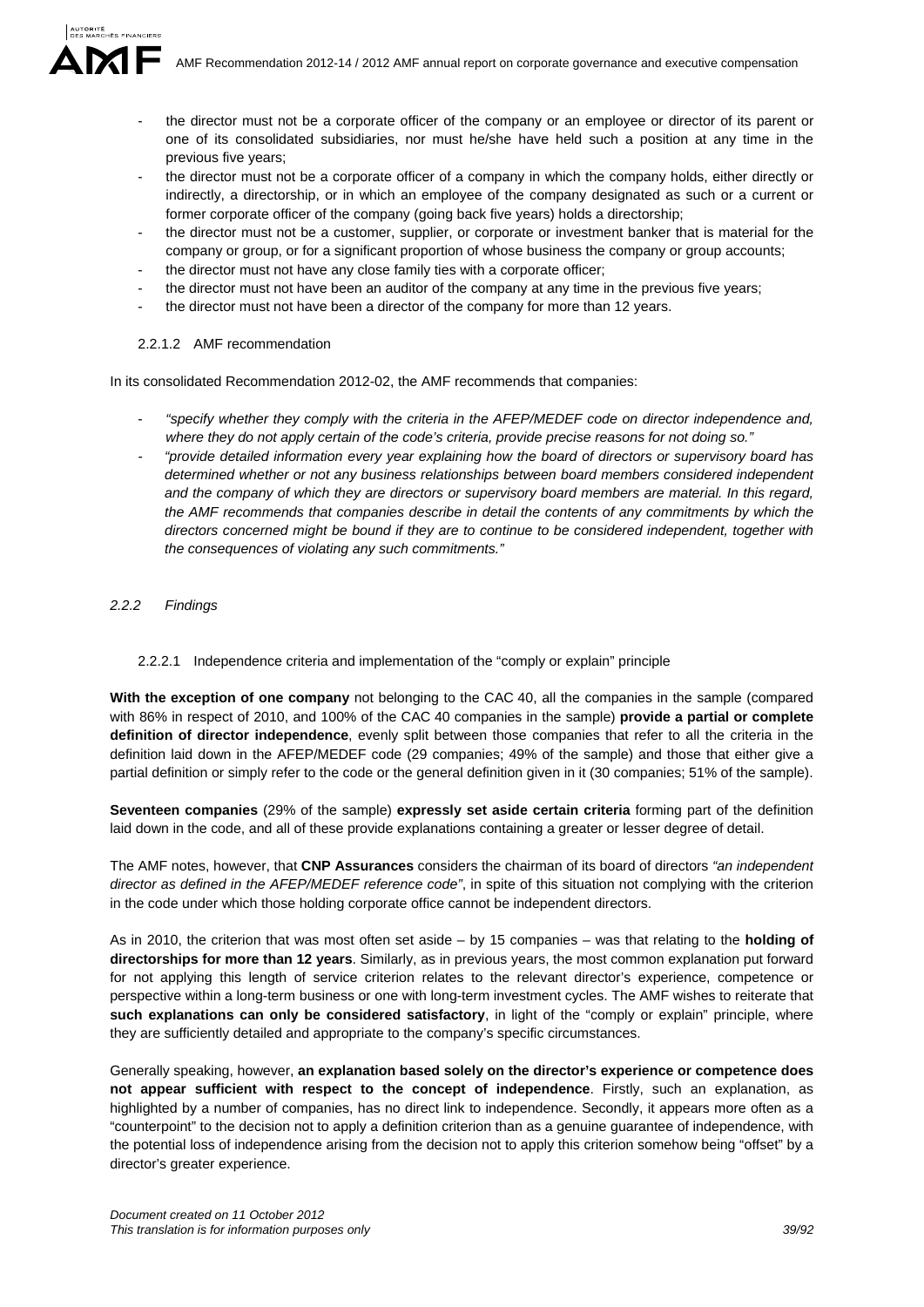- the director must not be a corporate officer of the company or an employee or director of its parent or one of its consolidated subsidiaries, nor must he/she have held such a position at any time in the previous five years;
- the director must not be a corporate officer of a company in which the company holds, either directly or indirectly, a directorship, or in which an employee of the company designated as such or a current or former corporate officer of the company (going back five years) holds a directorship;
- the director must not be a customer, supplier, or corporate or investment banker that is material for the company or group, or for a significant proportion of whose business the company or group accounts;
- the director must not have any close family ties with a corporate officer;
- the director must not have been an auditor of the company at any time in the previous five years;
- the director must not have been a director of the company for more than 12 years.

### 2.2.1.2 AMF recommendation

In its consolidated Recommendation 2012-02, the AMF recommends that companies:

- *"specify whether they comply with the criteria in the AFEP/MEDEF code on director independence and, where they do not apply certain of the code's criteria, provide precise reasons for not doing so."*
- *"provide detailed information every year explaining how the board of directors or supervisory board has determined whether or not any business relationships between board members considered independent and the company of which they are directors or supervisory board members are material. In this regard,*  the AMF recommends that companies describe in detail the contents of any commitments by which the *directors concerned might be bound if they are to continue to be considered independent, together with the consequences of violating any such commitments."*

### *2.2.2 Findings*

#### 2.2.2.1 Independence criteria and implementation of the "comply or explain" principle

**With the exception of one company** not belonging to the CAC 40, all the companies in the sample (compared with 86% in respect of 2010, and 100% of the CAC 40 companies in the sample) **provide a partial or complete definition of director independence**, evenly split between those companies that refer to all the criteria in the definition laid down in the AFEP/MEDEF code (29 companies; 49% of the sample) and those that either give a partial definition or simply refer to the code or the general definition given in it (30 companies; 51% of the sample).

**Seventeen companies** (29% of the sample) **expressly set aside certain criteria** forming part of the definition laid down in the code, and all of these provide explanations containing a greater or lesser degree of detail.

The AMF notes, however, that **CNP Assurances** considers the chairman of its board of directors *"an independent director as defined in the AFEP/MEDEF reference code"*, in spite of this situation not complying with the criterion in the code under which those holding corporate office cannot be independent directors.

As in 2010, the criterion that was most often set aside – by 15 companies – was that relating to the **holding of directorships for more than 12 years**. Similarly, as in previous years, the most common explanation put forward for not applying this length of service criterion relates to the relevant director's experience, competence or perspective within a long-term business or one with long-term investment cycles. The AMF wishes to reiterate that **such explanations can only be considered satisfactory**, in light of the "comply or explain" principle, where they are sufficiently detailed and appropriate to the company's specific circumstances.

Generally speaking, however, **an explanation based solely on the director's experience or competence does not appear sufficient with respect to the concept of independence**. Firstly, such an explanation, as highlighted by a number of companies, has no direct link to independence. Secondly, it appears more often as a "counterpoint" to the decision not to apply a definition criterion than as a genuine guarantee of independence, with the potential loss of independence arising from the decision not to apply this criterion somehow being "offset" by a director's greater experience.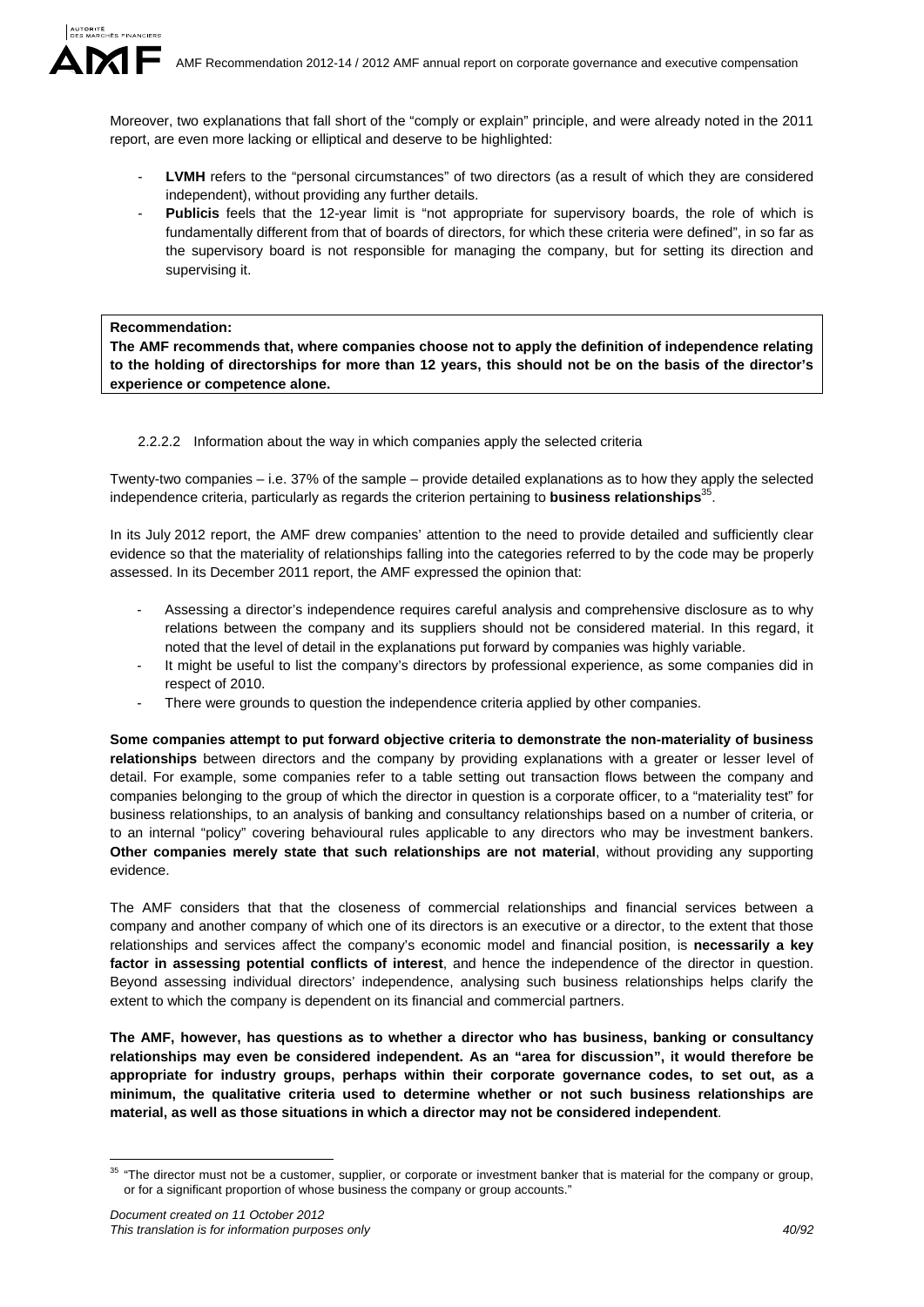Moreover, two explanations that fall short of the "comply or explain" principle, and were already noted in the 2011 report, are even more lacking or elliptical and deserve to be highlighted:

- LVMH refers to the "personal circumstances" of two directors (as a result of which they are considered independent), without providing any further details.
- Publicis feels that the 12-year limit is "not appropriate for supervisory boards, the role of which is fundamentally different from that of boards of directors, for which these criteria were defined", in so far as the supervisory board is not responsible for managing the company, but for setting its direction and supervising it.

#### **Recommendation:**

**The AMF recommends that, where companies choose not to apply the definition of independence relating to the holding of directorships for more than 12 years, this should not be on the basis of the director's experience or competence alone.** 

### 2.2.2.2 Information about the way in which companies apply the selected criteria

Twenty-two companies – i.e. 37% of the sample – provide detailed explanations as to how they apply the selected independence criteria, particularly as regards the criterion pertaining to **business relationships**<sup>3</sup>

In its July 2012 report, the AMF drew companies' attention to the need to provide detailed and sufficiently clear evidence so that the materiality of relationships falling into the categories referred to by the code may be properly assessed. In its December 2011 report, the AMF expressed the opinion that:

- Assessing a director's independence requires careful analysis and comprehensive disclosure as to why relations between the company and its suppliers should not be considered material. In this regard, it noted that the level of detail in the explanations put forward by companies was highly variable.
- It might be useful to list the company's directors by professional experience, as some companies did in respect of 2010.
- There were grounds to question the independence criteria applied by other companies.

**Some companies attempt to put forward objective criteria to demonstrate the non-materiality of business relationships** between directors and the company by providing explanations with a greater or lesser level of detail. For example, some companies refer to a table setting out transaction flows between the company and companies belonging to the group of which the director in question is a corporate officer, to a "materiality test" for business relationships, to an analysis of banking and consultancy relationships based on a number of criteria, or to an internal "policy" covering behavioural rules applicable to any directors who may be investment bankers. **Other companies merely state that such relationships are not material**, without providing any supporting evidence.

The AMF considers that that the closeness of commercial relationships and financial services between a company and another company of which one of its directors is an executive or a director, to the extent that those relationships and services affect the company's economic model and financial position, is **necessarily a key factor in assessing potential conflicts of interest**, and hence the independence of the director in question. Beyond assessing individual directors' independence, analysing such business relationships helps clarify the extent to which the company is dependent on its financial and commercial partners.

**The AMF, however, has questions as to whether a director who has business, banking or consultancy relationships may even be considered independent. As an "area for discussion", it would therefore be appropriate for industry groups, perhaps within their corporate governance codes, to set out, as a minimum, the qualitative criteria used to determine whether or not such business relationships are material, as well as those situations in which a director may not be considered independent**.

1

 $35$  "The director must not be a customer, supplier, or corporate or investment banker that is material for the company or group, or for a significant proportion of whose business the company or group accounts."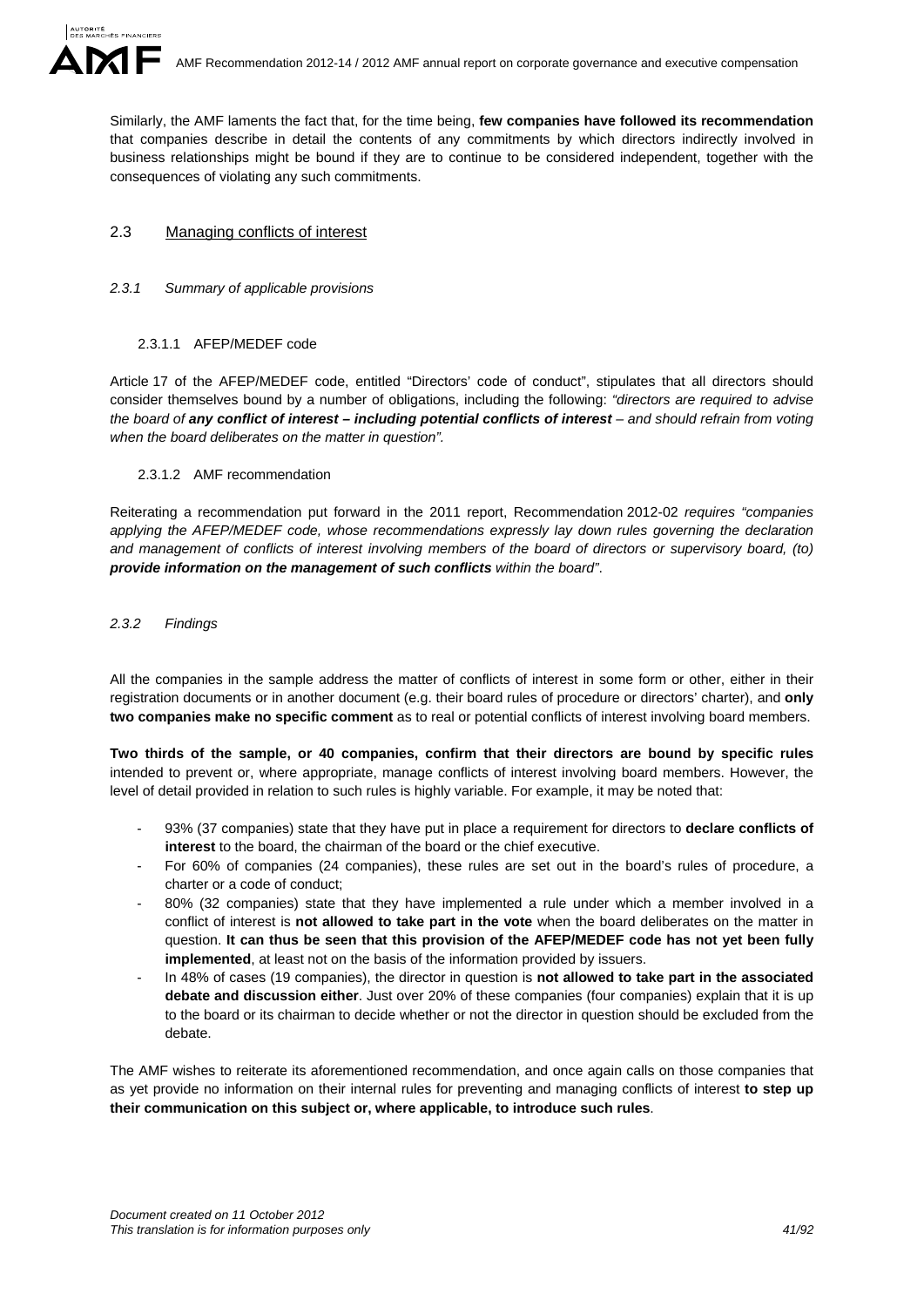Similarly, the AMF laments the fact that, for the time being, **few companies have followed its recommendation**  that companies describe in detail the contents of any commitments by which directors indirectly involved in business relationships might be bound if they are to continue to be considered independent, together with the consequences of violating any such commitments.

# 2.3 Managing conflicts of interest

# *2.3.1 Summary of applicable provisions*

# 2.3.1.1 AFEP/MEDEF code

Article 17 of the AFEP/MEDEF code, entitled "Directors' code of conduct", stipulates that all directors should consider themselves bound by a number of obligations, including the following: *"directors are required to advise the board of any conflict of interest – including potential conflicts of interest – and should refrain from voting when the board deliberates on the matter in question".* 

# 2.3.1.2 AMF recommendation

Reiterating a recommendation put forward in the 2011 report, Recommendation 2012-02 *requires "companies applying the AFEP/MEDEF code, whose recommendations expressly lay down rules governing the declaration and management of conflicts of interest involving members of the board of directors or supervisory board, (to) provide information on the management of such conflicts within the board"*.

# *2.3.2 Findings*

All the companies in the sample address the matter of conflicts of interest in some form or other, either in their registration documents or in another document (e.g. their board rules of procedure or directors' charter), and **only two companies make no specific comment** as to real or potential conflicts of interest involving board members.

**Two thirds of the sample, or 40 companies, confirm that their directors are bound by specific rules** intended to prevent or, where appropriate, manage conflicts of interest involving board members. However, the level of detail provided in relation to such rules is highly variable. For example, it may be noted that:

- 93% (37 companies) state that they have put in place a requirement for directors to **declare conflicts of interest** to the board, the chairman of the board or the chief executive.
- For 60% of companies (24 companies), these rules are set out in the board's rules of procedure, a charter or a code of conduct;
- 80% (32 companies) state that they have implemented a rule under which a member involved in a conflict of interest is **not allowed to take part in the vote** when the board deliberates on the matter in question. **It can thus be seen that this provision of the AFEP/MEDEF code has not yet been fully implemented**, at least not on the basis of the information provided by issuers.
- In 48% of cases (19 companies), the director in question is **not allowed to take part in the associated debate and discussion either**. Just over 20% of these companies (four companies) explain that it is up to the board or its chairman to decide whether or not the director in question should be excluded from the debate.

The AMF wishes to reiterate its aforementioned recommendation, and once again calls on those companies that as yet provide no information on their internal rules for preventing and managing conflicts of interest **to step up their communication on this subject or, where applicable, to introduce such rules**.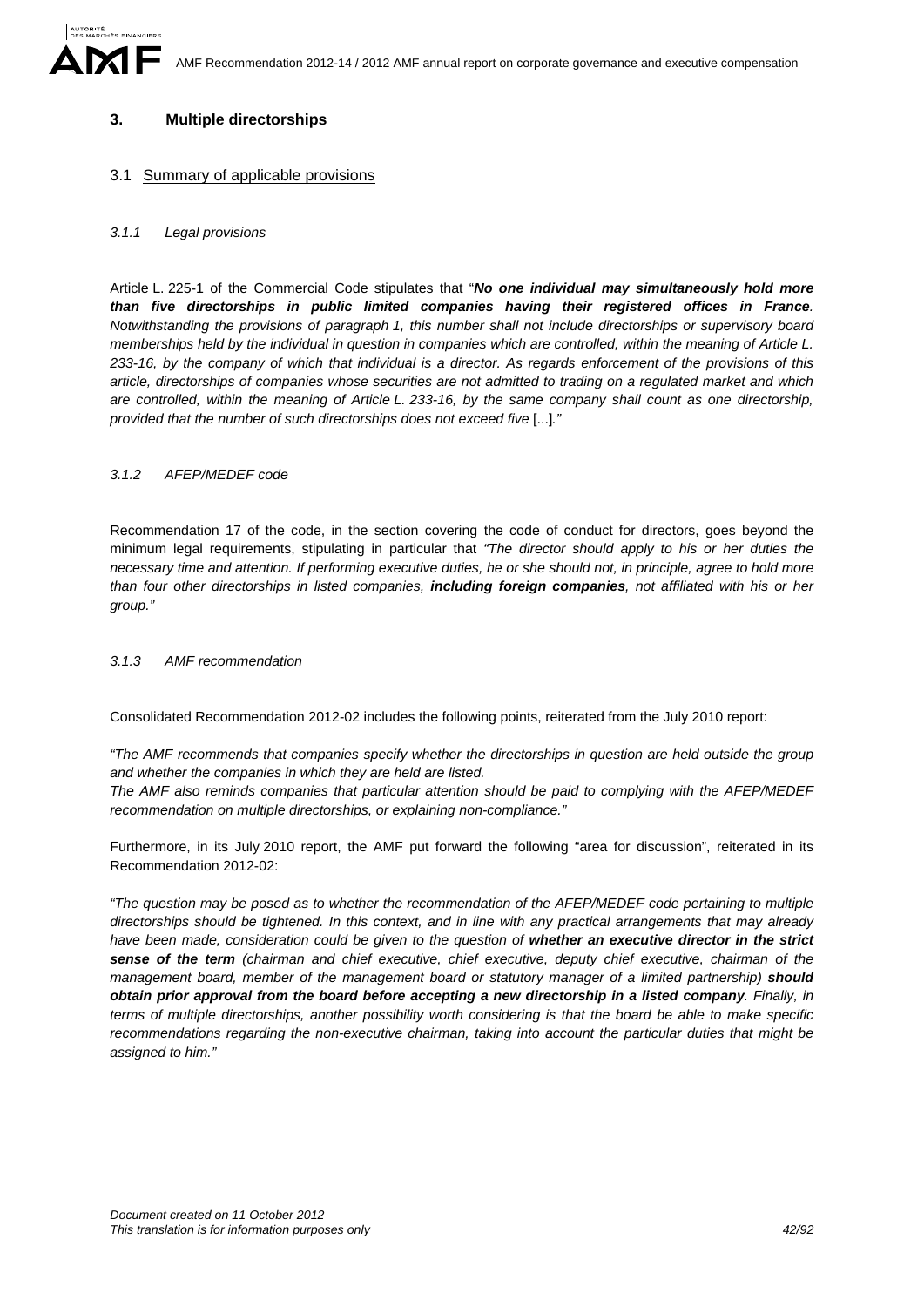# **3. Multiple directorships**

### 3.1 Summary of applicable provisions

#### *3.1.1 Legal provisions*

Article L. 225-1 of the Commercial Code stipulates that "*No one individual may simultaneously hold more than five directorships in public limited companies having their registered offices in France. Notwithstanding the provisions of paragraph 1, this number shall not include directorships or supervisory board memberships held by the individual in question in companies which are controlled, within the meaning of Article L. 233-16, by the company of which that individual is a director. As regards enforcement of the provisions of this article, directorships of companies whose securities are not admitted to trading on a regulated market and which are controlled, within the meaning of Article L. 233-16, by the same company shall count as one directorship, provided that the number of such directorships does not exceed five* [...]*."*

### *3.1.2 AFEP/MEDEF code*

Recommendation 17 of the code, in the section covering the code of conduct for directors, goes beyond the minimum legal requirements, stipulating in particular that *"The director should apply to his or her duties the necessary time and attention. If performing executive duties, he or she should not, in principle, agree to hold more than four other directorships in listed companies, including foreign companies, not affiliated with his or her group."* 

#### *3.1.3 AMF recommendation*

Consolidated Recommendation 2012-02 includes the following points, reiterated from the July 2010 report:

*"The AMF recommends that companies specify whether the directorships in question are held outside the group and whether the companies in which they are held are listed.* 

*The AMF also reminds companies that particular attention should be paid to complying with the AFEP/MEDEF recommendation on multiple directorships, or explaining non-compliance."* 

Furthermore, in its July 2010 report, the AMF put forward the following "area for discussion", reiterated in its Recommendation 2012-02:

*"The question may be posed as to whether the recommendation of the AFEP/MEDEF code pertaining to multiple directorships should be tightened. In this context, and in line with any practical arrangements that may already*  have been made, consideration could be given to the question of whether an executive director in the strict *sense of the term (chairman and chief executive, chief executive, deputy chief executive, chairman of the management board, member of the management board or statutory manager of a limited partnership) should obtain prior approval from the board before accepting a new directorship in a listed company. Finally, in terms of multiple directorships, another possibility worth considering is that the board be able to make specific recommendations regarding the non-executive chairman, taking into account the particular duties that might be assigned to him."*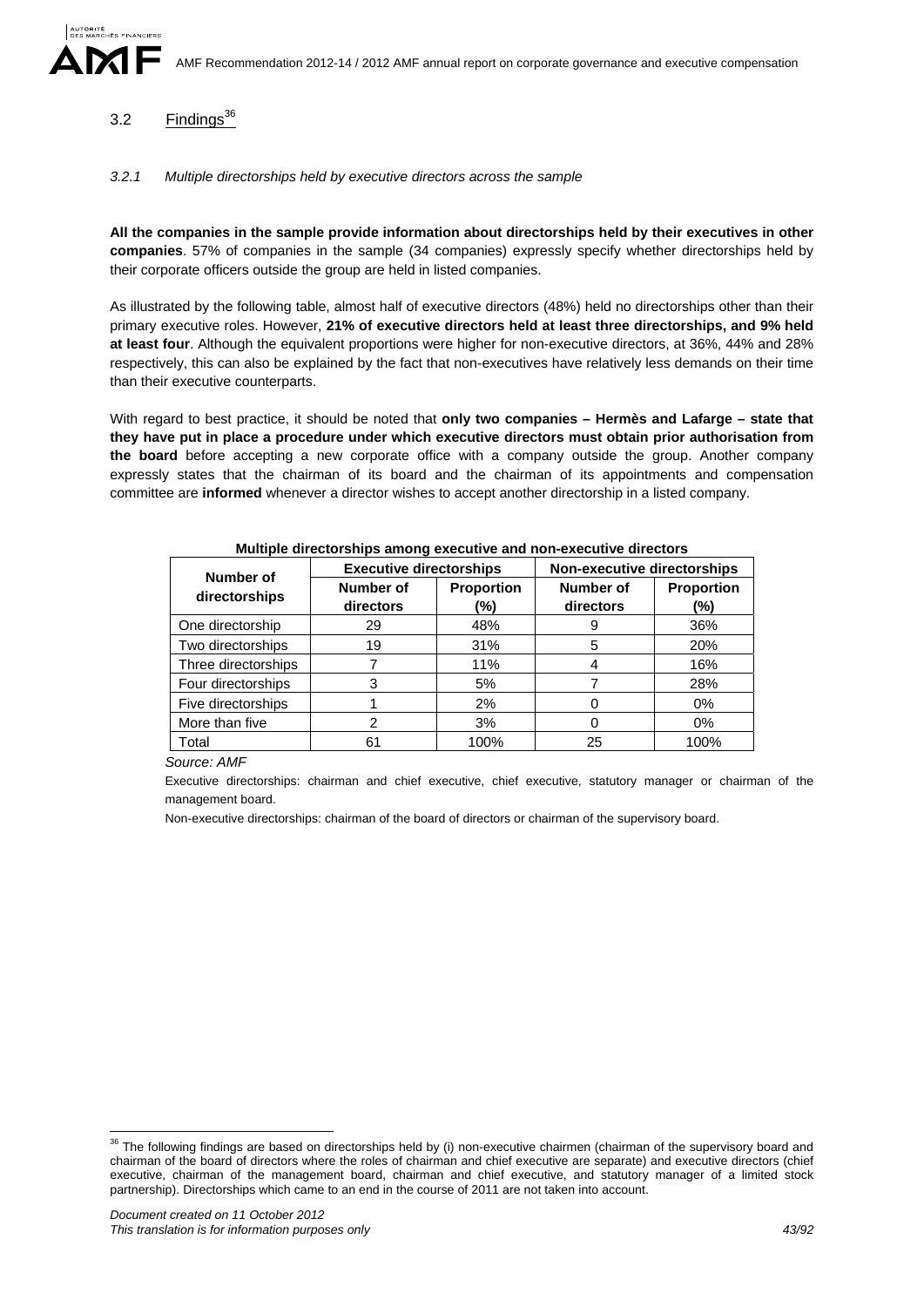# 3.2  $\overline{\text{Findings}}^{36}$

### *3.2.1 Multiple directorships held by executive directors across the sample*

**All the companies in the sample provide information about directorships held by their executives in other companies**. 57% of companies in the sample (34 companies) expressly specify whether directorships held by their corporate officers outside the group are held in listed companies.

As illustrated by the following table, almost half of executive directors (48%) held no directorships other than their primary executive roles. However, **21% of executive directors held at least three directorships, and 9% held at least four**. Although the equivalent proportions were higher for non-executive directors, at 36%, 44% and 28% respectively, this can also be explained by the fact that non-executives have relatively less demands on their time than their executive counterparts.

With regard to best practice, it should be noted that **only two companies – Hermès and Lafarge – state that they have put in place a procedure under which executive directors must obtain prior authorisation from the board** before accepting a new corporate office with a company outside the group. Another company expressly states that the chairman of its board and the chairman of its appointments and compensation committee are **informed** whenever a director wishes to accept another directorship in a listed company.

| Number of           | <b>Executive directorships</b> |                          | Non-executive directorships |                          |  |
|---------------------|--------------------------------|--------------------------|-----------------------------|--------------------------|--|
| directorships       | Number of<br>directors         | <b>Proportion</b><br>(%) | Number of<br>directors      | <b>Proportion</b><br>(%) |  |
| One directorship    | 29                             | 48%                      | 9                           | 36%                      |  |
| Two directorships   | 19                             | 31%                      | 5                           | 20%                      |  |
| Three directorships |                                | 11%                      | 4                           | 16%                      |  |
| Four directorships  | 3                              | 5%                       |                             | 28%                      |  |
| Five directorships  |                                | 2%                       | 0                           | $0\%$                    |  |
| More than five      | 2                              | 3%                       | 0                           | 0%                       |  |
| Total               | 61                             | 100%                     | 25                          | 100%                     |  |

# **Multiple directorships among executive and non-executive directors**

*Source: AMF* 

Executive directorships: chairman and chief executive, chief executive, statutory manager or chairman of the management board.

Non-executive directorships: chairman of the board of directors or chairman of the supervisory board.

1

 $36$  The following findings are based on directorships held by (i) non-executive chairmen (chairman of the supervisory board and chairman of the board of directors where the roles of chairman and chief executive are separate) and executive directors (chief executive, chairman of the management board, chairman and chief executive, and statutory manager of a limited stock partnership). Directorships which came to an end in the course of 2011 are not taken into account.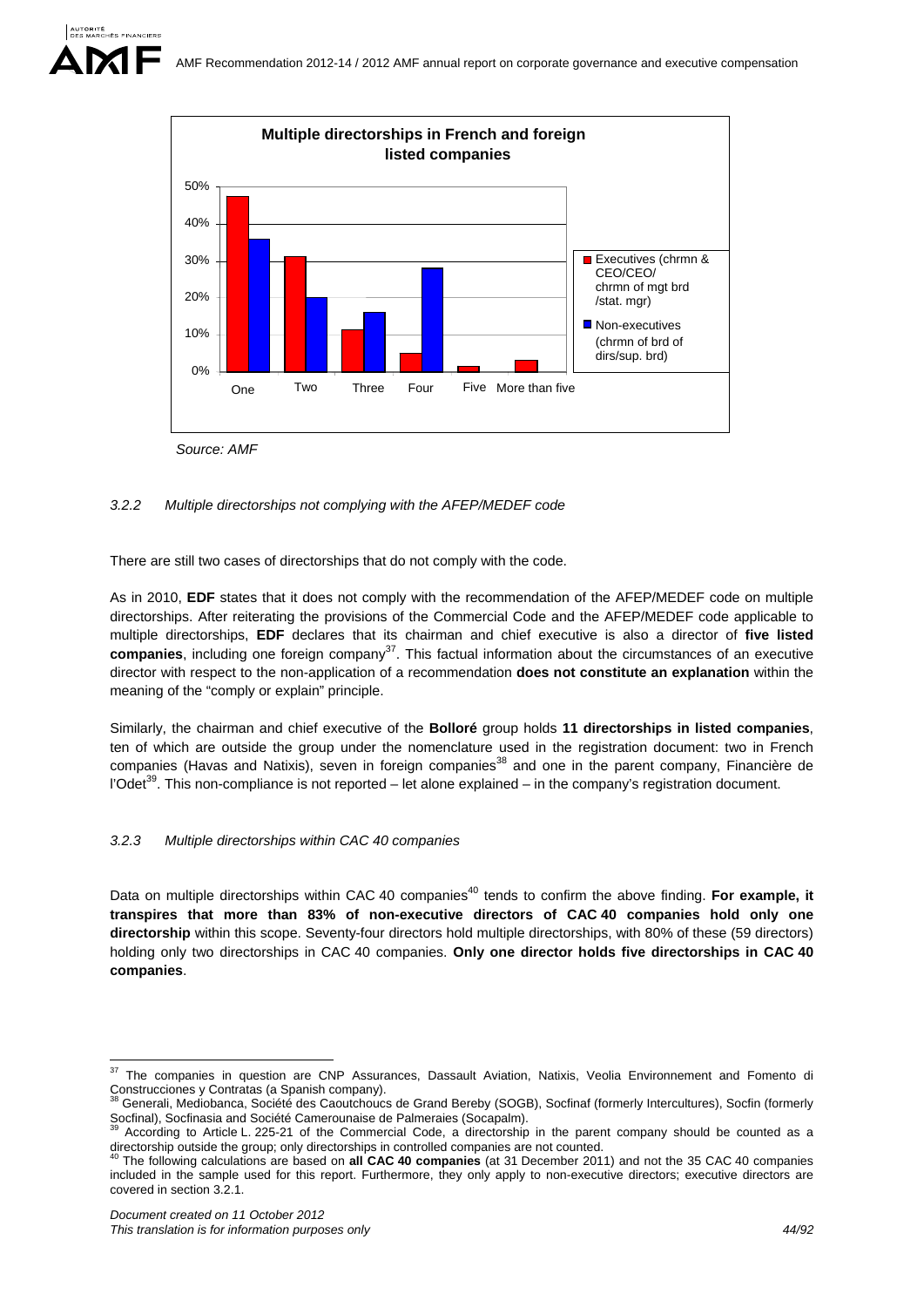

# *3.2.2 Multiple directorships not complying with the AFEP/MEDEF code*

There are still two cases of directorships that do not comply with the code.

As in 2010, **EDF** states that it does not comply with the recommendation of the AFEP/MEDEF code on multiple directorships. After reiterating the provisions of the Commercial Code and the AFEP/MEDEF code applicable to multiple directorships, **EDF** declares that its chairman and chief executive is also a director of **five listed companies**, including one foreign company<sup>37</sup>. This factual information about the circumstances of an executive director with respect to the non-application of a recommendation **does not constitute an explanation** within the meaning of the "comply or explain" principle.

Similarly, the chairman and chief executive of the **Bolloré** group holds **11 directorships in listed companies**, ten of which are outside the group under the nomenclature used in the registration document: two in French companies (Havas and Natixis), seven in foreign companies<sup>38</sup> and one in the parent company, Financière de l'Odet<sup>39</sup>. This non-compliance is not reported – let alone explained – in the company's registration document.

# *3.2.3 Multiple directorships within CAC 40 companies*

Data on multiple directorships within CAC 40 companies<sup>40</sup> tends to confirm the above finding. **For example, it transpires that more than 83% of non-executive directors of CAC 40 companies hold only one directorship** within this scope. Seventy-four directors hold multiple directorships, with 80% of these (59 directors) holding only two directorships in CAC 40 companies. **Only one director holds five directorships in CAC 40 companies**.

 $37$ 37 The companies in question are CNP Assurances, Dassault Aviation, Natixis, Veolia Environnement and Fomento di Construcciones y Contratas (a Spanish company).<br><sup>38</sup> Generali, Mediobanca, Société des Caoutchoucs de Grand Bereby (SOGB), Socfinaf (formerly Intercultures), Socfin (formerly

Socfinal), Socfinasia and Société Camerounaise de Palmeraies (Socapalm).<br><sup>39</sup> According to Article L. 225-21 of the Commercial Code, a directorship in the parent company should be counted as a<br>directorship outside the grou

The following calculations are based on **all CAC 40 companies** (at 31 December 2011) and not the 35 CAC 40 companies included in the sample used for this report. Furthermore, they only apply to non-executive directors; executive directors are covered in section 3.2.1.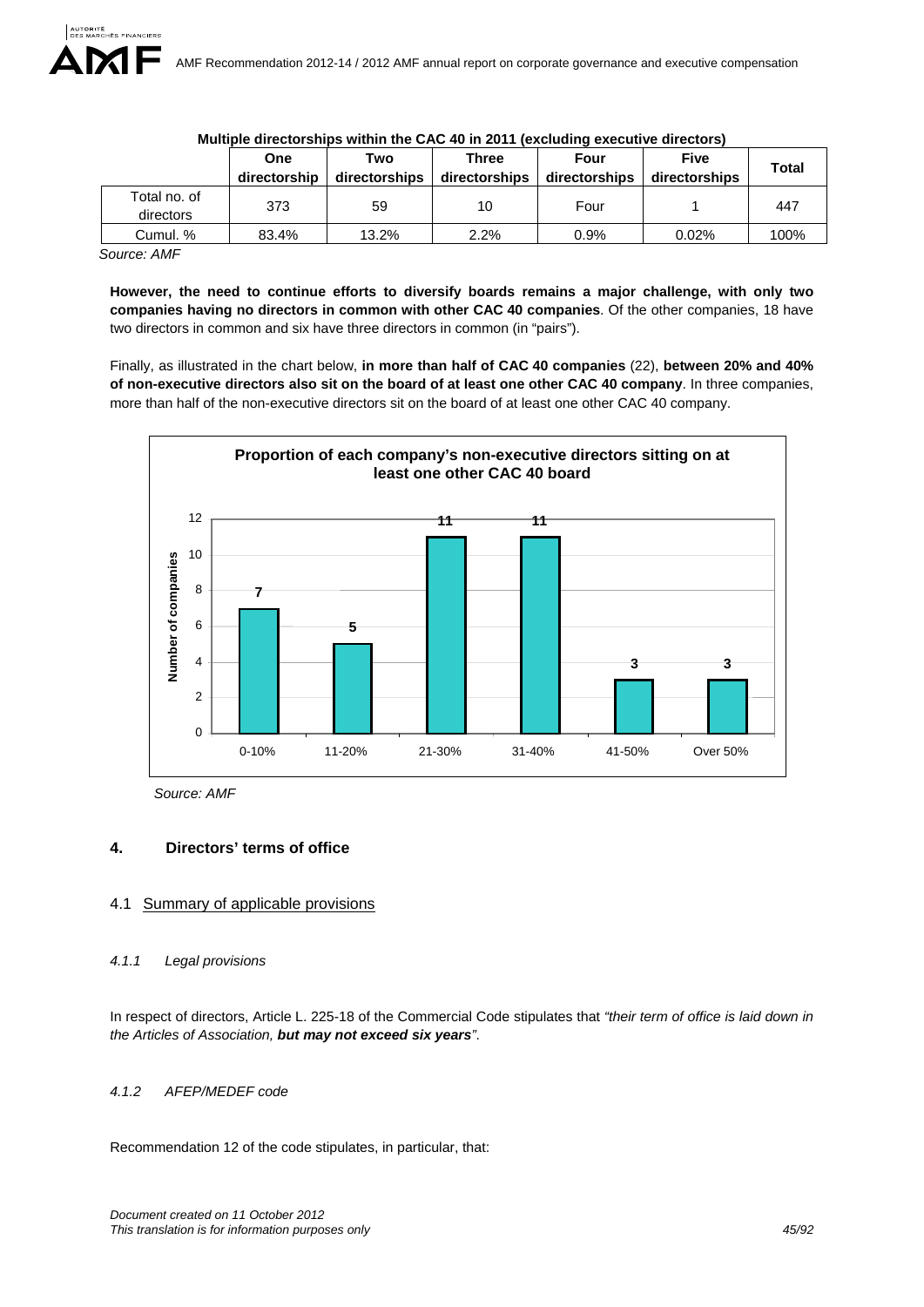|                           | <b>One</b><br>directorship | Two<br>directorships | Three<br>directorships | Four<br>directorships | <b>Five</b><br>directorships | <b>Total</b> |
|---------------------------|----------------------------|----------------------|------------------------|-----------------------|------------------------------|--------------|
| Total no. of<br>directors | 373                        | 59                   | 10                     | Four                  |                              | 447          |
| Cumul. %                  | 83.4%                      | 13.2%                | 2.2%                   | 0.9%                  | $0.02\%$                     | 100%         |

### **Multiple directorships within the CAC 40 in 2011 (excluding executive directors)**

*Source: AMF* 

**However, the need to continue efforts to diversify boards remains a major challenge, with only two companies having no directors in common with other CAC 40 companies**. Of the other companies, 18 have two directors in common and six have three directors in common (in "pairs").

Finally, as illustrated in the chart below, **in more than half of CAC 40 companies** (22), **between 20% and 40% of non-executive directors also sit on the board of at least one other CAC 40 company**. In three companies, more than half of the non-executive directors sit on the board of at least one other CAC 40 company.



*Source: AMF* 

# **4. Directors' terms of office**

# 4.1 Summary of applicable provisions

# *4.1.1 Legal provisions*

In respect of directors, Article L. 225-18 of the Commercial Code stipulates that *"their term of office is laid down in the Articles of Association, but may not exceed six years"*.

# *4.1.2 AFEP/MEDEF code*

Recommendation 12 of the code stipulates, in particular, that: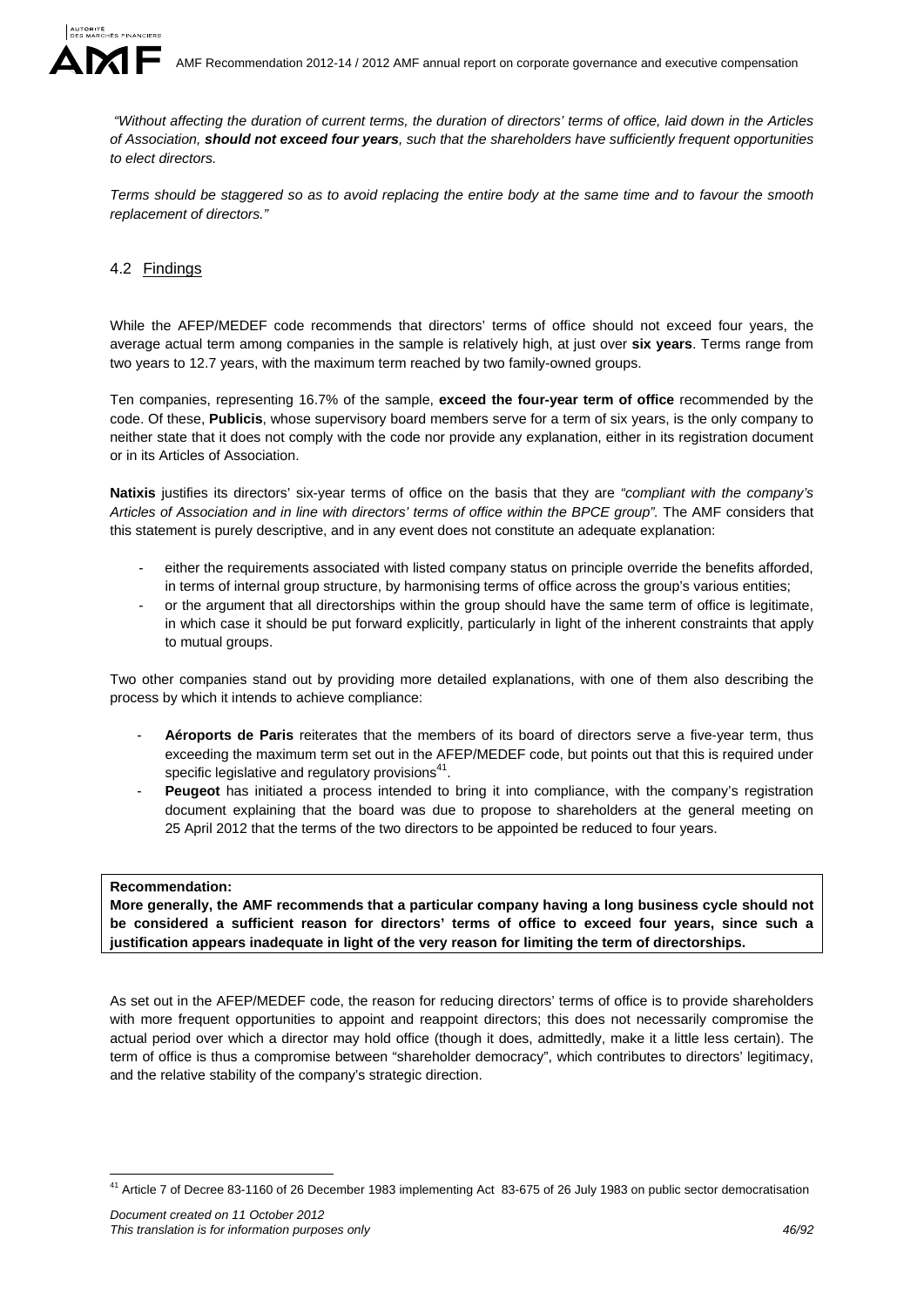

 *"Without affecting the duration of current terms, the duration of directors' terms of office, laid down in the Articles of Association, should not exceed four years, such that the shareholders have sufficiently frequent opportunities to elect directors.* 

*Terms should be staggered so as to avoid replacing the entire body at the same time and to favour the smooth replacement of directors."* 

# 4.2 Findings

While the AFEP/MEDEF code recommends that directors' terms of office should not exceed four years, the average actual term among companies in the sample is relatively high, at just over **six years**. Terms range from two years to 12.7 years, with the maximum term reached by two family-owned groups.

Ten companies, representing 16.7% of the sample, **exceed the four-year term of office** recommended by the code. Of these, **Publicis**, whose supervisory board members serve for a term of six years, is the only company to neither state that it does not comply with the code nor provide any explanation, either in its registration document or in its Articles of Association.

**Natixis** justifies its directors' six-year terms of office on the basis that they are *"compliant with the company's*  Articles of Association and in line with directors' terms of office within the BPCE group". The AMF considers that this statement is purely descriptive, and in any event does not constitute an adequate explanation:

- either the requirements associated with listed company status on principle override the benefits afforded, in terms of internal group structure, by harmonising terms of office across the group's various entities;
- or the argument that all directorships within the group should have the same term of office is legitimate, in which case it should be put forward explicitly, particularly in light of the inherent constraints that apply to mutual groups.

Two other companies stand out by providing more detailed explanations, with one of them also describing the process by which it intends to achieve compliance:

- Aéroports de Paris reiterates that the members of its board of directors serve a five-year term, thus exceeding the maximum term set out in the AFEP/MEDEF code, but points out that this is required under specific legislative and regulatory provisions<sup>41</sup>.
- **Peugeot** has initiated a process intended to bring it into compliance, with the company's registration document explaining that the board was due to propose to shareholders at the general meeting on 25 April 2012 that the terms of the two directors to be appointed be reduced to four years.

#### **Recommendation:**

<u>.</u>

**More generally, the AMF recommends that a particular company having a long business cycle should not be considered a sufficient reason for directors' terms of office to exceed four years, since such a justification appears inadequate in light of the very reason for limiting the term of directorships.** 

As set out in the AFEP/MEDEF code, the reason for reducing directors' terms of office is to provide shareholders with more frequent opportunities to appoint and reappoint directors; this does not necessarily compromise the actual period over which a director may hold office (though it does, admittedly, make it a little less certain). The term of office is thus a compromise between "shareholder democracy", which contributes to directors' legitimacy, and the relative stability of the company's strategic direction.

<sup>&</sup>lt;sup>41</sup> Article 7 of Decree 83-1160 of 26 December 1983 implementing Act 83-675 of 26 July 1983 on public sector democratisation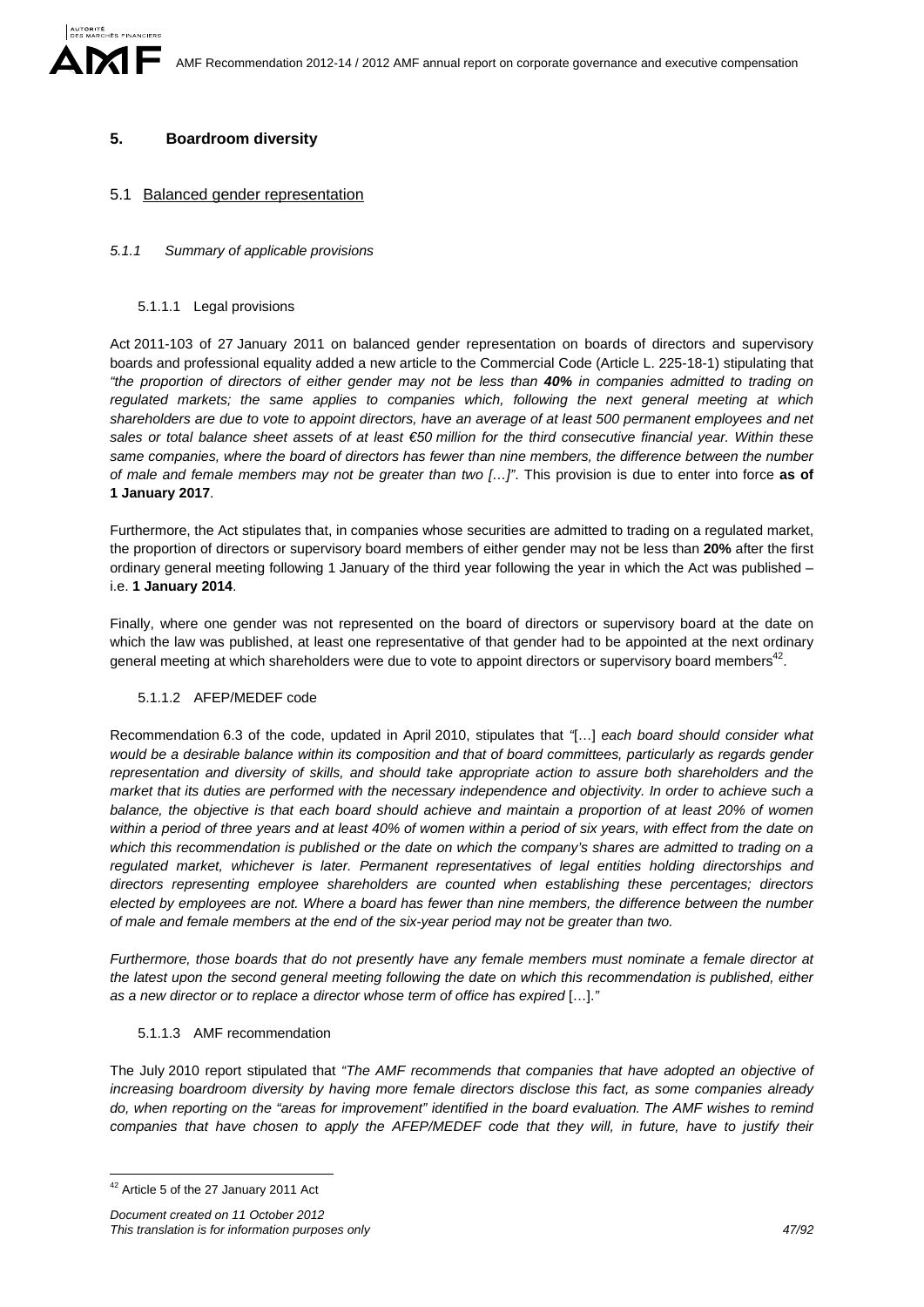# **5. Boardroom diversity**

# 5.1 Balanced gender representation

# *5.1.1 Summary of applicable provisions*

### 5.1.1.1 Legal provisions

Act 2011-103 of 27 January 2011 on balanced gender representation on boards of directors and supervisory boards and professional equality added a new article to the Commercial Code (Article L. 225-18-1) stipulating that *"the proportion of directors of either gender may not be less than 40% in companies admitted to trading on regulated markets; the same applies to companies which, following the next general meeting at which shareholders are due to vote to appoint directors, have an average of at least 500 permanent employees and net sales or total balance sheet assets of at least €50 million for the third consecutive financial year. Within these same companies, where the board of directors has fewer than nine members, the difference between the number of male and female members may not be greater than two […]"*. This provision is due to enter into force **as of 1 January 2017**.

Furthermore, the Act stipulates that, in companies whose securities are admitted to trading on a regulated market, the proportion of directors or supervisory board members of either gender may not be less than **20%** after the first ordinary general meeting following 1 January of the third year following the year in which the Act was published – i.e. **1 January 2014**.

Finally, where one gender was not represented on the board of directors or supervisory board at the date on which the law was published, at least one representative of that gender had to be appointed at the next ordinary general meeting at which shareholders were due to vote to appoint directors or supervisory board members<sup>42</sup>.

# 5.1.1.2 AFEP/MEDEF code

Recommendation 6.3 of the code, updated in April 2010, stipulates that *"*[…] *each board should consider what would be a desirable balance within its composition and that of board committees, particularly as regards gender representation and diversity of skills, and should take appropriate action to assure both shareholders and the market that its duties are performed with the necessary independence and objectivity. In order to achieve such a balance, the objective is that each board should achieve and maintain a proportion of at least 20% of women within a period of three years and at least 40% of women within a period of six years, with effect from the date on*  which this recommendation is published or the date on which the company's shares are admitted to trading on a *regulated market, whichever is later. Permanent representatives of legal entities holding directorships and directors representing employee shareholders are counted when establishing these percentages; directors elected by employees are not. Where a board has fewer than nine members, the difference between the number of male and female members at the end of the six-year period may not be greater than two.* 

*Furthermore, those boards that do not presently have any female members must nominate a female director at the latest upon the second general meeting following the date on which this recommendation is published, either as a new director or to replace a director whose term of office has expired* […].*"*

# 5.1.1.3 AMF recommendation

The July 2010 report stipulated that *"The AMF recommends that companies that have adopted an objective of increasing boardroom diversity by having more female directors disclose this fact, as some companies already do, when reporting on the "areas for improvement" identified in the board evaluation. The AMF wishes to remind companies that have chosen to apply the AFEP/MEDEF code that they will, in future, have to justify their* 

<u>.</u>

<sup>42</sup> Article 5 of the 27 January 2011 Act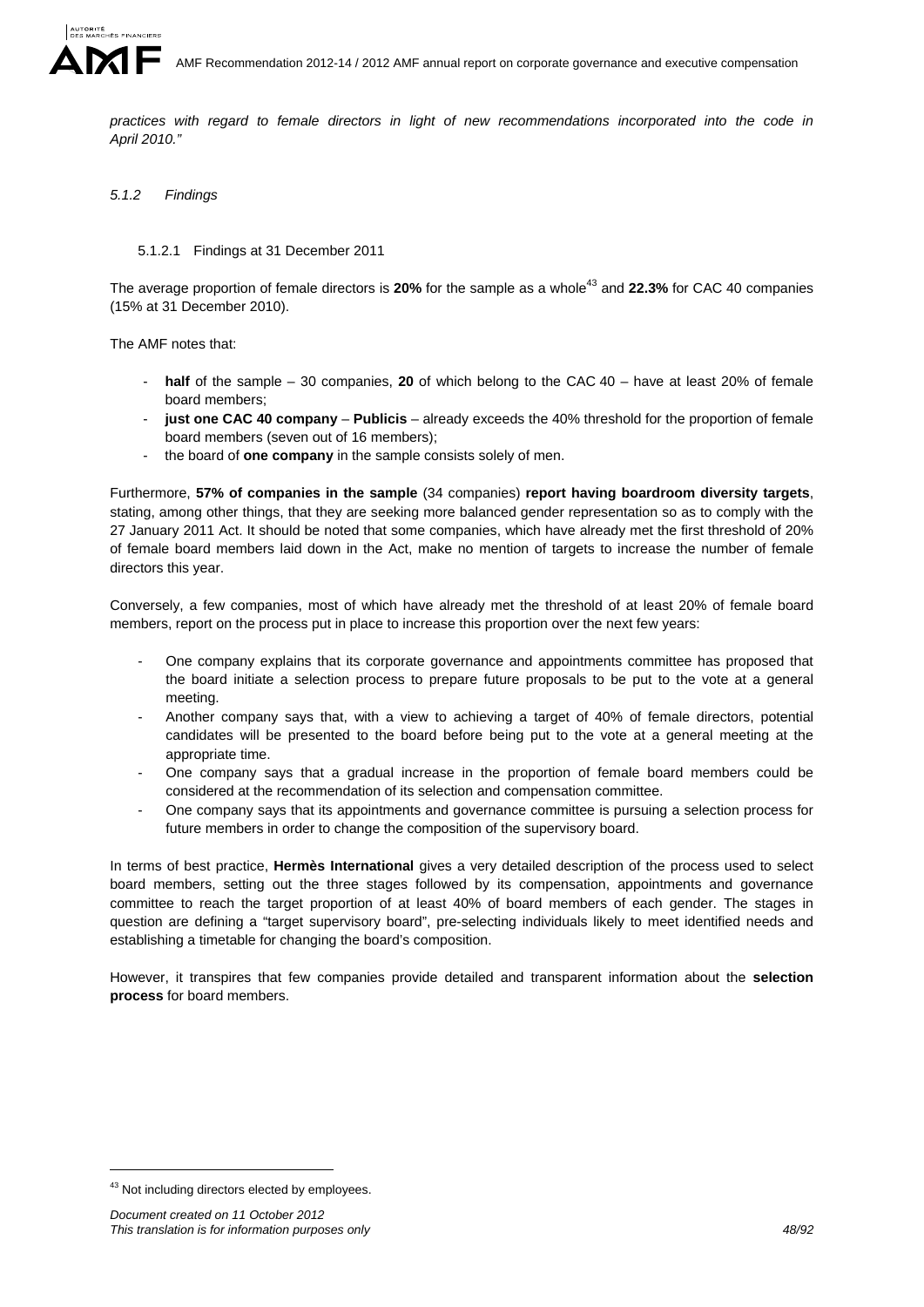

AMF Recommendation 2012-14 / 2012 AMF annual report on corporate governance and executive compensation

*practices with regard to female directors in light of new recommendations incorporated into the code in April 2010."*

### *5.1.2 Findings*

#### 5.1.2.1 Findings at 31 December 2011

The average proportion of female directors is 20% for the sample as a whole<sup>43</sup> and 22.3% for CAC 40 companies (15% at 31 December 2010).

The AMF notes that:

- **half** of the sample 30 companies, **20** of which belong to the CAC 40 have at least 20% of female board members;
- **just one CAC 40 company Publicis** already exceeds the 40% threshold for the proportion of female board members (seven out of 16 members);
- the board of **one company** in the sample consists solely of men.

Furthermore, **57% of companies in the sample** (34 companies) **report having boardroom diversity targets**, stating, among other things, that they are seeking more balanced gender representation so as to comply with the 27 January 2011 Act. It should be noted that some companies, which have already met the first threshold of 20% of female board members laid down in the Act, make no mention of targets to increase the number of female directors this year.

Conversely, a few companies, most of which have already met the threshold of at least 20% of female board members, report on the process put in place to increase this proportion over the next few years:

- One company explains that its corporate governance and appointments committee has proposed that the board initiate a selection process to prepare future proposals to be put to the vote at a general meeting.
- Another company says that, with a view to achieving a target of 40% of female directors, potential candidates will be presented to the board before being put to the vote at a general meeting at the appropriate time.
- One company says that a gradual increase in the proportion of female board members could be considered at the recommendation of its selection and compensation committee.
- One company says that its appointments and governance committee is pursuing a selection process for future members in order to change the composition of the supervisory board.

In terms of best practice, **Hermès International** gives a very detailed description of the process used to select board members, setting out the three stages followed by its compensation, appointments and governance committee to reach the target proportion of at least 40% of board members of each gender. The stages in question are defining a "target supervisory board", pre-selecting individuals likely to meet identified needs and establishing a timetable for changing the board's composition.

However, it transpires that few companies provide detailed and transparent information about the **selection process** for board members.

1

<sup>43</sup> Not including directors elected by employees.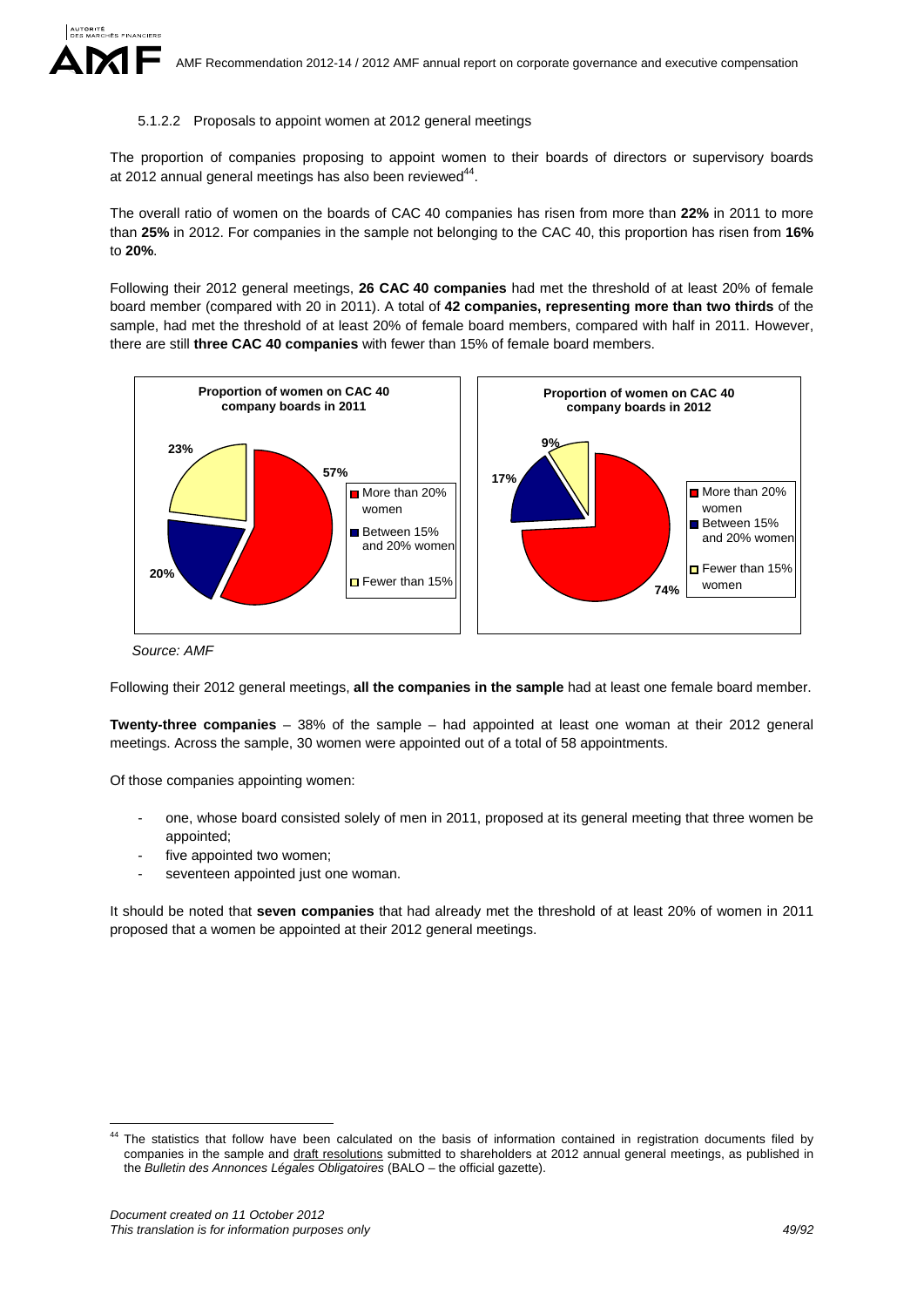#### 5.1.2.2 Proposals to appoint women at 2012 general meetings

The proportion of companies proposing to appoint women to their boards of directors or supervisory boards at 2012 annual general meetings has also been reviewed $44$ .

The overall ratio of women on the boards of CAC 40 companies has risen from more than **22%** in 2011 to more than **25%** in 2012. For companies in the sample not belonging to the CAC 40, this proportion has risen from **16%** to **20%**.

Following their 2012 general meetings, **26 CAC 40 companies** had met the threshold of at least 20% of female board member (compared with 20 in 2011). A total of **42 companies, representing more than two thirds** of the sample, had met the threshold of at least 20% of female board members, compared with half in 2011. However, there are still **three CAC 40 companies** with fewer than 15% of female board members.



*Source: AMF* 

Following their 2012 general meetings, **all the companies in the sample** had at least one female board member.

**Twenty-three companies** – 38% of the sample – had appointed at least one woman at their 2012 general meetings. Across the sample, 30 women were appointed out of a total of 58 appointments.

Of those companies appointing women:

- one, whose board consisted solely of men in 2011, proposed at its general meeting that three women be appointed;
- five appointed two women;
- seventeen appointed just one woman.

It should be noted that **seven companies** that had already met the threshold of at least 20% of women in 2011 proposed that a women be appointed at their 2012 general meetings.

<u>.</u>

<sup>&</sup>lt;sup>44</sup> The statistics that follow have been calculated on the basis of information contained in registration documents filed by companies in the sample and draft resolutions submitted to shareholders at 2012 annual general meetings, as published in the *Bulletin des Annonces Légales Obligatoires* (BALO – the official gazette).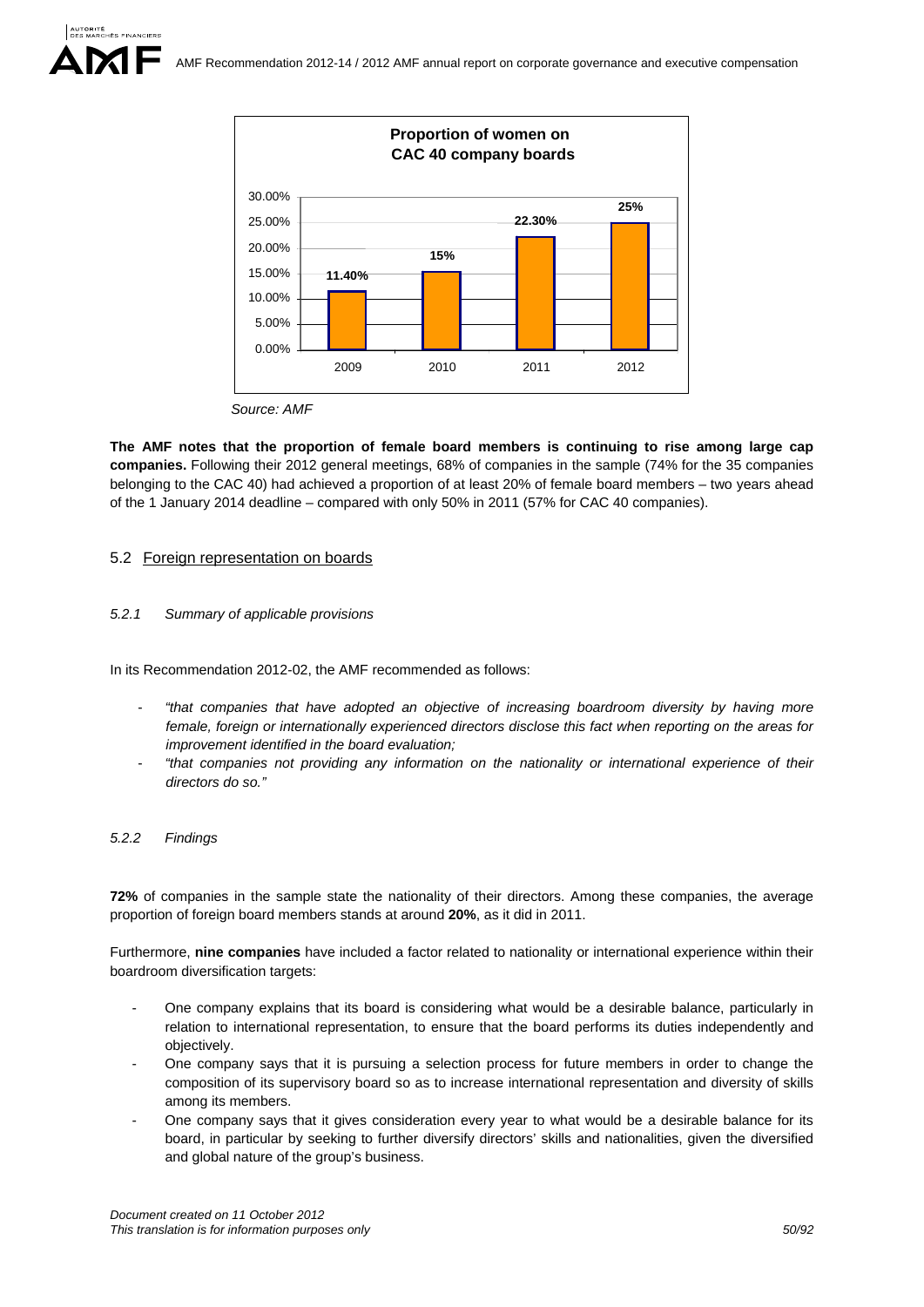

**The AMF notes that the proportion of female board members is continuing to rise among large cap companies.** Following their 2012 general meetings, 68% of companies in the sample (74% for the 35 companies belonging to the CAC 40) had achieved a proportion of at least 20% of female board members – two years ahead of the 1 January 2014 deadline – compared with only 50% in 2011 (57% for CAC 40 companies).

### 5.2 Foreign representation on boards

### *5.2.1 Summary of applicable provisions*

In its Recommendation 2012-02, the AMF recommended as follows:

- *"that companies that have adopted an objective of increasing boardroom diversity by having more female, foreign or internationally experienced directors disclose this fact when reporting on the areas for improvement identified in the board evaluation;*
- *"that companies not providing any information on the nationality or international experience of their directors do so."*

#### *5.2.2 Findings*

**72%** of companies in the sample state the nationality of their directors. Among these companies, the average proportion of foreign board members stands at around **20%**, as it did in 2011.

Furthermore, **nine companies** have included a factor related to nationality or international experience within their boardroom diversification targets:

- One company explains that its board is considering what would be a desirable balance, particularly in relation to international representation, to ensure that the board performs its duties independently and objectively.
- One company says that it is pursuing a selection process for future members in order to change the composition of its supervisory board so as to increase international representation and diversity of skills among its members.
- One company says that it gives consideration every year to what would be a desirable balance for its board, in particular by seeking to further diversify directors' skills and nationalities, given the diversified and global nature of the group's business.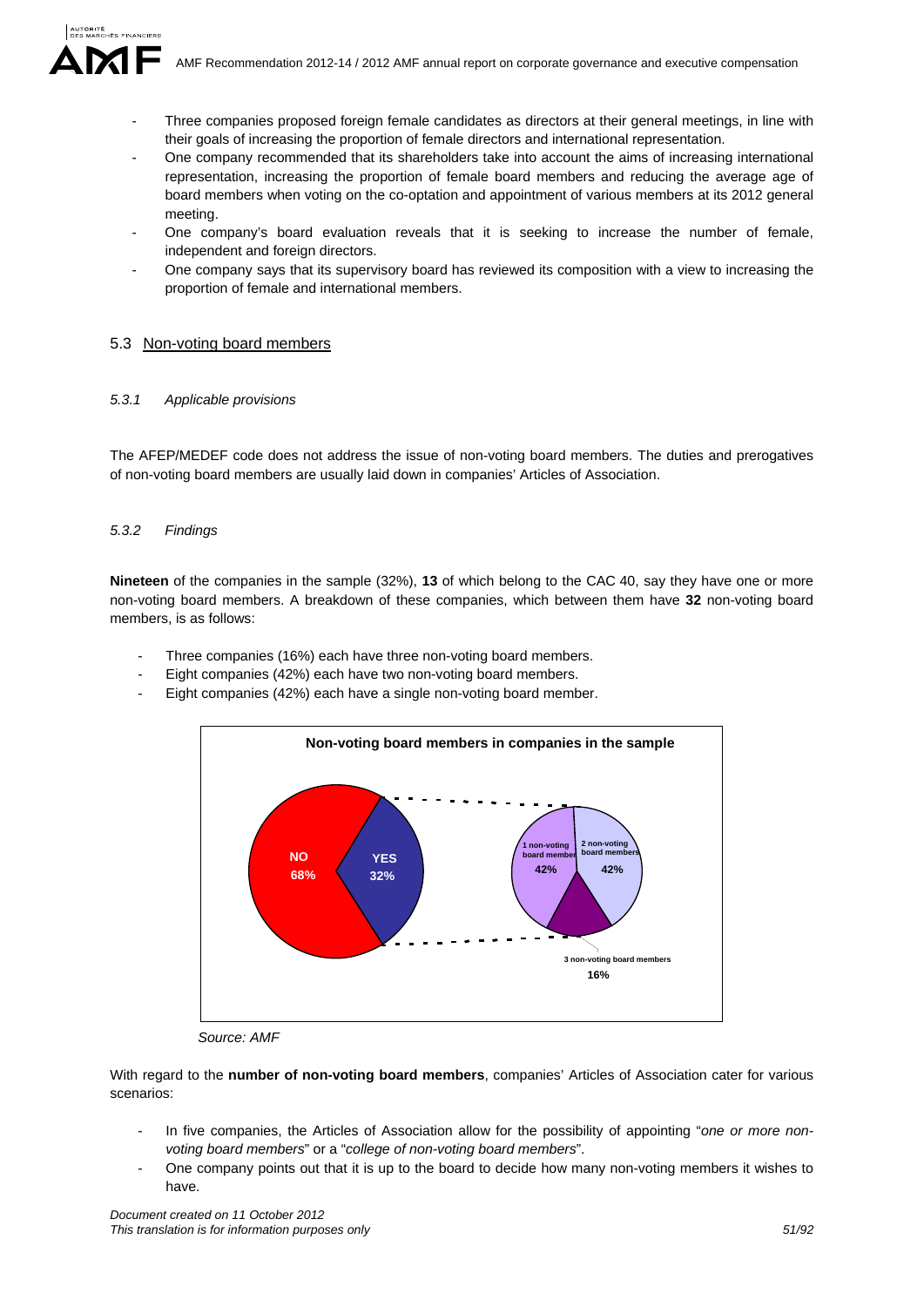

- Three companies proposed foreign female candidates as directors at their general meetings, in line with their goals of increasing the proportion of female directors and international representation.
- One company recommended that its shareholders take into account the aims of increasing international representation, increasing the proportion of female board members and reducing the average age of board members when voting on the co-optation and appointment of various members at its 2012 general meeting.
- One company's board evaluation reveals that it is seeking to increase the number of female, independent and foreign directors.
- One company says that its supervisory board has reviewed its composition with a view to increasing the proportion of female and international members.

### 5.3 Non-voting board members

#### *5.3.1 Applicable provisions*

The AFEP/MEDEF code does not address the issue of non-voting board members. The duties and prerogatives of non-voting board members are usually laid down in companies' Articles of Association.

### *5.3.2 Findings*

**Nineteen** of the companies in the sample (32%), **13** of which belong to the CAC 40, say they have one or more non-voting board members. A breakdown of these companies, which between them have **32** non-voting board members, is as follows:

- Three companies (16%) each have three non-voting board members.
- Eight companies (42%) each have two non-voting board members.
- Eight companies (42%) each have a single non-voting board member.



*Source: AMF* 

With regard to the **number of non-voting board members**, companies' Articles of Association cater for various scenarios:

- In five companies, the Articles of Association allow for the possibility of appointing "*one or more nonvoting board members*" or a "*college of non-voting board members*".
- One company points out that it is up to the board to decide how many non-voting members it wishes to have.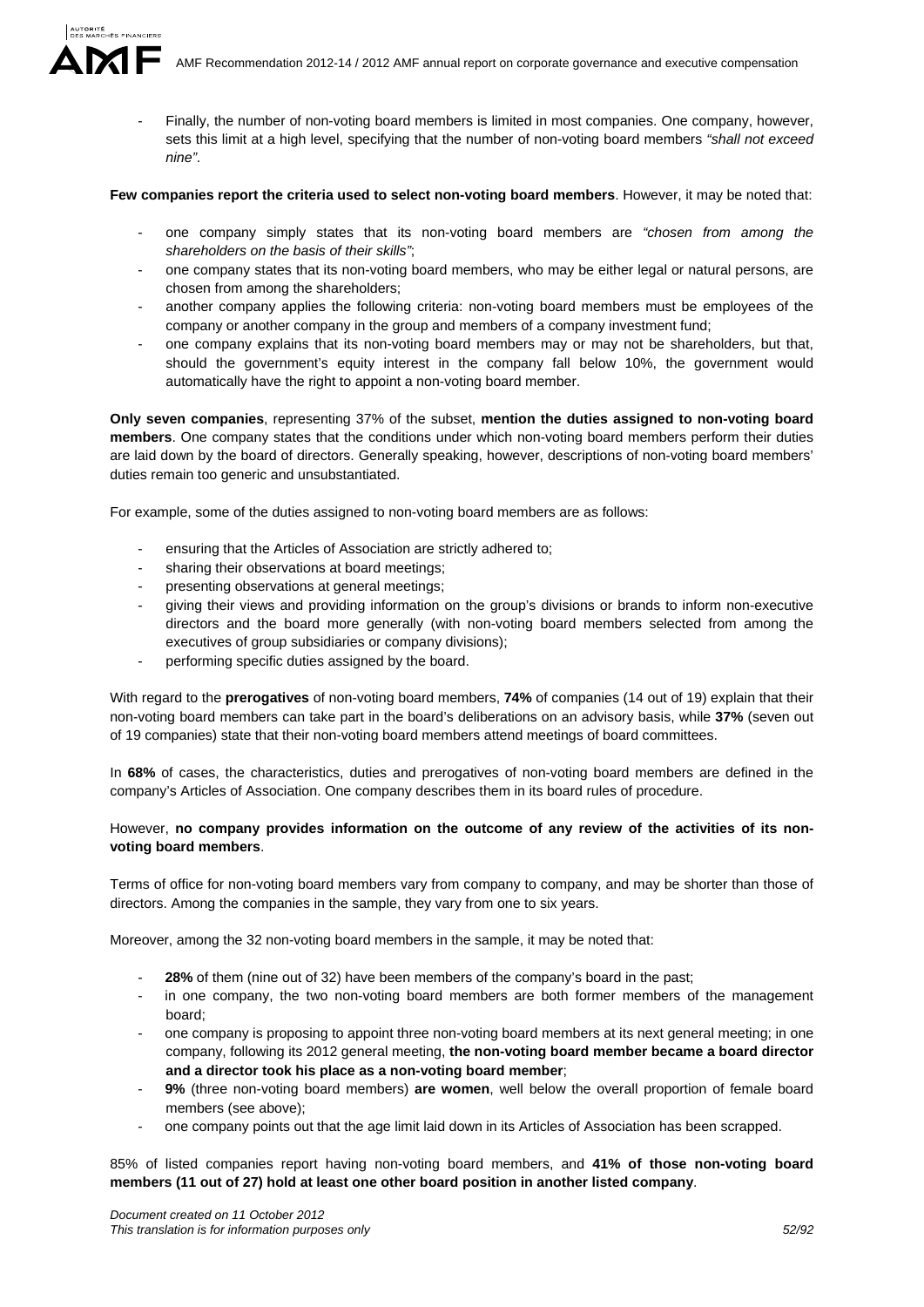AMF Recommendation 2012-14 / 2012 AMF annual report on corporate governance and executive compensation

Finally, the number of non-voting board members is limited in most companies. One company, however, sets this limit at a high level, specifying that the number of non-voting board members *"shall not exceed nine"*.

**Few companies report the criteria used to select non-voting board members**. However, it may be noted that:

- one company simply states that its non-voting board members are *"chosen from among the shareholders on the basis of their skills"*;
- one company states that its non-voting board members, who may be either legal or natural persons, are chosen from among the shareholders;
- another company applies the following criteria: non-voting board members must be employees of the company or another company in the group and members of a company investment fund;
- one company explains that its non-voting board members may or may not be shareholders, but that, should the government's equity interest in the company fall below 10%, the government would automatically have the right to appoint a non-voting board member.

**Only seven companies**, representing 37% of the subset, **mention the duties assigned to non-voting board members**. One company states that the conditions under which non-voting board members perform their duties are laid down by the board of directors. Generally speaking, however, descriptions of non-voting board members' duties remain too generic and unsubstantiated.

For example, some of the duties assigned to non-voting board members are as follows:

- ensuring that the Articles of Association are strictly adhered to;
- sharing their observations at board meetings;
- presenting observations at general meetings;
- giving their views and providing information on the group's divisions or brands to inform non-executive directors and the board more generally (with non-voting board members selected from among the executives of group subsidiaries or company divisions);
- performing specific duties assigned by the board.

With regard to the **prerogatives** of non-voting board members, **74%** of companies (14 out of 19) explain that their non-voting board members can take part in the board's deliberations on an advisory basis, while **37%** (seven out of 19 companies) state that their non-voting board members attend meetings of board committees.

In **68%** of cases, the characteristics, duties and prerogatives of non-voting board members are defined in the company's Articles of Association. One company describes them in its board rules of procedure.

# However, **no company provides information on the outcome of any review of the activities of its nonvoting board members**.

Terms of office for non-voting board members vary from company to company, and may be shorter than those of directors. Among the companies in the sample, they vary from one to six years.

Moreover, among the 32 non-voting board members in the sample, it may be noted that:

- **28%** of them (nine out of 32) have been members of the company's board in the past;
- in one company, the two non-voting board members are both former members of the management board;
- one company is proposing to appoint three non-voting board members at its next general meeting; in one company, following its 2012 general meeting, **the non-voting board member became a board director and a director took his place as a non-voting board member**;
- **9%** (three non-voting board members) **are women**, well below the overall proportion of female board members (see above);
- one company points out that the age limit laid down in its Articles of Association has been scrapped.

85% of listed companies report having non-voting board members, and **41% of those non-voting board members (11 out of 27) hold at least one other board position in another listed company**.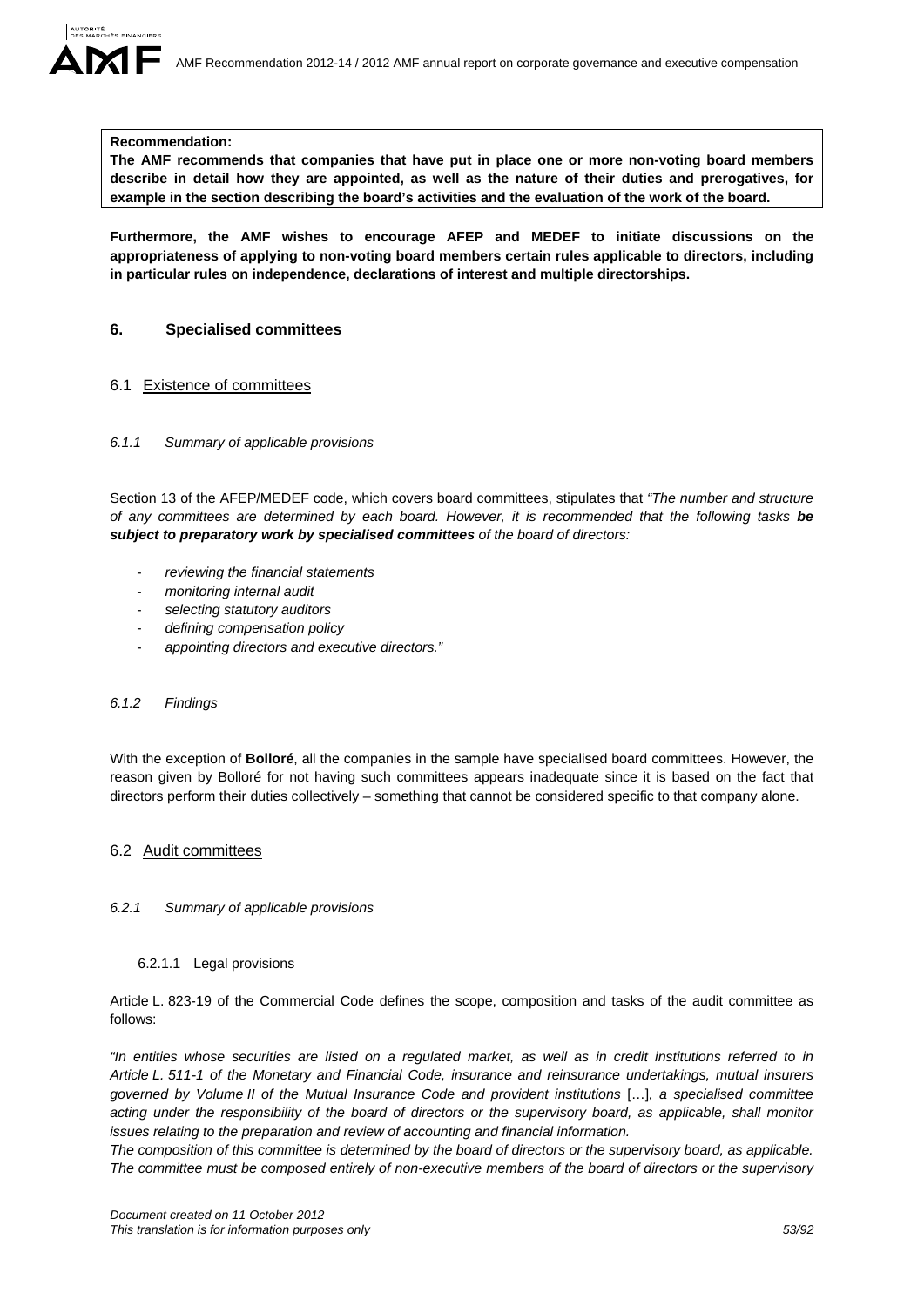

#### **Recommendation:**

**The AMF recommends that companies that have put in place one or more non-voting board members describe in detail how they are appointed, as well as the nature of their duties and prerogatives, for example in the section describing the board's activities and the evaluation of the work of the board.** 

**Furthermore, the AMF wishes to encourage AFEP and MEDEF to initiate discussions on the appropriateness of applying to non-voting board members certain rules applicable to directors, including in particular rules on independence, declarations of interest and multiple directorships.** 

### **6. Specialised committees**

#### 6.1 Existence of committees

#### *6.1.1 Summary of applicable provisions*

Section 13 of the AFEP/MEDEF code, which covers board committees, stipulates that *"The number and structure of any committees are determined by each board. However, it is recommended that the following tasks be subject to preparatory work by specialised committees of the board of directors:* 

- *reviewing the financial statements*
- *monitoring internal audit*
- *selecting statutory auditors*
- *defining compensation policy*
- *appointing directors and executive directors."*

### *6.1.2 Findings*

With the exception of **Bolloré**, all the companies in the sample have specialised board committees. However, the reason given by Bolloré for not having such committees appears inadequate since it is based on the fact that directors perform their duties collectively – something that cannot be considered specific to that company alone.

#### 6.2 Audit committees

#### *6.2.1 Summary of applicable provisions*

#### 6.2.1.1 Legal provisions

Article L. 823-19 of the Commercial Code defines the scope, composition and tasks of the audit committee as follows:

*"In entities whose securities are listed on a regulated market, as well as in credit institutions referred to in Article L. 511-1 of the Monetary and Financial Code, insurance and reinsurance undertakings, mutual insurers governed by Volume II of the Mutual Insurance Code and provident institutions* […]*, a specialised committee acting under the responsibility of the board of directors or the supervisory board, as applicable, shall monitor issues relating to the preparation and review of accounting and financial information.* 

*The composition of this committee is determined by the board of directors or the supervisory board, as applicable. The committee must be composed entirely of non-executive members of the board of directors or the supervisory*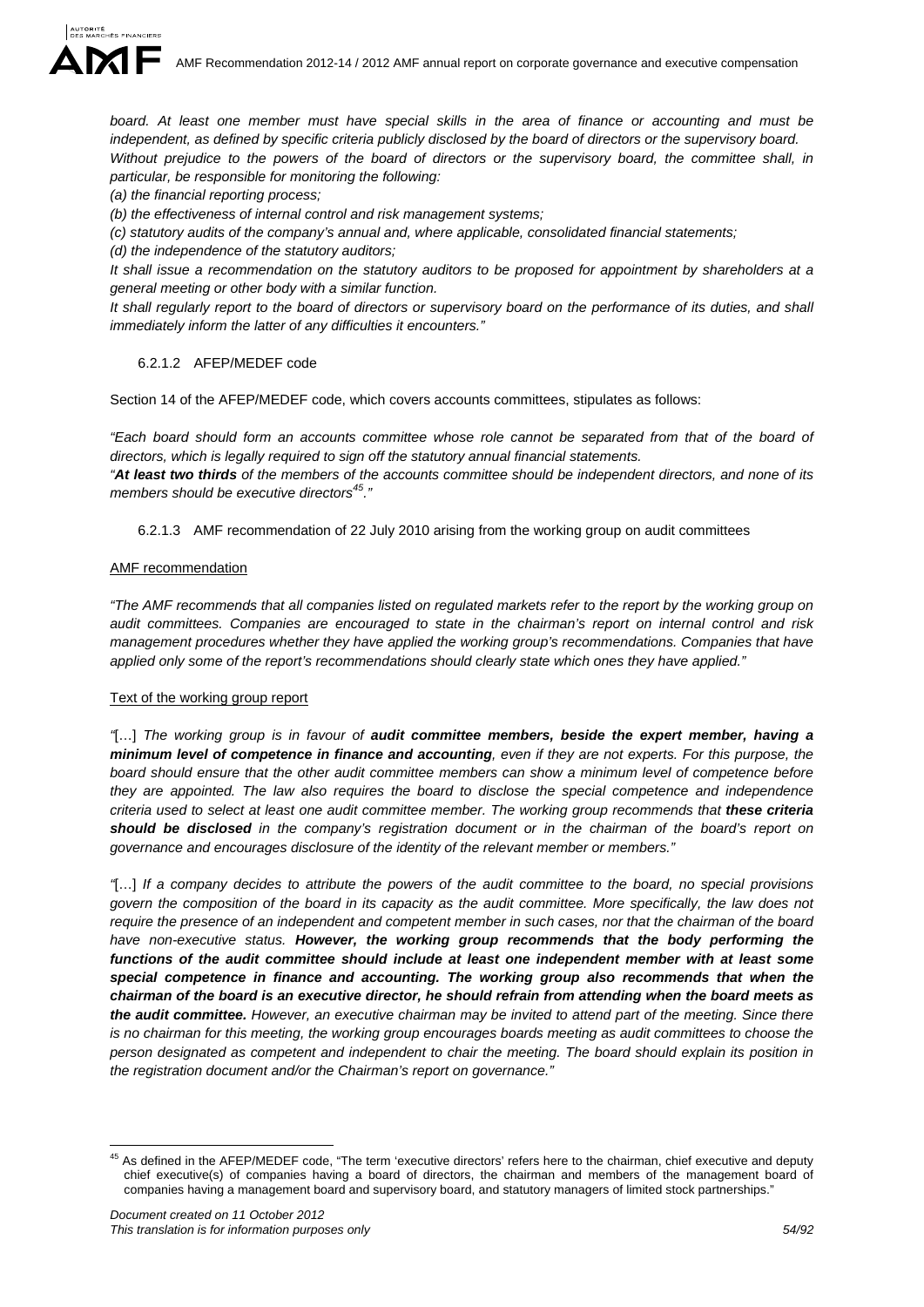board. At least one member must have special skills in the area of finance or accounting and must be independent, as defined by specific criteria publicly disclosed by the board of directors or the supervisory board. *Without prejudice to the powers of the board of directors or the supervisory board, the committee shall, in particular, be responsible for monitoring the following:* 

*(a) the financial reporting process;* 

*(b) the effectiveness of internal control and risk management systems;* 

*(c) statutory audits of the company's annual and, where applicable, consolidated financial statements;* 

*(d) the independence of the statutory auditors;* 

*It shall issue a recommendation on the statutory auditors to be proposed for appointment by shareholders at a general meeting or other body with a similar function.* 

*It shall regularly report to the board of directors or supervisory board on the performance of its duties, and shall immediately inform the latter of any difficulties it encounters."* 

#### 6.2.1.2 AFEP/MEDEF code

Section 14 of the AFEP/MEDEF code, which covers accounts committees, stipulates as follows:

*"Each board should form an accounts committee whose role cannot be separated from that of the board of directors, which is legally required to sign off the statutory annual financial statements.* 

*"At least two thirds of the members of the accounts committee should be independent directors, and none of its members should be executive directors45."* 

6.2.1.3 AMF recommendation of 22 July 2010 arising from the working group on audit committees

#### AMF recommendation

*"The AMF recommends that all companies listed on regulated markets refer to the report by the working group on audit committees. Companies are encouraged to state in the chairman's report on internal control and risk management procedures whether they have applied the working group's recommendations. Companies that have applied only some of the report's recommendations should clearly state which ones they have applied."* 

### Text of the working group report

*"*[…] *The working group is in favour of audit committee members, beside the expert member, having a minimum level of competence in finance and accounting, even if they are not experts. For this purpose, the board should ensure that the other audit committee members can show a minimum level of competence before they are appointed. The law also requires the board to disclose the special competence and independence criteria used to select at least one audit committee member. The working group recommends that these criteria should be disclosed in the company's registration document or in the chairman of the board's report on governance and encourages disclosure of the identity of the relevant member or members."* 

*"*[…] *If a company decides to attribute the powers of the audit committee to the board, no special provisions govern the composition of the board in its capacity as the audit committee. More specifically, the law does not require the presence of an independent and competent member in such cases, nor that the chairman of the board have non-executive status. However, the working group recommends that the body performing the functions of the audit committee should include at least one independent member with at least some special competence in finance and accounting. The working group also recommends that when the chairman of the board is an executive director, he should refrain from attending when the board meets as the audit committee. However, an executive chairman may be invited to attend part of the meeting. Since there is no chairman for this meeting, the working group encourages boards meeting as audit committees to choose the person designated as competent and independent to chair the meeting. The board should explain its position in the registration document and/or the Chairman's report on governance."* 

<sup>1</sup> <sup>45</sup> As defined in the AFEP/MEDEF code, "The term 'executive directors' refers here to the chairman, chief executive and deputy chief executive(s) of companies having a board of directors, the chairman and members of the management board of companies having a management board and supervisory board, and statutory managers of limited stock partnerships."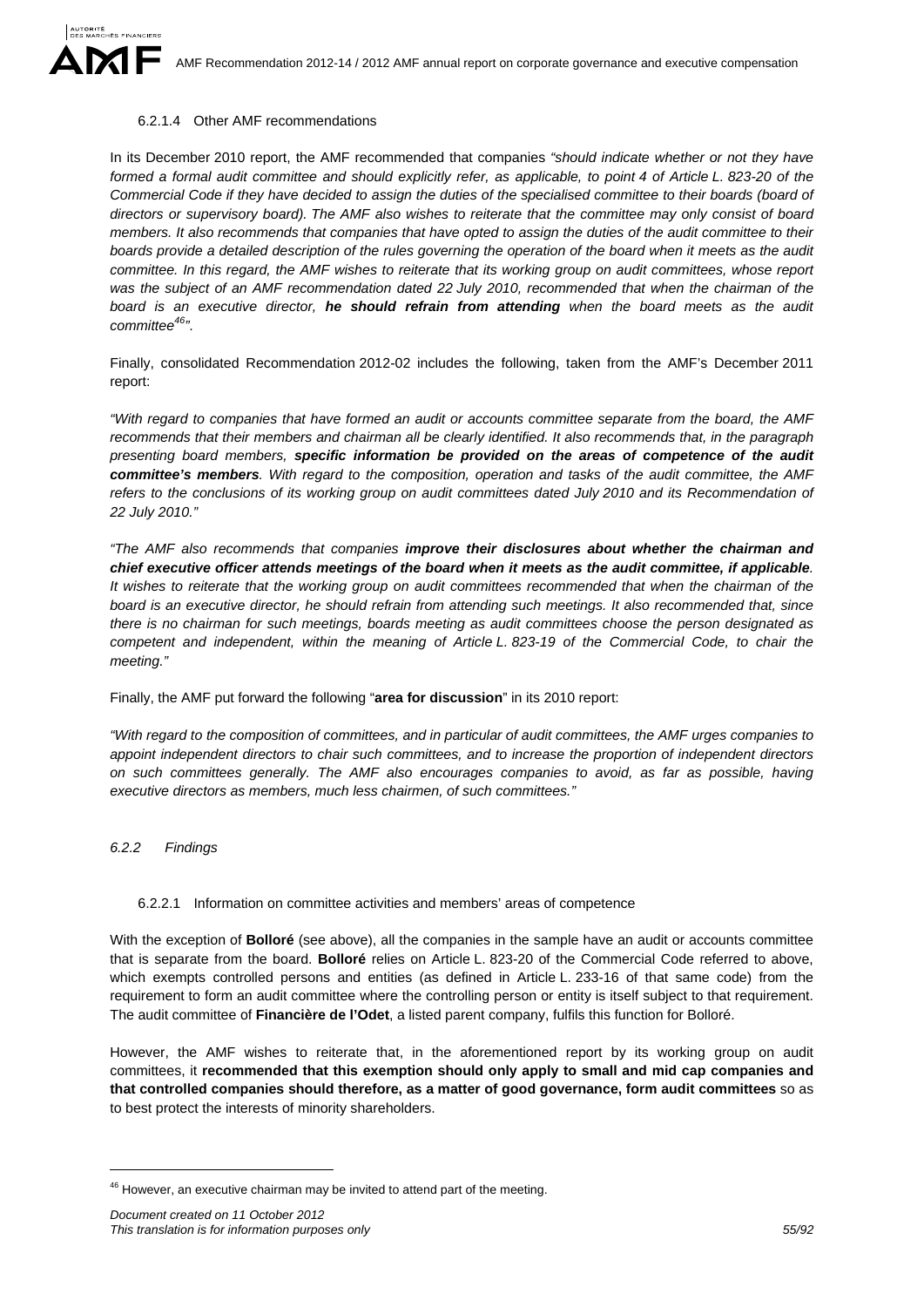

#### 6.2.1.4 Other AMF recommendations

In its December 2010 report, the AMF recommended that companies *"should indicate whether or not they have formed a formal audit committee and should explicitly refer, as applicable, to point 4 of Article L. 823-20 of the Commercial Code if they have decided to assign the duties of the specialised committee to their boards (board of directors or supervisory board). The AMF also wishes to reiterate that the committee may only consist of board members. It also recommends that companies that have opted to assign the duties of the audit committee to their boards provide a detailed description of the rules governing the operation of the board when it meets as the audit committee. In this regard, the AMF wishes to reiterate that its working group on audit committees, whose report was the subject of an AMF recommendation dated 22 July 2010, recommended that when the chairman of the board is an executive director, he should refrain from attending when the board meets as the audit committee46"*.

Finally, consolidated Recommendation 2012-02 includes the following, taken from the AMF's December 2011 report:

*"With regard to companies that have formed an audit or accounts committee separate from the board, the AMF recommends that their members and chairman all be clearly identified. It also recommends that, in the paragraph presenting board members, specific information be provided on the areas of competence of the audit committee's members. With regard to the composition, operation and tasks of the audit committee, the AMF*  refers to the conclusions of its working group on audit committees dated July 2010 and its Recommendation of *22 July 2010."* 

*"The AMF also recommends that companies improve their disclosures about whether the chairman and chief executive officer attends meetings of the board when it meets as the audit committee, if applicable. It wishes to reiterate that the working group on audit committees recommended that when the chairman of the board is an executive director, he should refrain from attending such meetings. It also recommended that, since there is no chairman for such meetings, boards meeting as audit committees choose the person designated as competent and independent, within the meaning of Article L. 823-19 of the Commercial Code, to chair the meeting."* 

Finally, the AMF put forward the following "**area for discussion**" in its 2010 report:

*"With regard to the composition of committees, and in particular of audit committees, the AMF urges companies to appoint independent directors to chair such committees, and to increase the proportion of independent directors on such committees generally. The AMF also encourages companies to avoid, as far as possible, having executive directors as members, much less chairmen, of such committees."* 

*6.2.2 Findings* 

1

#### 6.2.2.1 Information on committee activities and members' areas of competence

With the exception of **Bolloré** (see above), all the companies in the sample have an audit or accounts committee that is separate from the board. **Bolloré** relies on Article L. 823-20 of the Commercial Code referred to above, which exempts controlled persons and entities (as defined in Article L. 233-16 of that same code) from the requirement to form an audit committee where the controlling person or entity is itself subject to that requirement. The audit committee of **Financière de l'Odet**, a listed parent company, fulfils this function for Bolloré.

However, the AMF wishes to reiterate that, in the aforementioned report by its working group on audit committees, it **recommended that this exemption should only apply to small and mid cap companies and that controlled companies should therefore, as a matter of good governance, form audit committees** so as to best protect the interests of minority shareholders.

<sup>&</sup>lt;sup>46</sup> However, an executive chairman may be invited to attend part of the meeting.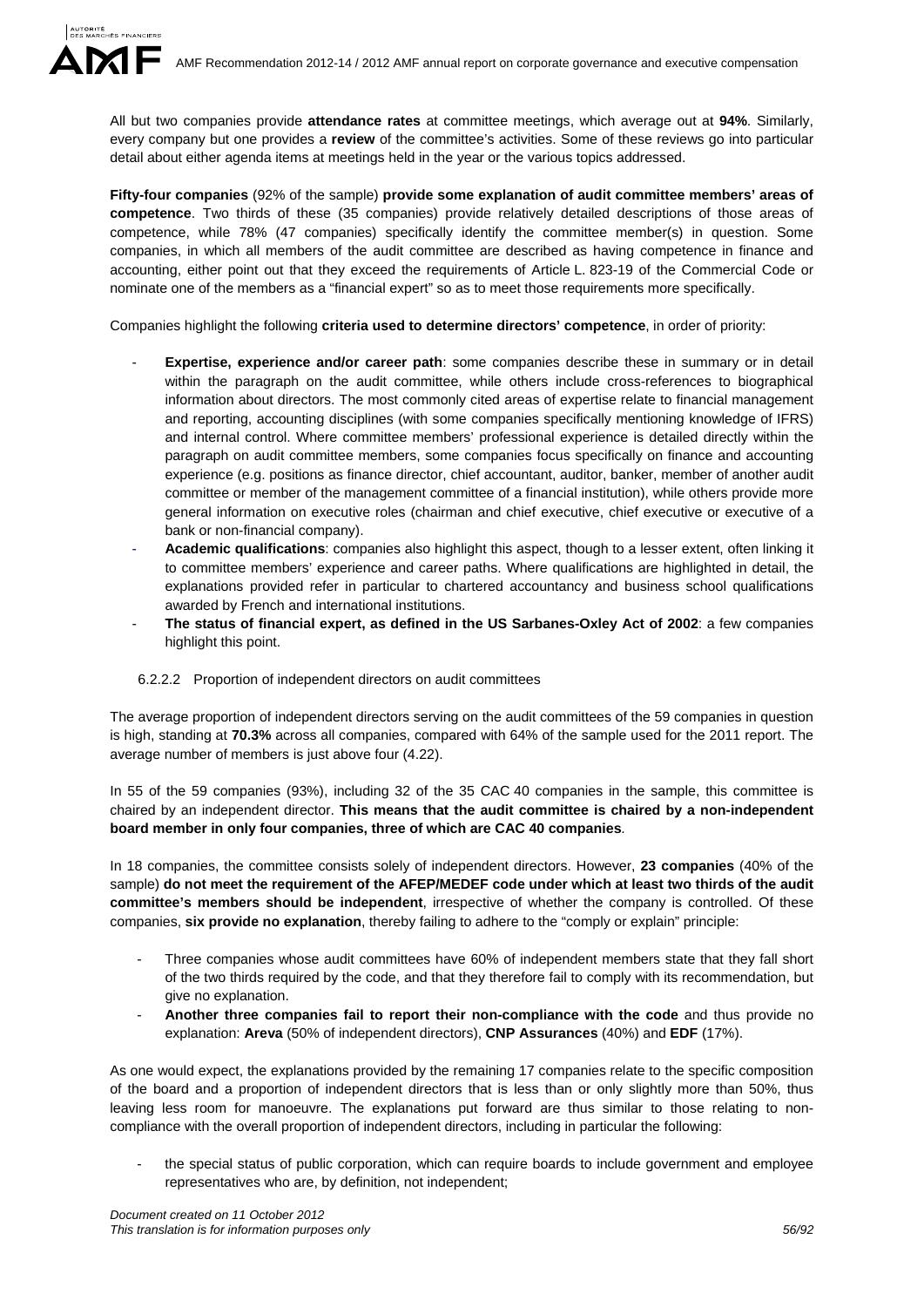All but two companies provide **attendance rates** at committee meetings, which average out at **94%**. Similarly, every company but one provides a **review** of the committee's activities. Some of these reviews go into particular detail about either agenda items at meetings held in the year or the various topics addressed.

**Fifty-four companies** (92% of the sample) **provide some explanation of audit committee members' areas of competence**. Two thirds of these (35 companies) provide relatively detailed descriptions of those areas of competence, while 78% (47 companies) specifically identify the committee member(s) in question. Some companies, in which all members of the audit committee are described as having competence in finance and accounting, either point out that they exceed the requirements of Article L. 823-19 of the Commercial Code or nominate one of the members as a "financial expert" so as to meet those requirements more specifically.

Companies highlight the following **criteria used to determine directors' competence**, in order of priority:

- **Expertise, experience and/or career path**: some companies describe these in summary or in detail within the paragraph on the audit committee, while others include cross-references to biographical information about directors. The most commonly cited areas of expertise relate to financial management and reporting, accounting disciplines (with some companies specifically mentioning knowledge of IFRS) and internal control. Where committee members' professional experience is detailed directly within the paragraph on audit committee members, some companies focus specifically on finance and accounting experience (e.g. positions as finance director, chief accountant, auditor, banker, member of another audit committee or member of the management committee of a financial institution), while others provide more general information on executive roles (chairman and chief executive, chief executive or executive of a bank or non-financial company).
- **Academic qualifications**: companies also highlight this aspect, though to a lesser extent, often linking it to committee members' experience and career paths. Where qualifications are highlighted in detail, the explanations provided refer in particular to chartered accountancy and business school qualifications awarded by French and international institutions.
- **The status of financial expert, as defined in the US Sarbanes-Oxley Act of 2002**: a few companies highlight this point.

#### 6.2.2.2 Proportion of independent directors on audit committees

The average proportion of independent directors serving on the audit committees of the 59 companies in question is high, standing at **70.3%** across all companies, compared with 64% of the sample used for the 2011 report. The average number of members is just above four (4.22).

In 55 of the 59 companies (93%), including 32 of the 35 CAC 40 companies in the sample, this committee is chaired by an independent director. **This means that the audit committee is chaired by a non-independent board member in only four companies, three of which are CAC 40 companies**.

In 18 companies, the committee consists solely of independent directors. However, **23 companies** (40% of the sample) **do not meet the requirement of the AFEP/MEDEF code under which at least two thirds of the audit committee's members should be independent**, irrespective of whether the company is controlled. Of these companies, **six provide no explanation**, thereby failing to adhere to the "comply or explain" principle:

- Three companies whose audit committees have 60% of independent members state that they fall short of the two thirds required by the code, and that they therefore fail to comply with its recommendation, but give no explanation.
- **Another three companies fail to report their non-compliance with the code** and thus provide no explanation: **Areva** (50% of independent directors), **CNP Assurances** (40%) and **EDF** (17%).

As one would expect, the explanations provided by the remaining 17 companies relate to the specific composition of the board and a proportion of independent directors that is less than or only slightly more than 50%, thus leaving less room for manoeuvre. The explanations put forward are thus similar to those relating to noncompliance with the overall proportion of independent directors, including in particular the following:

the special status of public corporation, which can require boards to include government and employee representatives who are, by definition, not independent;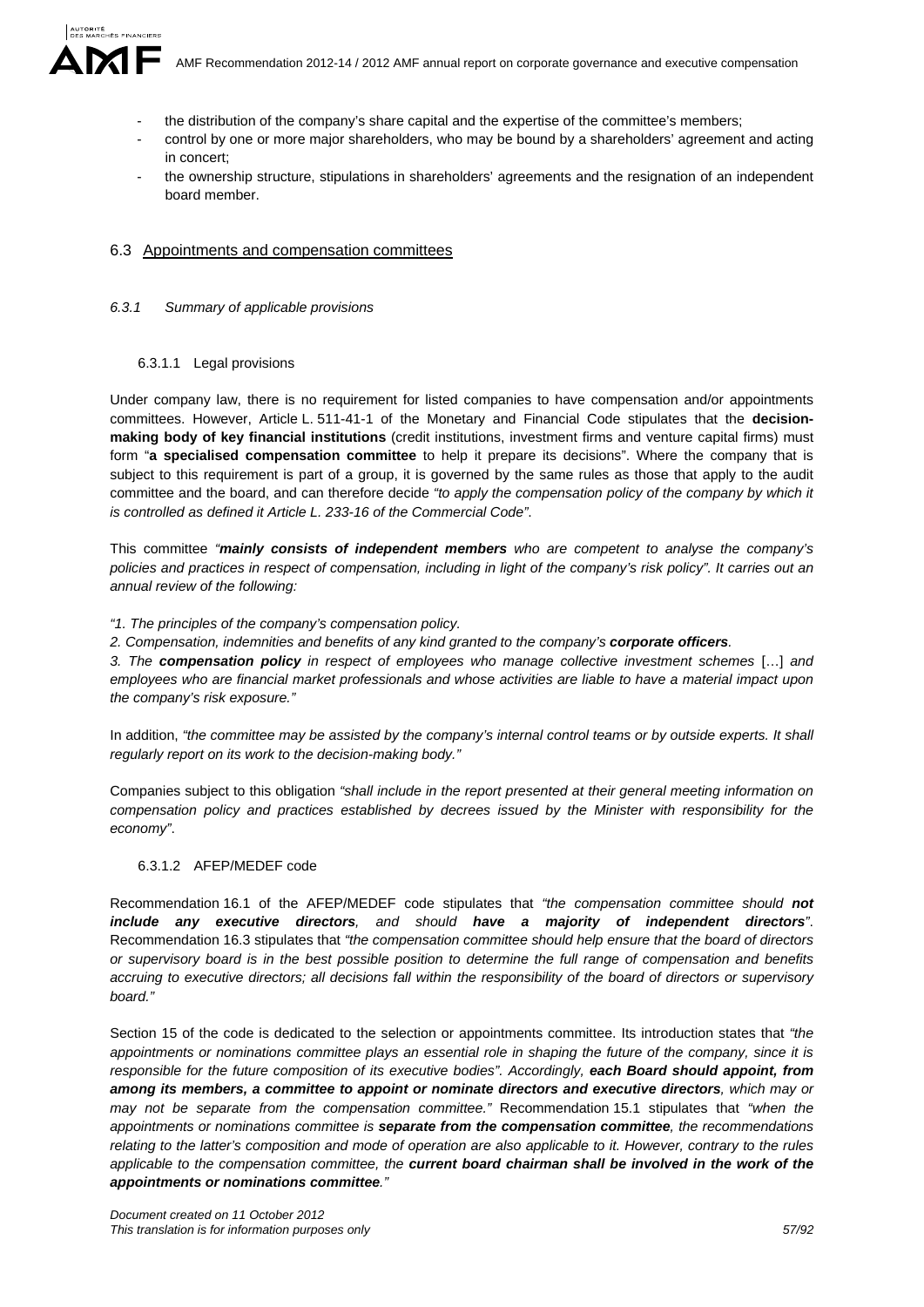

- the distribution of the company's share capital and the expertise of the committee's members;
- control by one or more major shareholders, who may be bound by a shareholders' agreement and acting in concert;
- the ownership structure, stipulations in shareholders' agreements and the resignation of an independent board member.

### 6.3 Appointments and compensation committees

#### *6.3.1 Summary of applicable provisions*

### 6.3.1.1 Legal provisions

Under company law, there is no requirement for listed companies to have compensation and/or appointments committees. However, Article L. 511-41-1 of the Monetary and Financial Code stipulates that the **decisionmaking body of key financial institutions** (credit institutions, investment firms and venture capital firms) must form "**a specialised compensation committee** to help it prepare its decisions". Where the company that is subject to this requirement is part of a group, it is governed by the same rules as those that apply to the audit committee and the board, and can therefore decide *"to apply the compensation policy of the company by which it is controlled as defined it Article L. 233-16 of the Commercial Code"*.

This committee *"mainly consists of independent members who are competent to analyse the company's policies and practices in respect of compensation, including in light of the company's risk policy". It carries out an annual review of the following:* 

#### *"1. The principles of the company's compensation policy.*

*2. Compensation, indemnities and benefits of any kind granted to the company's corporate officers.* 

*3. The compensation policy in respect of employees who manage collective investment schemes* […] *and employees who are financial market professionals and whose activities are liable to have a material impact upon the company's risk exposure."* 

In addition, "the committee may be assisted by the company's internal control teams or by outside experts. It shall *regularly report on its work to the decision-making body."* 

Companies subject to this obligation *"shall include in the report presented at their general meeting information on compensation policy and practices established by decrees issued by the Minister with responsibility for the economy"*.

#### 6.3.1.2 AFEP/MEDEF code

Recommendation 16.1 of the AFEP/MEDEF code stipulates that *"the compensation committee should not include any executive directors, and should have a majority of independent directors"*. Recommendation 16.3 stipulates that *"the compensation committee should help ensure that the board of directors or supervisory board is in the best possible position to determine the full range of compensation and benefits accruing to executive directors; all decisions fall within the responsibility of the board of directors or supervisory board."* 

Section 15 of the code is dedicated to the selection or appointments committee. Its introduction states that *"the appointments or nominations committee plays an essential role in shaping the future of the company, since it is responsible for the future composition of its executive bodies". Accordingly, each Board should appoint, from among its members, a committee to appoint or nominate directors and executive directors, which may or may not be separate from the compensation committee."* Recommendation 15.1 stipulates that *"when the appointments or nominations committee is separate from the compensation committee, the recommendations relating to the latter's composition and mode of operation are also applicable to it. However, contrary to the rules applicable to the compensation committee, the current board chairman shall be involved in the work of the appointments or nominations committee."*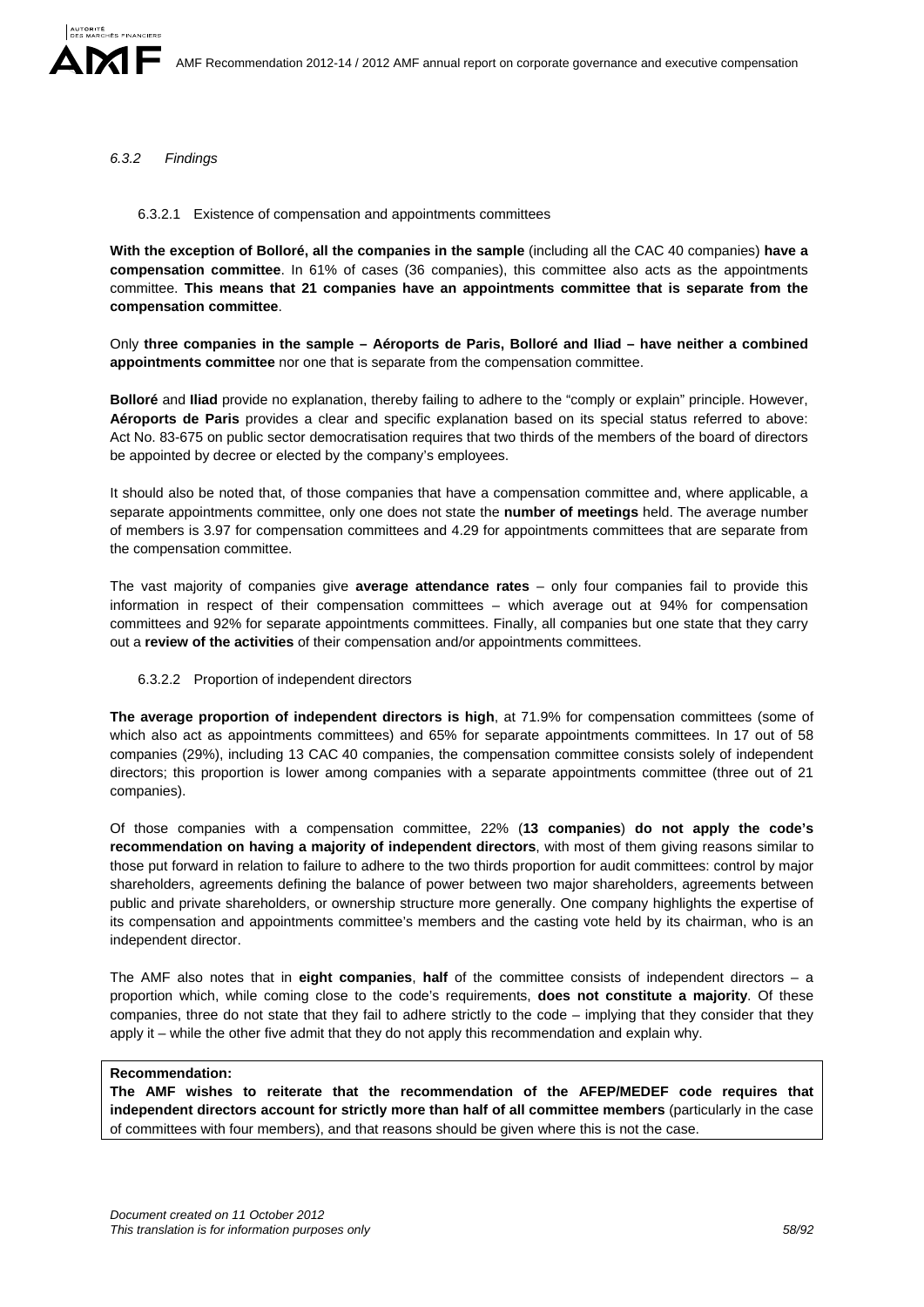### *6.3.2 Findings*

#### 6.3.2.1 Existence of compensation and appointments committees

**With the exception of Bolloré, all the companies in the sample** (including all the CAC 40 companies) **have a compensation committee**. In 61% of cases (36 companies), this committee also acts as the appointments committee. **This means that 21 companies have an appointments committee that is separate from the compensation committee**.

Only **three companies in the sample – Aéroports de Paris, Bolloré and Iliad – have neither a combined appointments committee** nor one that is separate from the compensation committee.

**Bolloré** and **Iliad** provide no explanation, thereby failing to adhere to the "comply or explain" principle. However, **Aéroports de Paris** provides a clear and specific explanation based on its special status referred to above: Act No. 83-675 on public sector democratisation requires that two thirds of the members of the board of directors be appointed by decree or elected by the company's employees.

It should also be noted that, of those companies that have a compensation committee and, where applicable, a separate appointments committee, only one does not state the **number of meetings** held. The average number of members is 3.97 for compensation committees and 4.29 for appointments committees that are separate from the compensation committee.

The vast majority of companies give **average attendance rates** – only four companies fail to provide this information in respect of their compensation committees – which average out at 94% for compensation committees and 92% for separate appointments committees. Finally, all companies but one state that they carry out a **review of the activities** of their compensation and/or appointments committees.

#### 6.3.2.2 Proportion of independent directors

**The average proportion of independent directors is high**, at 71.9% for compensation committees (some of which also act as appointments committees) and 65% for separate appointments committees. In 17 out of 58 companies (29%), including 13 CAC 40 companies, the compensation committee consists solely of independent directors; this proportion is lower among companies with a separate appointments committee (three out of 21 companies).

Of those companies with a compensation committee, 22% (**13 companies**) **do not apply the code's recommendation on having a majority of independent directors**, with most of them giving reasons similar to those put forward in relation to failure to adhere to the two thirds proportion for audit committees: control by major shareholders, agreements defining the balance of power between two major shareholders, agreements between public and private shareholders, or ownership structure more generally. One company highlights the expertise of its compensation and appointments committee's members and the casting vote held by its chairman, who is an independent director.

The AMF also notes that in **eight companies**, **half** of the committee consists of independent directors – a proportion which, while coming close to the code's requirements, **does not constitute a majority**. Of these companies, three do not state that they fail to adhere strictly to the code – implying that they consider that they apply it – while the other five admit that they do not apply this recommendation and explain why.

#### **Recommendation:**

**The AMF wishes to reiterate that the recommendation of the AFEP/MEDEF code requires that independent directors account for strictly more than half of all committee members** (particularly in the case of committees with four members), and that reasons should be given where this is not the case.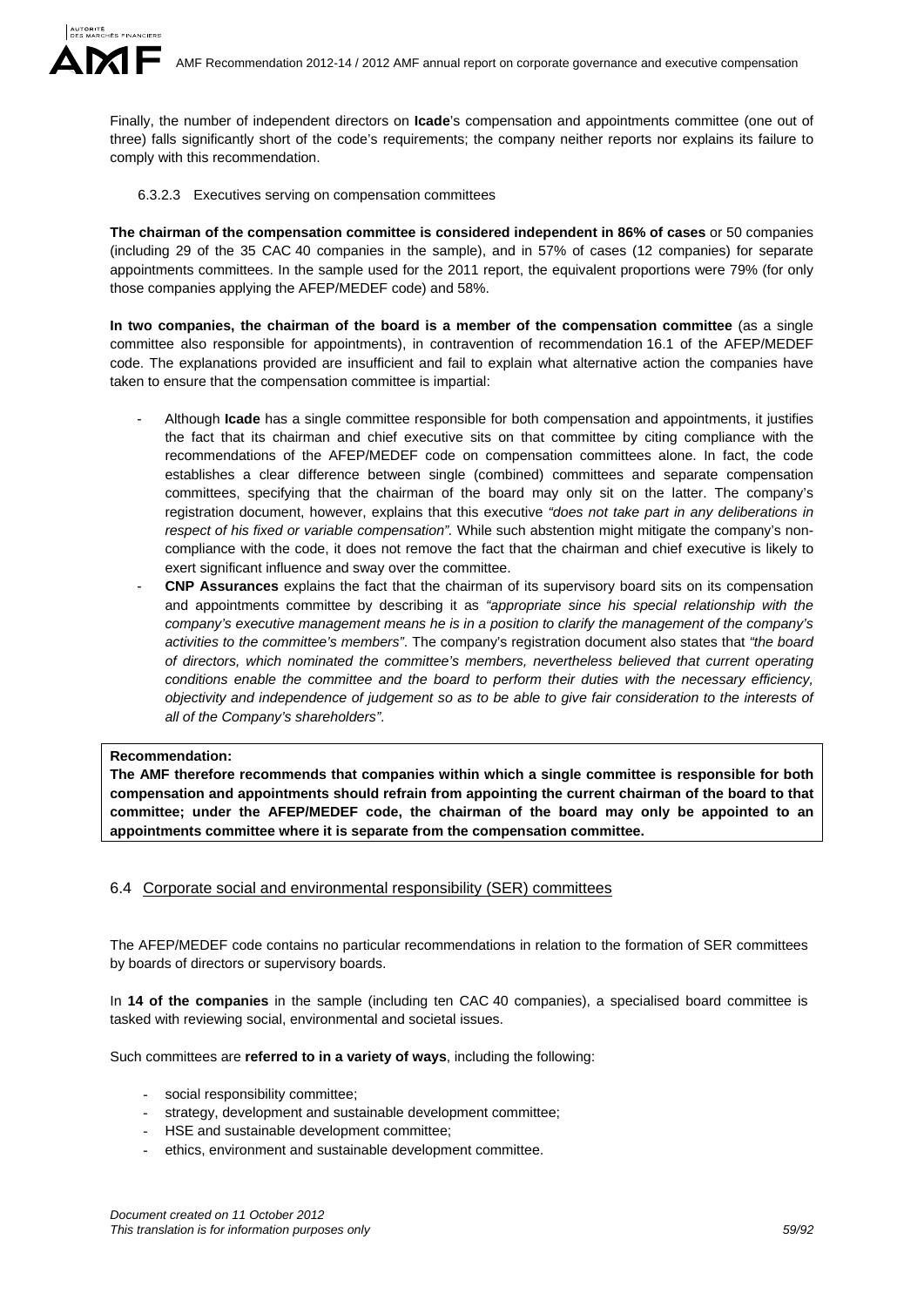Finally, the number of independent directors on **Icade**'s compensation and appointments committee (one out of three) falls significantly short of the code's requirements; the company neither reports nor explains its failure to comply with this recommendation.

6.3.2.3 Executives serving on compensation committees

**The chairman of the compensation committee is considered independent in 86% of cases** or 50 companies (including 29 of the 35 CAC 40 companies in the sample), and in 57% of cases (12 companies) for separate appointments committees. In the sample used for the 2011 report, the equivalent proportions were 79% (for only those companies applying the AFEP/MEDEF code) and 58%.

**In two companies, the chairman of the board is a member of the compensation committee** (as a single committee also responsible for appointments), in contravention of recommendation 16.1 of the AFEP/MEDEF code. The explanations provided are insufficient and fail to explain what alternative action the companies have taken to ensure that the compensation committee is impartial:

- Although **Icade** has a single committee responsible for both compensation and appointments, it justifies the fact that its chairman and chief executive sits on that committee by citing compliance with the recommendations of the AFEP/MEDEF code on compensation committees alone. In fact, the code establishes a clear difference between single (combined) committees and separate compensation committees, specifying that the chairman of the board may only sit on the latter. The company's registration document, however, explains that this executive *"does not take part in any deliberations in respect of his fixed or variable compensation".* While such abstention might mitigate the company's noncompliance with the code, it does not remove the fact that the chairman and chief executive is likely to exert significant influence and sway over the committee.
- **CNP Assurances** explains the fact that the chairman of its supervisory board sits on its compensation and appointments committee by describing it as *"appropriate since his special relationship with the company's executive management means he is in a position to clarify the management of the company's activities to the committee's members"*. The company's registration document also states that *"the board of directors, which nominated the committee's members, nevertheless believed that current operating conditions enable the committee and the board to perform their duties with the necessary efficiency, objectivity and independence of judgement so as to be able to give fair consideration to the interests of all of the Company's shareholders"*.

# **Recommendation:**

**The AMF therefore recommends that companies within which a single committee is responsible for both compensation and appointments should refrain from appointing the current chairman of the board to that committee; under the AFEP/MEDEF code, the chairman of the board may only be appointed to an appointments committee where it is separate from the compensation committee.** 

6.4 Corporate social and environmental responsibility (SER) committees

The AFEP/MEDEF code contains no particular recommendations in relation to the formation of SER committees by boards of directors or supervisory boards.

In **14 of the companies** in the sample (including ten CAC 40 companies), a specialised board committee is tasked with reviewing social, environmental and societal issues.

Such committees are **referred to in a variety of ways**, including the following:

- social responsibility committee;
- strategy, development and sustainable development committee;
- HSE and sustainable development committee;
- ethics, environment and sustainable development committee.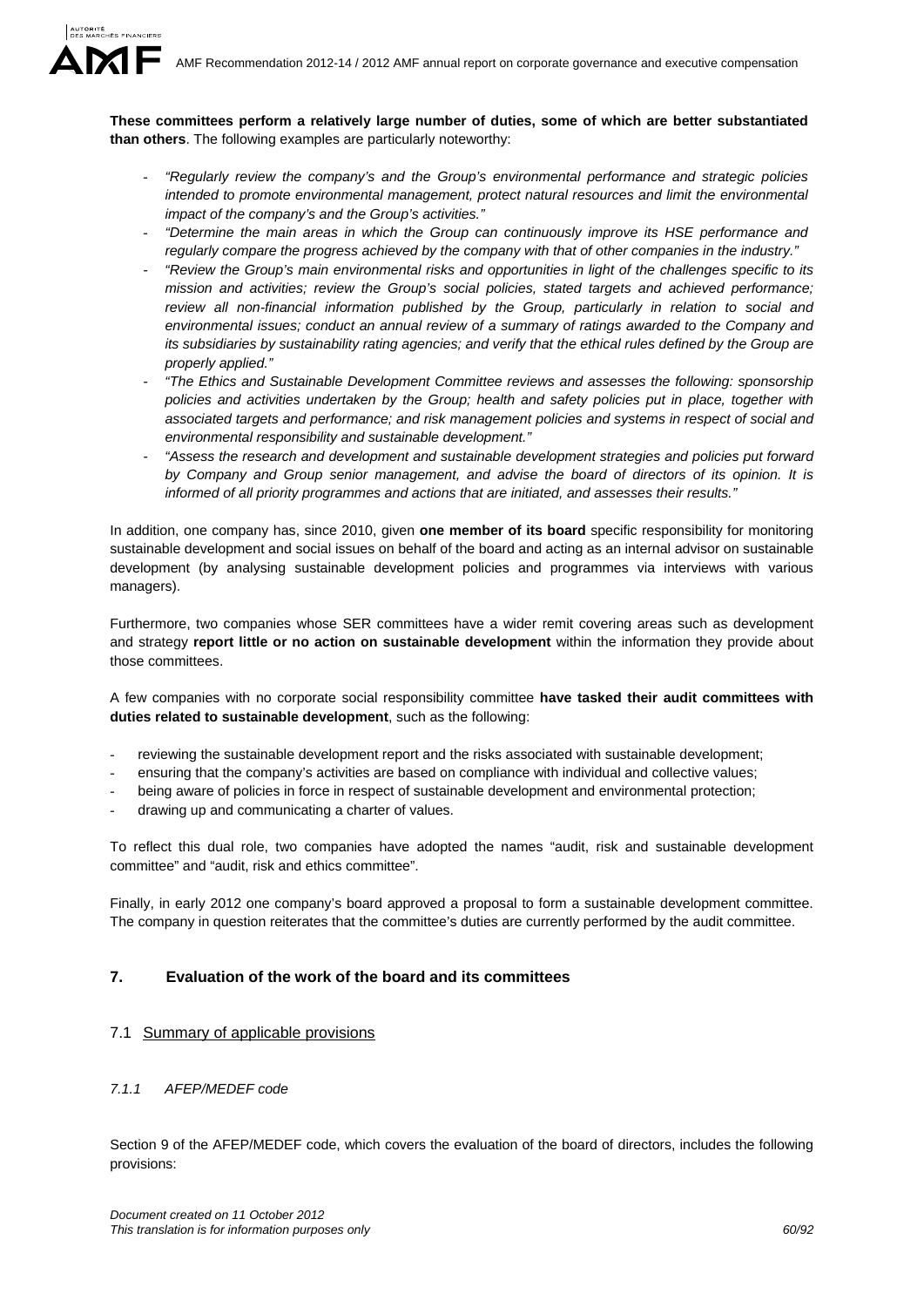**These committees perform a relatively large number of duties, some of which are better substantiated than others**. The following examples are particularly noteworthy:

- *"Regularly review the company's and the Group's environmental performance and strategic policies intended to promote environmental management, protect natural resources and limit the environmental impact of the company's and the Group's activities."*
- *"Determine the main areas in which the Group can continuously improve its HSE performance and regularly compare the progress achieved by the company with that of other companies in the industry."*
- *"Review the Group's main environmental risks and opportunities in light of the challenges specific to its mission and activities; review the Group's social policies, stated targets and achieved performance; review all non-financial information published by the Group, particularly in relation to social and environmental issues; conduct an annual review of a summary of ratings awarded to the Company and its subsidiaries by sustainability rating agencies; and verify that the ethical rules defined by the Group are properly applied."*
- *"The Ethics and Sustainable Development Committee reviews and assesses the following: sponsorship policies and activities undertaken by the Group; health and safety policies put in place, together with associated targets and performance; and risk management policies and systems in respect of social and environmental responsibility and sustainable development."*
- *"Assess the research and development and sustainable development strategies and policies put forward by Company and Group senior management, and advise the board of directors of its opinion. It is informed of all priority programmes and actions that are initiated, and assesses their results."*

In addition, one company has, since 2010, given **one member of its board** specific responsibility for monitoring sustainable development and social issues on behalf of the board and acting as an internal advisor on sustainable development (by analysing sustainable development policies and programmes via interviews with various managers).

Furthermore, two companies whose SER committees have a wider remit covering areas such as development and strategy **report little or no action on sustainable development** within the information they provide about those committees.

A few companies with no corporate social responsibility committee **have tasked their audit committees with duties related to sustainable development**, such as the following:

- reviewing the sustainable development report and the risks associated with sustainable development;
- ensuring that the company's activities are based on compliance with individual and collective values;
- being aware of policies in force in respect of sustainable development and environmental protection;
- drawing up and communicating a charter of values.

To reflect this dual role, two companies have adopted the names "audit, risk and sustainable development committee" and "audit, risk and ethics committee".

Finally, in early 2012 one company's board approved a proposal to form a sustainable development committee. The company in question reiterates that the committee's duties are currently performed by the audit committee.

# **7. Evaluation of the work of the board and its committees**

# 7.1 Summary of applicable provisions

# *7.1.1 AFEP/MEDEF code*

Section 9 of the AFEP/MEDEF code, which covers the evaluation of the board of directors, includes the following provisions: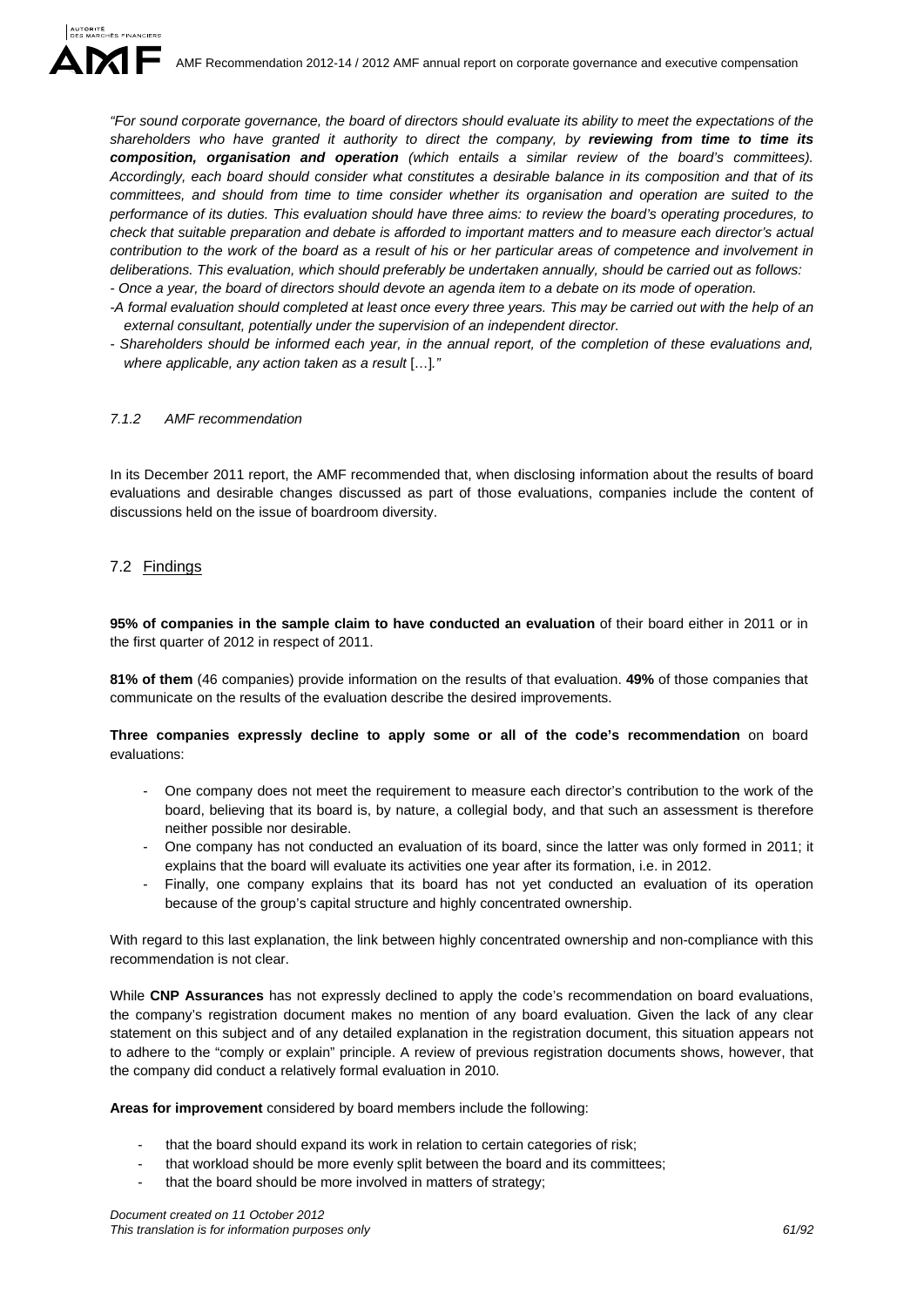*"For sound corporate governance, the board of directors should evaluate its ability to meet the expectations of the shareholders who have granted it authority to direct the company, by reviewing from time to time its composition, organisation and operation (which entails a similar review of the board's committees). Accordingly, each board should consider what constitutes a desirable balance in its composition and that of its committees, and should from time to time consider whether its organisation and operation are suited to the performance of its duties. This evaluation should have three aims: to review the board's operating procedures, to check that suitable preparation and debate is afforded to important matters and to measure each director's actual contribution to the work of the board as a result of his or her particular areas of competence and involvement in deliberations. This evaluation, which should preferably be undertaken annually, should be carried out as follows: - Once a year, the board of directors should devote an agenda item to a debate on its mode of operation.* 

- *-A formal evaluation should completed at least once every three years. This may be carried out with the help of an external consultant, potentially under the supervision of an independent director.*
- *Shareholders should be informed each year, in the annual report, of the completion of these evaluations and, where applicable, any action taken as a result* […]*."*

# *7.1.2 AMF recommendation*

In its December 2011 report, the AMF recommended that, when disclosing information about the results of board evaluations and desirable changes discussed as part of those evaluations, companies include the content of discussions held on the issue of boardroom diversity.

# 7.2 Findings

**95% of companies in the sample claim to have conducted an evaluation** of their board either in 2011 or in the first quarter of 2012 in respect of 2011.

**81% of them** (46 companies) provide information on the results of that evaluation. **49%** of those companies that communicate on the results of the evaluation describe the desired improvements.

# **Three companies expressly decline to apply some or all of the code's recommendation** on board evaluations:

- One company does not meet the requirement to measure each director's contribution to the work of the board, believing that its board is, by nature, a collegial body, and that such an assessment is therefore neither possible nor desirable.
- One company has not conducted an evaluation of its board, since the latter was only formed in 2011; it explains that the board will evaluate its activities one year after its formation, i.e. in 2012.
- Finally, one company explains that its board has not yet conducted an evaluation of its operation because of the group's capital structure and highly concentrated ownership.

With regard to this last explanation, the link between highly concentrated ownership and non-compliance with this recommendation is not clear.

While **CNP Assurances** has not expressly declined to apply the code's recommendation on board evaluations, the company's registration document makes no mention of any board evaluation. Given the lack of any clear statement on this subject and of any detailed explanation in the registration document, this situation appears not to adhere to the "comply or explain" principle. A review of previous registration documents shows, however, that the company did conduct a relatively formal evaluation in 2010.

**Areas for improvement** considered by board members include the following:

- that the board should expand its work in relation to certain categories of risk;
- that workload should be more evenly split between the board and its committees;
- that the board should be more involved in matters of strategy;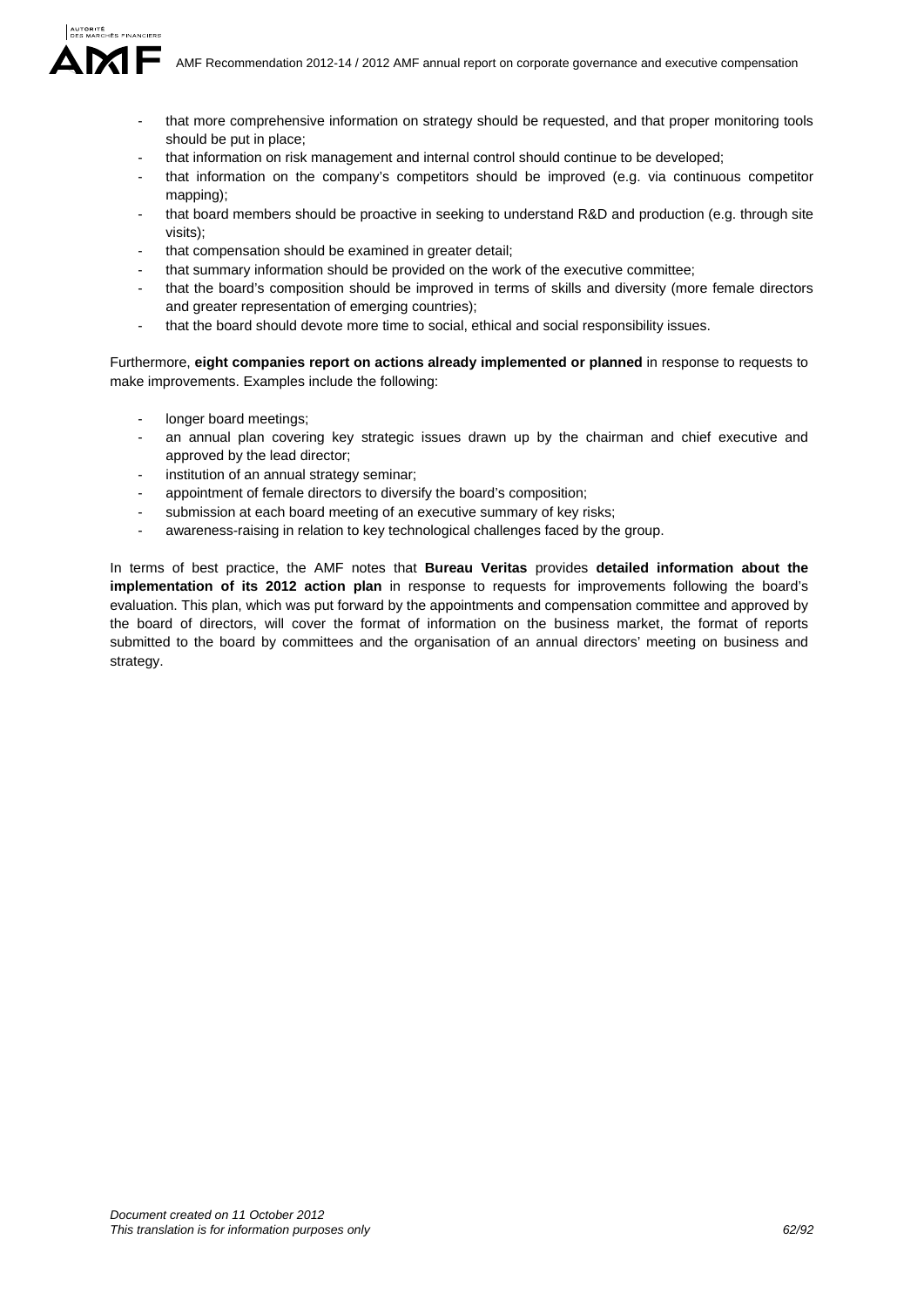AMF Recommendation 2012-14 / 2012 AMF annual report on corporate governance and executive compensation

- that more comprehensive information on strategy should be requested, and that proper monitoring tools should be put in place;
- that information on risk management and internal control should continue to be developed;
- that information on the company's competitors should be improved (e.g. via continuous competitor mapping);
- that board members should be proactive in seeking to understand R&D and production (e.g. through site visits);
- that compensation should be examined in greater detail;
- that summary information should be provided on the work of the executive committee;
- that the board's composition should be improved in terms of skills and diversity (more female directors and greater representation of emerging countries);
- that the board should devote more time to social, ethical and social responsibility issues.

Furthermore, **eight companies report on actions already implemented or planned** in response to requests to make improvements. Examples include the following:

- longer board meetings:
- an annual plan covering key strategic issues drawn up by the chairman and chief executive and approved by the lead director;
- institution of an annual strategy seminar;
- appointment of female directors to diversify the board's composition;
- submission at each board meeting of an executive summary of key risks;
- awareness-raising in relation to key technological challenges faced by the group.

In terms of best practice, the AMF notes that **Bureau Veritas** provides **detailed information about the implementation of its 2012 action plan** in response to requests for improvements following the board's evaluation. This plan, which was put forward by the appointments and compensation committee and approved by the board of directors, will cover the format of information on the business market, the format of reports submitted to the board by committees and the organisation of an annual directors' meeting on business and strategy.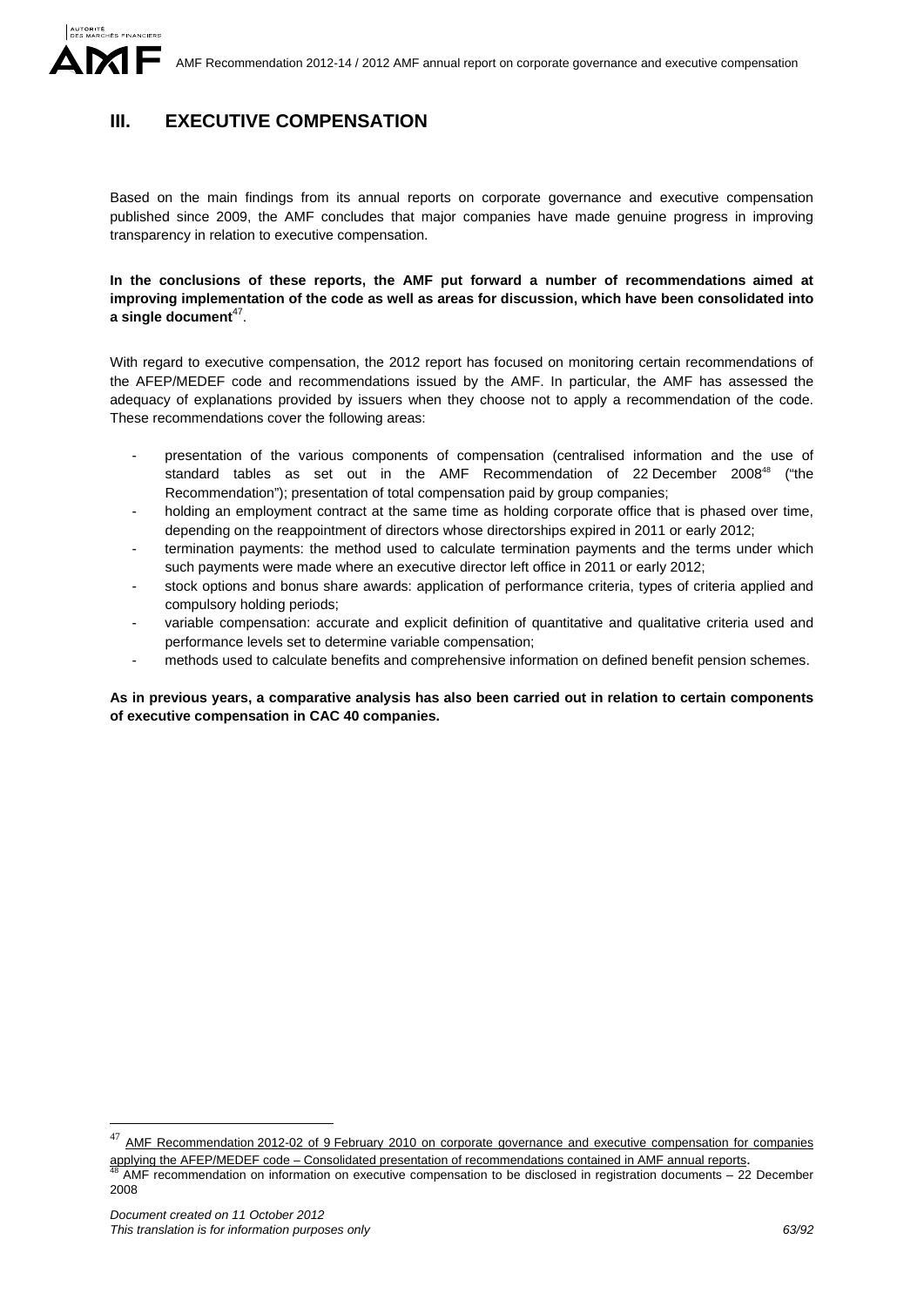# **III. EXECUTIVE COMPENSATION**

Based on the main findings from its annual reports on corporate governance and executive compensation published since 2009, the AMF concludes that major companies have made genuine progress in improving transparency in relation to executive compensation.

**In the conclusions of these reports, the AMF put forward a number of recommendations aimed at improving implementation of the code as well as areas for discussion, which have been consolidated into a single document**47.

With regard to executive compensation, the 2012 report has focused on monitoring certain recommendations of the AFEP/MEDEF code and recommendations issued by the AMF. In particular, the AMF has assessed the adequacy of explanations provided by issuers when they choose not to apply a recommendation of the code. These recommendations cover the following areas:

- presentation of the various components of compensation (centralised information and the use of standard tables as set out in the AMF Recommendation of 22 December 2008<sup>48</sup> ("the Recommendation"); presentation of total compensation paid by group companies;
- holding an employment contract at the same time as holding corporate office that is phased over time, depending on the reappointment of directors whose directorships expired in 2011 or early 2012;
- termination payments: the method used to calculate termination payments and the terms under which such payments were made where an executive director left office in 2011 or early 2012;
- stock options and bonus share awards: application of performance criteria, types of criteria applied and compulsory holding periods;
- variable compensation: accurate and explicit definition of quantitative and qualitative criteria used and performance levels set to determine variable compensation;
- methods used to calculate benefits and comprehensive information on defined benefit pension schemes.

**As in previous years, a comparative analysis has also been carried out in relation to certain components of executive compensation in CAC 40 companies.** 

<u>.</u>

AMF Recommendation 2012-02 of 9 February 2010 on corporate governance and executive compensation for companies

applying the AFEP/MEDEF code – Consolidated presentation of recommendations contained in AMF annual reports.<br><sup>48</sup> AMF recommendation on information on executive compensation to be disclosed in registration documents – 22 D 2008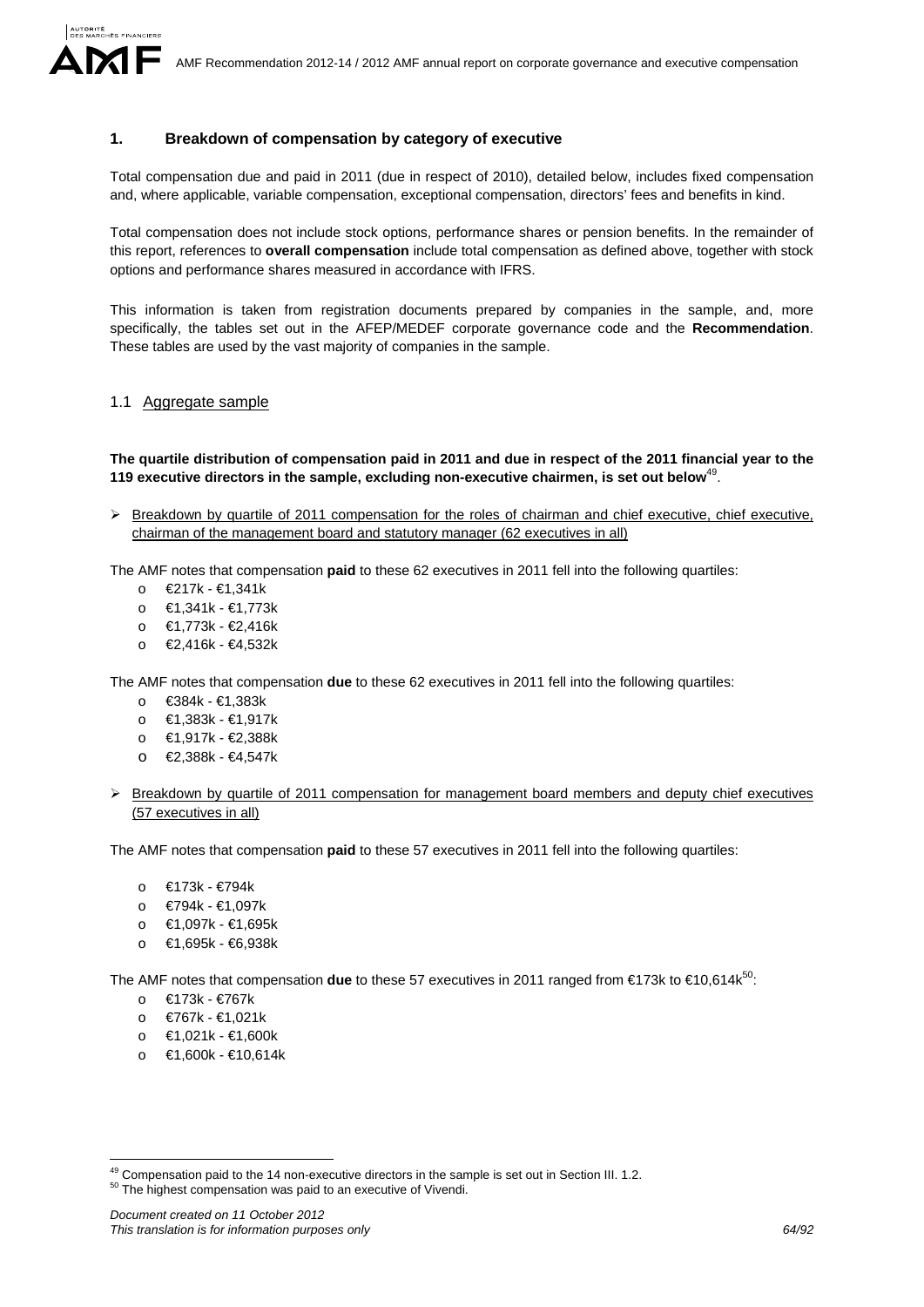# **1. Breakdown of compensation by category of executive**

Total compensation due and paid in 2011 (due in respect of 2010), detailed below, includes fixed compensation and, where applicable, variable compensation, exceptional compensation, directors' fees and benefits in kind.

Total compensation does not include stock options, performance shares or pension benefits. In the remainder of this report, references to **overall compensation** include total compensation as defined above, together with stock options and performance shares measured in accordance with IFRS.

This information is taken from registration documents prepared by companies in the sample, and, more specifically, the tables set out in the AFEP/MEDEF corporate governance code and the **Recommendation**. These tables are used by the vast majority of companies in the sample.

# 1.1 Aggregate sample

**The quartile distribution of compensation paid in 2011 and due in respect of the 2011 financial year to the 119 executive directors in the sample, excluding non-executive chairmen, is set out below**49.

 $\triangleright$  Breakdown by quartile of 2011 compensation for the roles of chairman and chief executive, chief executive, chairman of the management board and statutory manager (62 executives in all)

The AMF notes that compensation **paid** to these 62 executives in 2011 fell into the following quartiles:

- o €217k €1,341k
- o €1,341k €1,773k
- o €1,773k €2,416k
- o €2,416k €4,532k

The AMF notes that compensation **due** to these 62 executives in 2011 fell into the following quartiles:

- o €384k €1,383k
- o €1,383k €1,917k
- o €1,917k €2,388k
- o €2,388k €4,547k
- $\triangleright$  Breakdown by quartile of 2011 compensation for management board members and deputy chief executives (57 executives in all)

The AMF notes that compensation **paid** to these 57 executives in 2011 fell into the following quartiles:

- o €173k €794k
- o €794k €1,097k
- o €1,097k €1,695k
- o €1,695k €6,938k

The AMF notes that compensation **due** to these 57 executives in 2011 ranged from €173k to €10,614k<sup>50</sup>:

- o €173k €767k
- o €767k €1,021k

1

- o €1,021k €1,600k
- o €1,600k €10,614k

<sup>&</sup>lt;sup>49</sup> Compensation paid to the 14 non-executive directors in the sample is set out in Section III. 1.2.  $50$  The highest compensation was paid to an executive of Vivendi.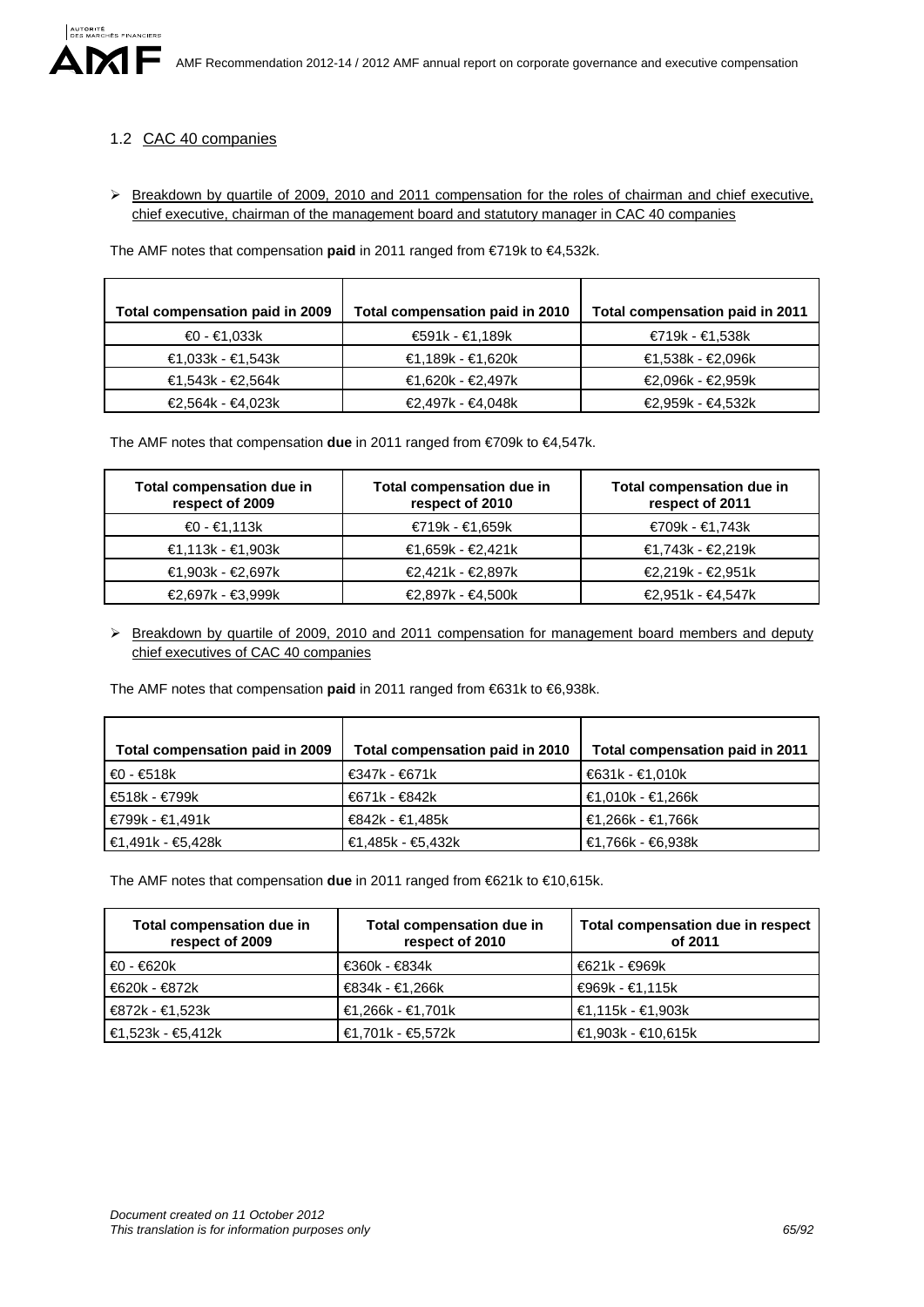# 1.2 CAC 40 companies

> Breakdown by quartile of 2009, 2010 and 2011 compensation for the roles of chairman and chief executive, chief executive, chairman of the management board and statutory manager in CAC 40 companies

The AMF notes that compensation **paid** in 2011 ranged from €719k to €4,532k.

| Total compensation paid in 2009 | Total compensation paid in 2010 | Total compensation paid in 2011 |
|---------------------------------|---------------------------------|---------------------------------|
|                                 |                                 |                                 |
| €0 - €1,033k                    | €591k - €1,189k                 | €719k - €1,538k                 |
| €1,033k - €1,543k               | €1,189k - €1,620k               | €1,538k - €2,096k               |
| €1,543k - €2,564k               | €1,620k - €2,497k               | €2,096k - €2,959k               |
| €2,564k - €4,023k               | €2,497k - €4,048k               | €2,959k - €4,532k               |

The AMF notes that compensation **due** in 2011 ranged from €709k to €4,547k.

| Total compensation due in<br>respect of 2009 | Total compensation due in<br>respect of 2010 | Total compensation due in<br>respect of 2011 |  |  |
|----------------------------------------------|----------------------------------------------|----------------------------------------------|--|--|
| €0 - €1,113k                                 | €719k - €1,659k                              | €709k - €1,743k                              |  |  |
| €1,113k - €1,903k                            | €1,659k - €2,421k                            | €1,743k - €2,219k                            |  |  |
| €1,903k - €2,697k                            | €2,421k - €2,897k                            | €2,219k - €2,951k                            |  |  |
| €2,697k - €3,999k                            | €2,897k - €4,500k                            | €2,951k - €4,547k                            |  |  |

> Breakdown by quartile of 2009, 2010 and 2011 compensation for management board members and deputy chief executives of CAC 40 companies

The AMF notes that compensation **paid** in 2011 ranged from €631k to €6,938k.

| Total compensation paid in 2009 | Total compensation paid in 2010 | Total compensation paid in 2011 |
|---------------------------------|---------------------------------|---------------------------------|
| €0 - €518k                      | €347k - €671k                   | €631k - €1,010k                 |
| €518k - €799k                   | €671k - €842k                   | ' €1,010k - €1,266k             |
| €799k - €1,491k                 | €842k - €1,485k                 | €1,266k - €1,766k               |
| €1,491k - €5,428k               | ' €1,485k - €5,432k             | €1,766k - €6,938k               |

The AMF notes that compensation **due** in 2011 ranged from €621k to €10,615k.

| Total compensation due in<br>respect of 2009 | Total compensation due in<br>respect of 2010 | Total compensation due in respect<br>of 2011 |
|----------------------------------------------|----------------------------------------------|----------------------------------------------|
| €0 - €620 k                                  | €360k - €834k                                | €621k - €969k                                |
| €620k - €872k                                | €834k - €1,266k                              | €969k - €1,115k                              |
| €872k - €1,523k                              | €1,266k - €1,701k                            | €1,115k - €1,903k                            |
| €1,523k - €5,412k                            | €1,701k - €5,572k                            | €1,903k - €10,615k                           |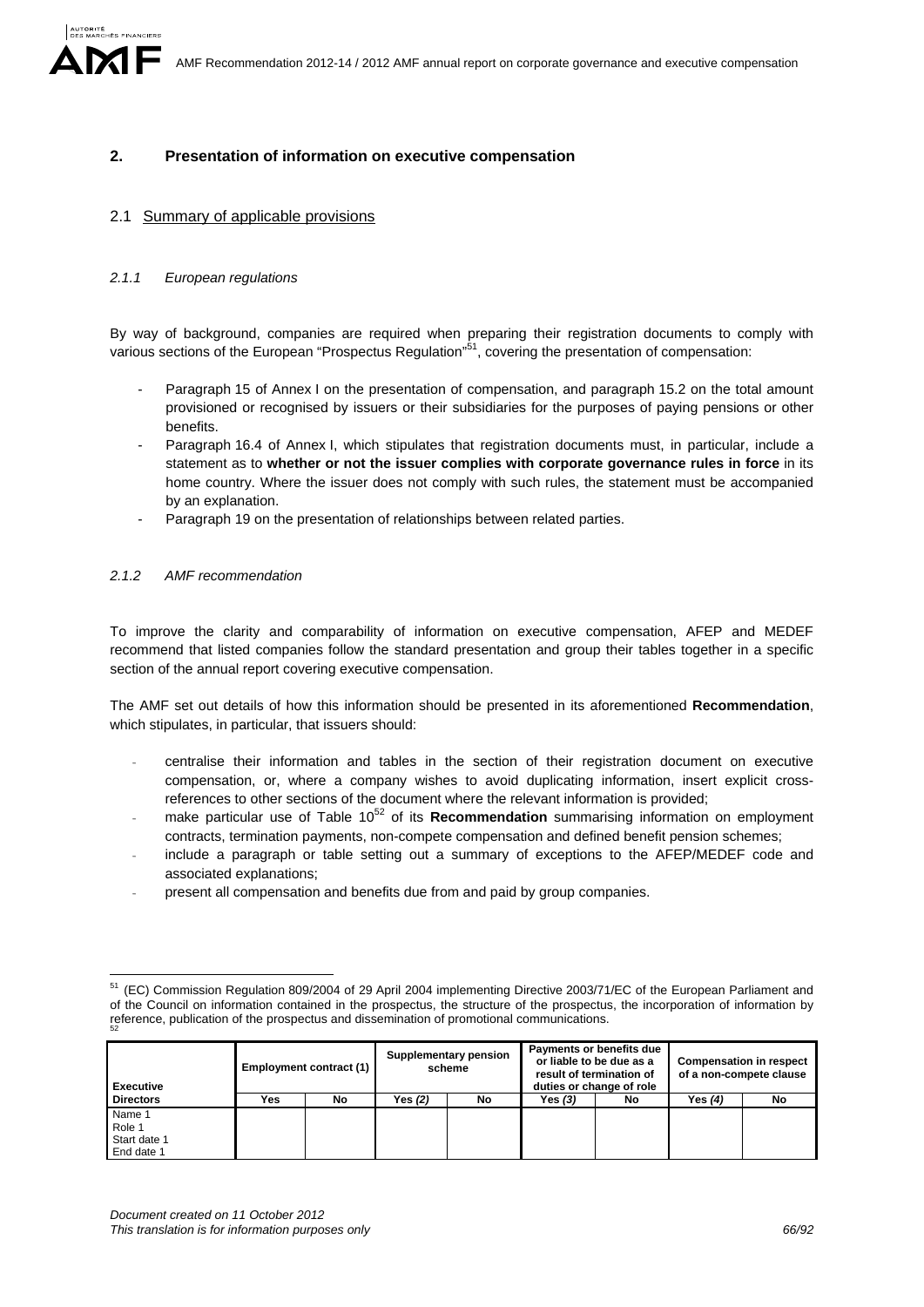# **2. Presentation of information on executive compensation**

# 2.1 Summary of applicable provisions

### *2.1.1 European regulations*

By way of background, companies are required when preparing their registration documents to comply with various sections of the European "Prospectus Regulation"<sup>51</sup>, covering the presentation of compensation:

- Paragraph 15 of Annex I on the presentation of compensation, and paragraph 15.2 on the total amount provisioned or recognised by issuers or their subsidiaries for the purposes of paying pensions or other benefits.
- Paragraph 16.4 of Annex I, which stipulates that registration documents must, in particular, include a statement as to **whether or not the issuer complies with corporate governance rules in force** in its home country. Where the issuer does not comply with such rules, the statement must be accompanied by an explanation.
- Paragraph 19 on the presentation of relationships between related parties.

#### *2.1.2 AMF recommendation*

To improve the clarity and comparability of information on executive compensation, AFEP and MEDEF recommend that listed companies follow the standard presentation and group their tables together in a specific section of the annual report covering executive compensation.

The AMF set out details of how this information should be presented in its aforementioned **Recommendation**, which stipulates, in particular, that issuers should:

- centralise their information and tables in the section of their registration document on executive compensation, or, where a company wishes to avoid duplicating information, insert explicit crossreferences to other sections of the document where the relevant information is provided;
- make particular use of Table 10<sup>52</sup> of its **Recommendation** summarising information on employment contracts, termination payments, non-compete compensation and defined benefit pension schemes;
- include a paragraph or table setting out a summary of exceptions to the AFEP/MEDEF code and associated explanations;
- present all compensation and benefits due from and paid by group companies.

<sup>1</sup> <sup>51</sup> (EC) Commission Regulation 809/2004 of 29 April 2004 implementing Directive 2003/71/EC of the European Parliament and of the Council on information contained in the prospectus, the structure of the prospectus, the incorporation of information by reference, publication of the prospectus and dissemination of promotional communications.

| Employment contract (1)<br><b>Executive</b> |     |    | Supplementary pension<br>scheme |    | Payments or benefits due<br>or liable to be due as a<br>result of termination of<br>duties or change of role |    | <b>Compensation in respect</b><br>of a non-compete clause |    |
|---------------------------------------------|-----|----|---------------------------------|----|--------------------------------------------------------------------------------------------------------------|----|-----------------------------------------------------------|----|
| <b>Directors</b>                            | Yes | No | Yes $(2)$                       | No | Yes (3)                                                                                                      | No | Yes (4)                                                   | No |
| Name 1                                      |     |    |                                 |    |                                                                                                              |    |                                                           |    |
| Role 1                                      |     |    |                                 |    |                                                                                                              |    |                                                           |    |
| Start date 1                                |     |    |                                 |    |                                                                                                              |    |                                                           |    |
| End date 1                                  |     |    |                                 |    |                                                                                                              |    |                                                           |    |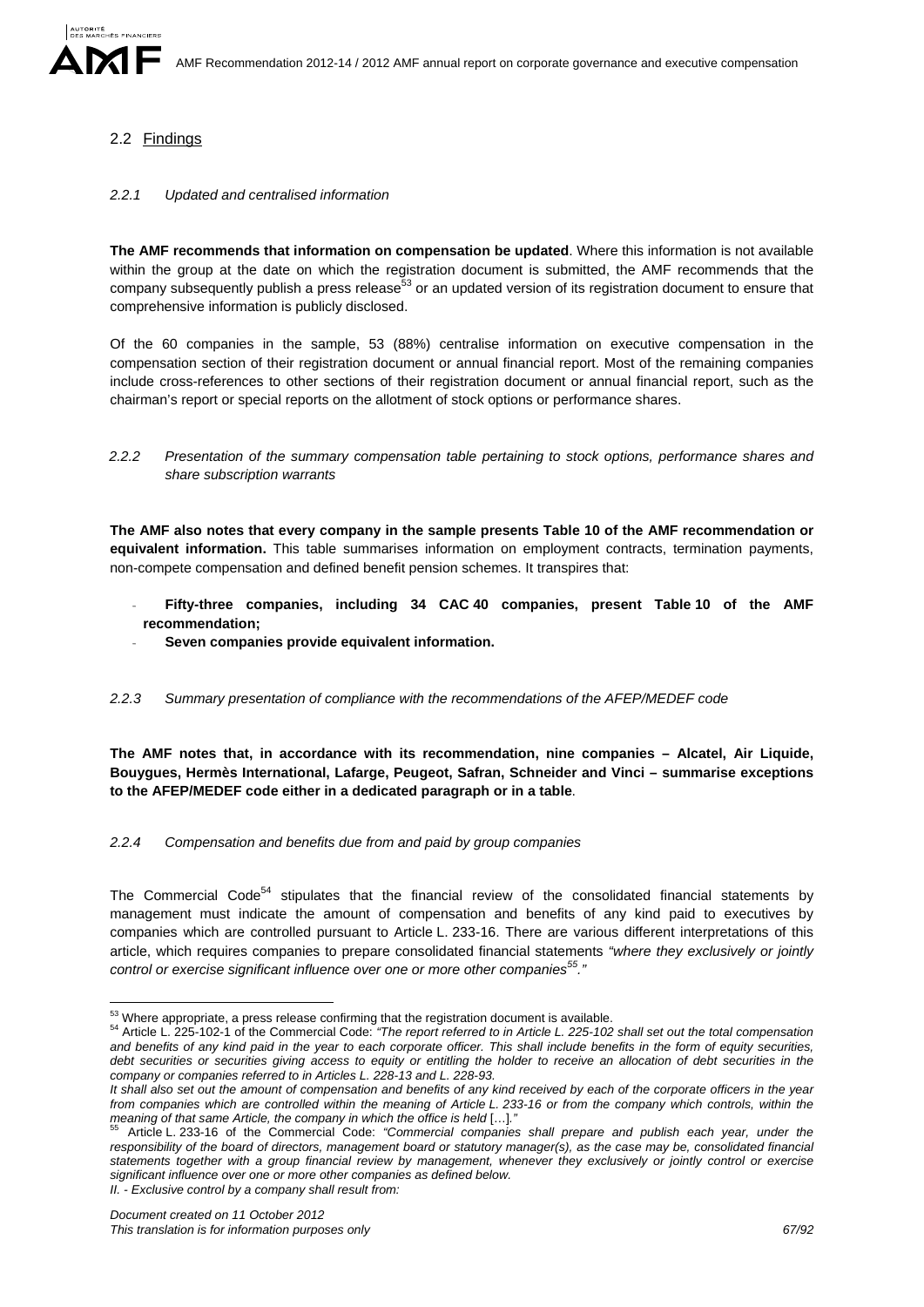# 2.2 Findings

# *2.2.1 Updated and centralised information*

**The AMF recommends that information on compensation be updated**. Where this information is not available within the group at the date on which the registration document is submitted, the AMF recommends that the company subsequently publish a press release<sup>53</sup> or an updated version of its registration document to ensure that comprehensive information is publicly disclosed.

Of the 60 companies in the sample, 53 (88%) centralise information on executive compensation in the compensation section of their registration document or annual financial report. Most of the remaining companies include cross-references to other sections of their registration document or annual financial report, such as the chairman's report or special reports on the allotment of stock options or performance shares.

*2.2.2 Presentation of the summary compensation table pertaining to stock options, performance shares and share subscription warrants* 

**The AMF also notes that every company in the sample presents Table 10 of the AMF recommendation or equivalent information.** This table summarises information on employment contracts, termination payments, non-compete compensation and defined benefit pension schemes. It transpires that:

- **Fifty-three companies, including 34 CAC 40 companies, present Table 10 of the AMF recommendation;**
- **Seven companies provide equivalent information.**
- *2.2.3 Summary presentation of compliance with the recommendations of the AFEP/MEDEF code*

**The AMF notes that, in accordance with its recommendation, nine companies – Alcatel, Air Liquide, Bouygues, Hermès International, Lafarge, Peugeot, Safran, Schneider and Vinci – summarise exceptions to the AFEP/MEDEF code either in a dedicated paragraph or in a table**.

# *2.2.4 Compensation and benefits due from and paid by group companies*

The Commercial Code<sup>54</sup> stipulates that the financial review of the consolidated financial statements by management must indicate the amount of compensation and benefits of any kind paid to executives by companies which are controlled pursuant to Article L. 233-16. There are various different interpretations of this article, which requires companies to prepare consolidated financial statements *"where they exclusively or jointly control or exercise significant influence over one or more other companies55."*

<sup>53</sup> Where appropriate, a press release confirming that the registration document is available.

<sup>&</sup>lt;sup>54</sup> Article L. 225-102-1 of the Commercial Code: "The report referred to in Article L. 225-102 shall set out the total compensation *and benefits of any kind paid in the year to each corporate officer. This shall include benefits in the form of equity securities,*  debt securities or securities giving access to equity or entitling the holder to receive an allocation of debt securities in the *company or companies referred to in Articles L. 228-13 and L. 228-93.* 

*It shall also set out the amount of compensation and benefits of any kind received by each of the corporate officers in the year from companies which are controlled within the meaning of Article L. 233-16 or from the company which controls, within the* 

Article L. 233-16 of the Commercial Code: *"Commercial companies shall prepare and publish each year, under the responsibility of the board of directors, management board or statutory manager(s), as the case may be, consolidated financial statements together with a group financial review by management, whenever they exclusively or jointly control or exercise significant influence over one or more other companies as defined below.*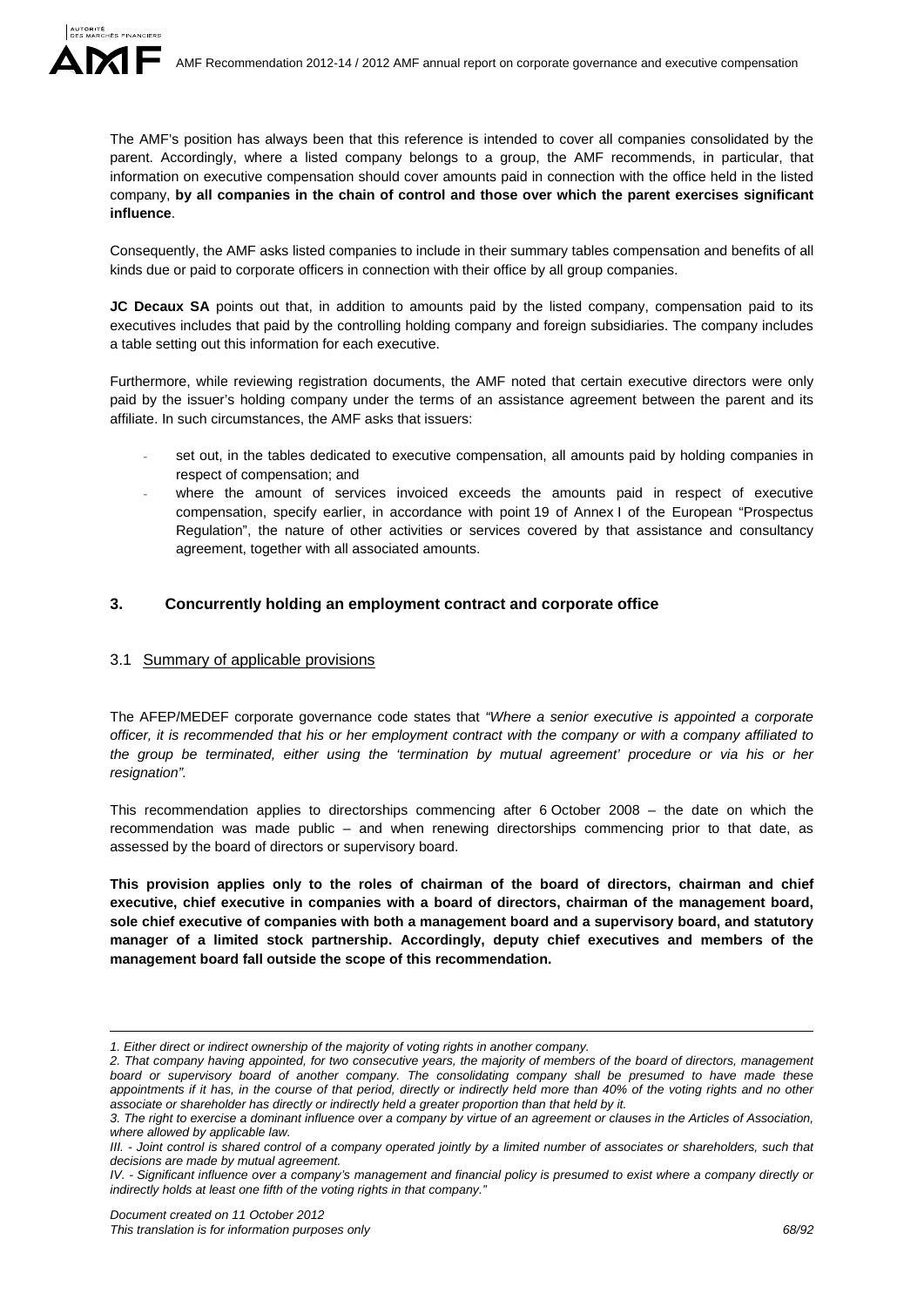The AMF's position has always been that this reference is intended to cover all companies consolidated by the parent. Accordingly, where a listed company belongs to a group, the AMF recommends, in particular, that information on executive compensation should cover amounts paid in connection with the office held in the listed company, **by all companies in the chain of control and those over which the parent exercises significant influence**.

Consequently, the AMF asks listed companies to include in their summary tables compensation and benefits of all kinds due or paid to corporate officers in connection with their office by all group companies.

JC Decaux SA points out that, in addition to amounts paid by the listed company, compensation paid to its executives includes that paid by the controlling holding company and foreign subsidiaries. The company includes a table setting out this information for each executive.

Furthermore, while reviewing registration documents, the AMF noted that certain executive directors were only paid by the issuer's holding company under the terms of an assistance agreement between the parent and its affiliate. In such circumstances, the AMF asks that issuers:

- set out, in the tables dedicated to executive compensation, all amounts paid by holding companies in respect of compensation; and
- where the amount of services invoiced exceeds the amounts paid in respect of executive compensation, specify earlier, in accordance with point 19 of Annex I of the European "Prospectus Regulation", the nature of other activities or services covered by that assistance and consultancy agreement, together with all associated amounts.

# **3. Concurrently holding an employment contract and corporate office**

# 3.1 Summary of applicable provisions

The AFEP/MEDEF corporate governance code states that *"Where a senior executive is appointed a corporate officer, it is recommended that his or her employment contract with the company or with a company affiliated to the group be terminated, either using the 'termination by mutual agreement' procedure or via his or her resignation".* 

This recommendation applies to directorships commencing after 6 October 2008 – the date on which the recommendation was made public – and when renewing directorships commencing prior to that date, as assessed by the board of directors or supervisory board.

**This provision applies only to the roles of chairman of the board of directors, chairman and chief executive, chief executive in companies with a board of directors, chairman of the management board, sole chief executive of companies with both a management board and a supervisory board, and statutory manager of a limited stock partnership. Accordingly, deputy chief executives and members of the management board fall outside the scope of this recommendation.** 

<sup>1</sup> *1. Either direct or indirect ownership of the majority of voting rights in another company.* 

*<sup>2.</sup> That company having appointed, for two consecutive years, the majority of members of the board of directors, management board or supervisory board of another company. The consolidating company shall be presumed to have made these appointments if it has, in the course of that period, directly or indirectly held more than 40% of the voting rights and no other associate or shareholder has directly or indirectly held a greater proportion than that held by it.* 

*<sup>3.</sup> The right to exercise a dominant influence over a company by virtue of an agreement or clauses in the Articles of Association, where allowed by applicable law.* 

*III. - Joint control is shared control of a company operated jointly by a limited number of associates or shareholders, such that decisions are made by mutual agreement.* 

*IV. - Significant influence over a company's management and financial policy is presumed to exist where a company directly or indirectly holds at least one fifth of the voting rights in that company."*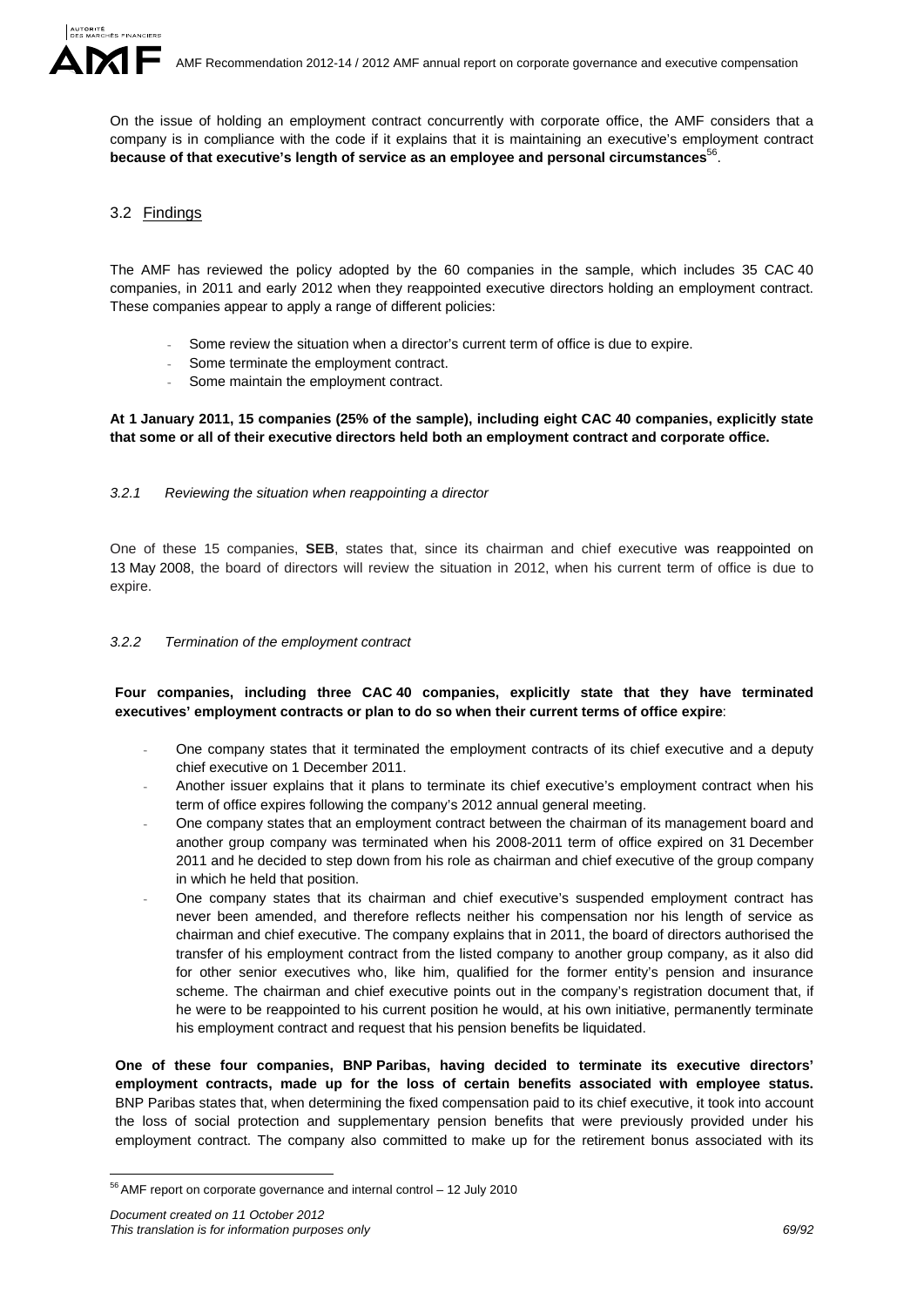On the issue of holding an employment contract concurrently with corporate office, the AMF considers that a company is in compliance with the code if it explains that it is maintaining an executive's employment contract **because of that executive's length of service as an employee and personal circumstances**56.

# 3.2 Findings

The AMF has reviewed the policy adopted by the 60 companies in the sample, which includes 35 CAC 40 companies, in 2011 and early 2012 when they reappointed executive directors holding an employment contract. These companies appear to apply a range of different policies:

- Some review the situation when a director's current term of office is due to expire.
- Some terminate the employment contract.
- Some maintain the employment contract.

# **At 1 January 2011, 15 companies (25% of the sample), including eight CAC 40 companies, explicitly state that some or all of their executive directors held both an employment contract and corporate office.**

# *3.2.1 Reviewing the situation when reappointing a director*

One of these 15 companies, **SEB**, states that, since its chairman and chief executive was reappointed on 13 May 2008, the board of directors will review the situation in 2012, when his current term of office is due to expire.

# *3.2.2 Termination of the employment contract*

# **Four companies, including three CAC 40 companies, explicitly state that they have terminated executives' employment contracts or plan to do so when their current terms of office expire**:

- One company states that it terminated the employment contracts of its chief executive and a deputy chief executive on 1 December 2011.
- Another issuer explains that it plans to terminate its chief executive's employment contract when his term of office expires following the company's 2012 annual general meeting.
- One company states that an employment contract between the chairman of its management board and another group company was terminated when his 2008-2011 term of office expired on 31 December 2011 and he decided to step down from his role as chairman and chief executive of the group company in which he held that position.
- One company states that its chairman and chief executive's suspended employment contract has never been amended, and therefore reflects neither his compensation nor his length of service as chairman and chief executive. The company explains that in 2011, the board of directors authorised the transfer of his employment contract from the listed company to another group company, as it also did for other senior executives who, like him, qualified for the former entity's pension and insurance scheme. The chairman and chief executive points out in the company's registration document that, if he were to be reappointed to his current position he would, at his own initiative, permanently terminate his employment contract and request that his pension benefits be liquidated.

**One of these four companies, BNP Paribas, having decided to terminate its executive directors' employment contracts, made up for the loss of certain benefits associated with employee status.**  BNP Paribas states that, when determining the fixed compensation paid to its chief executive, it took into account the loss of social protection and supplementary pension benefits that were previously provided under his employment contract. The company also committed to make up for the retirement bonus associated with its

<sup>&</sup>lt;u>.</u> <sup>56</sup> AMF report on corporate governance and internal control – 12 July 2010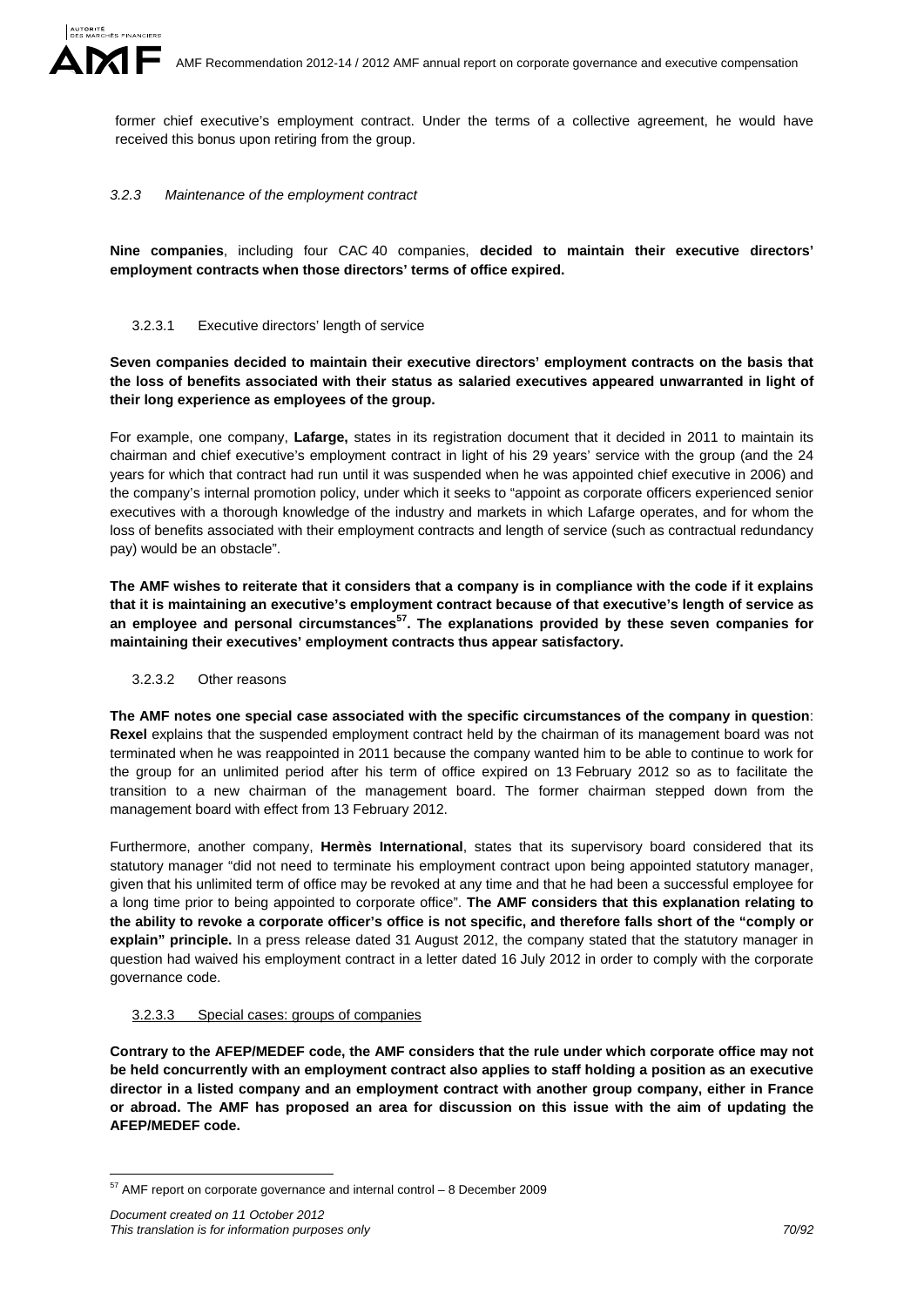former chief executive's employment contract. Under the terms of a collective agreement, he would have received this bonus upon retiring from the group.

# *3.2.3 Maintenance of the employment contract*

**Nine companies**, including four CAC 40 companies, **decided to maintain their executive directors' employment contracts when those directors' terms of office expired.** 

# 3.2.3.1 Executive directors' length of service

**Seven companies decided to maintain their executive directors' employment contracts on the basis that the loss of benefits associated with their status as salaried executives appeared unwarranted in light of their long experience as employees of the group.** 

For example, one company, **Lafarge,** states in its registration document that it decided in 2011 to maintain its chairman and chief executive's employment contract in light of his 29 years' service with the group (and the 24 years for which that contract had run until it was suspended when he was appointed chief executive in 2006) and the company's internal promotion policy, under which it seeks to "appoint as corporate officers experienced senior executives with a thorough knowledge of the industry and markets in which Lafarge operates, and for whom the loss of benefits associated with their employment contracts and length of service (such as contractual redundancy pay) would be an obstacle".

**The AMF wishes to reiterate that it considers that a company is in compliance with the code if it explains that it is maintaining an executive's employment contract because of that executive's length of service as an employee and personal circumstances57. The explanations provided by these seven companies for maintaining their executives' employment contracts thus appear satisfactory.**

# 3.2.3.2 Other reasons

**The AMF notes one special case associated with the specific circumstances of the company in question**: **Rexel** explains that the suspended employment contract held by the chairman of its management board was not terminated when he was reappointed in 2011 because the company wanted him to be able to continue to work for the group for an unlimited period after his term of office expired on 13 February 2012 so as to facilitate the transition to a new chairman of the management board. The former chairman stepped down from the management board with effect from 13 February 2012.

Furthermore, another company, **Hermès International**, states that its supervisory board considered that its statutory manager "did not need to terminate his employment contract upon being appointed statutory manager, given that his unlimited term of office may be revoked at any time and that he had been a successful employee for a long time prior to being appointed to corporate office". **The AMF considers that this explanation relating to the ability to revoke a corporate officer's office is not specific, and therefore falls short of the "comply or explain" principle.** In a press release dated 31 August 2012, the company stated that the statutory manager in question had waived his employment contract in a letter dated 16 July 2012 in order to comply with the corporate governance code.

# 3.2.3.3 Special cases: groups of companies

**Contrary to the AFEP/MEDEF code, the AMF considers that the rule under which corporate office may not be held concurrently with an employment contract also applies to staff holding a position as an executive director in a listed company and an employment contract with another group company, either in France or abroad. The AMF has proposed an area for discussion on this issue with the aim of updating the AFEP/MEDEF code.** 

<sup>&</sup>lt;u>.</u>  $57$  AMF report on corporate governance and internal control  $-8$  December 2009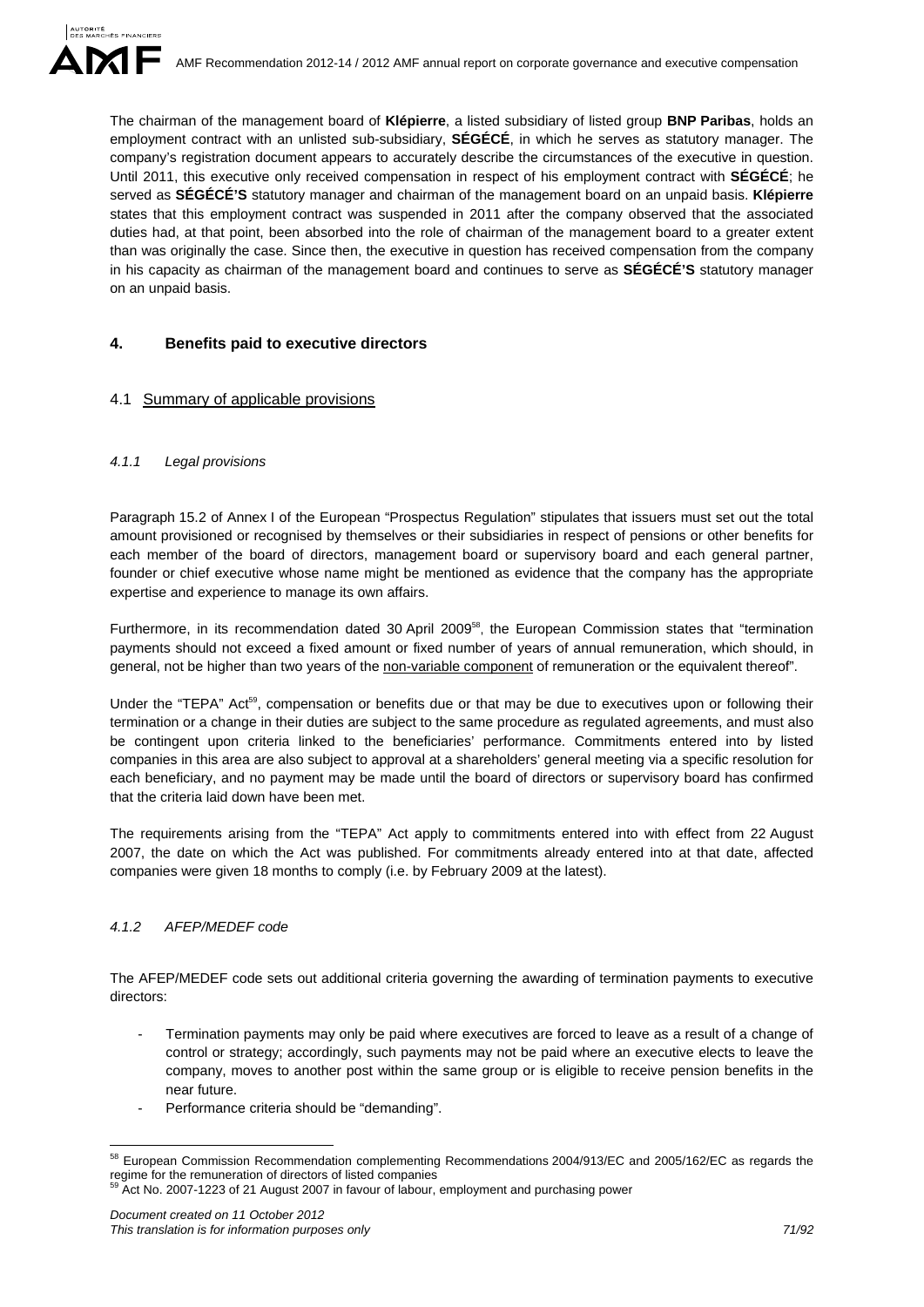The chairman of the management board of **Klépierre**, a listed subsidiary of listed group **BNP Paribas**, holds an employment contract with an unlisted sub-subsidiary, **SÉGÉCÉ**, in which he serves as statutory manager. The company's registration document appears to accurately describe the circumstances of the executive in question. Until 2011, this executive only received compensation in respect of his employment contract with **SÉGÉCÉ**; he served as **SÉGÉCÉ'S** statutory manager and chairman of the management board on an unpaid basis. **Klépierre** states that this employment contract was suspended in 2011 after the company observed that the associated duties had, at that point, been absorbed into the role of chairman of the management board to a greater extent than was originally the case. Since then, the executive in question has received compensation from the company in his capacity as chairman of the management board and continues to serve as **SÉGÉCÉ'S** statutory manager on an unpaid basis.

# **4. Benefits paid to executive directors**

# 4.1 Summary of applicable provisions

# *4.1.1 Legal provisions*

Paragraph 15.2 of Annex I of the European "Prospectus Regulation" stipulates that issuers must set out the total amount provisioned or recognised by themselves or their subsidiaries in respect of pensions or other benefits for each member of the board of directors, management board or supervisory board and each general partner, founder or chief executive whose name might be mentioned as evidence that the company has the appropriate expertise and experience to manage its own affairs.

Furthermore, in its recommendation dated 30 April 2009<sup>58</sup>, the European Commission states that "termination payments should not exceed a fixed amount or fixed number of years of annual remuneration, which should, in general, not be higher than two years of the non-variable component of remuneration or the equivalent thereof".

Under the "TEPA" Act<sup>59</sup>, compensation or benefits due or that may be due to executives upon or following their termination or a change in their duties are subject to the same procedure as regulated agreements, and must also be contingent upon criteria linked to the beneficiaries' performance. Commitments entered into by listed companies in this area are also subject to approval at a shareholders' general meeting via a specific resolution for each beneficiary, and no payment may be made until the board of directors or supervisory board has confirmed that the criteria laid down have been met.

The requirements arising from the "TEPA" Act apply to commitments entered into with effect from 22 August 2007, the date on which the Act was published. For commitments already entered into at that date, affected companies were given 18 months to comply (i.e. by February 2009 at the latest).

# *4.1.2 AFEP/MEDEF code*

The AFEP/MEDEF code sets out additional criteria governing the awarding of termination payments to executive directors:

- Termination payments may only be paid where executives are forced to leave as a result of a change of control or strategy; accordingly, such payments may not be paid where an executive elects to leave the company, moves to another post within the same group or is eligible to receive pension benefits in the near future.
- Performance criteria should be "demanding".

<sup>1</sup> <sup>58</sup> European Commission Recommendation complementing Recommendations 2004/913/EC and 2005/162/EC as regards the regime for the remuneration of directors of listed companies<br><sup>59</sup> Act No. 2007-1223 of 21 August 2007 in favour of labour, employment and purchasing power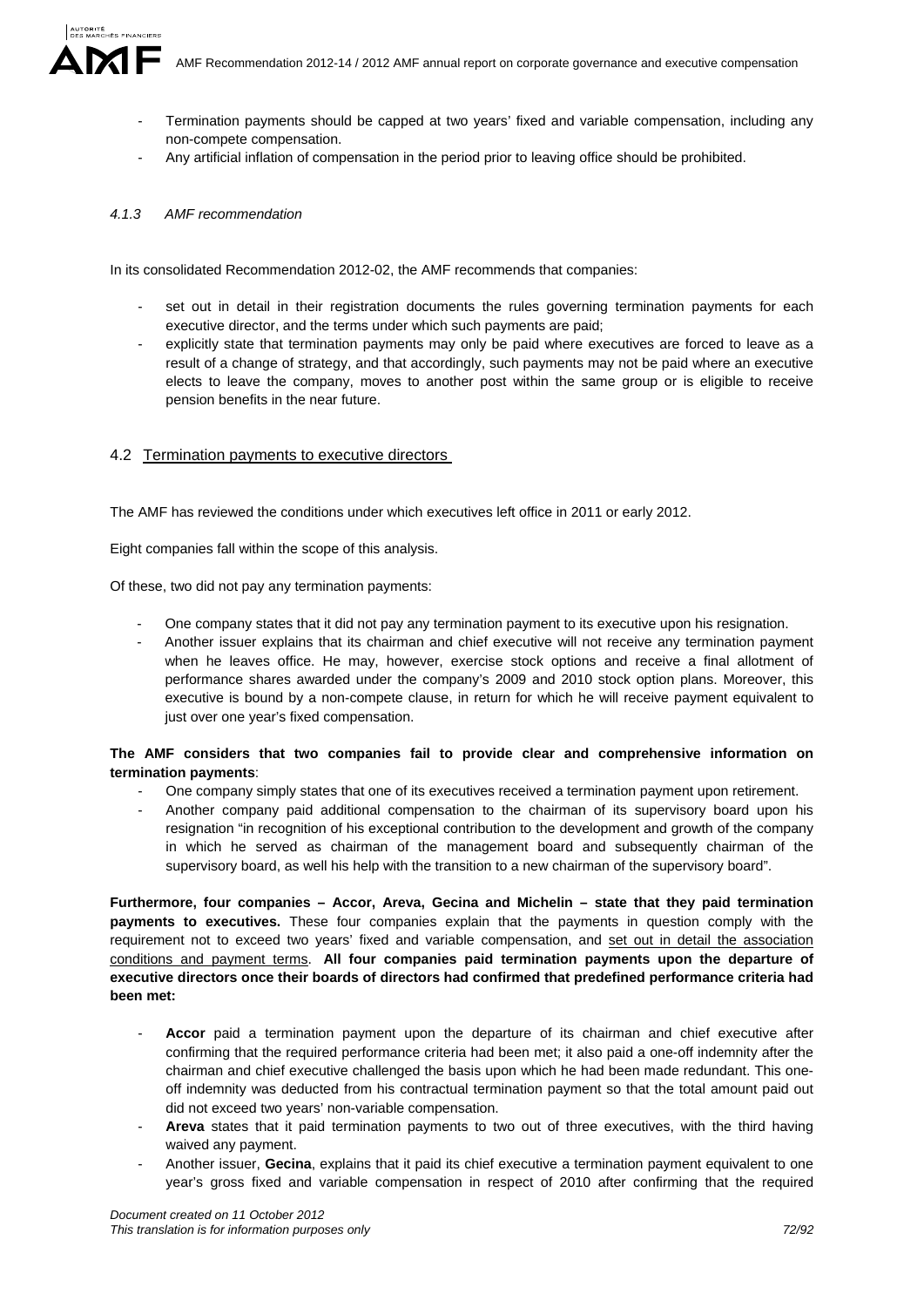- - Termination payments should be capped at two years' fixed and variable compensation, including any non-compete compensation.
	- Any artificial inflation of compensation in the period prior to leaving office should be prohibited.

# *4.1.3 AMF recommendation*

In its consolidated Recommendation 2012-02, the AMF recommends that companies:

- set out in detail in their registration documents the rules governing termination payments for each executive director, and the terms under which such payments are paid;
- explicitly state that termination payments may only be paid where executives are forced to leave as a result of a change of strategy, and that accordingly, such payments may not be paid where an executive elects to leave the company, moves to another post within the same group or is eligible to receive pension benefits in the near future.

# 4.2 Termination payments to executive directors

The AMF has reviewed the conditions under which executives left office in 2011 or early 2012.

Eight companies fall within the scope of this analysis.

Of these, two did not pay any termination payments:

- One company states that it did not pay any termination payment to its executive upon his resignation.
- Another issuer explains that its chairman and chief executive will not receive any termination payment when he leaves office. He may, however, exercise stock options and receive a final allotment of performance shares awarded under the company's 2009 and 2010 stock option plans. Moreover, this executive is bound by a non-compete clause, in return for which he will receive payment equivalent to just over one year's fixed compensation.

# **The AMF considers that two companies fail to provide clear and comprehensive information on termination payments**:

- One company simply states that one of its executives received a termination payment upon retirement.
- Another company paid additional compensation to the chairman of its supervisory board upon his resignation "in recognition of his exceptional contribution to the development and growth of the company in which he served as chairman of the management board and subsequently chairman of the supervisory board, as well his help with the transition to a new chairman of the supervisory board".

**Furthermore, four companies – Accor, Areva, Gecina and Michelin – state that they paid termination payments to executives.** These four companies explain that the payments in question comply with the requirement not to exceed two years' fixed and variable compensation, and set out in detail the association conditions and payment terms. **All four companies paid termination payments upon the departure of executive directors once their boards of directors had confirmed that predefined performance criteria had been met:** 

- Accor paid a termination payment upon the departure of its chairman and chief executive after confirming that the required performance criteria had been met; it also paid a one-off indemnity after the chairman and chief executive challenged the basis upon which he had been made redundant. This oneoff indemnity was deducted from his contractual termination payment so that the total amount paid out did not exceed two years' non-variable compensation.
- **Areva** states that it paid termination payments to two out of three executives, with the third having waived any payment.
- Another issuer, **Gecina**, explains that it paid its chief executive a termination payment equivalent to one year's gross fixed and variable compensation in respect of 2010 after confirming that the required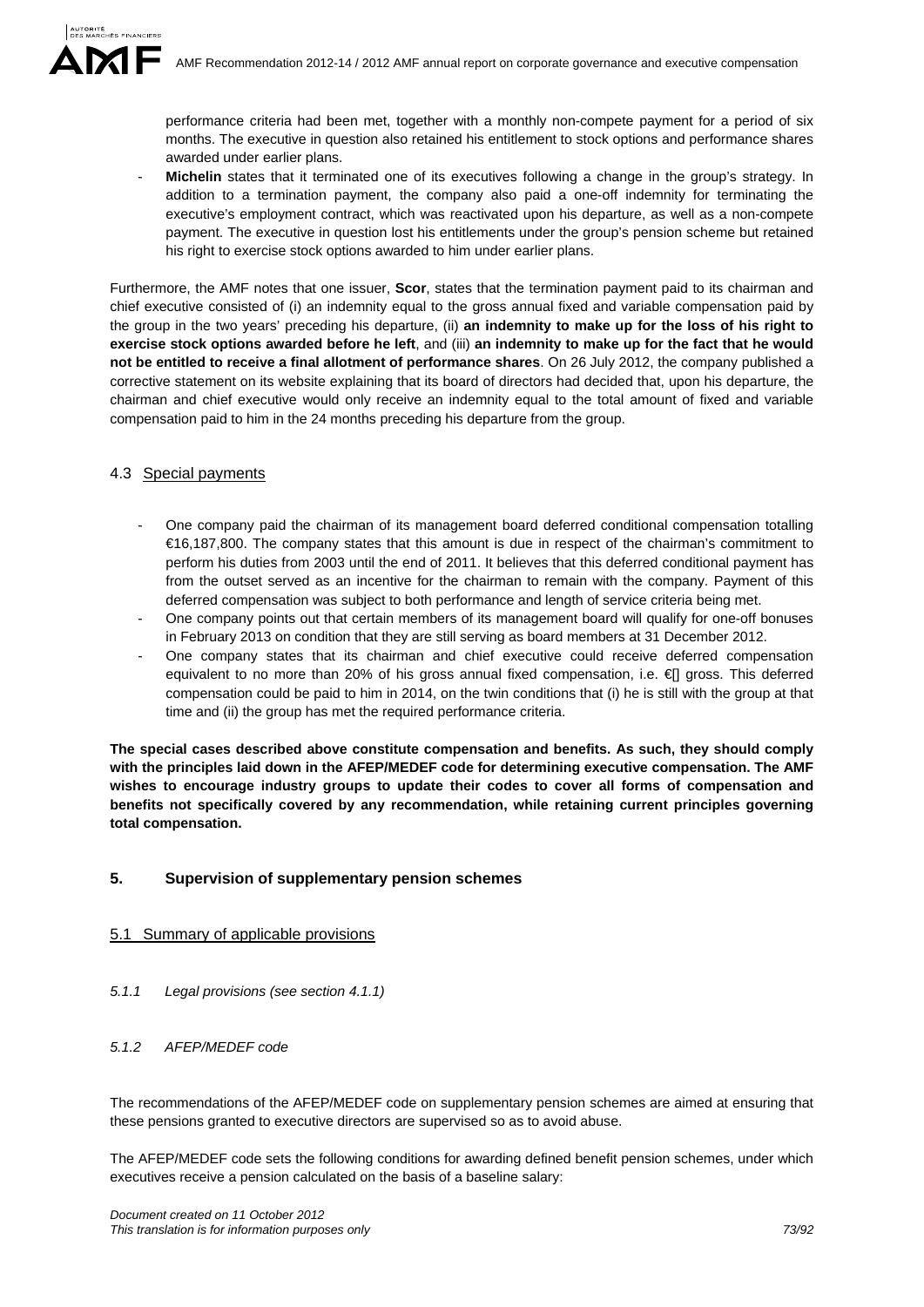performance criteria had been met, together with a monthly non-compete payment for a period of six months. The executive in question also retained his entitlement to stock options and performance shares awarded under earlier plans.

Michelin states that it terminated one of its executives following a change in the group's strategy. In addition to a termination payment, the company also paid a one-off indemnity for terminating the executive's employment contract, which was reactivated upon his departure, as well as a non-compete payment. The executive in question lost his entitlements under the group's pension scheme but retained his right to exercise stock options awarded to him under earlier plans.

Furthermore, the AMF notes that one issuer, **Scor**, states that the termination payment paid to its chairman and chief executive consisted of (i) an indemnity equal to the gross annual fixed and variable compensation paid by the group in the two years' preceding his departure, (ii) **an indemnity to make up for the loss of his right to exercise stock options awarded before he left**, and (iii) **an indemnity to make up for the fact that he would not be entitled to receive a final allotment of performance shares**. On 26 July 2012, the company published a corrective statement on its website explaining that its board of directors had decided that, upon his departure, the chairman and chief executive would only receive an indemnity equal to the total amount of fixed and variable compensation paid to him in the 24 months preceding his departure from the group.

# 4.3 Special payments

- One company paid the chairman of its management board deferred conditional compensation totalling €16,187,800. The company states that this amount is due in respect of the chairman's commitment to perform his duties from 2003 until the end of 2011. It believes that this deferred conditional payment has from the outset served as an incentive for the chairman to remain with the company. Payment of this deferred compensation was subject to both performance and length of service criteria being met.
- One company points out that certain members of its management board will qualify for one-off bonuses in February 2013 on condition that they are still serving as board members at 31 December 2012.
- One company states that its chairman and chief executive could receive deferred compensation equivalent to no more than 20% of his gross annual fixed compensation, i.e. € gross. This deferred compensation could be paid to him in 2014, on the twin conditions that (i) he is still with the group at that time and (ii) the group has met the required performance criteria.

**The special cases described above constitute compensation and benefits. As such, they should comply with the principles laid down in the AFEP/MEDEF code for determining executive compensation. The AMF wishes to encourage industry groups to update their codes to cover all forms of compensation and benefits not specifically covered by any recommendation, while retaining current principles governing total compensation.**

# **5. Supervision of supplementary pension schemes**

# 5.1 Summary of applicable provisions

*5.1.1 Legal provisions (see section 4.1.1)* 

# *5.1.2 AFEP/MEDEF code*

The recommendations of the AFEP/MEDEF code on supplementary pension schemes are aimed at ensuring that these pensions granted to executive directors are supervised so as to avoid abuse.

The AFEP/MEDEF code sets the following conditions for awarding defined benefit pension schemes, under which executives receive a pension calculated on the basis of a baseline salary: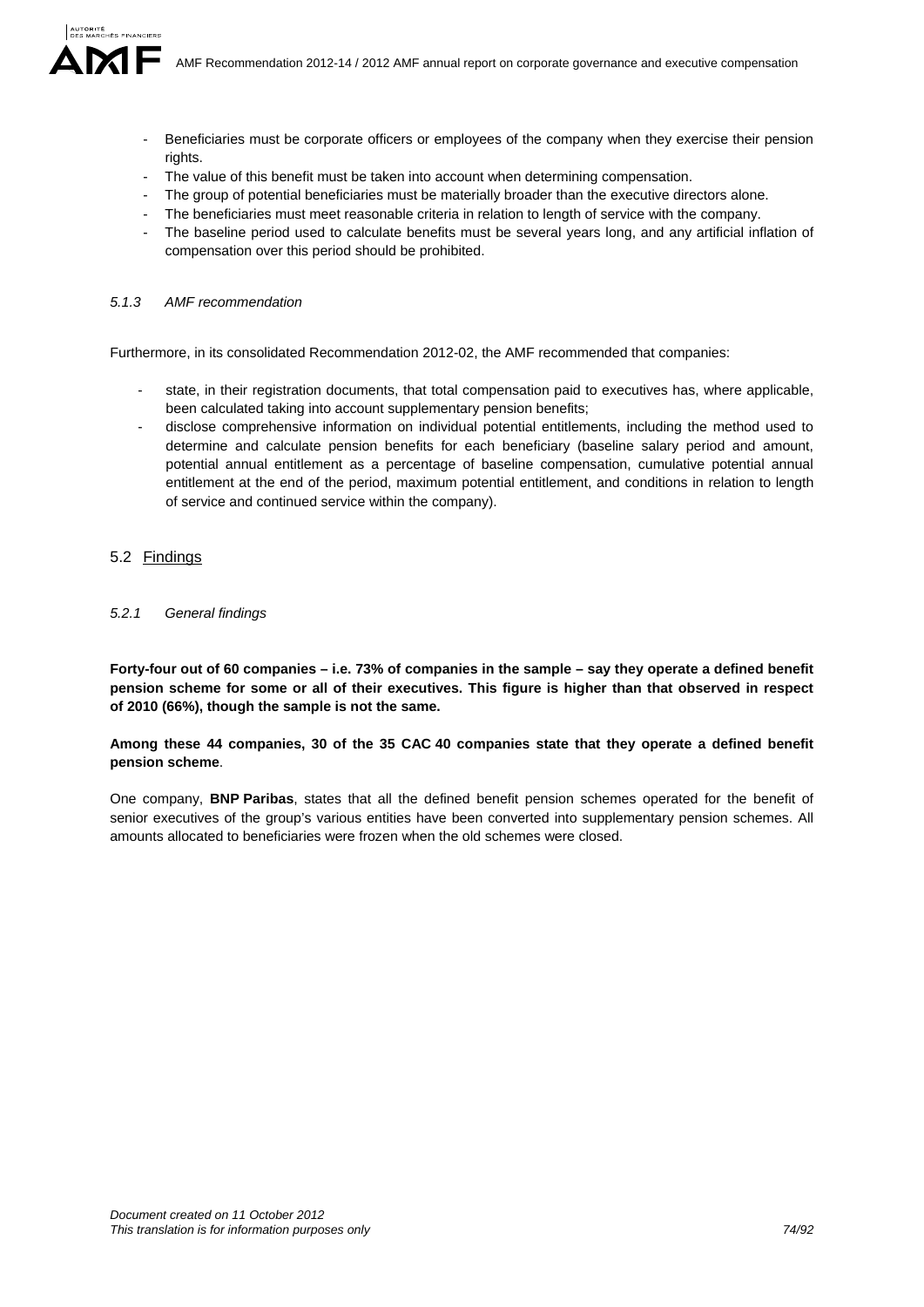- Beneficiaries must be corporate officers or employees of the company when they exercise their pension rights.
- The value of this benefit must be taken into account when determining compensation.
- The group of potential beneficiaries must be materially broader than the executive directors alone.
- The beneficiaries must meet reasonable criteria in relation to length of service with the company.
- The baseline period used to calculate benefits must be several years long, and any artificial inflation of compensation over this period should be prohibited.

# *5.1.3 AMF recommendation*

Furthermore, in its consolidated Recommendation 2012-02, the AMF recommended that companies:

- state, in their registration documents, that total compensation paid to executives has, where applicable, been calculated taking into account supplementary pension benefits;
- disclose comprehensive information on individual potential entitlements, including the method used to determine and calculate pension benefits for each beneficiary (baseline salary period and amount, potential annual entitlement as a percentage of baseline compensation, cumulative potential annual entitlement at the end of the period, maximum potential entitlement, and conditions in relation to length of service and continued service within the company).

# 5.2 Findings

# *5.2.1 General findings*

**Forty-four out of 60 companies – i.e. 73% of companies in the sample – say they operate a defined benefit pension scheme for some or all of their executives. This figure is higher than that observed in respect of 2010 (66%), though the sample is not the same.** 

# **Among these 44 companies, 30 of the 35 CAC 40 companies state that they operate a defined benefit pension scheme**.

One company, **BNP Paribas**, states that all the defined benefit pension schemes operated for the benefit of senior executives of the group's various entities have been converted into supplementary pension schemes. All amounts allocated to beneficiaries were frozen when the old schemes were closed.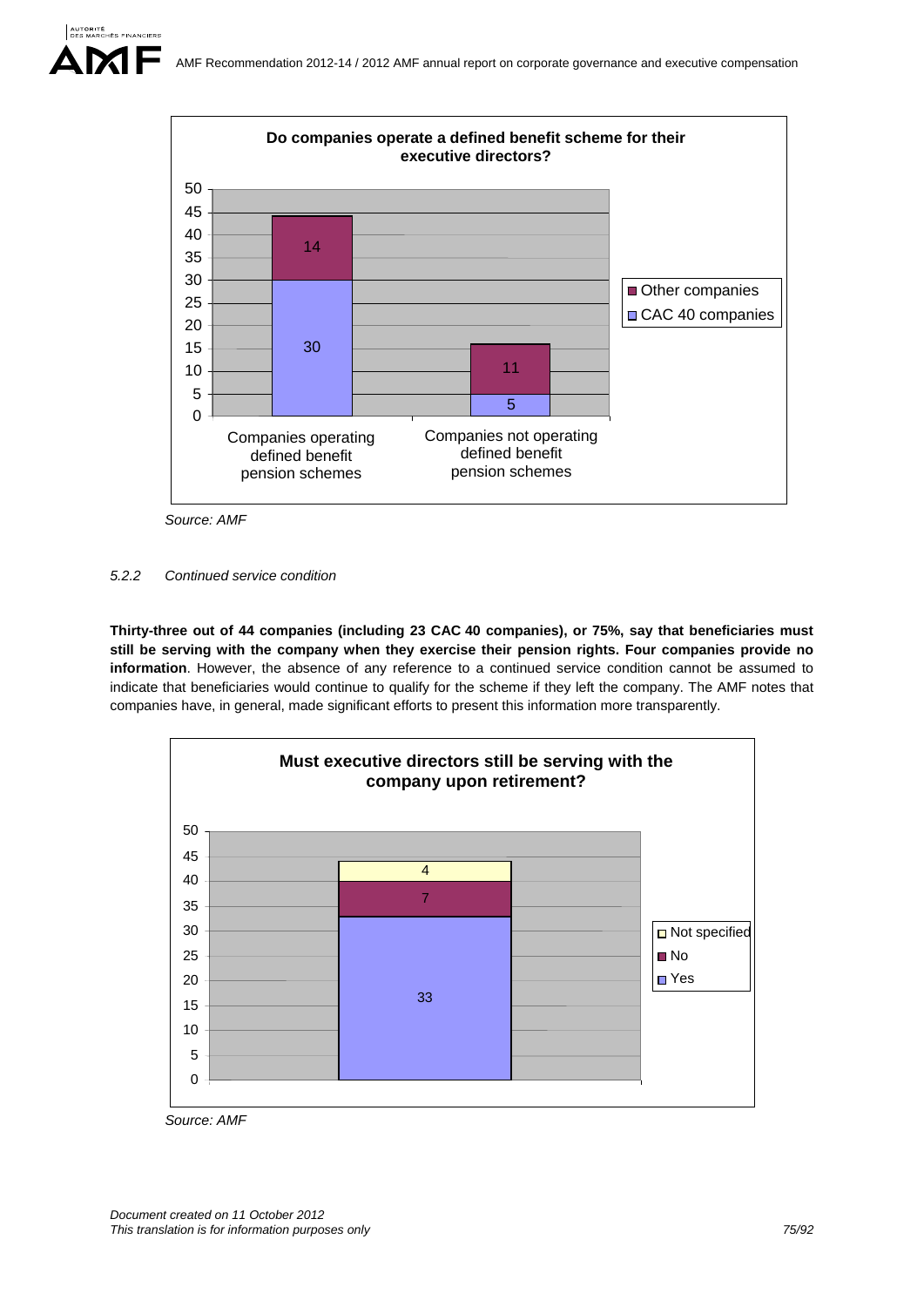

*Source: AMF* 

*5.2.2 Continued service condition* 

**Thirty-three out of 44 companies (including 23 CAC 40 companies), or 75%, say that beneficiaries must still be serving with the company when they exercise their pension rights. Four companies provide no information**. However, the absence of any reference to a continued service condition cannot be assumed to indicate that beneficiaries would continue to qualify for the scheme if they left the company. The AMF notes that companies have, in general, made significant efforts to present this information more transparently.



*Source: AMF*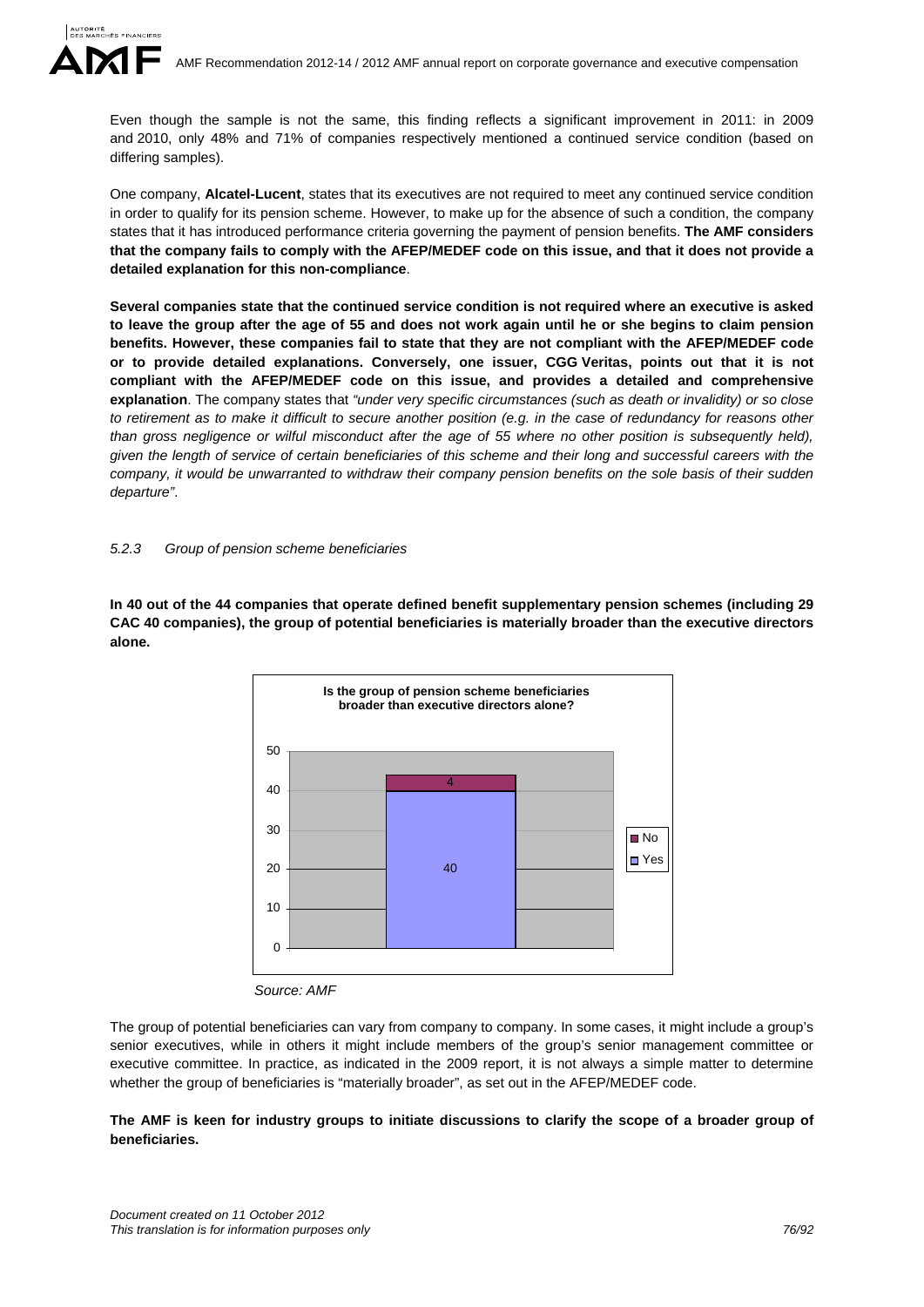Even though the sample is not the same, this finding reflects a significant improvement in 2011: in 2009 and 2010, only 48% and 71% of companies respectively mentioned a continued service condition (based on differing samples).

One company, **Alcatel-Lucent**, states that its executives are not required to meet any continued service condition in order to qualify for its pension scheme. However, to make up for the absence of such a condition, the company states that it has introduced performance criteria governing the payment of pension benefits. **The AMF considers that the company fails to comply with the AFEP/MEDEF code on this issue, and that it does not provide a detailed explanation for this non-compliance**.

**Several companies state that the continued service condition is not required where an executive is asked to leave the group after the age of 55 and does not work again until he or she begins to claim pension benefits. However, these companies fail to state that they are not compliant with the AFEP/MEDEF code or to provide detailed explanations. Conversely, one issuer, CGG Veritas, points out that it is not compliant with the AFEP/MEDEF code on this issue, and provides a detailed and comprehensive explanation**. The company states that *"under very specific circumstances (such as death or invalidity) or so close to retirement as to make it difficult to secure another position (e.g. in the case of redundancy for reasons other than gross negligence or wilful misconduct after the age of 55 where no other position is subsequently held). given the length of service of certain beneficiaries of this scheme and their long and successful careers with the company, it would be unwarranted to withdraw their company pension benefits on the sole basis of their sudden departure"*.

#### *5.2.3 Group of pension scheme beneficiaries*

**In 40 out of the 44 companies that operate defined benefit supplementary pension schemes (including 29 CAC 40 companies), the group of potential beneficiaries is materially broader than the executive directors alone.** 



*Source: AMF* 

The group of potential beneficiaries can vary from company to company. In some cases, it might include a group's senior executives, while in others it might include members of the group's senior management committee or executive committee. In practice, as indicated in the 2009 report, it is not always a simple matter to determine whether the group of beneficiaries is "materially broader", as set out in the AFEP/MEDEF code.

# **The AMF is keen for industry groups to initiate discussions to clarify the scope of a broader group of beneficiaries.**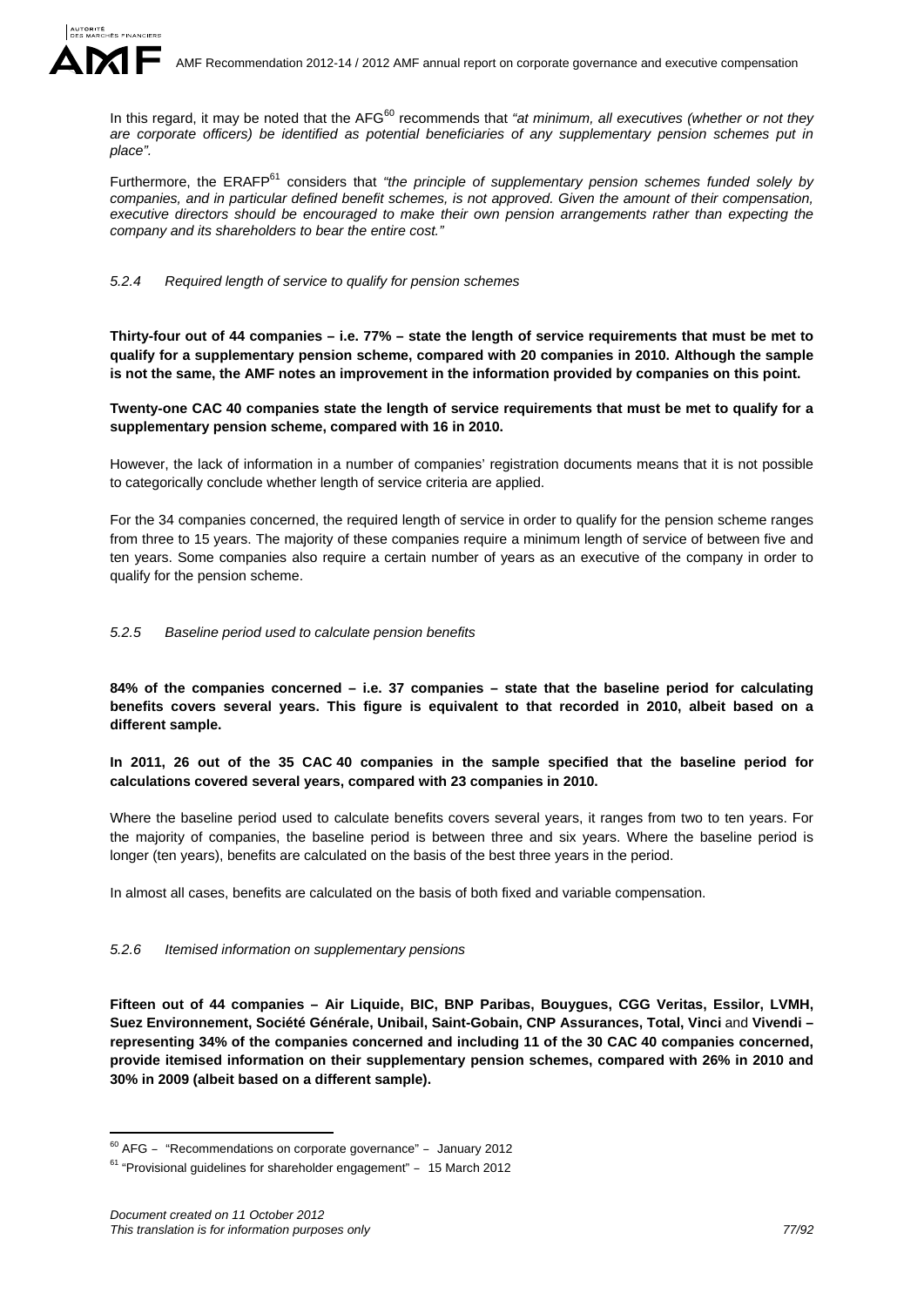

In this regard, it may be noted that the AFG<sup>60</sup> recommends that *"at minimum, all executives (whether or not they are corporate officers) be identified as potential beneficiaries of any supplementary pension schemes put in place".*

Furthermore, the ERAFP<sup>61</sup> considers that *"the principle of supplementary pension schemes funded solely by companies, and in particular defined benefit schemes, is not approved. Given the amount of their compensation, executive directors should be encouraged to make their own pension arrangements rather than expecting the company and its shareholders to bear the entire cost."* 

#### *5.2.4 Required length of service to qualify for pension schemes*

**Thirty-four out of 44 companies – i.e. 77% – state the length of service requirements that must be met to qualify for a supplementary pension scheme, compared with 20 companies in 2010. Although the sample is not the same, the AMF notes an improvement in the information provided by companies on this point.** 

### **Twenty-one CAC 40 companies state the length of service requirements that must be met to qualify for a supplementary pension scheme, compared with 16 in 2010.**

However, the lack of information in a number of companies' registration documents means that it is not possible to categorically conclude whether length of service criteria are applied.

For the 34 companies concerned, the required length of service in order to qualify for the pension scheme ranges from three to 15 years. The majority of these companies require a minimum length of service of between five and ten years. Some companies also require a certain number of years as an executive of the company in order to qualify for the pension scheme.

#### *5.2.5 Baseline period used to calculate pension benefits*

**84% of the companies concerned – i.e. 37 companies – state that the baseline period for calculating benefits covers several years. This figure is equivalent to that recorded in 2010, albeit based on a different sample.** 

**In 2011, 26 out of the 35 CAC 40 companies in the sample specified that the baseline period for calculations covered several years, compared with 23 companies in 2010.** 

Where the baseline period used to calculate benefits covers several years, it ranges from two to ten years. For the majority of companies, the baseline period is between three and six years. Where the baseline period is longer (ten years), benefits are calculated on the basis of the best three years in the period.

In almost all cases, benefits are calculated on the basis of both fixed and variable compensation.

#### *5.2.6 Itemised information on supplementary pensions*

**Fifteen out of 44 companies – Air Liquide, BIC, BNP Paribas, Bouygues, CGG Veritas, Essilor, LVMH,**  Suez Environnement, Société Générale, Unibail, Saint-Gobain, CNP Assurances, Total, Vinci and Vivendi **representing 34% of the companies concerned and including 11 of the 30 CAC 40 companies concerned, provide itemised information on their supplementary pension schemes, compared with 26% in 2010 and 30% in 2009 (albeit based on a different sample).**

<u>.</u>

 $60$  AFG – "Recommendations on corporate governance" – January 2012

<sup>61 &</sup>quot;Provisional guidelines for shareholder engagement" *–* 15 March 2012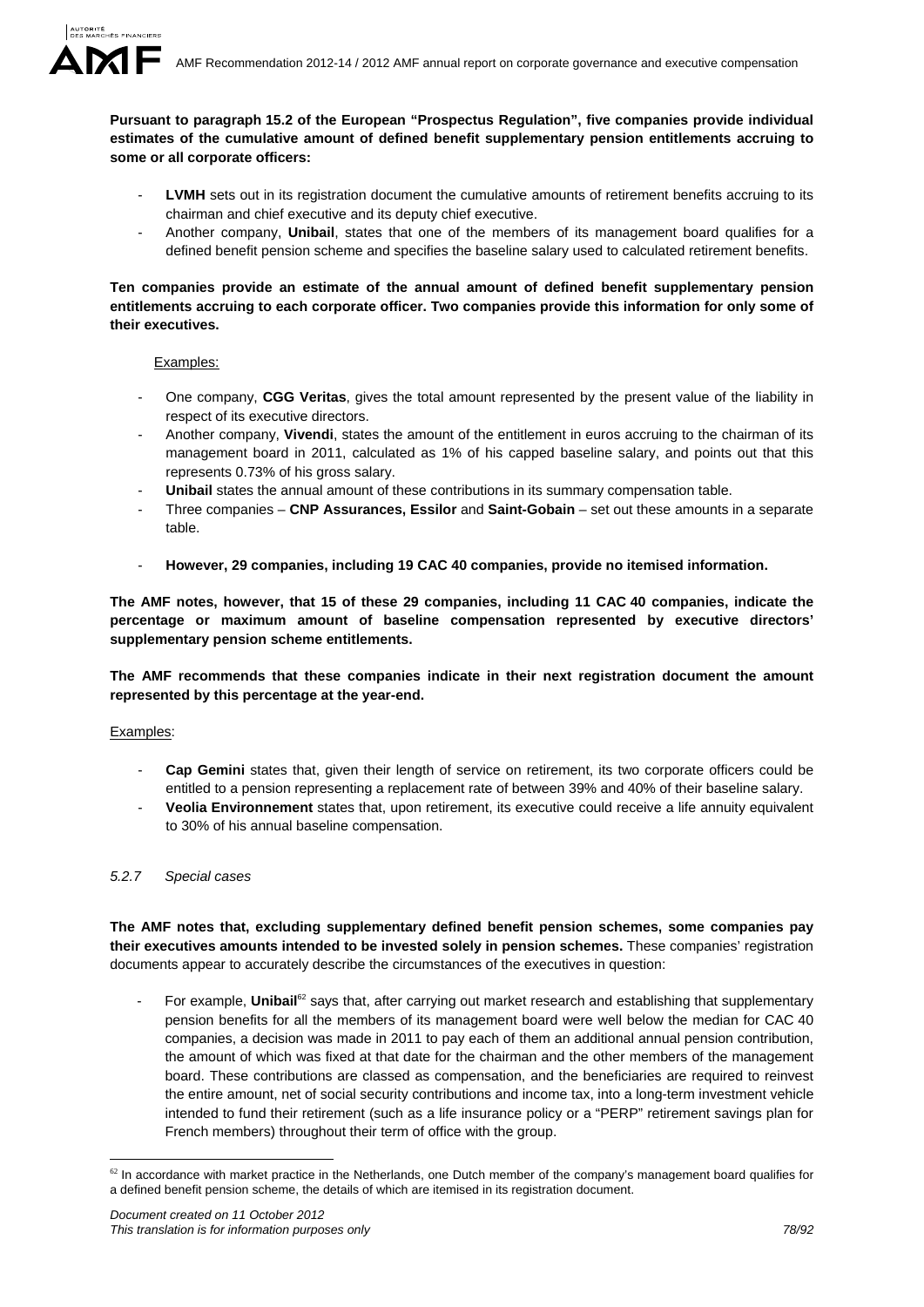

**Pursuant to paragraph 15.2 of the European "Prospectus Regulation", five companies provide individual estimates of the cumulative amount of defined benefit supplementary pension entitlements accruing to some or all corporate officers:** 

- LVMH sets out in its registration document the cumulative amounts of retirement benefits accruing to its chairman and chief executive and its deputy chief executive.
- Another company, **Unibail**, states that one of the members of its management board qualifies for a defined benefit pension scheme and specifies the baseline salary used to calculated retirement benefits.

# **Ten companies provide an estimate of the annual amount of defined benefit supplementary pension entitlements accruing to each corporate officer. Two companies provide this information for only some of their executives.**

# Examples:

- One company, **CGG Veritas**, gives the total amount represented by the present value of the liability in respect of its executive directors.
- Another company, **Vivendi**, states the amount of the entitlement in euros accruing to the chairman of its management board in 2011, calculated as 1% of his capped baseline salary, and points out that this represents 0.73% of his gross salary.
- **Unibail** states the annual amount of these contributions in its summary compensation table.
- Three companies **CNP Assurances, Essilor** and **Saint-Gobain** set out these amounts in a separate table.
- **However, 29 companies, including 19 CAC 40 companies, provide no itemised information.**

**The AMF notes, however, that 15 of these 29 companies, including 11 CAC 40 companies, indicate the percentage or maximum amount of baseline compensation represented by executive directors' supplementary pension scheme entitlements.** 

**The AMF recommends that these companies indicate in their next registration document the amount represented by this percentage at the year-end.** 

# Examples:

- **Cap Gemini** states that, given their length of service on retirement, its two corporate officers could be entitled to a pension representing a replacement rate of between 39% and 40% of their baseline salary.
- **Veolia Environnement** states that, upon retirement, its executive could receive a life annuity equivalent to 30% of his annual baseline compensation.

# *5.2.7 Special cases*

**The AMF notes that, excluding supplementary defined benefit pension schemes, some companies pay their executives amounts intended to be invested solely in pension schemes.** These companies' registration documents appear to accurately describe the circumstances of the executives in question:

For example, **Unibail**<sup>62</sup> says that, after carrying out market research and establishing that supplementary pension benefits for all the members of its management board were well below the median for CAC 40 companies, a decision was made in 2011 to pay each of them an additional annual pension contribution, the amount of which was fixed at that date for the chairman and the other members of the management board. These contributions are classed as compensation, and the beneficiaries are required to reinvest the entire amount, net of social security contributions and income tax, into a long-term investment vehicle intended to fund their retirement (such as a life insurance policy or a "PERP" retirement savings plan for French members) throughout their term of office with the group.

<sup>1</sup>  $62$  In accordance with market practice in the Netherlands, one Dutch member of the company's management board qualifies for a defined benefit pension scheme, the details of which are itemised in its registration document.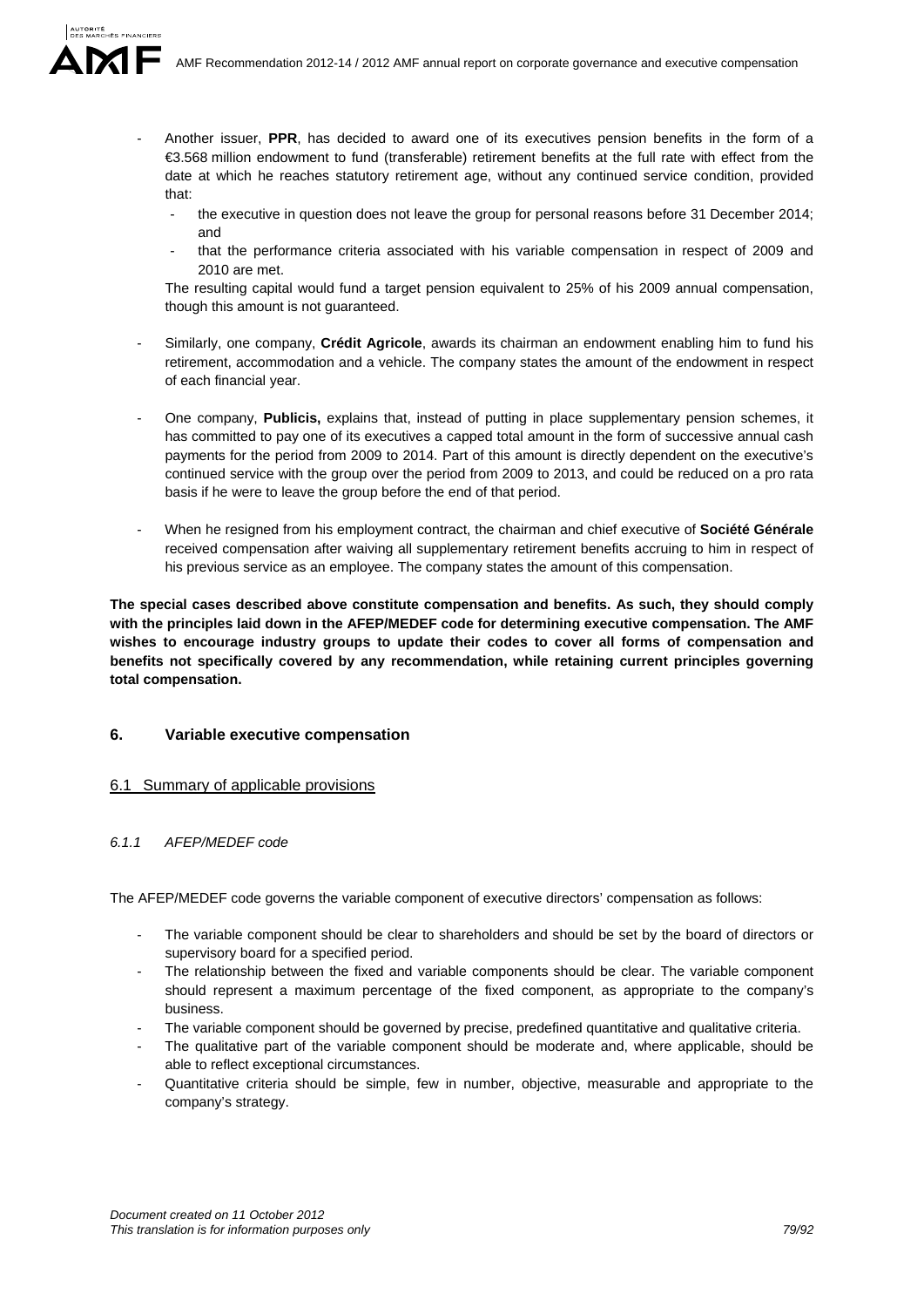- Another issuer, **PPR**, has decided to award one of its executives pension benefits in the form of a €3.568 million endowment to fund (transferable) retirement benefits at the full rate with effect from the date at which he reaches statutory retirement age, without any continued service condition, provided that:
	- the executive in question does not leave the group for personal reasons before 31 December 2014; and
	- that the performance criteria associated with his variable compensation in respect of 2009 and 2010 are met.

The resulting capital would fund a target pension equivalent to 25% of his 2009 annual compensation, though this amount is not guaranteed.

- Similarly, one company, **Crédit Agricole**, awards its chairman an endowment enabling him to fund his retirement, accommodation and a vehicle. The company states the amount of the endowment in respect of each financial year.
- One company, **Publicis,** explains that, instead of putting in place supplementary pension schemes, it has committed to pay one of its executives a capped total amount in the form of successive annual cash payments for the period from 2009 to 2014. Part of this amount is directly dependent on the executive's continued service with the group over the period from 2009 to 2013, and could be reduced on a pro rata basis if he were to leave the group before the end of that period.
- When he resigned from his employment contract, the chairman and chief executive of **Société Générale** received compensation after waiving all supplementary retirement benefits accruing to him in respect of his previous service as an employee. The company states the amount of this compensation.

**The special cases described above constitute compensation and benefits. As such, they should comply with the principles laid down in the AFEP/MEDEF code for determining executive compensation. The AMF wishes to encourage industry groups to update their codes to cover all forms of compensation and benefits not specifically covered by any recommendation, while retaining current principles governing total compensation.** 

# **6. Variable executive compensation**

# 6.1 Summary of applicable provisions

# *6.1.1 AFEP/MEDEF code*

The AFEP/MEDEF code governs the variable component of executive directors' compensation as follows:

- The variable component should be clear to shareholders and should be set by the board of directors or supervisory board for a specified period.
- The relationship between the fixed and variable components should be clear. The variable component should represent a maximum percentage of the fixed component, as appropriate to the company's business.
- The variable component should be governed by precise, predefined quantitative and qualitative criteria.
- The qualitative part of the variable component should be moderate and, where applicable, should be able to reflect exceptional circumstances.
- Quantitative criteria should be simple, few in number, objective, measurable and appropriate to the company's strategy.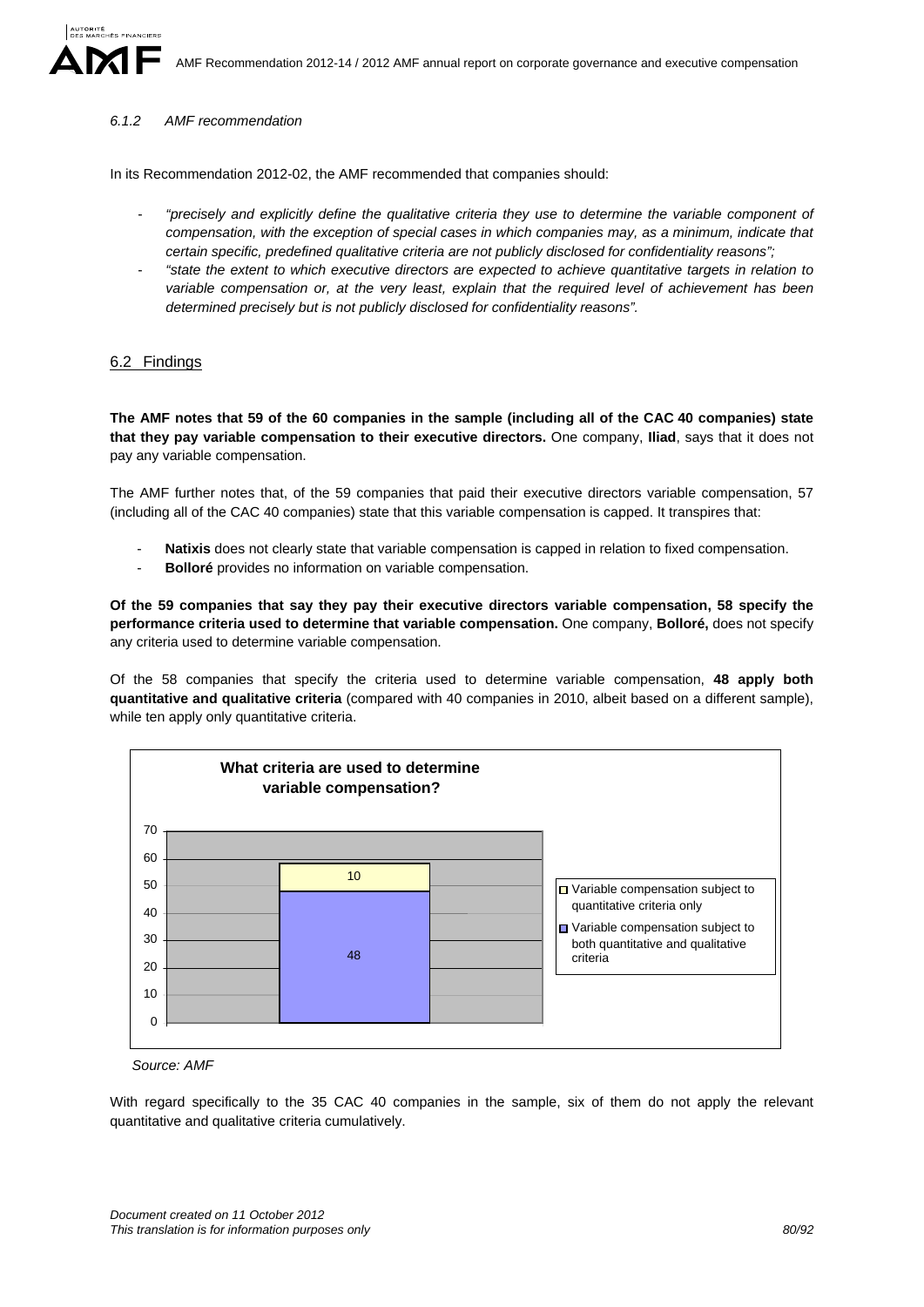#### *6.1.2 AMF recommendation*

In its Recommendation 2012-02, the AMF recommended that companies should:

- *"precisely and explicitly define the qualitative criteria they use to determine the variable component of compensation, with the exception of special cases in which companies may, as a minimum, indicate that certain specific, predefined qualitative criteria are not publicly disclosed for confidentiality reasons";*
- *"state the extent to which executive directors are expected to achieve quantitative targets in relation to variable compensation or, at the very least, explain that the required level of achievement has been determined precisely but is not publicly disclosed for confidentiality reasons".*

# 6.2 Findings

**The AMF notes that 59 of the 60 companies in the sample (including all of the CAC 40 companies) state that they pay variable compensation to their executive directors.** One company, **Iliad**, says that it does not pay any variable compensation.

The AMF further notes that, of the 59 companies that paid their executive directors variable compensation, 57 (including all of the CAC 40 companies) state that this variable compensation is capped. It transpires that:

- **Natixis** does not clearly state that variable compensation is capped in relation to fixed compensation.
- **Bolloré** provides no information on variable compensation.

**Of the 59 companies that say they pay their executive directors variable compensation, 58 specify the performance criteria used to determine that variable compensation.** One company, **Bolloré,** does not specify any criteria used to determine variable compensation.

Of the 58 companies that specify the criteria used to determine variable compensation, **48 apply both quantitative and qualitative criteria** (compared with 40 companies in 2010, albeit based on a different sample), while ten apply only quantitative criteria.



*Source: AMF* 

With regard specifically to the 35 CAC 40 companies in the sample, six of them do not apply the relevant quantitative and qualitative criteria cumulatively.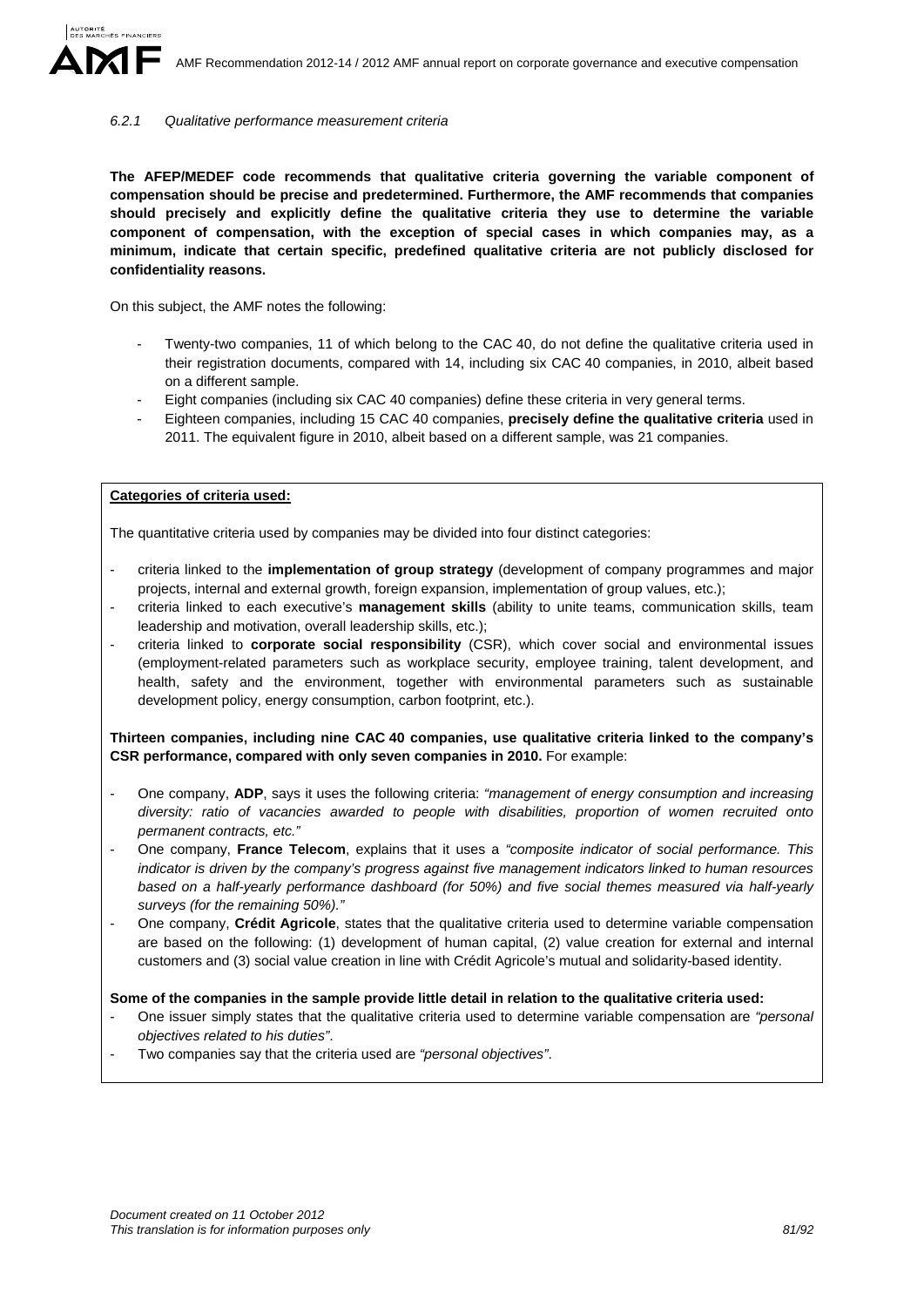#### *6.2.1 Qualitative performance measurement criteria*

**The AFEP/MEDEF code recommends that qualitative criteria governing the variable component of compensation should be precise and predetermined. Furthermore, the AMF recommends that companies should precisely and explicitly define the qualitative criteria they use to determine the variable component of compensation, with the exception of special cases in which companies may, as a minimum, indicate that certain specific, predefined qualitative criteria are not publicly disclosed for confidentiality reasons.** 

On this subject, the AMF notes the following:

- Twenty-two companies, 11 of which belong to the CAC 40, do not define the qualitative criteria used in their registration documents, compared with 14, including six CAC 40 companies, in 2010, albeit based on a different sample.
- Eight companies (including six CAC 40 companies) define these criteria in very general terms.
- Eighteen companies, including 15 CAC 40 companies, **precisely define the qualitative criteria** used in 2011. The equivalent figure in 2010, albeit based on a different sample, was 21 companies.

#### **Categories of criteria used:**

The quantitative criteria used by companies may be divided into four distinct categories:

- criteria linked to the **implementation of group strategy** (development of company programmes and major projects, internal and external growth, foreign expansion, implementation of group values, etc.);
- criteria linked to each executive's **management skills** (ability to unite teams, communication skills, team leadership and motivation, overall leadership skills, etc.);
- criteria linked to **corporate social responsibility** (CSR), which cover social and environmental issues (employment-related parameters such as workplace security, employee training, talent development, and health, safety and the environment, together with environmental parameters such as sustainable development policy, energy consumption, carbon footprint, etc.).

**Thirteen companies, including nine CAC 40 companies, use qualitative criteria linked to the company's CSR performance, compared with only seven companies in 2010.** For example:

- One company, **ADP**, says it uses the following criteria: *"management of energy consumption and increasing diversity: ratio of vacancies awarded to people with disabilities, proportion of women recruited onto permanent contracts, etc."*
- One company, **France Telecom**, explains that it uses a *"composite indicator of social performance. This indicator is driven by the company's progress against five management indicators linked to human resources based on a half-yearly performance dashboard (for 50%) and five social themes measured via half-yearly surveys (for the remaining 50%)."*
- One company, **Crédit Agricole**, states that the qualitative criteria used to determine variable compensation are based on the following: (1) development of human capital, (2) value creation for external and internal customers and (3) social value creation in line with Crédit Agricole's mutual and solidarity-based identity.

#### **Some of the companies in the sample provide little detail in relation to the qualitative criteria used:**

- One issuer simply states that the qualitative criteria used to determine variable compensation are *"personal objectives related to his duties"*.
- Two companies say that the criteria used are *"personal objectives"*.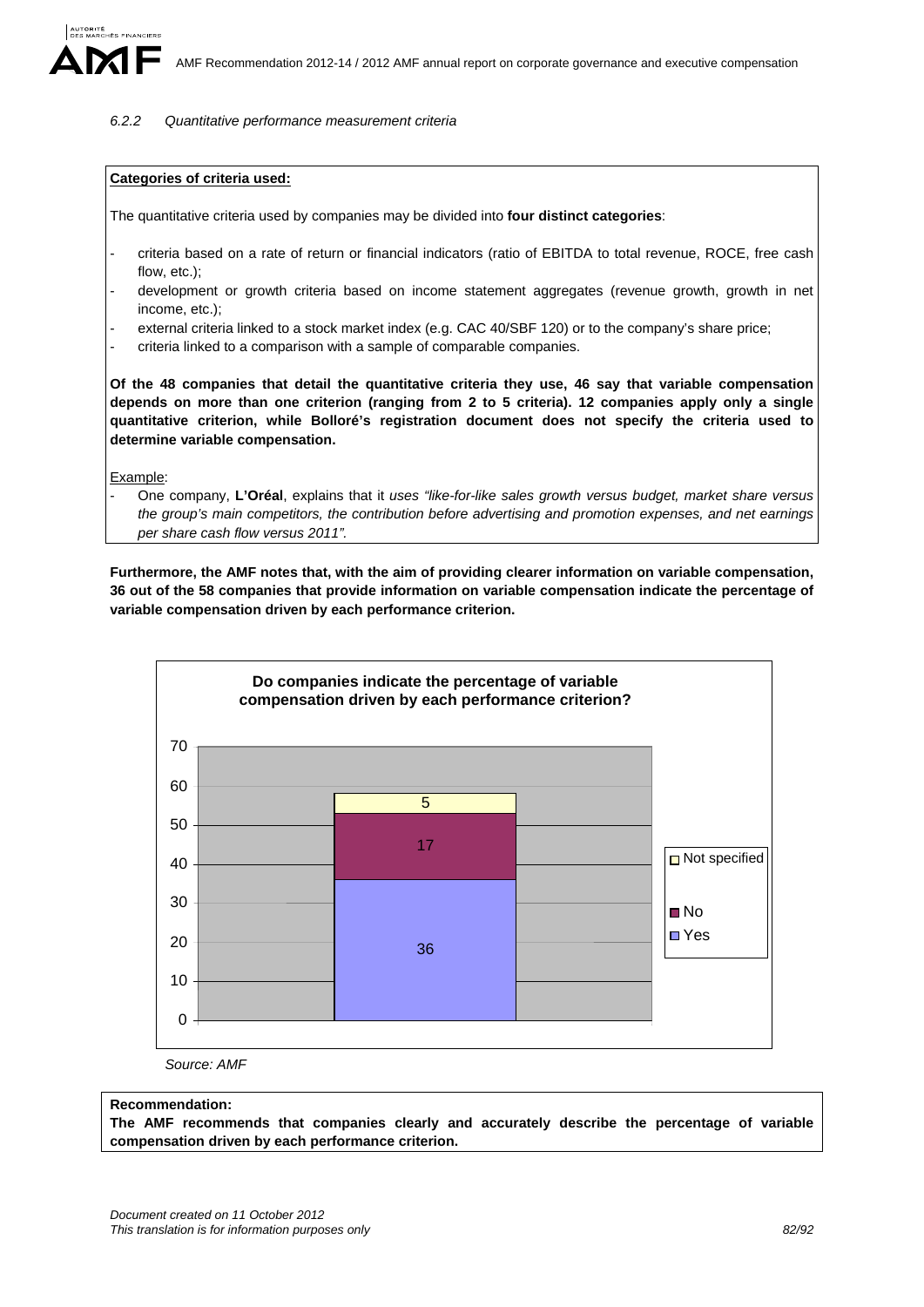#### *6.2.2 Quantitative performance measurement criteria*

#### **Categories of criteria used:**

The quantitative criteria used by companies may be divided into **four distinct categories**:

- criteria based on a rate of return or financial indicators (ratio of EBITDA to total revenue, ROCE, free cash flow, etc.);
- development or growth criteria based on income statement aggregates (revenue growth, growth in net income, etc.);
- external criteria linked to a stock market index (e.g. CAC 40/SBF 120) or to the company's share price;
- criteria linked to a comparison with a sample of comparable companies.

**Of the 48 companies that detail the quantitative criteria they use, 46 say that variable compensation depends on more than one criterion (ranging from 2 to 5 criteria). 12 companies apply only a single quantitative criterion, while Bolloré's registration document does not specify the criteria used to determine variable compensation.** 

Example:

- One company, **L'Oréal**, explains that it *uses "like-for-like sales growth versus budget, market share versus the group's main competitors, the contribution before advertising and promotion expenses, and net earnings per share cash flow versus 2011".*

**Furthermore, the AMF notes that, with the aim of providing clearer information on variable compensation, 36 out of the 58 companies that provide information on variable compensation indicate the percentage of variable compensation driven by each performance criterion.** 



*Source: AMF* 

#### **Recommendation:**

**The AMF recommends that companies clearly and accurately describe the percentage of variable compensation driven by each performance criterion.**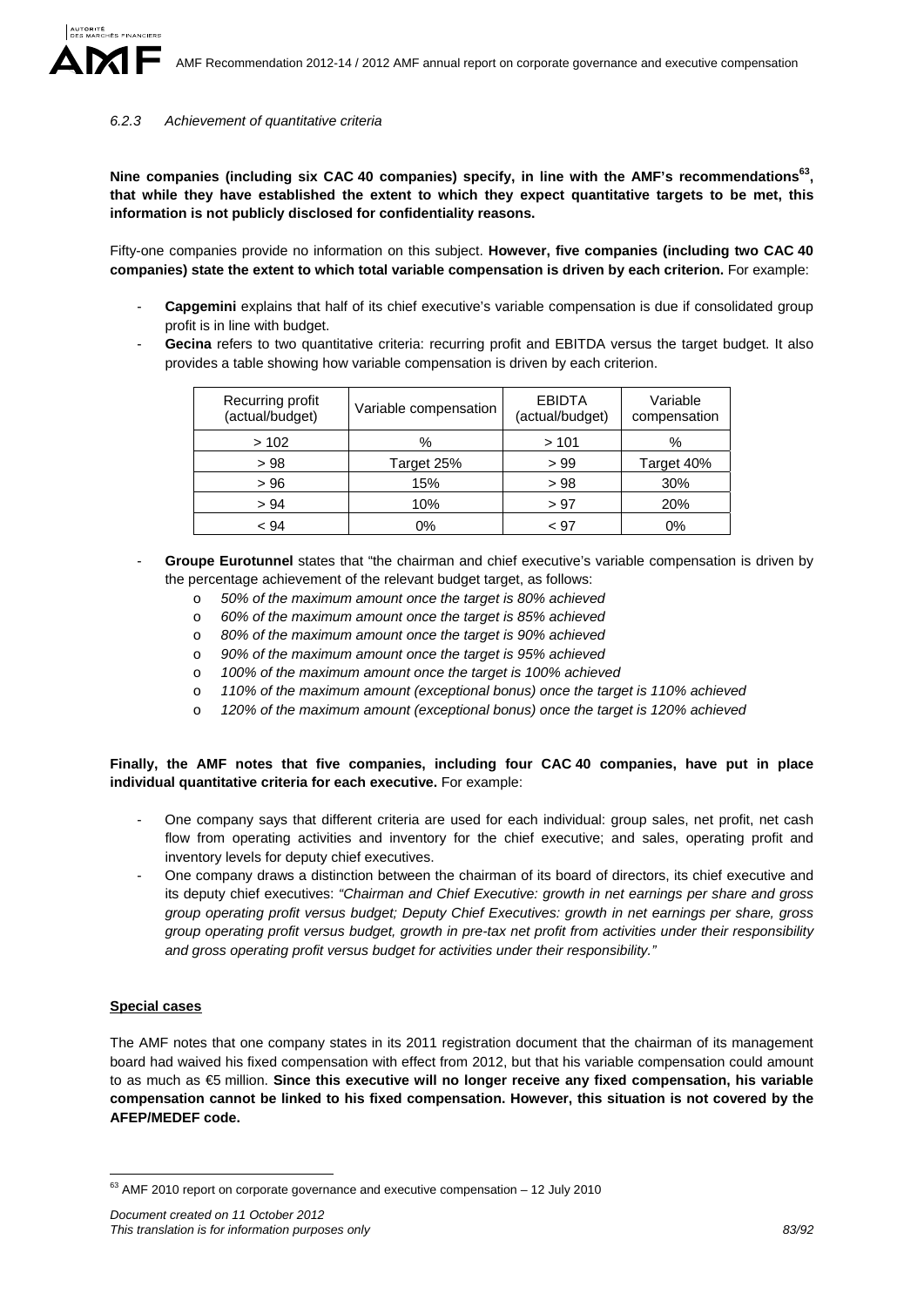#### *6.2.3 Achievement of quantitative criteria*

**Nine companies (including six CAC 40 companies) specify, in line with the AMF's recommendations63, that while they have established the extent to which they expect quantitative targets to be met, this information is not publicly disclosed for confidentiality reasons.**

Fifty-one companies provide no information on this subject. **However, five companies (including two CAC 40 companies) state the extent to which total variable compensation is driven by each criterion.** For example:

- **Capgemini** explains that half of its chief executive's variable compensation is due if consolidated group profit is in line with budget.
- Gecina refers to two quantitative criteria: recurring profit and EBITDA versus the target budget. It also provides a table showing how variable compensation is driven by each criterion.

| Recurring profit<br>(actual/budget) | Variable compensation | <b>EBIDTA</b><br>(actual/budget) | Variable<br>compensation |
|-------------------------------------|-----------------------|----------------------------------|--------------------------|
| >102                                | %                     | >101                             | %                        |
| >98                                 | Target 25%            | >99                              | Target 40%               |
| > 96                                | 15%                   | >98                              | 30%                      |
| > 94                                | 10%                   | > 97                             | 20%                      |
| < 94                                | 0%                    | < 97                             | 0%                       |

- **Groupe Eurotunnel** states that "the chairman and chief executive's variable compensation is driven by the percentage achievement of the relevant budget target, as follows:
	- o *50% of the maximum amount once the target is 80% achieved*
	- o *60% of the maximum amount once the target is 85% achieved*
	- o *80% of the maximum amount once the target is 90% achieved*
	- o *90% of the maximum amount once the target is 95% achieved*
	- o *100% of the maximum amount once the target is 100% achieved*
	- o *110% of the maximum amount (exceptional bonus) once the target is 110% achieved*
	- o *120% of the maximum amount (exceptional bonus) once the target is 120% achieved*

### **Finally, the AMF notes that five companies, including four CAC 40 companies, have put in place individual quantitative criteria for each executive.** For example:

- One company says that different criteria are used for each individual: group sales, net profit, net cash flow from operating activities and inventory for the chief executive; and sales, operating profit and inventory levels for deputy chief executives.
- One company draws a distinction between the chairman of its board of directors, its chief executive and its deputy chief executives: *"Chairman and Chief Executive: growth in net earnings per share and gross group operating profit versus budget; Deputy Chief Executives: growth in net earnings per share, gross group operating profit versus budget, growth in pre-tax net profit from activities under their responsibility and gross operating profit versus budget for activities under their responsibility."*

# **Special cases**

<u>.</u>

The AMF notes that one company states in its 2011 registration document that the chairman of its management board had waived his fixed compensation with effect from 2012, but that his variable compensation could amount to as much as €5 million. **Since this executive will no longer receive any fixed compensation, his variable compensation cannot be linked to his fixed compensation. However, this situation is not covered by the AFEP/MEDEF code.** 

 $63$  AMF 2010 report on corporate governance and executive compensation  $-12$  July 2010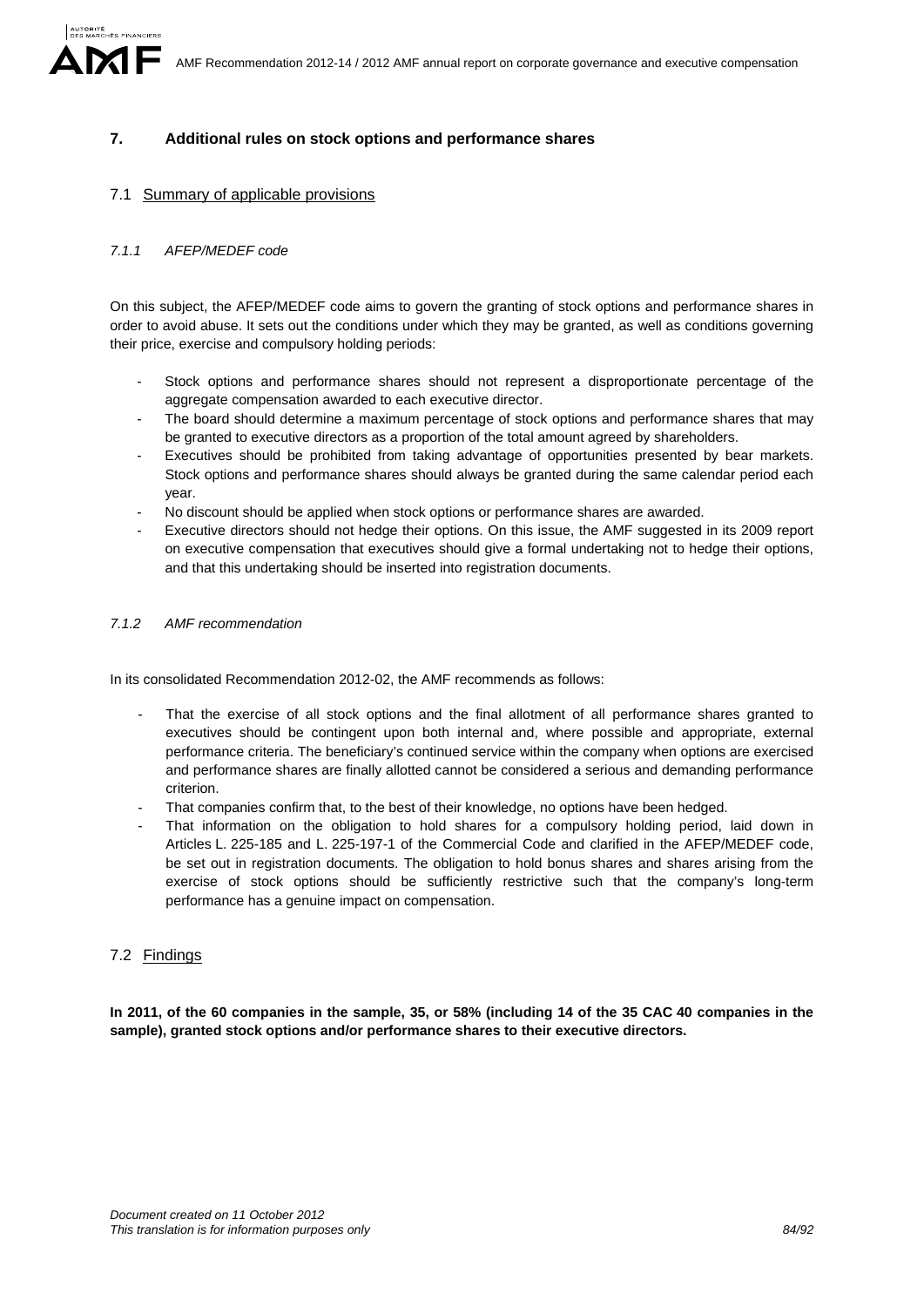# **7. Additional rules on stock options and performance shares**

# 7.1 Summary of applicable provisions

# *7.1.1 AFEP/MEDEF code*

On this subject, the AFEP/MEDEF code aims to govern the granting of stock options and performance shares in order to avoid abuse. It sets out the conditions under which they may be granted, as well as conditions governing their price, exercise and compulsory holding periods:

- Stock options and performance shares should not represent a disproportionate percentage of the aggregate compensation awarded to each executive director.
- The board should determine a maximum percentage of stock options and performance shares that may be granted to executive directors as a proportion of the total amount agreed by shareholders.
- Executives should be prohibited from taking advantage of opportunities presented by bear markets. Stock options and performance shares should always be granted during the same calendar period each year.
- No discount should be applied when stock options or performance shares are awarded.
- Executive directors should not hedge their options. On this issue, the AMF suggested in its 2009 report on executive compensation that executives should give a formal undertaking not to hedge their options, and that this undertaking should be inserted into registration documents.

### *7.1.2 AMF recommendation*

In its consolidated Recommendation 2012-02, the AMF recommends as follows:

- That the exercise of all stock options and the final allotment of all performance shares granted to executives should be contingent upon both internal and, where possible and appropriate, external performance criteria. The beneficiary's continued service within the company when options are exercised and performance shares are finally allotted cannot be considered a serious and demanding performance criterion.
- That companies confirm that, to the best of their knowledge, no options have been hedged.
- That information on the obligation to hold shares for a compulsory holding period, laid down in Articles L. 225-185 and L. 225-197-1 of the Commercial Code and clarified in the AFEP/MEDEF code, be set out in registration documents. The obligation to hold bonus shares and shares arising from the exercise of stock options should be sufficiently restrictive such that the company's long-term performance has a genuine impact on compensation.

# 7.2 Findings

**In 2011, of the 60 companies in the sample, 35, or 58% (including 14 of the 35 CAC 40 companies in the sample), granted stock options and/or performance shares to their executive directors.**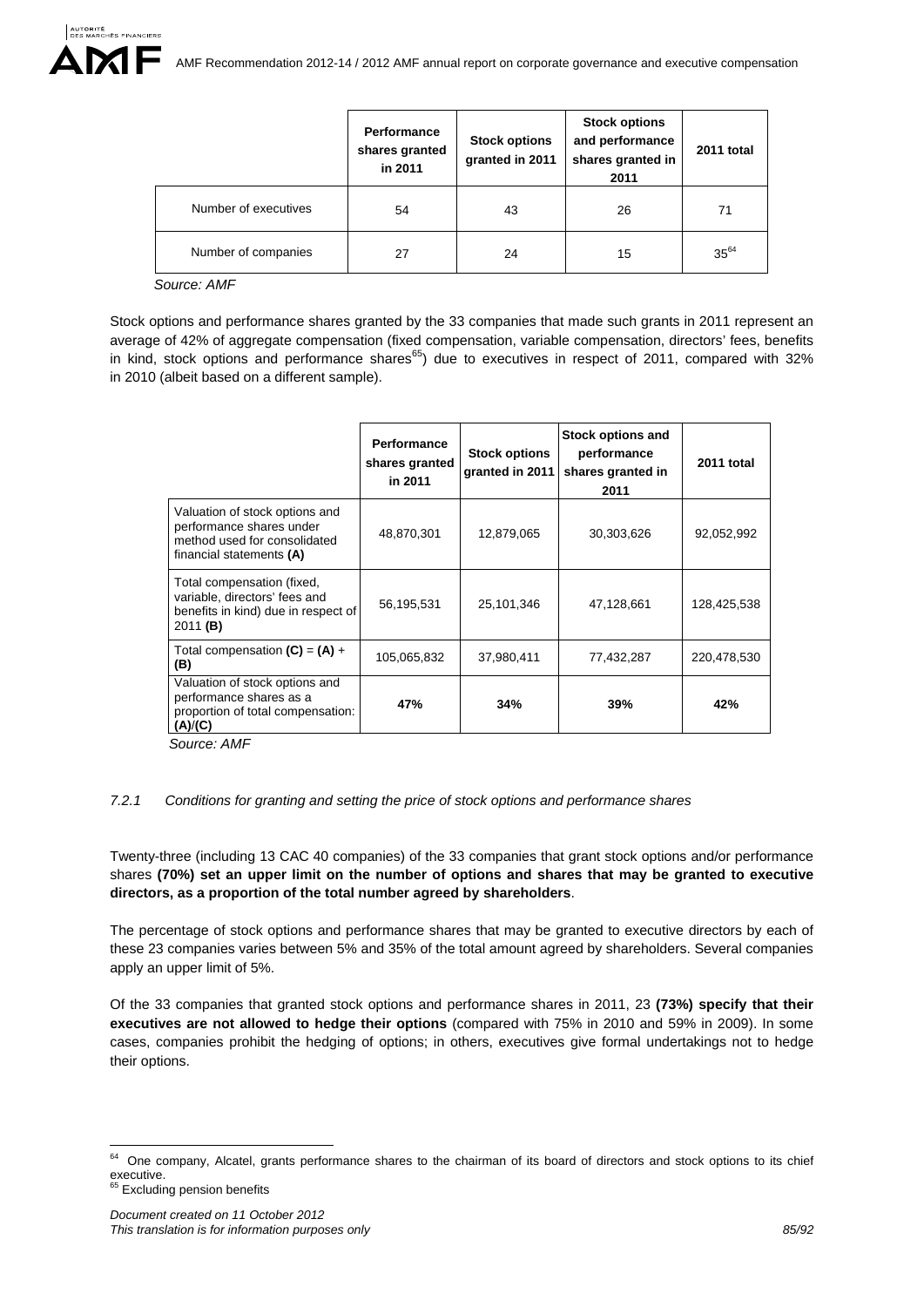|                      | Performance<br>shares granted<br>in 2011 | <b>Stock options</b><br>granted in 2011 | <b>Stock options</b><br>and performance<br>shares granted in<br>2011 | 2011 total |
|----------------------|------------------------------------------|-----------------------------------------|----------------------------------------------------------------------|------------|
| Number of executives | 54                                       | 43                                      | 26                                                                   | 71         |
| Number of companies  | 27                                       | 24                                      | 15                                                                   | $35^{64}$  |

*Source: AMF* 

Stock options and performance shares granted by the 33 companies that made such grants in 2011 represent an average of 42% of aggregate compensation (fixed compensation, variable compensation, directors' fees, benefits in kind, stock options and performance shares $^{65}$ ) due to executives in respect of 2011, compared with 32% in 2010 (albeit based on a different sample).

|                                                                                                                        | <b>Performance</b><br>shares granted<br>in 2011 | <b>Stock options</b><br>granted in 2011 | <b>Stock options and</b><br>performance<br>shares granted in<br>2011 | 2011 total  |
|------------------------------------------------------------------------------------------------------------------------|-------------------------------------------------|-----------------------------------------|----------------------------------------------------------------------|-------------|
| Valuation of stock options and<br>performance shares under<br>method used for consolidated<br>financial statements (A) | 48,870,301                                      | 12,879,065                              | 30,303,626                                                           | 92,052,992  |
| Total compensation (fixed,<br>variable, directors' fees and<br>benefits in kind) due in respect of<br>2011 (B)         | 56,195,531                                      | 25,101,346                              | 47,128,661                                                           | 128,425,538 |
| Total compensation $(C) = (A) +$<br>(B)                                                                                | 105,065,832                                     | 37,980,411                              | 77,432,287                                                           | 220,478,530 |
| Valuation of stock options and<br>performance shares as a<br>proportion of total compensation:<br>(A)/(C)              | 47%                                             | 34%                                     | 39%                                                                  | 42%         |

 *Source: AMF*

#### *7.2.1 Conditions for granting and setting the price of stock options and performance shares*

Twenty-three (including 13 CAC 40 companies) of the 33 companies that grant stock options and/or performance shares **(70%) set an upper limit on the number of options and shares that may be granted to executive directors, as a proportion of the total number agreed by shareholders**.

The percentage of stock options and performance shares that may be granted to executive directors by each of these 23 companies varies between 5% and 35% of the total amount agreed by shareholders. Several companies apply an upper limit of 5%.

Of the 33 companies that granted stock options and performance shares in 2011, 23 **(73%) specify that their executives are not allowed to hedge their options** (compared with 75% in 2010 and 59% in 2009). In some cases, companies prohibit the hedging of options; in others, executives give formal undertakings not to hedge their options.

<sup>1</sup> <sup>64</sup> One company, Alcatel, grants performance shares to the chairman of its board of directors and stock options to its chief executive.<br><sup>65</sup> Excluding pension benefits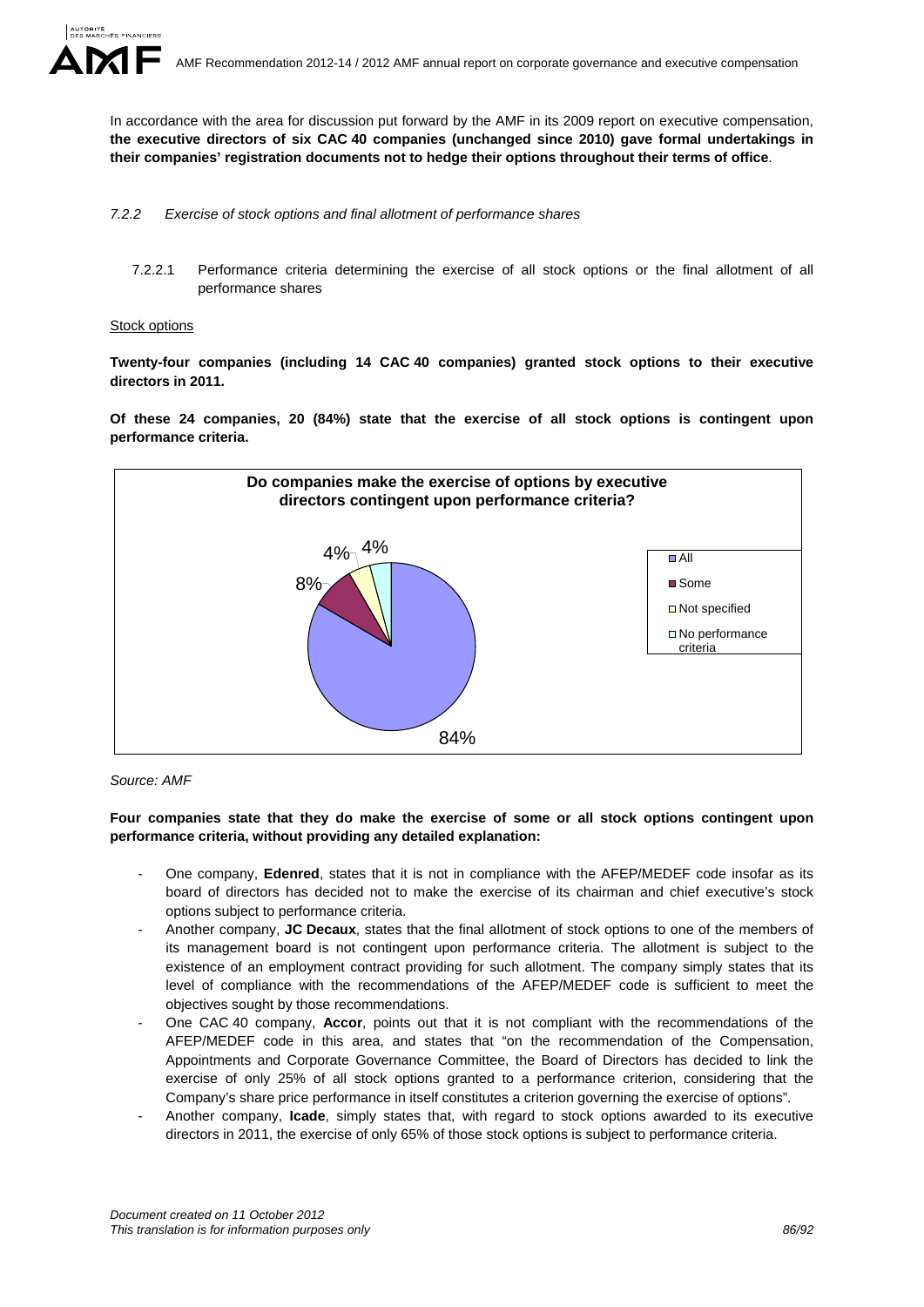In accordance with the area for discussion put forward by the AMF in its 2009 report on executive compensation, **the executive directors of six CAC 40 companies (unchanged since 2010) gave formal undertakings in their companies' registration documents not to hedge their options throughout their terms of office**.

- *7.2.2 Exercise of stock options and final allotment of performance shares* 
	- 7.2.2.1 Performance criteria determining the exercise of all stock options or the final allotment of all performance shares

#### **Stock options**

**Twenty-four companies (including 14 CAC 40 companies) granted stock options to their executive directors in 2011.**

**Of these 24 companies, 20 (84%) state that the exercise of all stock options is contingent upon performance criteria.** 



*Source: AMF* 

**Four companies state that they do make the exercise of some or all stock options contingent upon performance criteria, without providing any detailed explanation:** 

- One company, **Edenred**, states that it is not in compliance with the AFEP/MEDEF code insofar as its board of directors has decided not to make the exercise of its chairman and chief executive's stock options subject to performance criteria.
- Another company, **JC Decaux**, states that the final allotment of stock options to one of the members of its management board is not contingent upon performance criteria. The allotment is subject to the existence of an employment contract providing for such allotment. The company simply states that its level of compliance with the recommendations of the AFEP/MEDEF code is sufficient to meet the objectives sought by those recommendations.
- One CAC 40 company, **Accor**, points out that it is not compliant with the recommendations of the AFEP/MEDEF code in this area, and states that "on the recommendation of the Compensation, Appointments and Corporate Governance Committee, the Board of Directors has decided to link the exercise of only 25% of all stock options granted to a performance criterion, considering that the Company's share price performance in itself constitutes a criterion governing the exercise of options".
- Another company, **Icade**, simply states that, with regard to stock options awarded to its executive directors in 2011, the exercise of only 65% of those stock options is subject to performance criteria.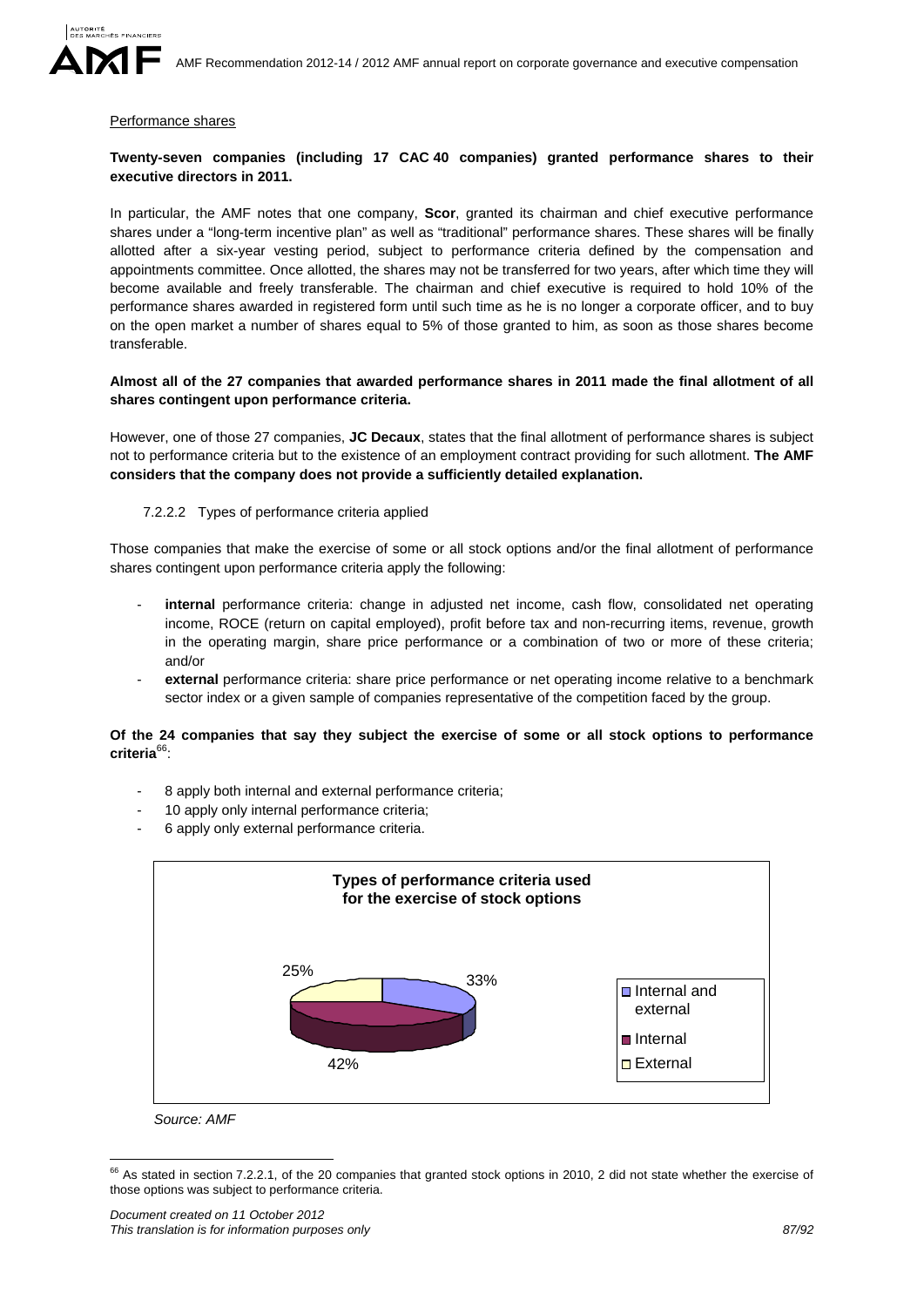

#### Performance shares

# **Twenty-seven companies (including 17 CAC 40 companies) granted performance shares to their executive directors in 2011.**

In particular, the AMF notes that one company, **Scor**, granted its chairman and chief executive performance shares under a "long-term incentive plan" as well as "traditional" performance shares. These shares will be finally allotted after a six-year vesting period, subject to performance criteria defined by the compensation and appointments committee. Once allotted, the shares may not be transferred for two years, after which time they will become available and freely transferable. The chairman and chief executive is required to hold 10% of the performance shares awarded in registered form until such time as he is no longer a corporate officer, and to buy on the open market a number of shares equal to 5% of those granted to him, as soon as those shares become transferable.

### **Almost all of the 27 companies that awarded performance shares in 2011 made the final allotment of all shares contingent upon performance criteria.**

However, one of those 27 companies, **JC Decaux**, states that the final allotment of performance shares is subject not to performance criteria but to the existence of an employment contract providing for such allotment. **The AMF considers that the company does not provide a sufficiently detailed explanation.** 

#### 7.2.2.2 Types of performance criteria applied

Those companies that make the exercise of some or all stock options and/or the final allotment of performance shares contingent upon performance criteria apply the following:

- internal performance criteria: change in adjusted net income, cash flow, consolidated net operating income, ROCE (return on capital employed), profit before tax and non-recurring items, revenue, growth in the operating margin, share price performance or a combination of two or more of these criteria; and/or
- external performance criteria: share price performance or net operating income relative to a benchmark sector index or a given sample of companies representative of the competition faced by the group.

# **Of the 24 companies that say they subject the exercise of some or all stock options to performance criteria**66:

- 8 apply both internal and external performance criteria;
- 10 apply only internal performance criteria;
- 6 apply only external performance criteria.



*Source: AMF* 

1

 $66$  As stated in section 7.2.2.1, of the 20 companies that granted stock options in 2010, 2 did not state whether the exercise of those options was subject to performance criteria.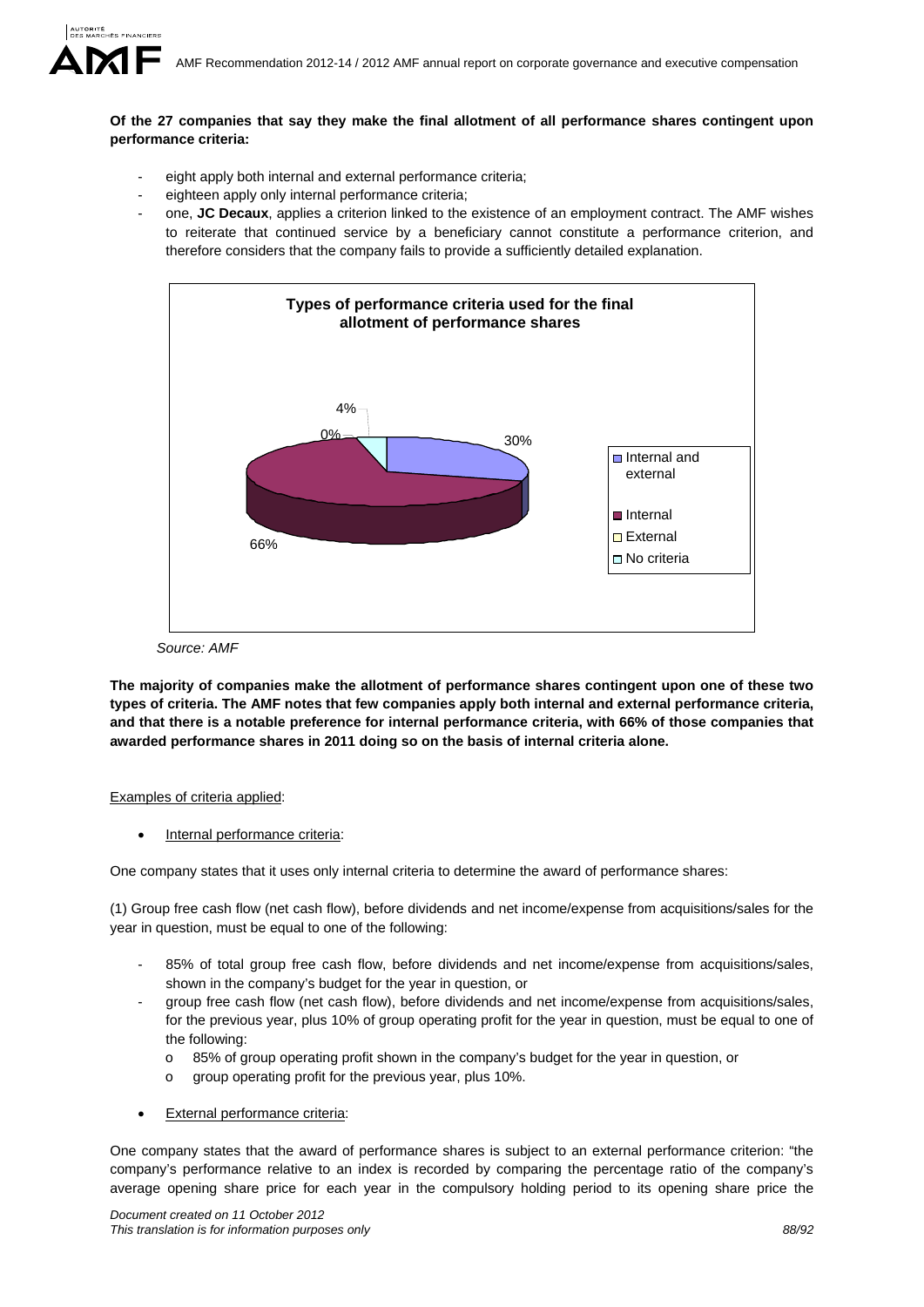# **Of the 27 companies that say they make the final allotment of all performance shares contingent upon performance criteria:**

- eight apply both internal and external performance criteria;
- eighteen apply only internal performance criteria;
- one, **JC Decaux**, applies a criterion linked to the existence of an employment contract. The AMF wishes to reiterate that continued service by a beneficiary cannot constitute a performance criterion, and therefore considers that the company fails to provide a sufficiently detailed explanation.



 *Source: AMF* 

**The majority of companies make the allotment of performance shares contingent upon one of these two types of criteria. The AMF notes that few companies apply both internal and external performance criteria, and that there is a notable preference for internal performance criteria, with 66% of those companies that awarded performance shares in 2011 doing so on the basis of internal criteria alone.** 

# Examples of criteria applied:

Internal performance criteria:

One company states that it uses only internal criteria to determine the award of performance shares:

(1) Group free cash flow (net cash flow), before dividends and net income/expense from acquisitions/sales for the year in question, must be equal to one of the following:

- 85% of total group free cash flow, before dividends and net income/expense from acquisitions/sales, shown in the company's budget for the year in question, or
- group free cash flow (net cash flow), before dividends and net income/expense from acquisitions/sales, for the previous year, plus 10% of group operating profit for the year in question, must be equal to one of the following:
	- o 85% of group operating profit shown in the company's budget for the year in question, or
	- o group operating profit for the previous year, plus 10%.
- **External performance criteria:**

One company states that the award of performance shares is subject to an external performance criterion: "the company's performance relative to an index is recorded by comparing the percentage ratio of the company's average opening share price for each year in the compulsory holding period to its opening share price the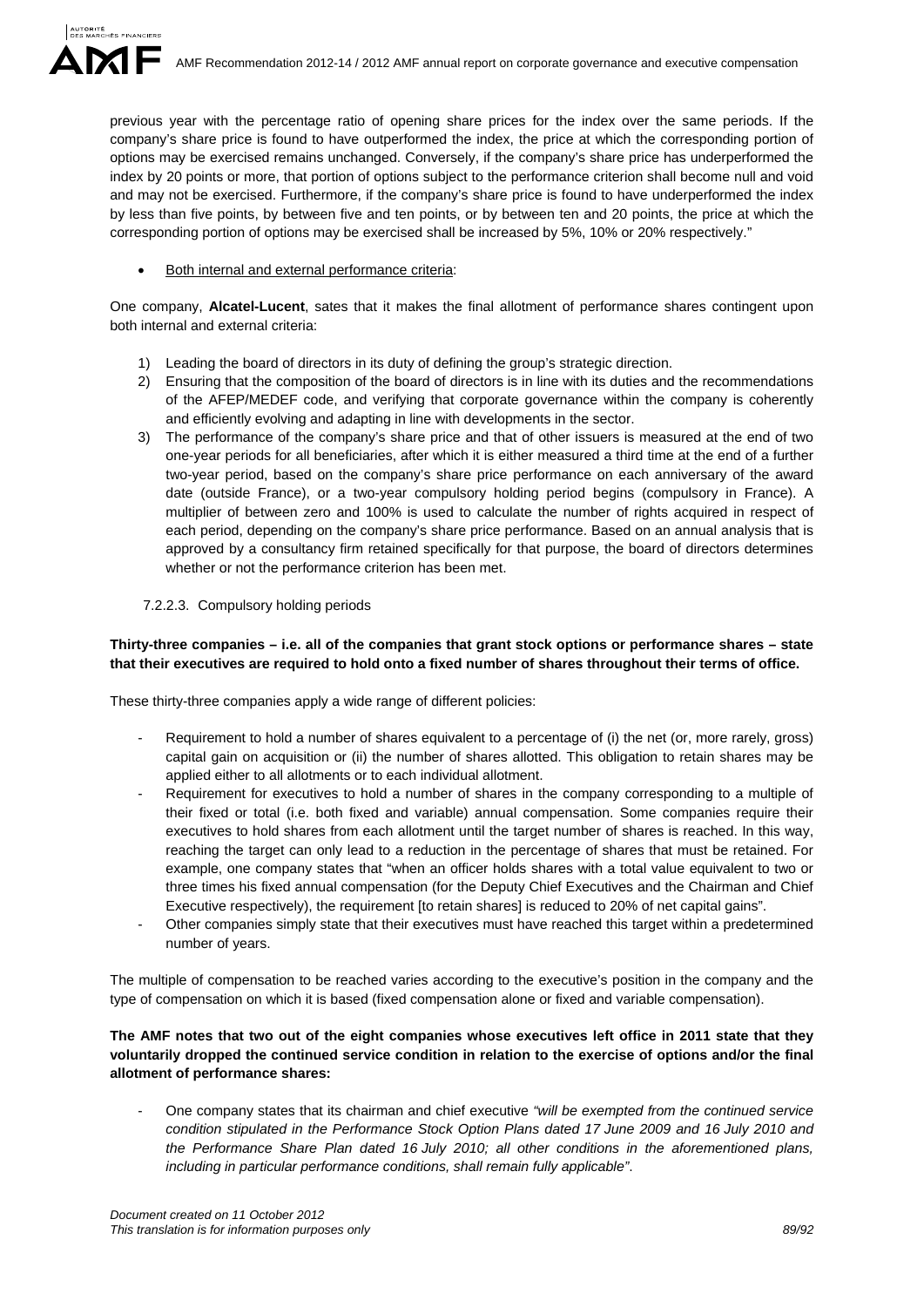previous year with the percentage ratio of opening share prices for the index over the same periods. If the company's share price is found to have outperformed the index, the price at which the corresponding portion of options may be exercised remains unchanged. Conversely, if the company's share price has underperformed the index by 20 points or more, that portion of options subject to the performance criterion shall become null and void and may not be exercised. Furthermore, if the company's share price is found to have underperformed the index by less than five points, by between five and ten points, or by between ten and 20 points, the price at which the corresponding portion of options may be exercised shall be increased by 5%, 10% or 20% respectively."

Both internal and external performance criteria:

One company, **Alcatel-Lucent**, sates that it makes the final allotment of performance shares contingent upon both internal and external criteria:

- 1) Leading the board of directors in its duty of defining the group's strategic direction.
- 2) Ensuring that the composition of the board of directors is in line with its duties and the recommendations of the AFEP/MEDEF code, and verifying that corporate governance within the company is coherently and efficiently evolving and adapting in line with developments in the sector.
- 3) The performance of the company's share price and that of other issuers is measured at the end of two one-year periods for all beneficiaries, after which it is either measured a third time at the end of a further two-year period, based on the company's share price performance on each anniversary of the award date (outside France), or a two-year compulsory holding period begins (compulsory in France). A multiplier of between zero and 100% is used to calculate the number of rights acquired in respect of each period, depending on the company's share price performance. Based on an annual analysis that is approved by a consultancy firm retained specifically for that purpose, the board of directors determines whether or not the performance criterion has been met.

# 7.2.2.3. Compulsory holding periods

# **Thirty-three companies – i.e. all of the companies that grant stock options or performance shares – state that their executives are required to hold onto a fixed number of shares throughout their terms of office.**

These thirty-three companies apply a wide range of different policies:

- Requirement to hold a number of shares equivalent to a percentage of (i) the net (or, more rarely, gross) capital gain on acquisition or (ii) the number of shares allotted. This obligation to retain shares may be applied either to all allotments or to each individual allotment.
- Requirement for executives to hold a number of shares in the company corresponding to a multiple of their fixed or total (i.e. both fixed and variable) annual compensation. Some companies require their executives to hold shares from each allotment until the target number of shares is reached. In this way, reaching the target can only lead to a reduction in the percentage of shares that must be retained. For example, one company states that "when an officer holds shares with a total value equivalent to two or three times his fixed annual compensation (for the Deputy Chief Executives and the Chairman and Chief Executive respectively), the requirement [to retain shares] is reduced to 20% of net capital gains".
- Other companies simply state that their executives must have reached this target within a predetermined number of years.

The multiple of compensation to be reached varies according to the executive's position in the company and the type of compensation on which it is based (fixed compensation alone or fixed and variable compensation).

# **The AMF notes that two out of the eight companies whose executives left office in 2011 state that they voluntarily dropped the continued service condition in relation to the exercise of options and/or the final allotment of performance shares:**

- One company states that its chairman and chief executive *"will be exempted from the continued service condition stipulated in the Performance Stock Option Plans dated 17 June 2009 and 16 July 2010 and the Performance Share Plan dated 16 July 2010; all other conditions in the aforementioned plans, including in particular performance conditions, shall remain fully applicable"*.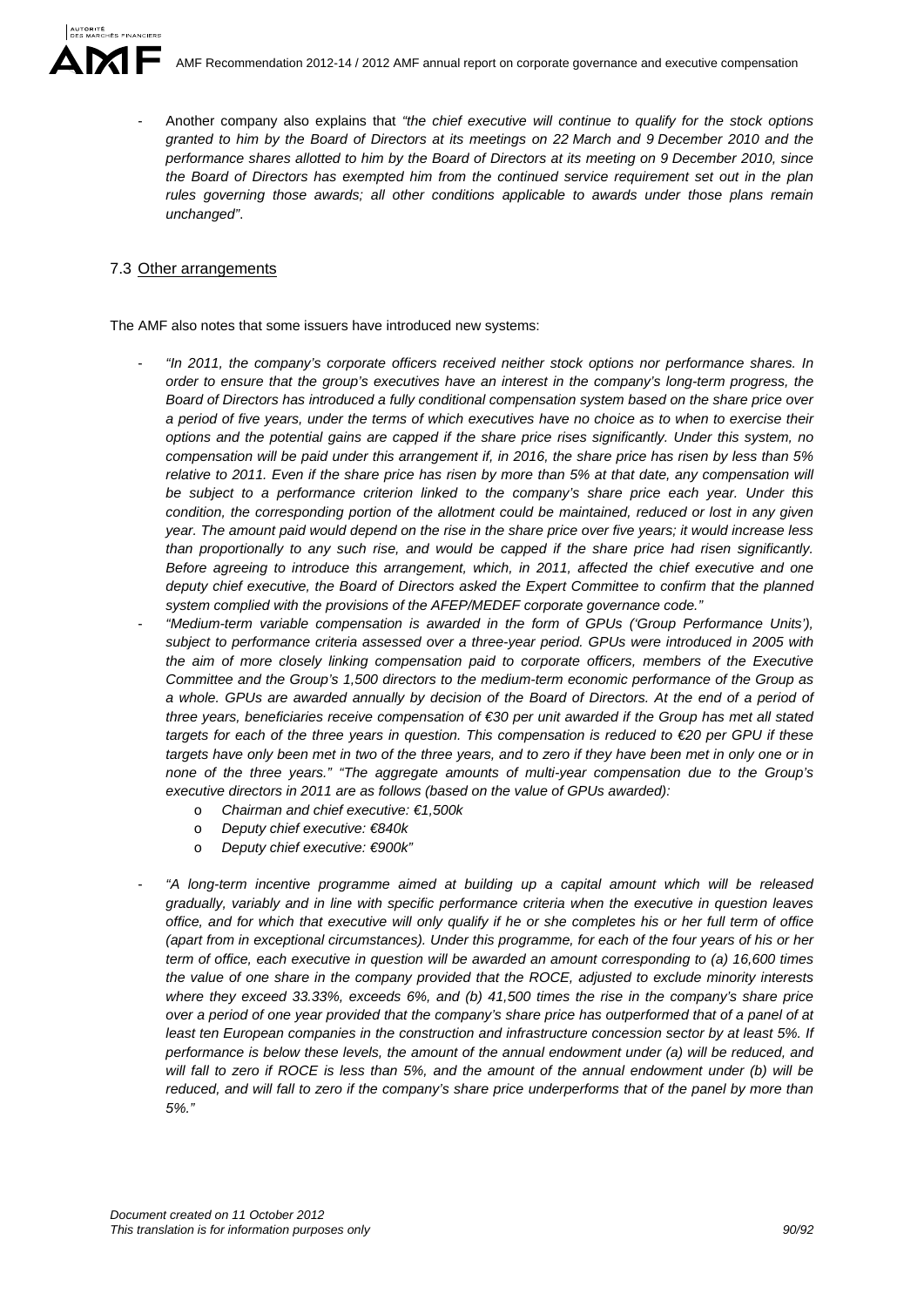- Another company also explains that *"the chief executive will continue to qualify for the stock options granted to him by the Board of Directors at its meetings on 22 March and 9 December 2010 and the performance shares allotted to him by the Board of Directors at its meeting on 9 December 2010, since the Board of Directors has exempted him from the continued service requirement set out in the plan rules governing those awards; all other conditions applicable to awards under those plans remain unchanged"*.

# 7.3 Other arrangements

The AMF also notes that some issuers have introduced new systems:

- *"In 2011, the company's corporate officers received neither stock options nor performance shares. In order to ensure that the group's executives have an interest in the company's long-term progress, the Board of Directors has introduced a fully conditional compensation system based on the share price over a period of five years, under the terms of which executives have no choice as to when to exercise their options and the potential gains are capped if the share price rises significantly. Under this system, no compensation will be paid under this arrangement if, in 2016, the share price has risen by less than 5% relative to 2011. Even if the share price has risen by more than 5% at that date, any compensation will be subject to a performance criterion linked to the company's share price each year. Under this condition, the corresponding portion of the allotment could be maintained, reduced or lost in any given year. The amount paid would depend on the rise in the share price over five years; it would increase less than proportionally to any such rise, and would be capped if the share price had risen significantly. Before agreeing to introduce this arrangement, which, in 2011, affected the chief executive and one deputy chief executive, the Board of Directors asked the Expert Committee to confirm that the planned system complied with the provisions of the AFEP/MEDEF corporate governance code."*
- *"Medium-term variable compensation is awarded in the form of GPUs ('Group Performance Units'), subject to performance criteria assessed over a three-year period. GPUs were introduced in 2005 with the aim of more closely linking compensation paid to corporate officers, members of the Executive Committee and the Group's 1,500 directors to the medium-term economic performance of the Group as a whole. GPUs are awarded annually by decision of the Board of Directors. At the end of a period of three years, beneficiaries receive compensation of €30 per unit awarded if the Group has met all stated targets for each of the three years in question. This compensation is reduced to €20 per GPU if these targets have only been met in two of the three years, and to zero if they have been met in only one or in none of the three years." "The aggregate amounts of multi-year compensation due to the Group's executive directors in 2011 are as follows (based on the value of GPUs awarded):* 
	- o *Chairman and chief executive: €1,500k*
	- o *Deputy chief executive: €840k*
	- o *Deputy chief executive: €900k"*
- *"A long-term incentive programme aimed at building up a capital amount which will be released gradually, variably and in line with specific performance criteria when the executive in question leaves office, and for which that executive will only qualify if he or she completes his or her full term of office (apart from in exceptional circumstances). Under this programme, for each of the four years of his or her term of office, each executive in question will be awarded an amount corresponding to (a) 16,600 times the value of one share in the company provided that the ROCE, adjusted to exclude minority interests where they exceed 33.33%, exceeds 6%, and (b) 41,500 times the rise in the company's share price over a period of one year provided that the company's share price has outperformed that of a panel of at*  least ten European companies in the construction and infrastructure concession sector by at least 5%. If *performance is below these levels, the amount of the annual endowment under (a) will be reduced, and will fall to zero if ROCE is less than 5%, and the amount of the annual endowment under (b) will be reduced, and will fall to zero if the company's share price underperforms that of the panel by more than 5%."*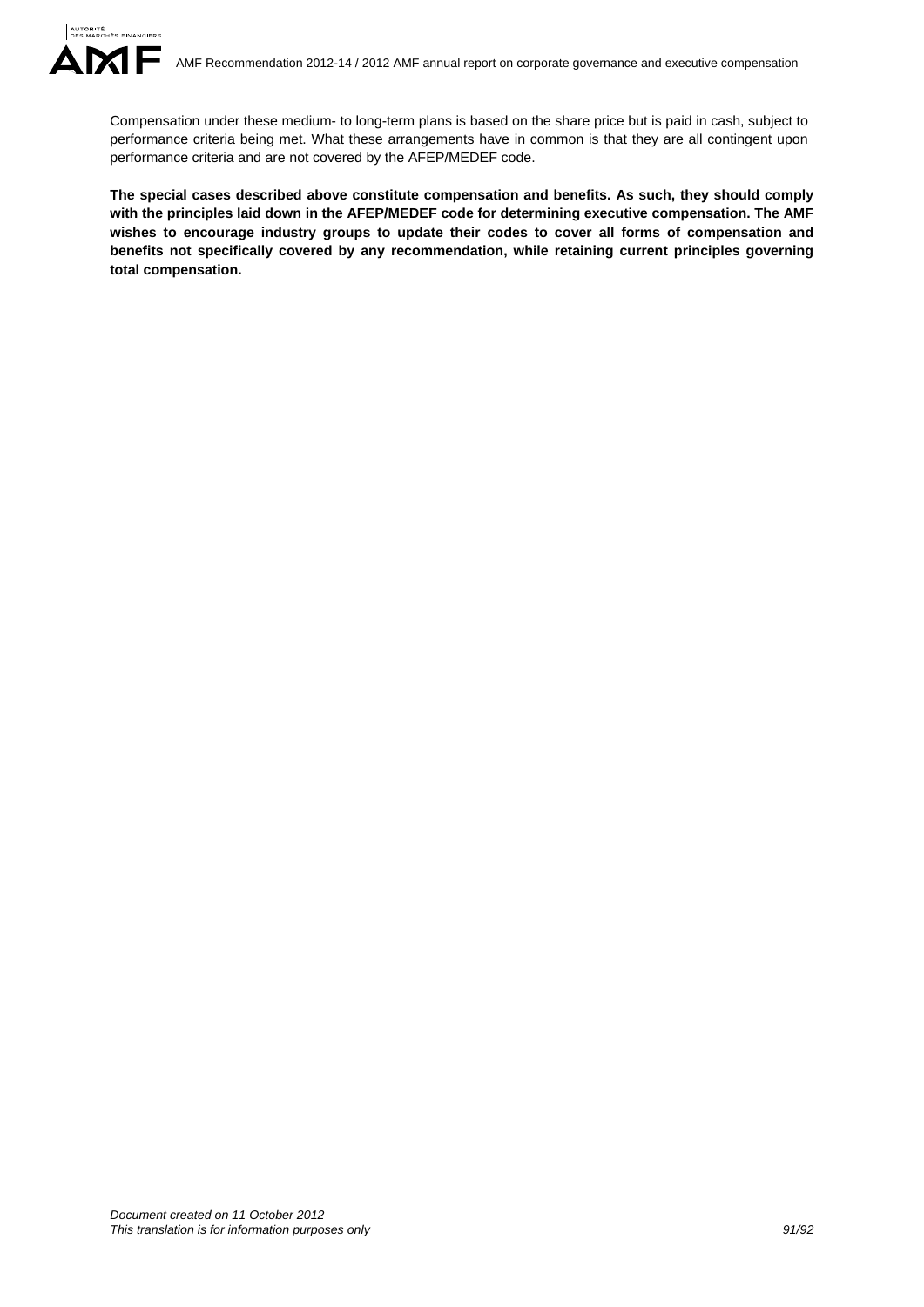Compensation under these medium- to long-term plans is based on the share price but is paid in cash, subject to performance criteria being met. What these arrangements have in common is that they are all contingent upon performance criteria and are not covered by the AFEP/MEDEF code.

**The special cases described above constitute compensation and benefits. As such, they should comply with the principles laid down in the AFEP/MEDEF code for determining executive compensation. The AMF wishes to encourage industry groups to update their codes to cover all forms of compensation and benefits not specifically covered by any recommendation, while retaining current principles governing total compensation.**

**AUTORITÉ**<br>DES MARCHÉS FINANCIERS

ИF